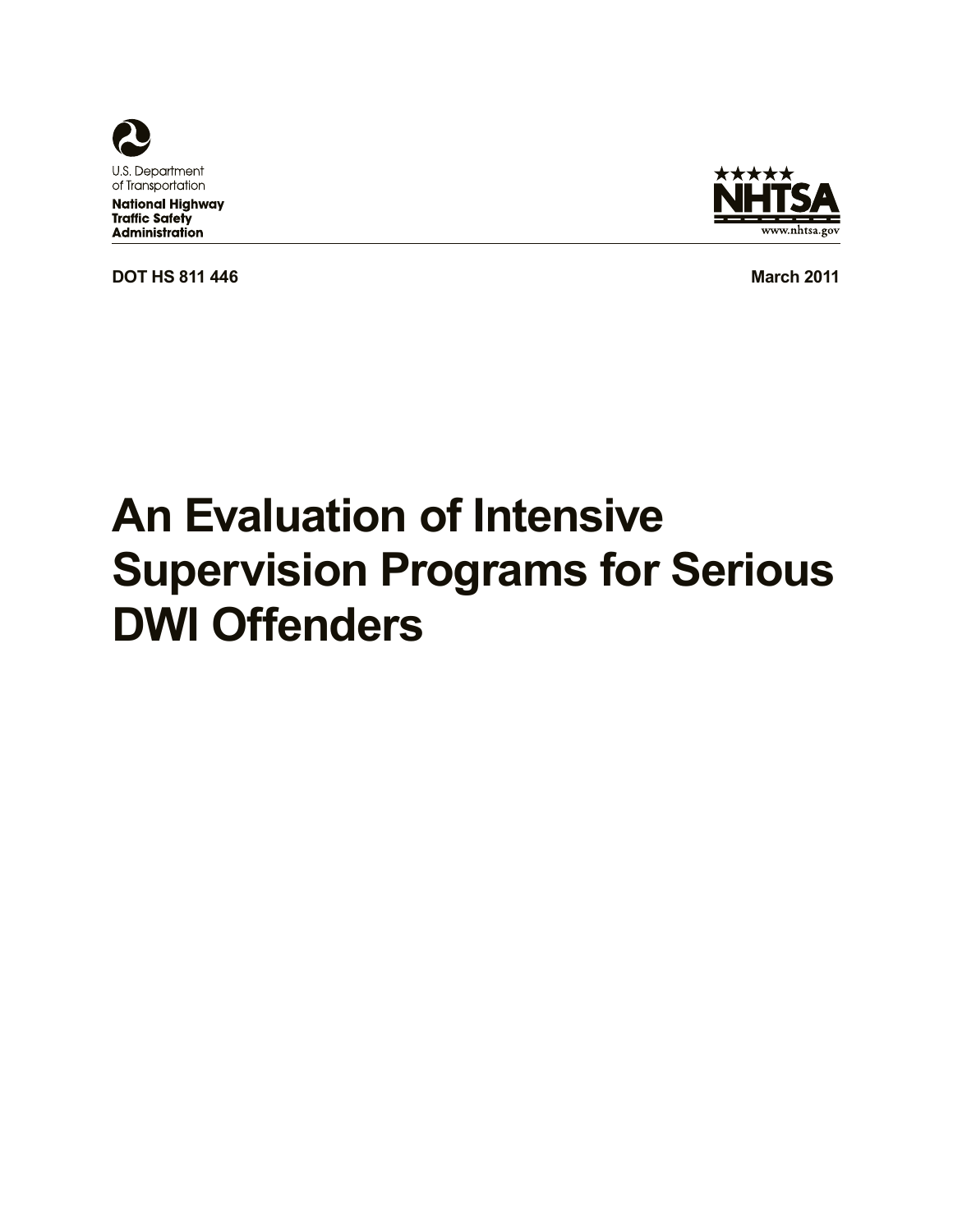

**National Highway Traffic Safety** Administration

**DOT HS 811 446 March 2011 March 2011** 



# **An Evaluation of Intensive Supervision Programs for Serious DWI Offenders**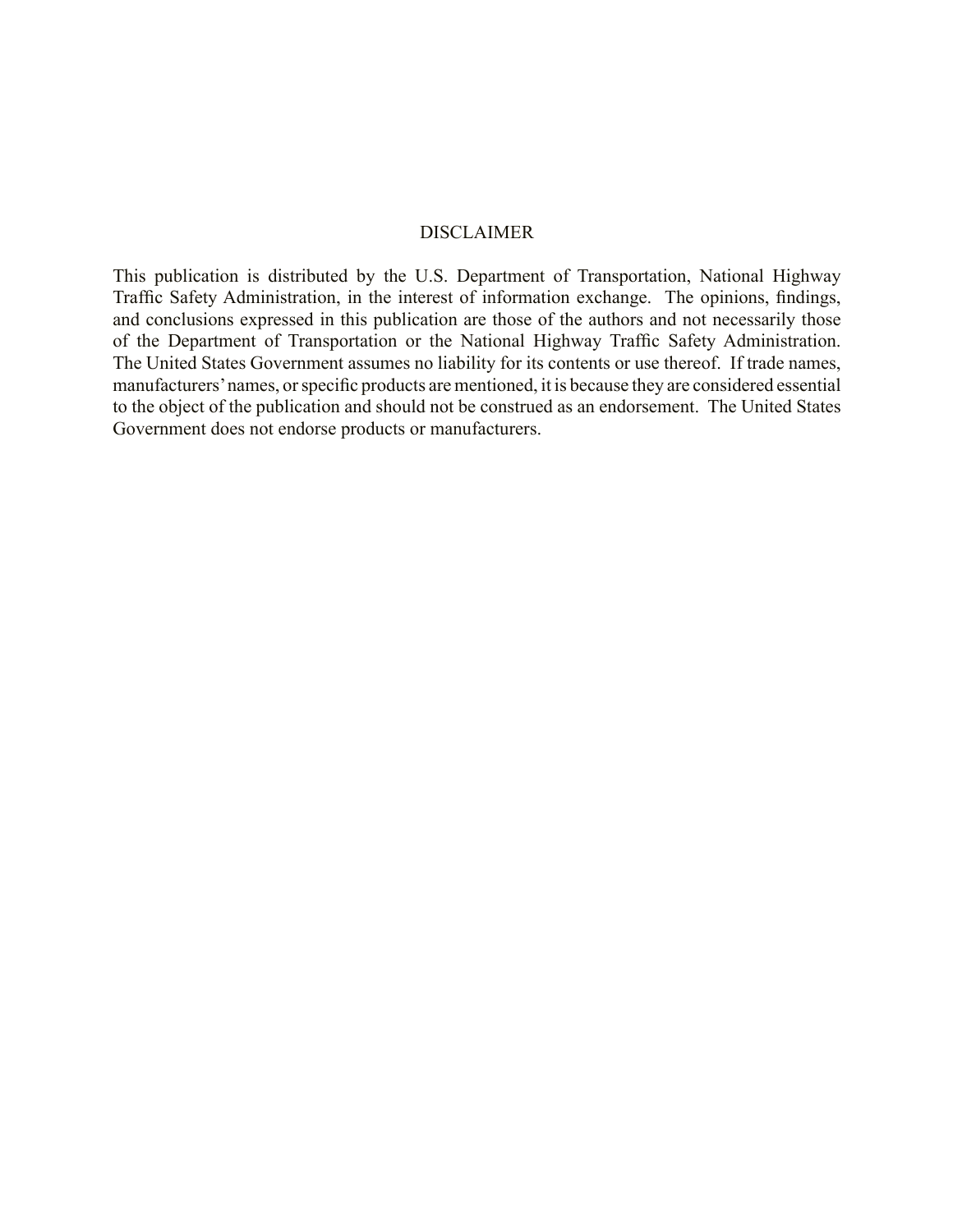#### DISCLAIMER

of the Department of Transportation or the National Highway Traffic Safety Administration. This publication is distributed by the U.S. Department of Transportation, National Highway Traffic Safety Administration, in the interest of information exchange. The opinions, findings, and conclusions expressed in this publication are those of the authors and not necessarily those The United States Government assumes no liability for its contents or use thereof. If trade names, manufacturers'names, or specific products are mentioned, it is because they are considered essential to the object of the publication and should not be construed as an endorsement. The United States Government does not endorse products or manufacturers.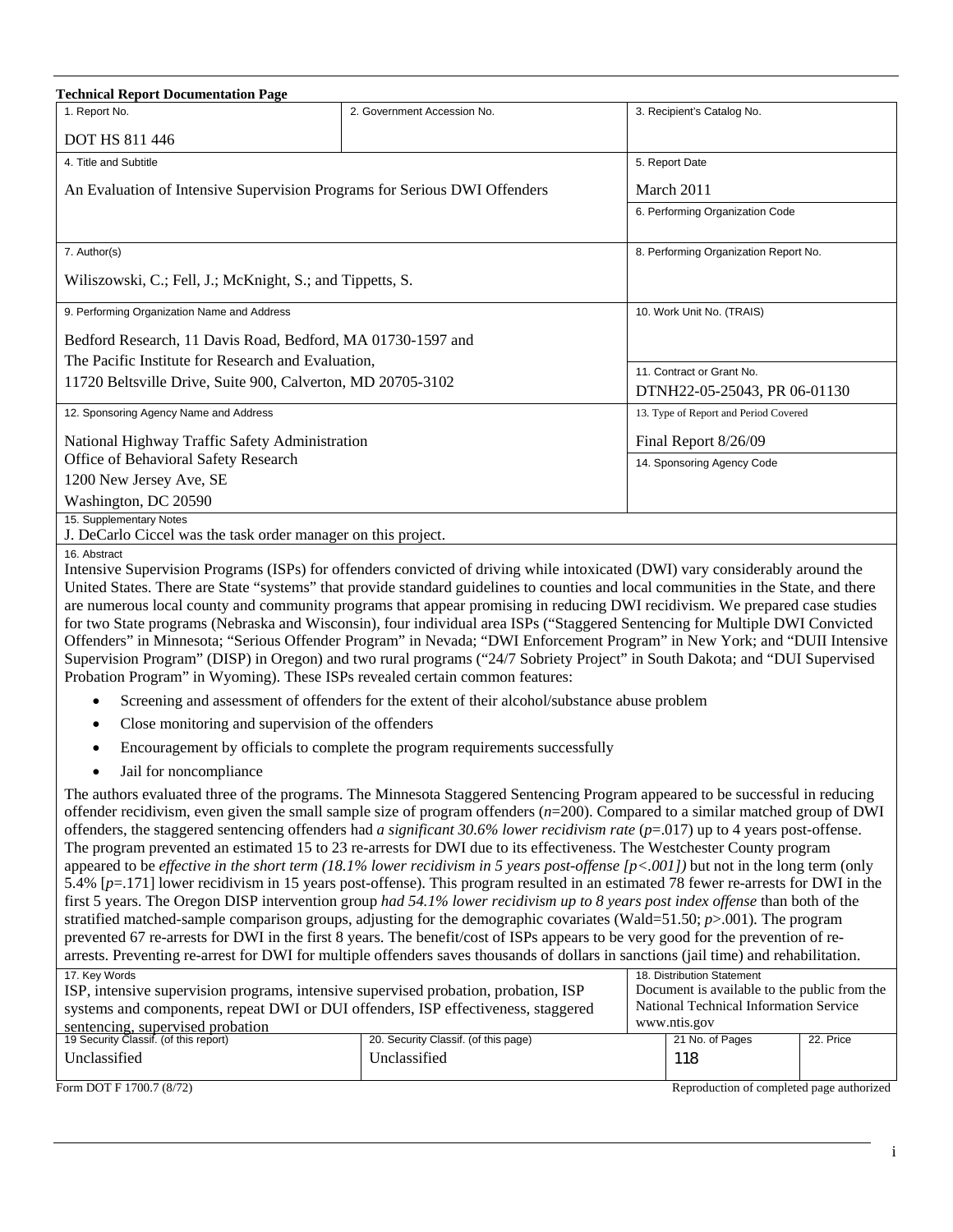| <b>Technical Report Documentation Page</b>                                                                                                                                                                                                                     |                                                                                                                                                                                                                                                             |  |                                                                                        |           |
|----------------------------------------------------------------------------------------------------------------------------------------------------------------------------------------------------------------------------------------------------------------|-------------------------------------------------------------------------------------------------------------------------------------------------------------------------------------------------------------------------------------------------------------|--|----------------------------------------------------------------------------------------|-----------|
| 1. Report No.                                                                                                                                                                                                                                                  | 2. Government Accession No.                                                                                                                                                                                                                                 |  | 3. Recipient's Catalog No.                                                             |           |
| <b>DOT HS 811 446</b>                                                                                                                                                                                                                                          |                                                                                                                                                                                                                                                             |  |                                                                                        |           |
| 4. Title and Subtitle                                                                                                                                                                                                                                          |                                                                                                                                                                                                                                                             |  | 5. Report Date                                                                         |           |
| An Evaluation of Intensive Supervision Programs for Serious DWI Offenders                                                                                                                                                                                      |                                                                                                                                                                                                                                                             |  | March 2011                                                                             |           |
|                                                                                                                                                                                                                                                                |                                                                                                                                                                                                                                                             |  | 6. Performing Organization Code                                                        |           |
| 7. Author(s)                                                                                                                                                                                                                                                   |                                                                                                                                                                                                                                                             |  | 8. Performing Organization Report No.                                                  |           |
| Wiliszowski, C.; Fell, J.; McKnight, S.; and Tippetts, S.                                                                                                                                                                                                      |                                                                                                                                                                                                                                                             |  |                                                                                        |           |
| 9. Performing Organization Name and Address                                                                                                                                                                                                                    |                                                                                                                                                                                                                                                             |  | 10. Work Unit No. (TRAIS)                                                              |           |
| Bedford Research, 11 Davis Road, Bedford, MA 01730-1597 and                                                                                                                                                                                                    |                                                                                                                                                                                                                                                             |  |                                                                                        |           |
| The Pacific Institute for Research and Evaluation,                                                                                                                                                                                                             |                                                                                                                                                                                                                                                             |  | 11. Contract or Grant No.                                                              |           |
| 11720 Beltsville Drive, Suite 900, Calverton, MD 20705-3102                                                                                                                                                                                                    |                                                                                                                                                                                                                                                             |  | DTNH22-05-25043, PR 06-01130                                                           |           |
| 12. Sponsoring Agency Name and Address                                                                                                                                                                                                                         |                                                                                                                                                                                                                                                             |  | 13. Type of Report and Period Covered                                                  |           |
| National Highway Traffic Safety Administration                                                                                                                                                                                                                 |                                                                                                                                                                                                                                                             |  | Final Report 8/26/09                                                                   |           |
| Office of Behavioral Safety Research                                                                                                                                                                                                                           |                                                                                                                                                                                                                                                             |  | 14. Sponsoring Agency Code                                                             |           |
| 1200 New Jersey Ave, SE                                                                                                                                                                                                                                        |                                                                                                                                                                                                                                                             |  |                                                                                        |           |
| Washington, DC 20590                                                                                                                                                                                                                                           |                                                                                                                                                                                                                                                             |  |                                                                                        |           |
| 15. Supplementary Notes<br>J. DeCarlo Ciccel was the task order manager on this project.                                                                                                                                                                       |                                                                                                                                                                                                                                                             |  |                                                                                        |           |
| 16. Abstract                                                                                                                                                                                                                                                   |                                                                                                                                                                                                                                                             |  |                                                                                        |           |
|                                                                                                                                                                                                                                                                | Intensive Supervision Programs (ISPs) for offenders convicted of driving while intoxicated (DWI) vary considerably around the                                                                                                                               |  |                                                                                        |           |
|                                                                                                                                                                                                                                                                | United States. There are State "systems" that provide standard guidelines to counties and local communities in the State, and there                                                                                                                         |  |                                                                                        |           |
|                                                                                                                                                                                                                                                                | are numerous local county and community programs that appear promising in reducing DWI recidivism. We prepared case studies<br>for two State programs (Nebraska and Wisconsin), four individual area ISPs ("Staggered Sentencing for Multiple DWI Convicted |  |                                                                                        |           |
|                                                                                                                                                                                                                                                                | Offenders" in Minnesota; "Serious Offender Program" in Nevada; "DWI Enforcement Program" in New York; and "DUII Intensive                                                                                                                                   |  |                                                                                        |           |
|                                                                                                                                                                                                                                                                | Supervision Program" (DISP) in Oregon) and two rural programs ("24/7 Sobriety Project" in South Dakota; and "DUI Supervised                                                                                                                                 |  |                                                                                        |           |
| Probation Program" in Wyoming). These ISPs revealed certain common features:                                                                                                                                                                                   |                                                                                                                                                                                                                                                             |  |                                                                                        |           |
| $\bullet$                                                                                                                                                                                                                                                      | Screening and assessment of offenders for the extent of their alcohol/substance abuse problem                                                                                                                                                               |  |                                                                                        |           |
| Close monitoring and supervision of the offenders                                                                                                                                                                                                              |                                                                                                                                                                                                                                                             |  |                                                                                        |           |
|                                                                                                                                                                                                                                                                | Encouragement by officials to complete the program requirements successfully                                                                                                                                                                                |  |                                                                                        |           |
| Jail for noncompliance                                                                                                                                                                                                                                         |                                                                                                                                                                                                                                                             |  |                                                                                        |           |
|                                                                                                                                                                                                                                                                | The authors evaluated three of the programs. The Minnesota Staggered Sentencing Program appeared to be successful in reducing                                                                                                                               |  |                                                                                        |           |
| offender recidivism, even given the small sample size of program offenders $(n=200)$ . Compared to a similar matched group of DWI                                                                                                                              |                                                                                                                                                                                                                                                             |  |                                                                                        |           |
| offenders, the staggered sentencing offenders had a significant 30.6% lower recidivism rate ( $p=017$ ) up to 4 years post-offense.<br>The program prevented an estimated 15 to 23 re-arrests for DWI due to its effectiveness. The Westchester County program |                                                                                                                                                                                                                                                             |  |                                                                                        |           |
| appeared to be <i>effective in the short term</i> (18.1% lower recidivism in 5 years post-offense $[p<0.001]$ ) but not in the long term (only                                                                                                                 |                                                                                                                                                                                                                                                             |  |                                                                                        |           |
| 5.4% [p=.171] lower recidivism in 15 years post-offense). This program resulted in an estimated 78 fewer re-arrests for DWI in the                                                                                                                             |                                                                                                                                                                                                                                                             |  |                                                                                        |           |
| first 5 years. The Oregon DISP intervention group had 54.1% lower recidivism up to 8 years post index offense than both of the                                                                                                                                 |                                                                                                                                                                                                                                                             |  |                                                                                        |           |
| stratified matched-sample comparison groups, adjusting for the demographic covariates (Wald=51.50; $p$ >.001). The program<br>prevented 67 re-arrests for DWI in the first 8 years. The benefit/cost of ISPs appears to be very good for the prevention of re- |                                                                                                                                                                                                                                                             |  |                                                                                        |           |
|                                                                                                                                                                                                                                                                | arrests. Preventing re-arrest for DWI for multiple offenders saves thousands of dollars in sanctions (jail time) and rehabilitation.                                                                                                                        |  |                                                                                        |           |
| 17. Key Words<br>18. Distribution Statement                                                                                                                                                                                                                    |                                                                                                                                                                                                                                                             |  |                                                                                        |           |
| ISP, intensive supervision programs, intensive supervised probation, probation, ISP<br>systems and components, repeat DWI or DUI offenders, ISP effectiveness, staggered                                                                                       |                                                                                                                                                                                                                                                             |  | Document is available to the public from the<br>National Technical Information Service |           |
| sentencing, supervised probation                                                                                                                                                                                                                               |                                                                                                                                                                                                                                                             |  | www.ntis.gov                                                                           |           |
| 19 Security Classif. (of this report)                                                                                                                                                                                                                          | 20. Security Classif. (of this page)                                                                                                                                                                                                                        |  | 21 No. of Pages                                                                        | 22. Price |
| Unclassified                                                                                                                                                                                                                                                   | Unclassified                                                                                                                                                                                                                                                |  | 118                                                                                    |           |
| Form DOT F 1700.7 (8/72)                                                                                                                                                                                                                                       |                                                                                                                                                                                                                                                             |  | Reproduction of completed page authorized                                              |           |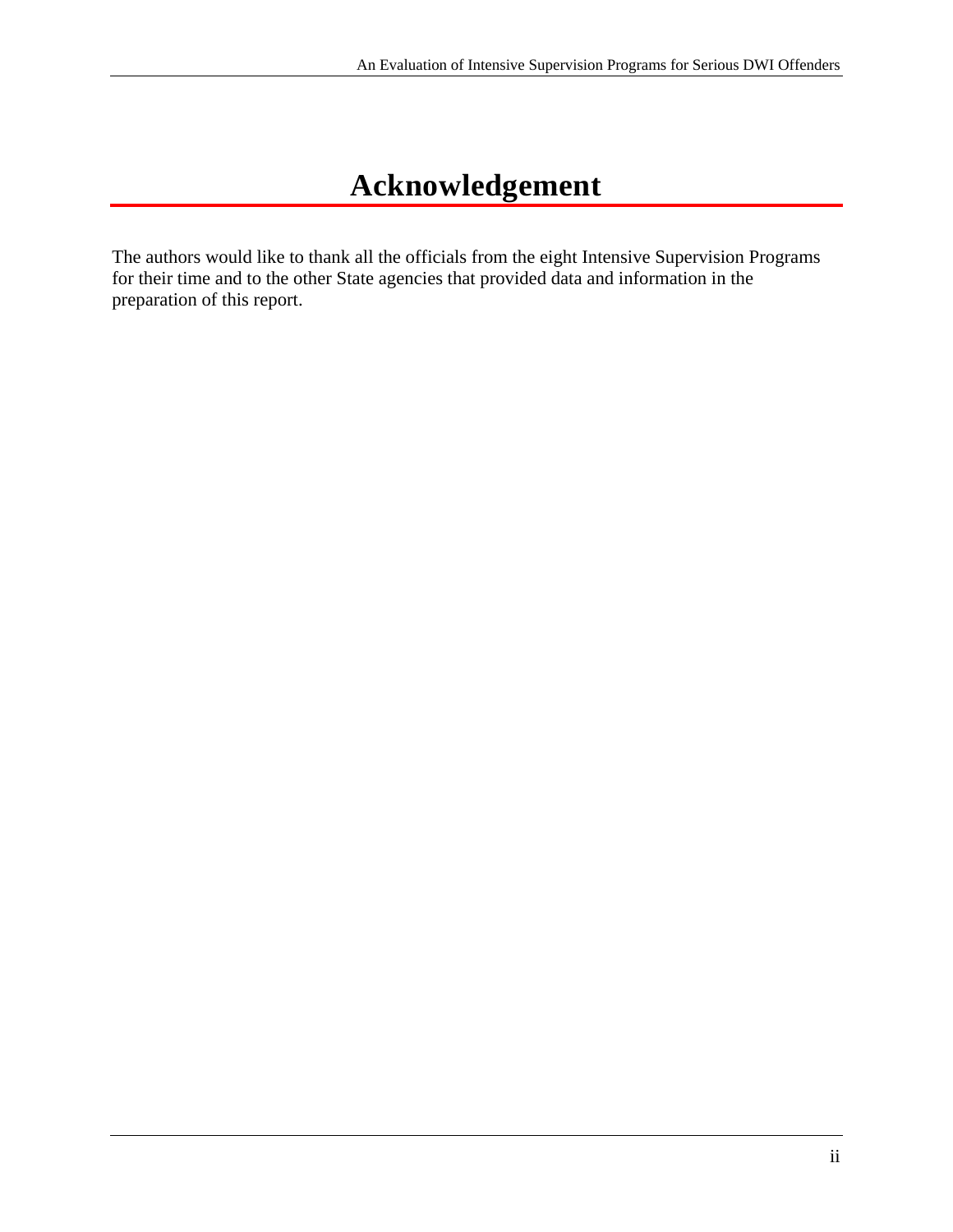# **Acknowledgement**

The authors would like to thank all the officials from the eight Intensive Supervision Programs for their time and to the other State agencies that provided data and information in the preparation of this report.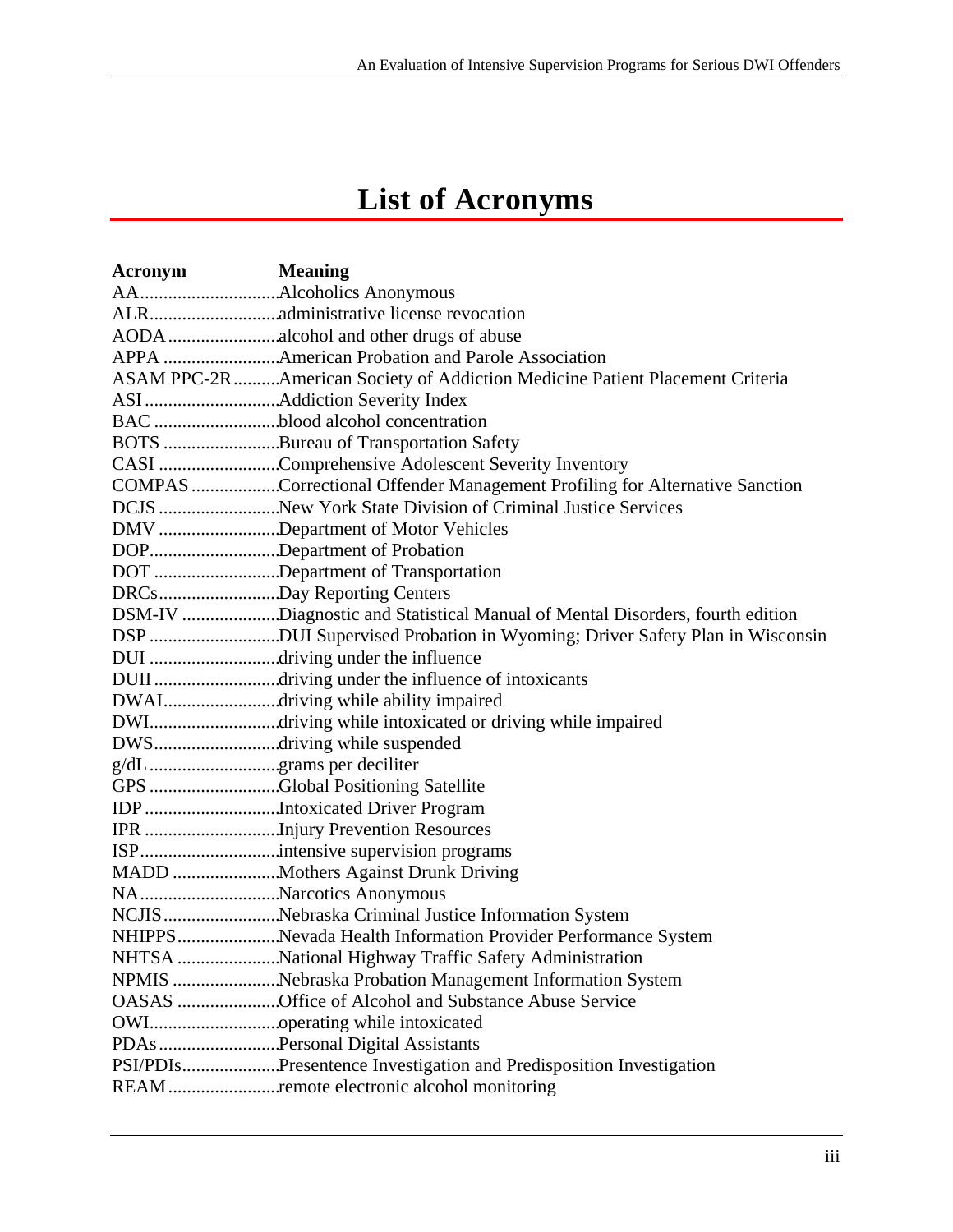# **List of Acronyms**

| Acronym                  | <b>Meaning</b>                                                                |
|--------------------------|-------------------------------------------------------------------------------|
|                          |                                                                               |
|                          |                                                                               |
|                          | AODA alcohol and other drugs of abuse                                         |
|                          | APPA American Probation and Parole Association                                |
|                          | ASAM PPC-2R American Society of Addiction Medicine Patient Placement Criteria |
|                          |                                                                               |
|                          | BAC blood alcohol concentration                                               |
|                          | BOTS Bureau of Transportation Safety                                          |
|                          | CASI Comprehensive Adolescent Severity Inventory                              |
|                          | COMPAS Correctional Offender Management Profiling for Alternative Sanction    |
|                          | DCJS New York State Division of Criminal Justice Services                     |
|                          | DMV Department of Motor Vehicles                                              |
|                          | DOPDepartment of Probation                                                    |
|                          | DOT Department of Transportation                                              |
|                          | DRCsDay Reporting Centers                                                     |
|                          | DSM-IV Diagnostic and Statistical Manual of Mental Disorders, fourth edition  |
|                          | DSP DUI Supervised Probation in Wyoming; Driver Safety Plan in Wisconsin      |
|                          | DUI driving under the influence                                               |
|                          | DUII driving under the influence of intoxicants                               |
|                          | DWAIdriving while ability impaired                                            |
|                          | DWIdriving while intoxicated or driving while impaired                        |
|                          | DWSdriving while suspended                                                    |
| g/dL grams per deciliter |                                                                               |
|                          | GPS Global Positioning Satellite                                              |
|                          | IDP Intoxicated Driver Program                                                |
|                          | IPR Injury Prevention Resources                                               |
|                          | ISPintensive supervision programs                                             |
|                          | MADD Mothers Against Drunk Driving                                            |
|                          | NANarcotics Anonymous                                                         |
|                          | NCJIS Nebraska Criminal Justice Information System                            |
|                          | NHIPPSNevada Health Information Provider Performance System                   |
|                          |                                                                               |
|                          | NPMIS Nebraska Probation Management Information System                        |
|                          | OASAS Office of Alcohol and Substance Abuse Service                           |
|                          |                                                                               |
|                          | PDAs Personal Digital Assistants                                              |
|                          | PSI/PDIsPresentence Investigation and Predisposition Investigation            |
|                          | REAM remote electronic alcohol monitoring                                     |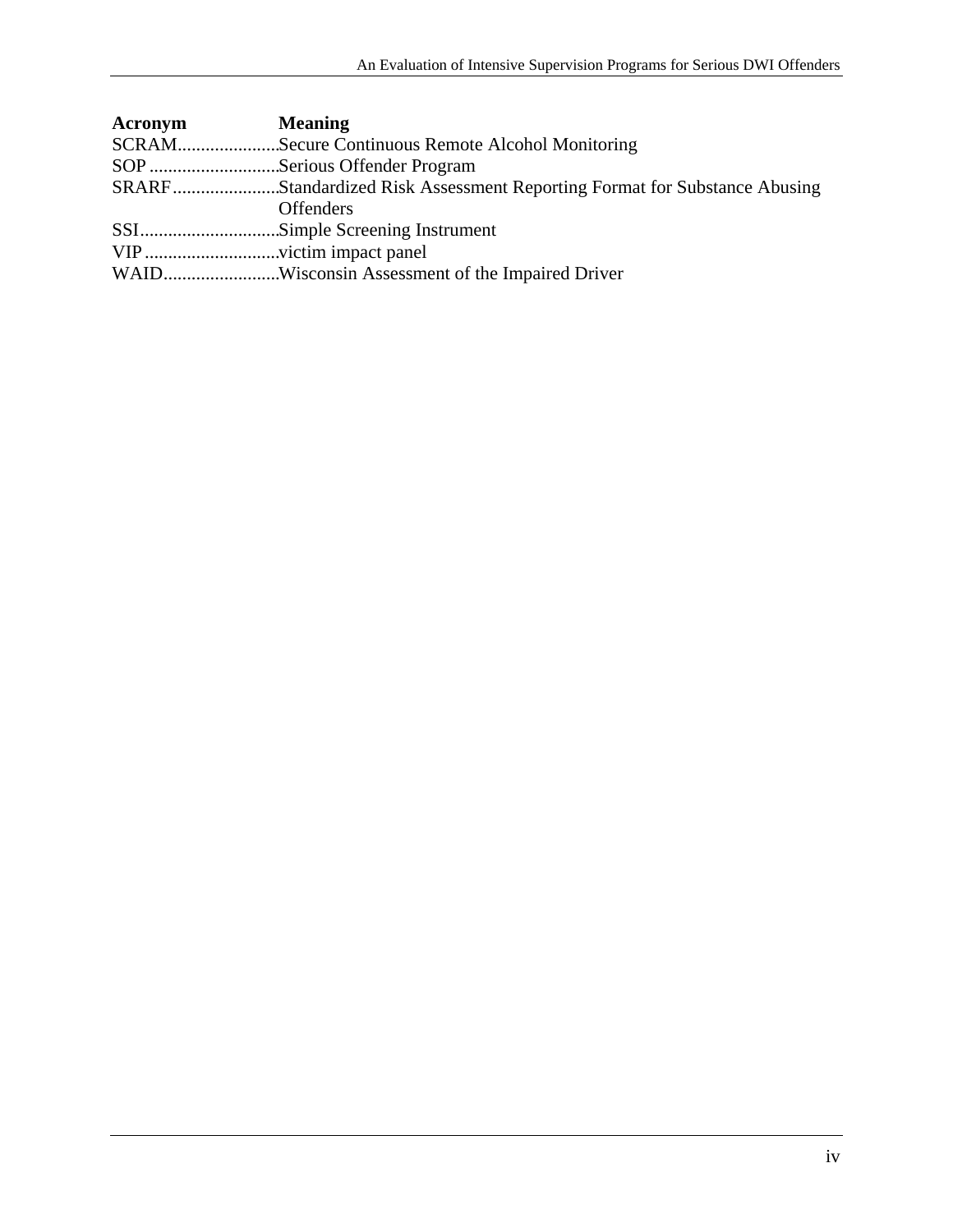| Acronym | <b>Meaning</b>                                                           |
|---------|--------------------------------------------------------------------------|
|         | SCRAMSecure Continuous Remote Alcohol Monitoring                         |
|         | SOP Serious Offender Program                                             |
|         | SRARFStandardized Risk Assessment Reporting Format for Substance Abusing |
|         | <b>Offenders</b>                                                         |
|         |                                                                          |
|         |                                                                          |
|         |                                                                          |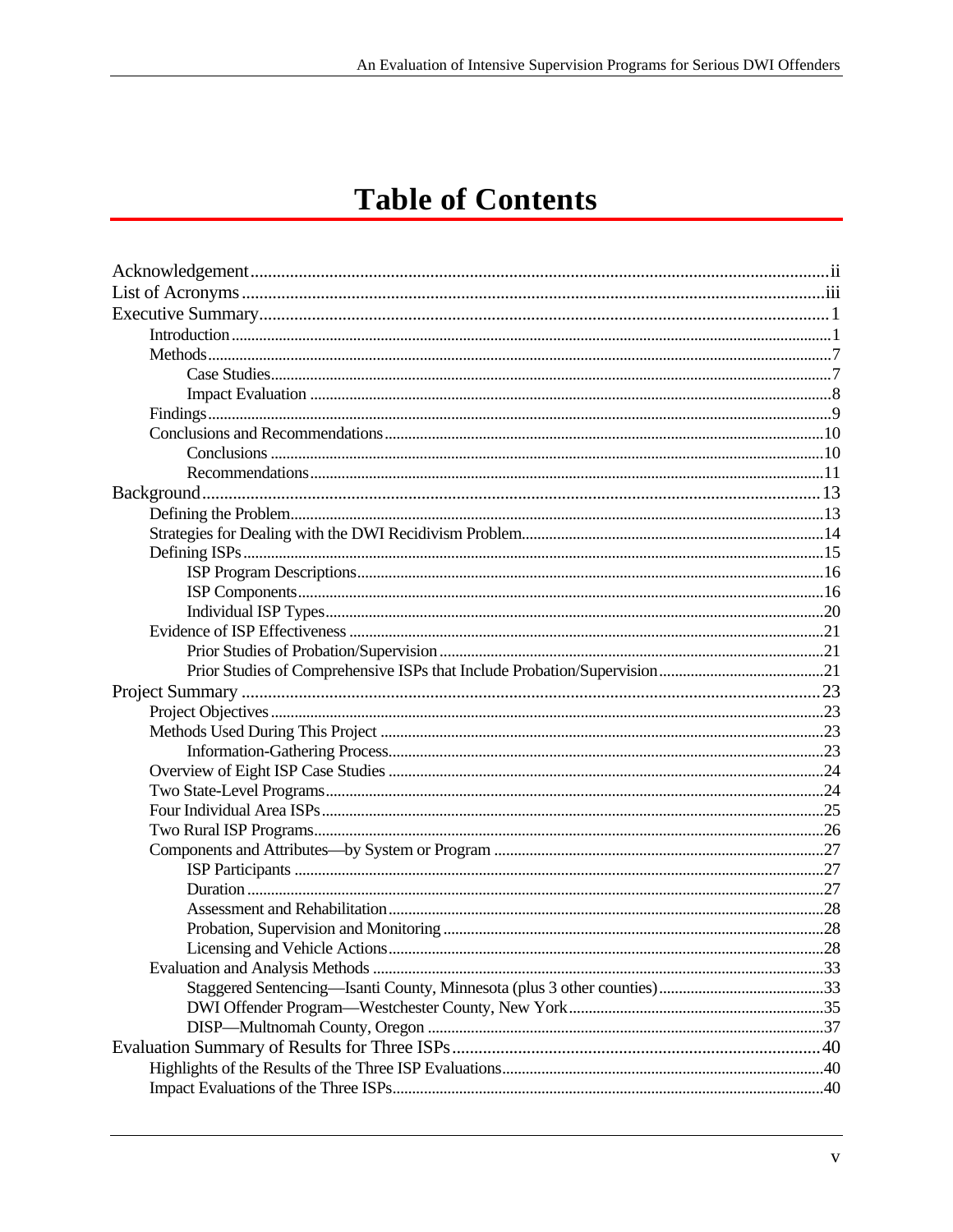# **Table of Contents**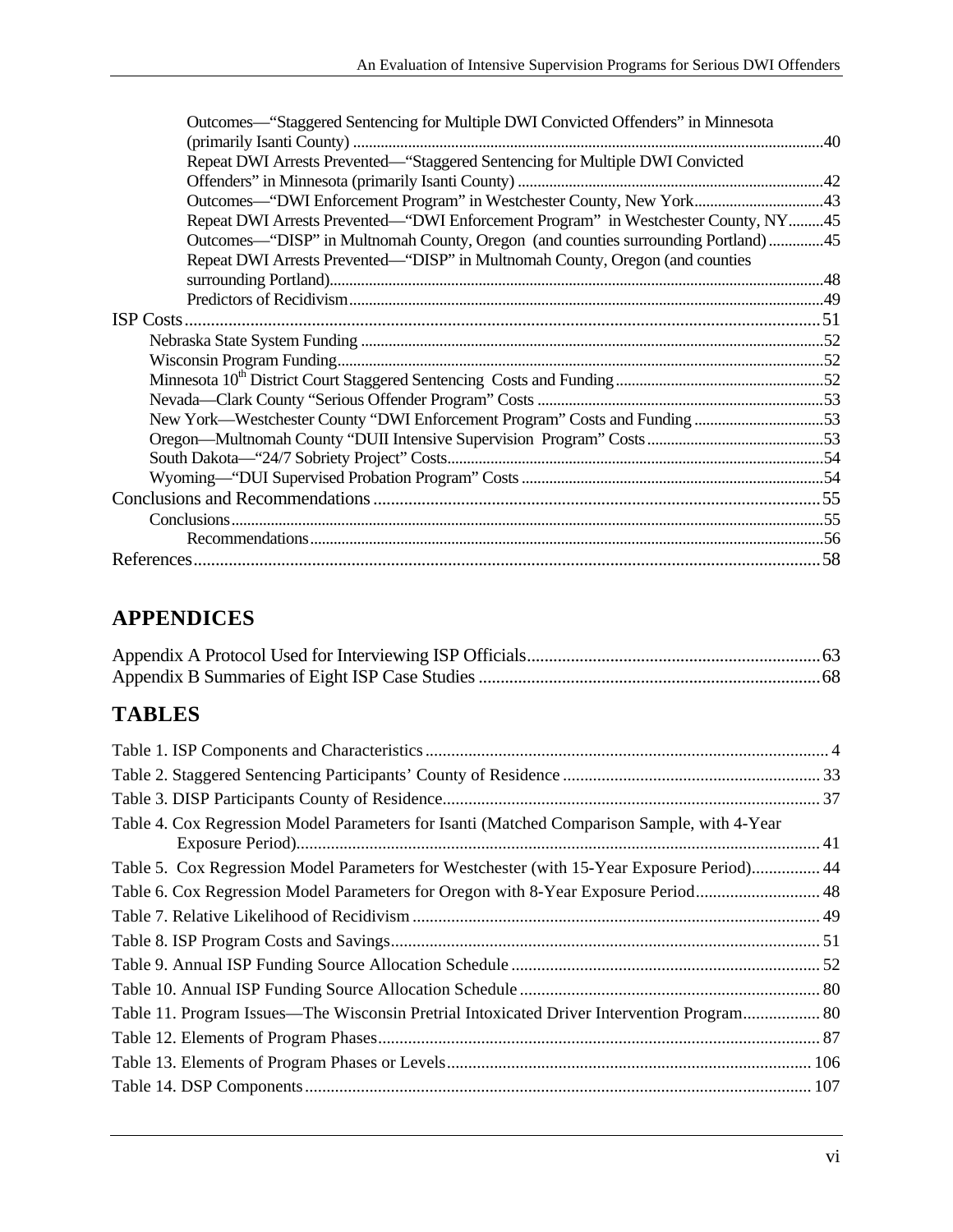| Outcomes—"Staggered Sentencing for Multiple DWI Convicted Offenders" in Minnesota  |  |
|------------------------------------------------------------------------------------|--|
|                                                                                    |  |
| Repeat DWI Arrests Prevented—"Staggered Sentencing for Multiple DWI Convicted      |  |
|                                                                                    |  |
| Outcomes—"DWI Enforcement Program" in Westchester County, New York43               |  |
| Repeat DWI Arrests Prevented—"DWI Enforcement Program" in Westchester County, NY45 |  |
| Outcomes—"DISP" in Multnomah County, Oregon (and counties surrounding Portland)45  |  |
| Repeat DWI Arrests Prevented—"DISP" in Multnomah County, Oregon (and counties      |  |
|                                                                                    |  |
|                                                                                    |  |
|                                                                                    |  |
|                                                                                    |  |
|                                                                                    |  |
|                                                                                    |  |
|                                                                                    |  |
| New York—Westchester County "DWI Enforcement Program" Costs and Funding 53         |  |
|                                                                                    |  |
|                                                                                    |  |
|                                                                                    |  |
|                                                                                    |  |
|                                                                                    |  |
|                                                                                    |  |
|                                                                                    |  |
|                                                                                    |  |

#### **APPENDICES**

#### **TABLES**

| Table 5. Cox Regression Model Parameters for Westchester (with 15-Year Exposure Period) 44 |
|--------------------------------------------------------------------------------------------|
| Table 6. Cox Regression Model Parameters for Oregon with 8-Year Exposure Period 48         |
|                                                                                            |
|                                                                                            |
|                                                                                            |
|                                                                                            |
| Table 11. Program Issues—The Wisconsin Pretrial Intoxicated Driver Intervention Program 80 |
|                                                                                            |
|                                                                                            |
|                                                                                            |
|                                                                                            |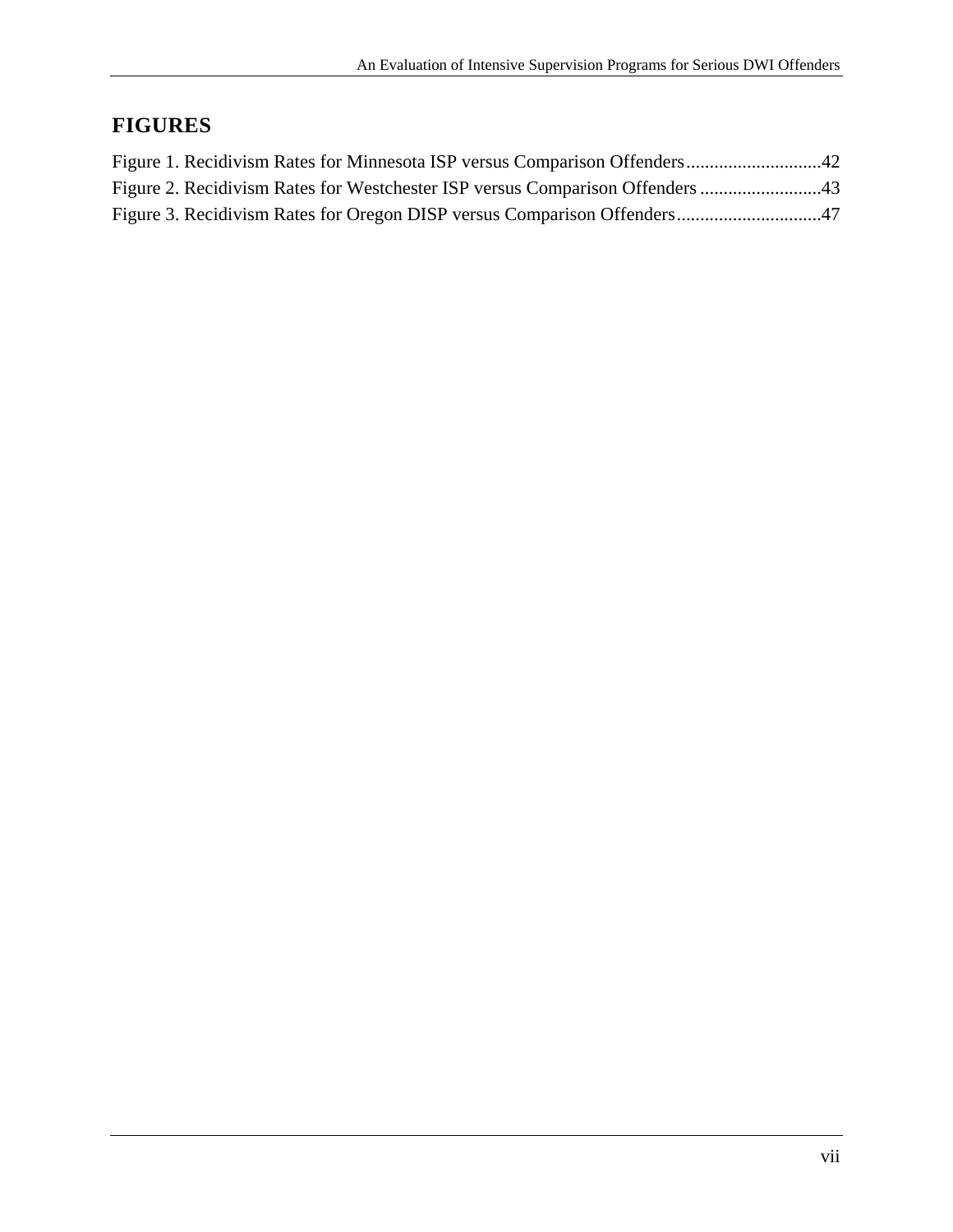## **FIGURES**

| Figure 2. Recidivism Rates for Westchester ISP versus Comparison Offenders 43 |  |
|-------------------------------------------------------------------------------|--|
|                                                                               |  |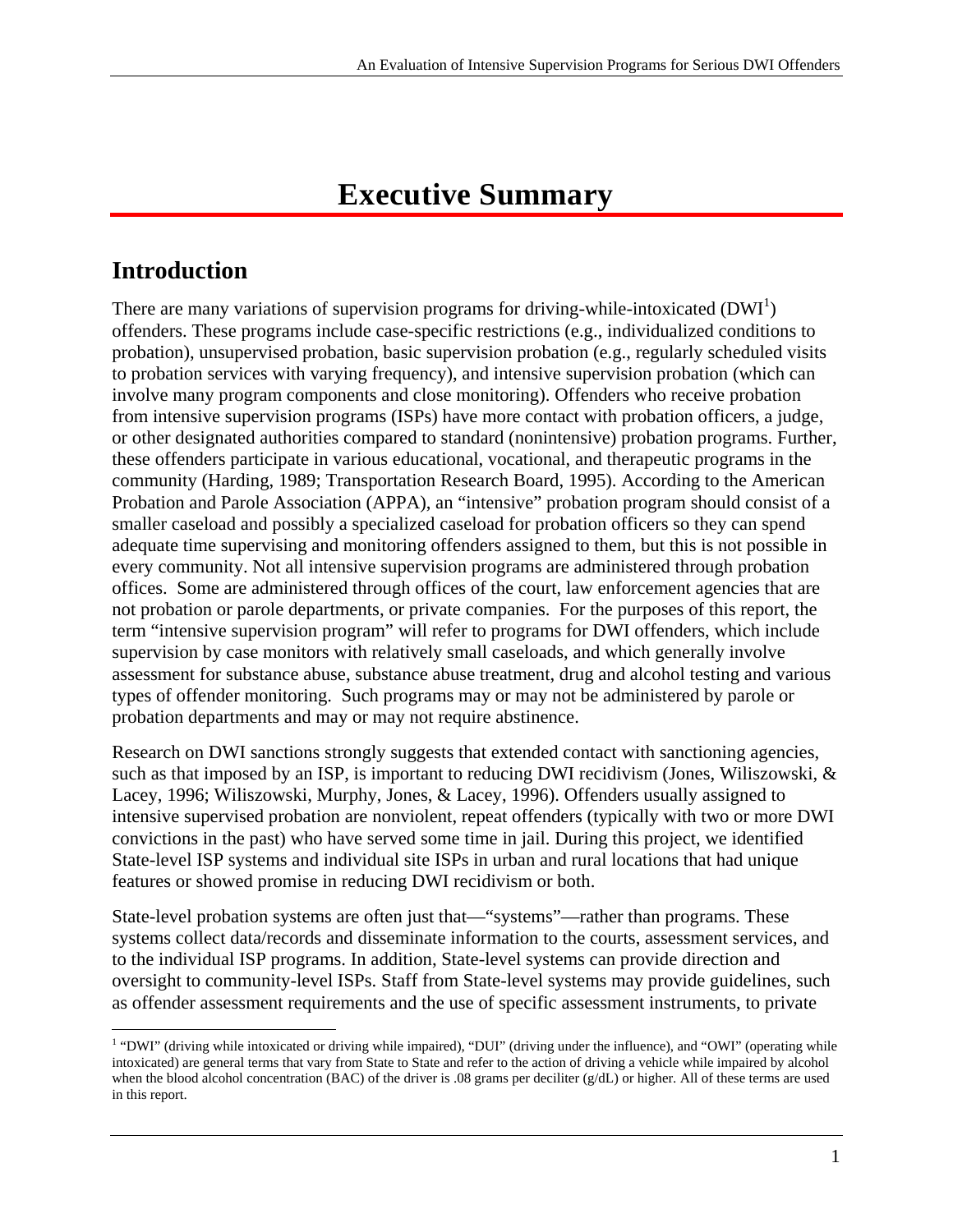# **Executive Summary**

# **Introduction**

 $\overline{a}$ 

There are many variations of supervision programs for driving-while-intoxicated  $(DWI<sup>1</sup>)$ offenders. These programs include case-specific restrictions (e.g., individualized conditions to probation), unsupervised probation, basic supervision probation (e.g., regularly scheduled visits to probation services with varying frequency), and intensive supervision probation (which can involve many program components and close monitoring). Offenders who receive probation from intensive supervision programs (ISPs) have more contact with probation officers, a judge, or other designated authorities compared to standard (nonintensive) probation programs. Further, these offenders participate in various educational, vocational, and therapeutic programs in the community (Harding, 1989; Transportation Research Board, 1995). According to the American Probation and Parole Association (APPA), an "intensive" probation program should consist of a smaller caseload and possibly a specialized caseload for probation officers so they can spend adequate time supervising and monitoring offenders assigned to them, but this is not possible in every community. Not all intensive supervision programs are administered through probation offices. Some are administered through offices of the court, law enforcement agencies that are not probation or parole departments, or private companies. For the purposes of this report, the term "intensive supervision program" will refer to programs for DWI offenders, which include supervision by case monitors with relatively small caseloads, and which generally involve assessment for substance abuse, substance abuse treatment, drug and alcohol testing and various types of offender monitoring. Such programs may or may not be administered by parole or probation departments and may or may not require abstinence.

Research on DWI sanctions strongly suggests that extended contact with sanctioning agencies, such as that imposed by an ISP, is important to reducing DWI recidivism (Jones, Wiliszowski, & Lacey, 1996; Wiliszowski, Murphy, Jones, & Lacey, 1996). Offenders usually assigned to intensive supervised probation are nonviolent, repeat offenders (typically with two or more DWI convictions in the past) who have served some time in jail. During this project, we identified State-level ISP systems and individual site ISPs in urban and rural locations that had unique features or showed promise in reducing DWI recidivism or both.

State-level probation systems are often just that—"systems"—rather than programs. These systems collect data/records and disseminate information to the courts, assessment services, and to the individual ISP programs. In addition, State-level systems can provide direction and oversight to community-level ISPs. Staff from State-level systems may provide guidelines, such as offender assessment requirements and the use of specific assessment instruments, to private

<sup>&</sup>lt;sup>1</sup> "DWI" (driving while intoxicated or driving while impaired), "DUI" (driving under the influence), and "OWI" (operating while intoxicated) are general terms that vary from State to State and refer to the action of driving a vehicle while impaired by alcohol when the blood alcohol concentration (BAC) of the driver is .08 grams per deciliter (g/dL) or higher. All of these terms are used in this report.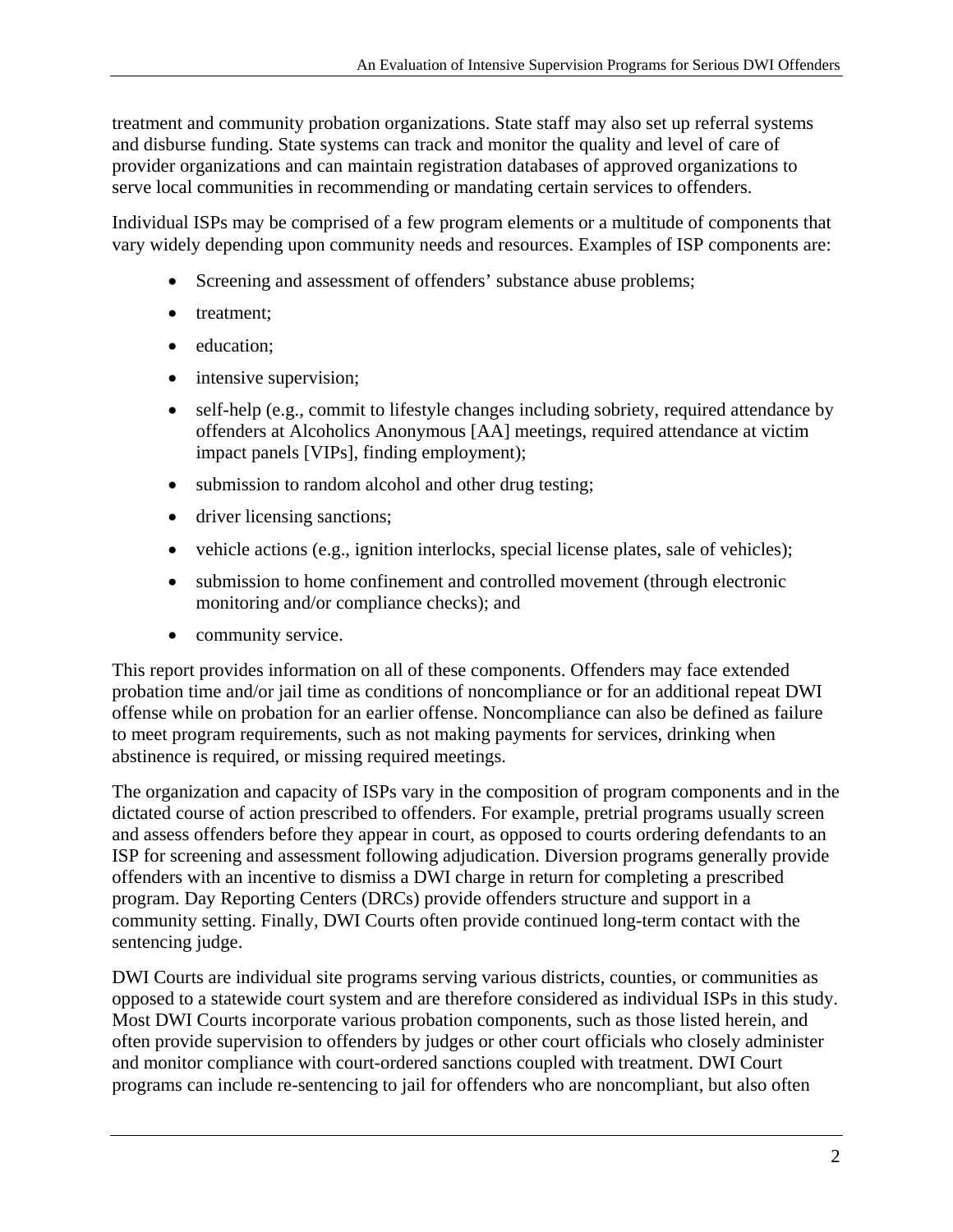treatment and community probation organizations. State staff may also set up referral systems and disburse funding. State systems can track and monitor the quality and level of care of provider organizations and can maintain registration databases of approved organizations to serve local communities in recommending or mandating certain services to offenders.

Individual ISPs may be comprised of a few program elements or a multitude of components that vary widely depending upon community needs and resources. Examples of ISP components are:

- Screening and assessment of offenders' substance abuse problems;
- treatment;
- education:
- intensive supervision;
- self-help (e.g., commit to lifestyle changes including sobriety, required attendance by offenders at Alcoholics Anonymous [AA] meetings, required attendance at victim impact panels [VIPs], finding employment);
- submission to random alcohol and other drug testing;
- driver licensing sanctions;
- vehicle actions (e.g., ignition interlocks, special license plates, sale of vehicles);
- submission to home confinement and controlled movement (through electronic monitoring and/or compliance checks); and
- community service.

This report provides information on all of these components. Offenders may face extended probation time and/or jail time as conditions of noncompliance or for an additional repeat DWI offense while on probation for an earlier offense. Noncompliance can also be defined as failure to meet program requirements, such as not making payments for services, drinking when abstinence is required, or missing required meetings.

The organization and capacity of ISPs vary in the composition of program components and in the dictated course of action prescribed to offenders. For example, pretrial programs usually screen and assess offenders before they appear in court, as opposed to courts ordering defendants to an ISP for screening and assessment following adjudication. Diversion programs generally provide offenders with an incentive to dismiss a DWI charge in return for completing a prescribed program. Day Reporting Centers (DRCs) provide offenders structure and support in a community setting. Finally, DWI Courts often provide continued long-term contact with the sentencing judge.

DWI Courts are individual site programs serving various districts, counties, or communities as opposed to a statewide court system and are therefore considered as individual ISPs in this study. Most DWI Courts incorporate various probation components, such as those listed herein, and often provide supervision to offenders by judges or other court officials who closely administer and monitor compliance with court-ordered sanctions coupled with treatment. DWI Court programs can include re-sentencing to jail for offenders who are noncompliant, but also often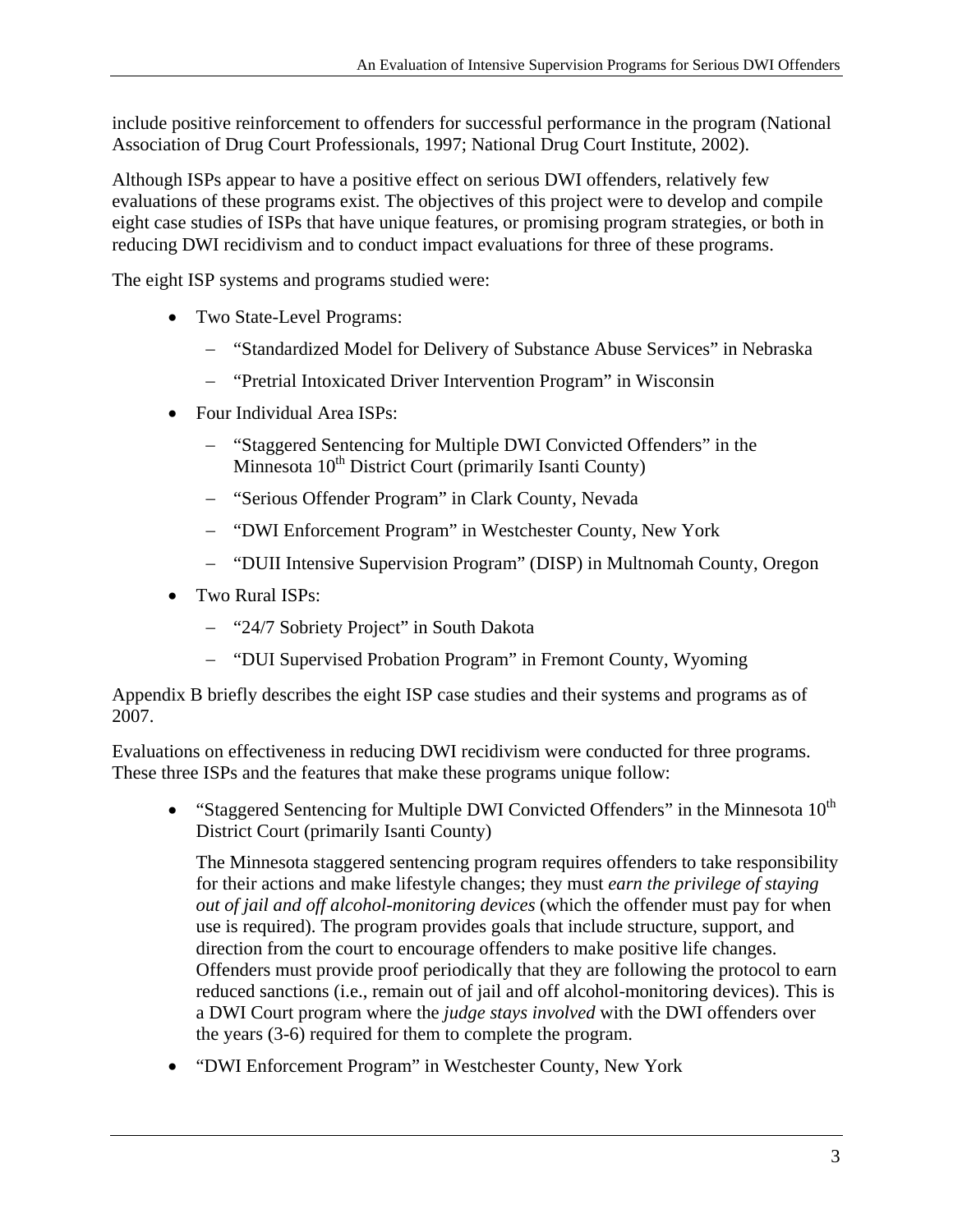include positive reinforcement to offenders for successful performance in the program (National Association of Drug Court Professionals, 1997; National Drug Court Institute, 2002).

Although ISPs appear to have a positive effect on serious DWI offenders, relatively few evaluations of these programs exist. The objectives of this project were to develop and compile eight case studies of ISPs that have unique features, or promising program strategies, or both in reducing DWI recidivism and to conduct impact evaluations for three of these programs.

The eight ISP systems and programs studied were:

- Two State-Level Programs:
	- "Standardized Model for Delivery of Substance Abuse Services" in Nebraska
	- "Pretrial Intoxicated Driver Intervention Program" in Wisconsin
- Four Individual Area ISPs:
	- "Staggered Sentencing for Multiple DWI Convicted Offenders" in the Minnesota 10<sup>th</sup> District Court (primarily Isanti County)
	- "Serious Offender Program" in Clark County, Nevada
	- "DWI Enforcement Program" in Westchester County, New York
	- "DUII Intensive Supervision Program" (DISP) in Multnomah County, Oregon
- Two Rural ISPs:
	- "24/7 Sobriety Project" in South Dakota
	- "DUI Supervised Probation Program" in Fremont County, Wyoming

Appendix B briefly describes the eight ISP case studies and their systems and programs as of 2007.

Evaluations on effectiveness in reducing DWI recidivism were conducted for three programs. These three ISPs and the features that make these programs unique follow:

• "Staggered Sentencing for Multiple DWI Convicted Offenders" in the Minnesota  $10^{th}$ District Court (primarily Isanti County)

The Minnesota staggered sentencing program requires offenders to take responsibility for their actions and make lifestyle changes; they must *earn the privilege of staying out of jail and off alcohol-monitoring devices* (which the offender must pay for when use is required). The program provides goals that include structure, support, and direction from the court to encourage offenders to make positive life changes. Offenders must provide proof periodically that they are following the protocol to earn reduced sanctions (i.e., remain out of jail and off alcohol-monitoring devices). This is a DWI Court program where the *judge stays involved* with the DWI offenders over the years (3-6) required for them to complete the program.

 "DWI Enforcement Program" in Westchester County, New York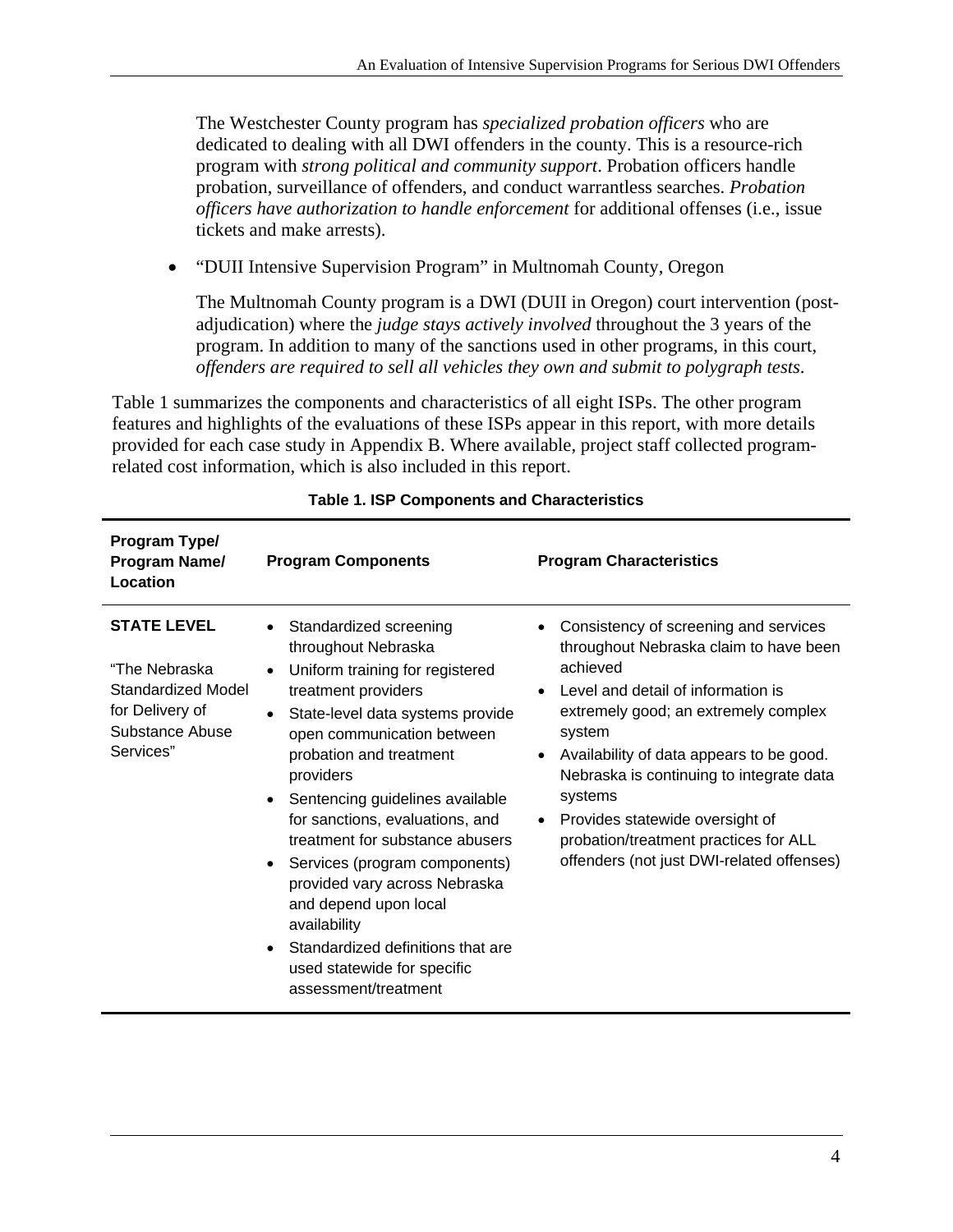The Westchester County program has *specialized probation officers* who are dedicated to dealing with all DWI offenders in the county. This is a resource-rich program with *strong political and community support*. Probation officers handle probation, surveillance of offenders, and conduct warrantless searches. *Probation officers have authorization to handle enforcement* for additional offenses (i.e., issue tickets and make arrests).

• "DUII Intensive Supervision Program" in Multnomah County, Oregon

The Multnomah County program is a DWI (DUII in Oregon) court intervention (postadjudication) where the *judge stays actively involved* throughout the 3 years of the program. In addition to many of the sanctions used in other programs, in this court, *offenders are required to sell all vehicles they own and submit to polygraph tests*.

Table 1 summarizes the components and characteristics of all eight ISPs. The other program features and highlights of the evaluations of these ISPs appear in this report, with more details provided for each case study in Appendix B. Where available, project staff collected programrelated cost information, which is also included in this report.

| Program Type/<br>Program Name/<br>Location                                                                   | <b>Program Components</b>                                                                                                                                                                                                                                                                                                                                                                                                                                                                                                                                                                                       | <b>Program Characteristics</b>                                                                                                                                                                                                                                                                                                                                                                                                            |
|--------------------------------------------------------------------------------------------------------------|-----------------------------------------------------------------------------------------------------------------------------------------------------------------------------------------------------------------------------------------------------------------------------------------------------------------------------------------------------------------------------------------------------------------------------------------------------------------------------------------------------------------------------------------------------------------------------------------------------------------|-------------------------------------------------------------------------------------------------------------------------------------------------------------------------------------------------------------------------------------------------------------------------------------------------------------------------------------------------------------------------------------------------------------------------------------------|
| <b>STATE LEVEL</b><br>"The Nebraska<br>Standardized Model<br>for Delivery of<br>Substance Abuse<br>Services" | Standardized screening<br>$\bullet$<br>throughout Nebraska<br>Uniform training for registered<br>$\bullet$<br>treatment providers<br>State-level data systems provide<br>$\bullet$<br>open communication between<br>probation and treatment<br>providers<br>Sentencing guidelines available<br>$\bullet$<br>for sanctions, evaluations, and<br>treatment for substance abusers<br>Services (program components)<br>$\bullet$<br>provided vary across Nebraska<br>and depend upon local<br>availability<br>Standardized definitions that are<br>$\bullet$<br>used statewide for specific<br>assessment/treatment | Consistency of screening and services<br>throughout Nebraska claim to have been<br>achieved<br>Level and detail of information is<br>$\bullet$<br>extremely good; an extremely complex<br>system<br>Availability of data appears to be good.<br>Nebraska is continuing to integrate data<br>systems<br>Provides statewide oversight of<br>$\bullet$<br>probation/treatment practices for ALL<br>offenders (not just DWI-related offenses) |

#### **Table 1. ISP Components and Characteristics**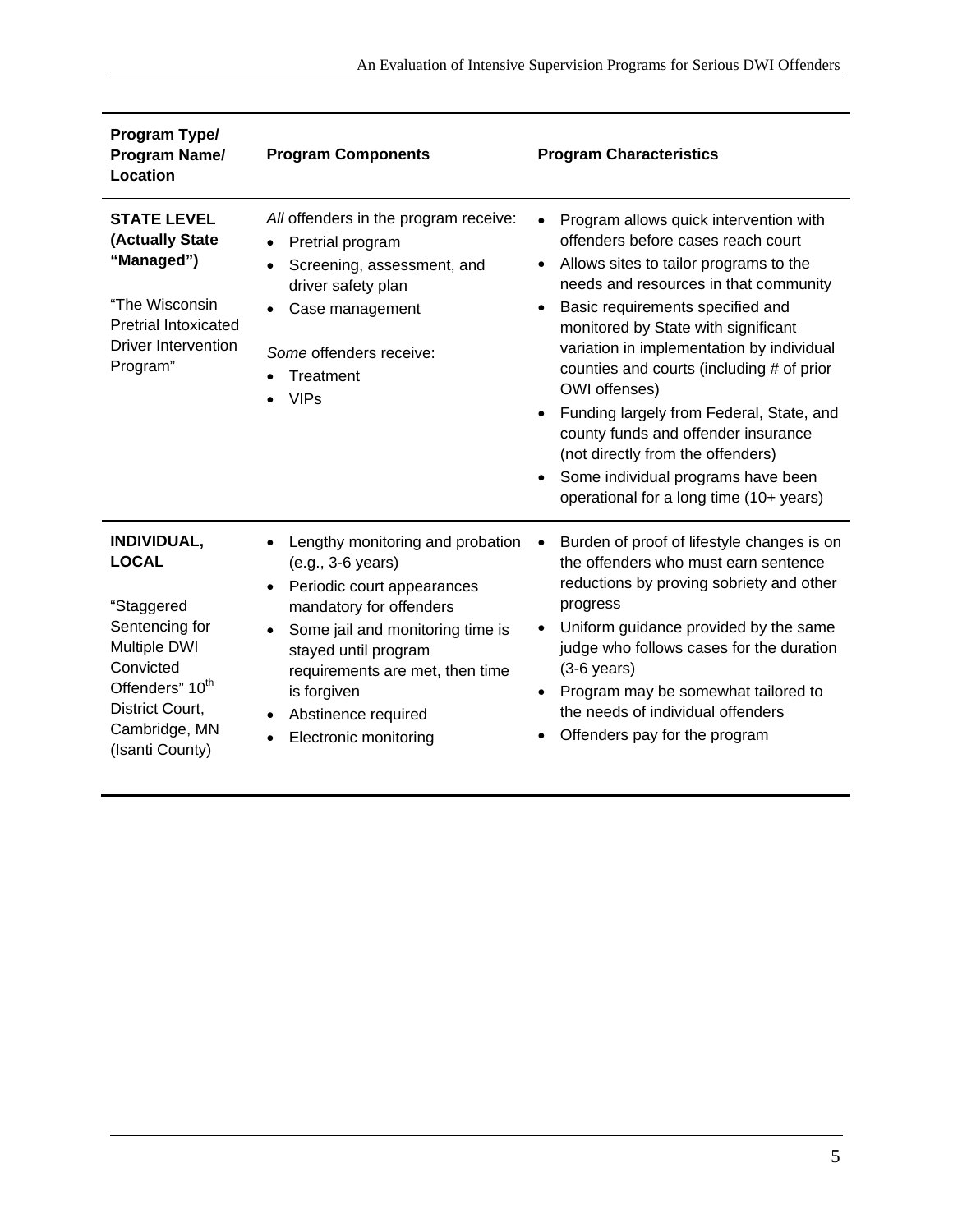| Program Type/<br><b>Program Name/</b><br>Location                                                                                                                                     | <b>Program Components</b>                                                                                                                                                                                                                                                    | <b>Program Characteristics</b>                                                                                                                                                                                                                                                                                                                                                                                                                                                                                                                                 |
|---------------------------------------------------------------------------------------------------------------------------------------------------------------------------------------|------------------------------------------------------------------------------------------------------------------------------------------------------------------------------------------------------------------------------------------------------------------------------|----------------------------------------------------------------------------------------------------------------------------------------------------------------------------------------------------------------------------------------------------------------------------------------------------------------------------------------------------------------------------------------------------------------------------------------------------------------------------------------------------------------------------------------------------------------|
| <b>STATE LEVEL</b><br>(Actually State<br>"Managed")<br>"The Wisconsin<br><b>Pretrial Intoxicated</b><br>Driver Intervention<br>Program"                                               | All offenders in the program receive:<br>Pretrial program<br>Screening, assessment, and<br>driver safety plan<br>Case management<br>Some offenders receive:<br>Treatment<br><b>VIPs</b>                                                                                      | Program allows quick intervention with<br>offenders before cases reach court<br>Allows sites to tailor programs to the<br>needs and resources in that community<br>Basic requirements specified and<br>monitored by State with significant<br>variation in implementation by individual<br>counties and courts (including # of prior<br>OWI offenses)<br>Funding largely from Federal, State, and<br>county funds and offender insurance<br>(not directly from the offenders)<br>Some individual programs have been<br>operational for a long time (10+ years) |
| INDIVIDUAL,<br><b>LOCAL</b><br>"Staggered<br>Sentencing for<br><b>Multiple DWI</b><br>Convicted<br>Offenders" 10 <sup>th</sup><br>District Court,<br>Cambridge, MN<br>(Isanti County) | Lengthy monitoring and probation<br>(e.g., 3-6 years)<br>Periodic court appearances<br>mandatory for offenders<br>Some jail and monitoring time is<br>stayed until program<br>requirements are met, then time<br>is forgiven<br>Abstinence required<br>Electronic monitoring | Burden of proof of lifestyle changes is on<br>the offenders who must earn sentence<br>reductions by proving sobriety and other<br>progress<br>Uniform guidance provided by the same<br>judge who follows cases for the duration<br>$(3-6$ years)<br>Program may be somewhat tailored to<br>the needs of individual offenders<br>Offenders pay for the program                                                                                                                                                                                                  |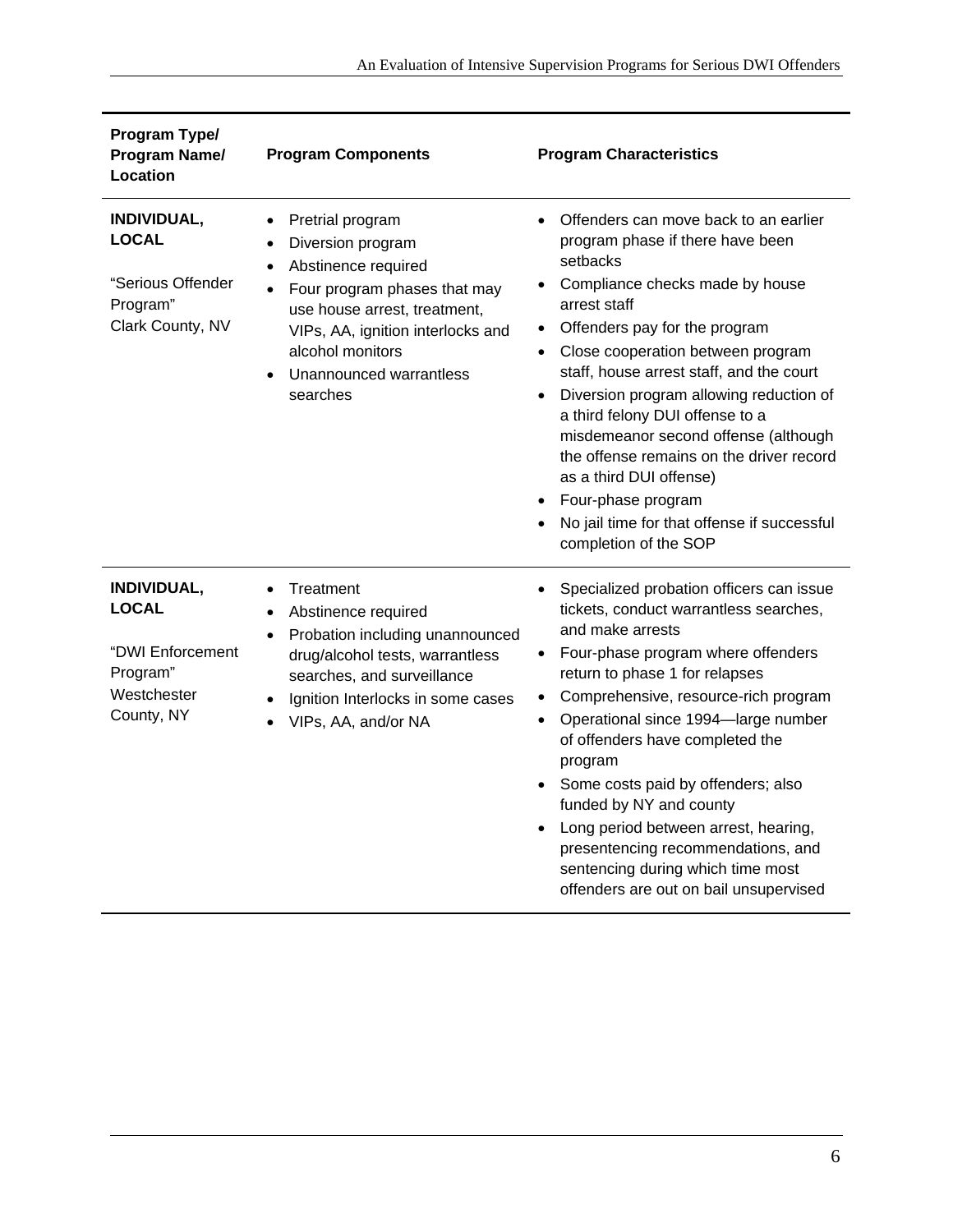| Program Type/<br><b>Program Name/</b><br>Location                                        | <b>Program Components</b>                                                                                                                                                                                                                                           | <b>Program Characteristics</b>                                                                                                                                                                                                                                                                                                                                                                                                                                                                                                                                                                                         |
|------------------------------------------------------------------------------------------|---------------------------------------------------------------------------------------------------------------------------------------------------------------------------------------------------------------------------------------------------------------------|------------------------------------------------------------------------------------------------------------------------------------------------------------------------------------------------------------------------------------------------------------------------------------------------------------------------------------------------------------------------------------------------------------------------------------------------------------------------------------------------------------------------------------------------------------------------------------------------------------------------|
| INDIVIDUAL,<br><b>LOCAL</b><br>"Serious Offender<br>Program"<br>Clark County, NV         | Pretrial program<br>$\bullet$<br>Diversion program<br>Abstinence required<br>Four program phases that may<br>$\bullet$<br>use house arrest, treatment,<br>VIPs, AA, ignition interlocks and<br>alcohol monitors<br>Unannounced warrantless<br>$\bullet$<br>searches | Offenders can move back to an earlier<br>$\bullet$<br>program phase if there have been<br>setbacks<br>Compliance checks made by house<br>$\bullet$<br>arrest staff<br>Offenders pay for the program<br>$\bullet$<br>Close cooperation between program<br>$\bullet$<br>staff, house arrest staff, and the court<br>Diversion program allowing reduction of<br>$\bullet$<br>a third felony DUI offense to a<br>misdemeanor second offense (although<br>the offense remains on the driver record<br>as a third DUI offense)<br>Four-phase program<br>No jail time for that offense if successful<br>completion of the SOP |
| INDIVIDUAL,<br><b>LOCAL</b><br>"DWI Enforcement<br>Program"<br>Westchester<br>County, NY | Treatment<br>$\bullet$<br>Abstinence required<br>$\bullet$<br>Probation including unannounced<br>drug/alcohol tests, warrantless<br>searches, and surveillance<br>Ignition Interlocks in some cases<br>$\bullet$<br>VIPs, AA, and/or NA<br>$\bullet$                | Specialized probation officers can issue<br>tickets, conduct warrantless searches,<br>and make arrests<br>Four-phase program where offenders<br>$\bullet$<br>return to phase 1 for relapses<br>Comprehensive, resource-rich program<br>$\bullet$<br>Operational since 1994-large number<br>$\bullet$<br>of offenders have completed the<br>program<br>Some costs paid by offenders; also<br>funded by NY and county<br>Long period between arrest, hearing,<br>presentencing recommendations, and<br>sentencing during which time most<br>offenders are out on bail unsupervised                                       |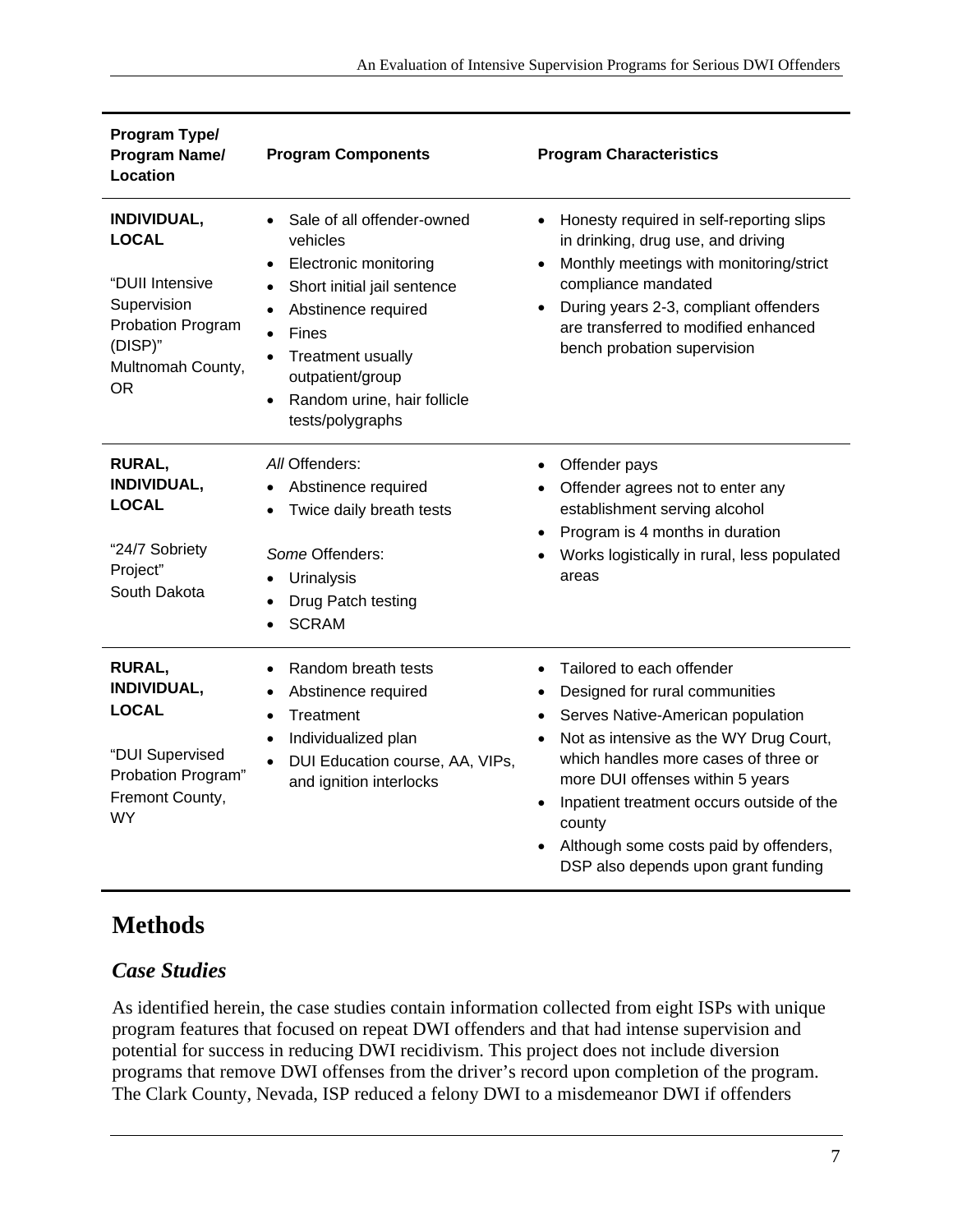| Program Type/<br>Program Name/<br>Location                                                                                      | <b>Program Components</b>                                                                                                                                                                                                                                                                                             | <b>Program Characteristics</b>                                                                                                                                                                                                                                                                                                                                                                                                  |
|---------------------------------------------------------------------------------------------------------------------------------|-----------------------------------------------------------------------------------------------------------------------------------------------------------------------------------------------------------------------------------------------------------------------------------------------------------------------|---------------------------------------------------------------------------------------------------------------------------------------------------------------------------------------------------------------------------------------------------------------------------------------------------------------------------------------------------------------------------------------------------------------------------------|
| INDIVIDUAL,<br><b>LOCAL</b><br>"DUII Intensive<br>Supervision<br>Probation Program<br>(DISP)"<br>Multnomah County,<br><b>OR</b> | Sale of all offender-owned<br>$\bullet$<br>vehicles<br>Electronic monitoring<br>$\bullet$<br>Short initial jail sentence<br>$\bullet$<br>Abstinence required<br>$\bullet$<br>Fines<br>$\bullet$<br>Treatment usually<br>$\bullet$<br>outpatient/group<br>Random urine, hair follicle<br>$\bullet$<br>tests/polygraphs | Honesty required in self-reporting slips<br>$\bullet$<br>in drinking, drug use, and driving<br>Monthly meetings with monitoring/strict<br>$\bullet$<br>compliance mandated<br>During years 2-3, compliant offenders<br>$\bullet$<br>are transferred to modified enhanced<br>bench probation supervision                                                                                                                         |
| RURAL,<br>INDIVIDUAL,<br><b>LOCAL</b><br>"24/7 Sobriety<br>Project"<br>South Dakota                                             | All Offenders:<br>Abstinence required<br>$\bullet$<br>Twice daily breath tests<br>$\bullet$<br>Some Offenders:<br>Urinalysis<br>Drug Patch testing<br>$\bullet$<br><b>SCRAM</b><br>$\bullet$                                                                                                                          | Offender pays<br>Offender agrees not to enter any<br>establishment serving alcohol<br>Program is 4 months in duration<br>$\bullet$<br>Works logistically in rural, less populated<br>areas                                                                                                                                                                                                                                      |
| <b>RURAL,</b><br>INDIVIDUAL,<br><b>LOCAL</b><br>"DUI Supervised<br>Probation Program"<br>Fremont County,<br><b>WY</b>           | Random breath tests<br>$\bullet$<br>Abstinence required<br>$\bullet$<br>Treatment<br>$\bullet$<br>Individualized plan<br>$\bullet$<br>DUI Education course, AA, VIPs,<br>$\bullet$<br>and ignition interlocks                                                                                                         | Tailored to each offender<br>$\bullet$<br>Designed for rural communities<br>$\bullet$<br>Serves Native-American population<br>$\bullet$<br>Not as intensive as the WY Drug Court,<br>$\bullet$<br>which handles more cases of three or<br>more DUI offenses within 5 years<br>Inpatient treatment occurs outside of the<br>$\bullet$<br>county<br>Although some costs paid by offenders,<br>DSP also depends upon grant funding |

## **Methods**

#### *Case Studies*

As identified herein, the case studies contain information collected from eight ISPs with unique program features that focused on repeat DWI offenders and that had intense supervision and potential for success in reducing DWI recidivism. This project does not include diversion programs that remove DWI offenses from the driver's record upon completion of the program. The Clark County, Nevada, ISP reduced a felony DWI to a misdemeanor DWI if offenders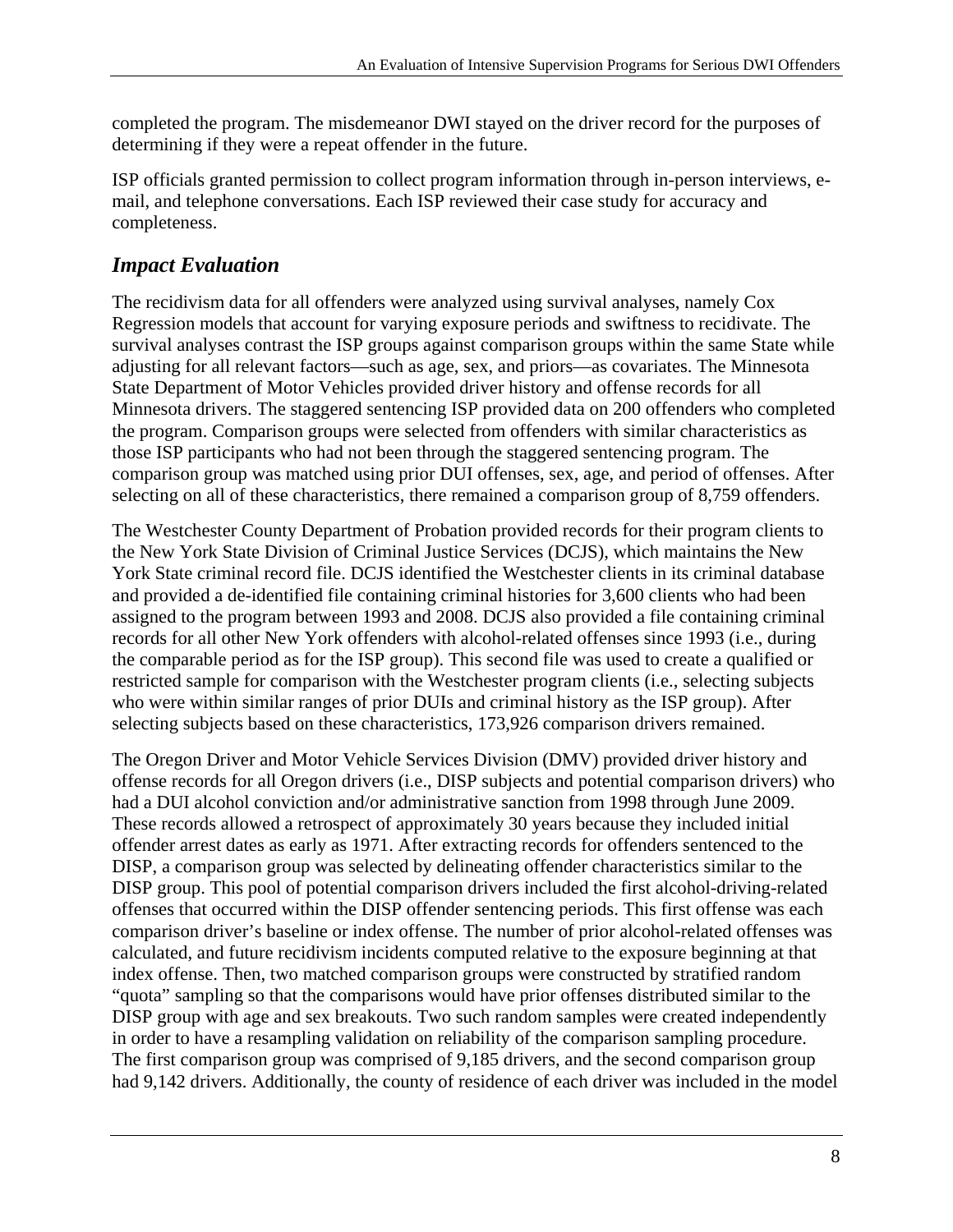completed the program. The misdemeanor DWI stayed on the driver record for the purposes of determining if they were a repeat offender in the future.

ISP officials granted permission to collect program information through in-person interviews, email, and telephone conversations. Each ISP reviewed their case study for accuracy and completeness.

#### *Impact Evaluation*

The recidivism data for all offenders were analyzed using survival analyses, namely Cox Regression models that account for varying exposure periods and swiftness to recidivate. The survival analyses contrast the ISP groups against comparison groups within the same State while adjusting for all relevant factors—such as age, sex, and priors—as covariates. The Minnesota State Department of Motor Vehicles provided driver history and offense records for all Minnesota drivers. The staggered sentencing ISP provided data on 200 offenders who completed the program. Comparison groups were selected from offenders with similar characteristics as those ISP participants who had not been through the staggered sentencing program. The comparison group was matched using prior DUI offenses, sex, age, and period of offenses. After selecting on all of these characteristics, there remained a comparison group of 8,759 offenders.

The Westchester County Department of Probation provided records for their program clients to the New York State Division of Criminal Justice Services (DCJS), which maintains the New York State criminal record file. DCJS identified the Westchester clients in its criminal database and provided a de-identified file containing criminal histories for 3,600 clients who had been assigned to the program between 1993 and 2008. DCJS also provided a file containing criminal records for all other New York offenders with alcohol-related offenses since 1993 (i.e., during the comparable period as for the ISP group). This second file was used to create a qualified or restricted sample for comparison with the Westchester program clients (i.e., selecting subjects who were within similar ranges of prior DUIs and criminal history as the ISP group). After selecting subjects based on these characteristics, 173,926 comparison drivers remained.

The Oregon Driver and Motor Vehicle Services Division (DMV) provided driver history and offense records for all Oregon drivers (i.e., DISP subjects and potential comparison drivers) who had a DUI alcohol conviction and/or administrative sanction from 1998 through June 2009. These records allowed a retrospect of approximately 30 years because they included initial offender arrest dates as early as 1971. After extracting records for offenders sentenced to the DISP, a comparison group was selected by delineating offender characteristics similar to the DISP group. This pool of potential comparison drivers included the first alcohol-driving-related offenses that occurred within the DISP offender sentencing periods. This first offense was each comparison driver's baseline or index offense. The number of prior alcohol-related offenses was calculated, and future recidivism incidents computed relative to the exposure beginning at that index offense. Then, two matched comparison groups were constructed by stratified random "quota" sampling so that the comparisons would have prior offenses distributed similar to the DISP group with age and sex breakouts. Two such random samples were created independently in order to have a resampling validation on reliability of the comparison sampling procedure. The first comparison group was comprised of 9,185 drivers, and the second comparison group had 9,142 drivers. Additionally, the county of residence of each driver was included in the model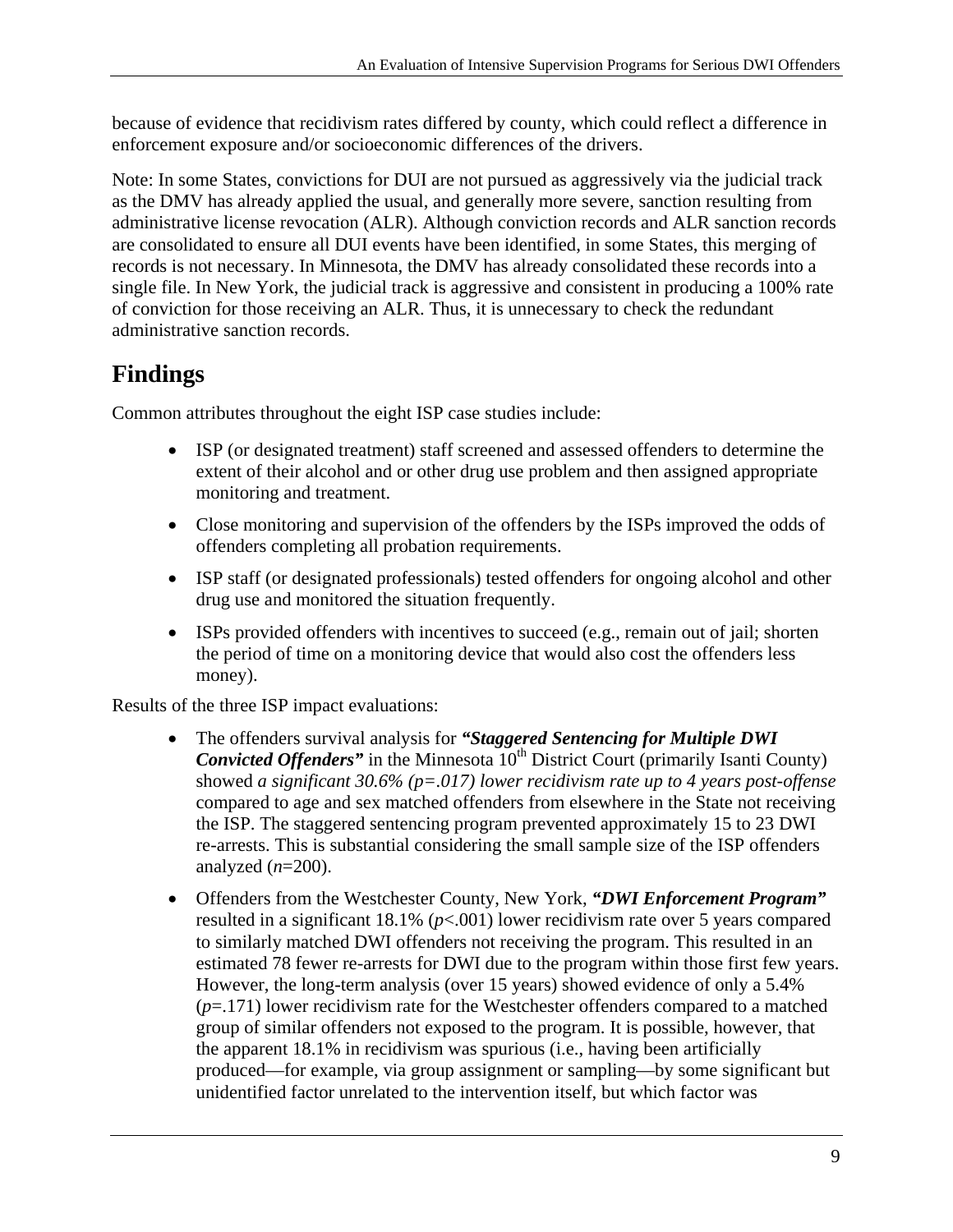because of evidence that recidivism rates differed by county, which could reflect a difference in enforcement exposure and/or socioeconomic differences of the drivers.

Note: In some States, convictions for DUI are not pursued as aggressively via the judicial track as the DMV has already applied the usual, and generally more severe, sanction resulting from administrative license revocation (ALR). Although conviction records and ALR sanction records are consolidated to ensure all DUI events have been identified, in some States, this merging of records is not necessary. In Minnesota, the DMV has already consolidated these records into a single file. In New York, the judicial track is aggressive and consistent in producing a 100% rate of conviction for those receiving an ALR. Thus, it is unnecessary to check the redundant administrative sanction records.

# **Findings**

Common attributes throughout the eight ISP case studies include:

- ISP (or designated treatment) staff screened and assessed offenders to determine the extent of their alcohol and or other drug use problem and then assigned appropriate monitoring and treatment.
- Close monitoring and supervision of the offenders by the ISPs improved the odds of offenders completing all probation requirements.
- ISP staff (or designated professionals) tested offenders for ongoing alcohol and other drug use and monitored the situation frequently.
- ISPs provided offenders with incentives to succeed (e.g., remain out of jail; shorten the period of time on a monitoring device that would also cost the offenders less money).

Results of the three ISP impact evaluations:

- The offenders survival analysis for *"Staggered Sentencing for Multiple DWI Convicted Offenders*" in the Minnesota 10<sup>th</sup> District Court (primarily Isanti County) showed *a significant 30.6% (p=.017) lower recidivism rate up to 4 years post-offense*  compared to age and sex matched offenders from elsewhere in the State not receiving the ISP. The staggered sentencing program prevented approximately 15 to 23 DWI re-arrests. This is substantial considering the small sample size of the ISP offenders analyzed (*n*=200).
- Offenders from the Westchester County, New York, *"DWI Enforcement Program"*  resulted in a significant 18.1% (*p*<.001) lower recidivism rate over 5 years compared to similarly matched DWI offenders not receiving the program. This resulted in an estimated 78 fewer re-arrests for DWI due to the program within those first few years. However, the long-term analysis (over 15 years) showed evidence of only a 5.4% (*p*=.171) lower recidivism rate for the Westchester offenders compared to a matched group of similar offenders not exposed to the program. It is possible, however, that the apparent 18.1% in recidivism was spurious (i.e., having been artificially produced—for example, via group assignment or sampling—by some significant but unidentified factor unrelated to the intervention itself, but which factor was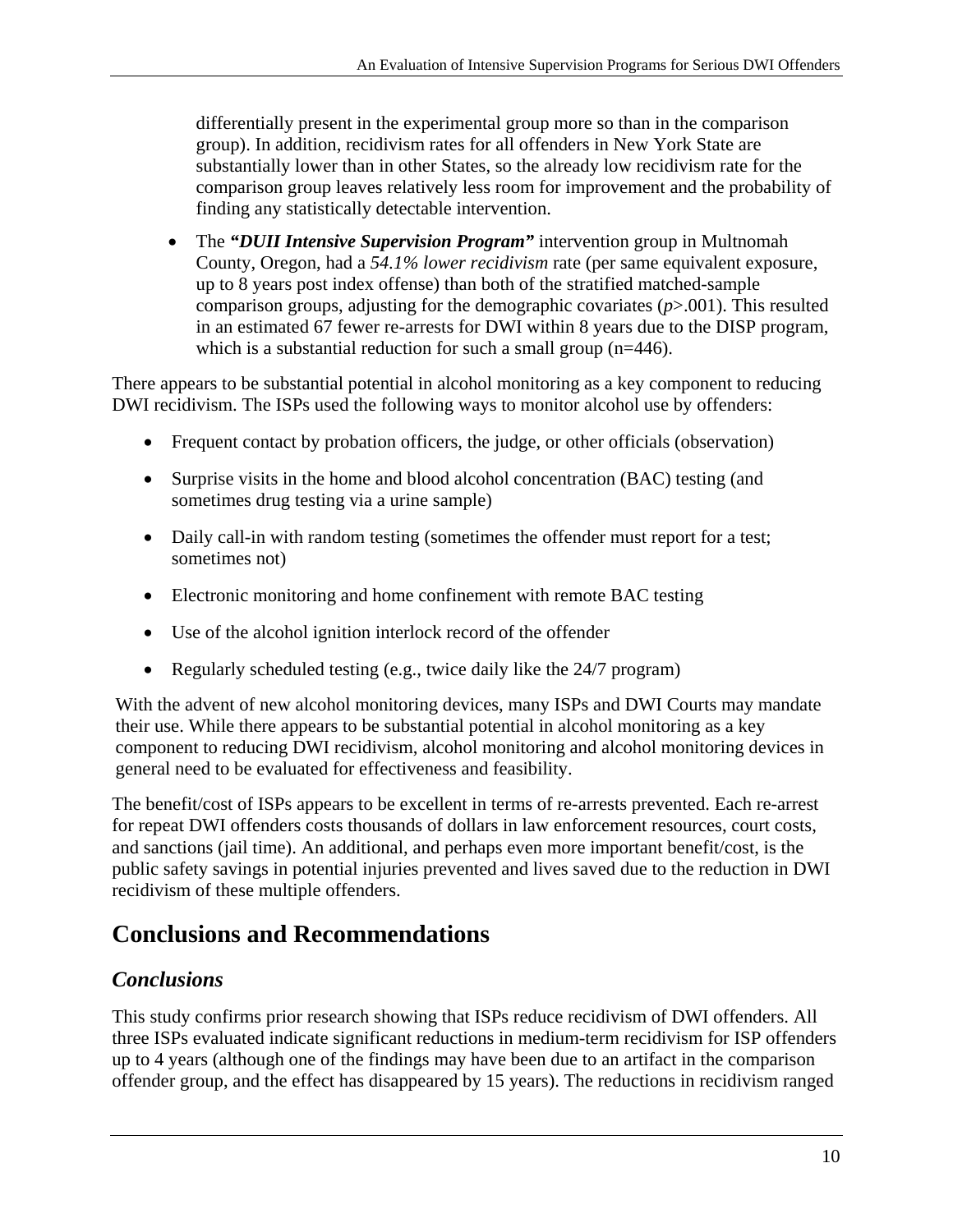differentially present in the experimental group more so than in the comparison group). In addition, recidivism rates for all offenders in New York State are substantially lower than in other States, so the already low recidivism rate for the comparison group leaves relatively less room for improvement and the probability of finding any statistically detectable intervention.

 The *"DUII Intensive Supervision Program"* intervention group in Multnomah County, Oregon, had a *54.1% lower recidivism* rate (per same equivalent exposure, up to 8 years post index offense) than both of the stratified matched-sample comparison groups, adjusting for the demographic covariates (*p*>.001). This resulted in an estimated 67 fewer re-arrests for DWI within 8 years due to the DISP program, which is a substantial reduction for such a small group (n=446).

There appears to be substantial potential in alcohol monitoring as a key component to reducing DWI recidivism. The ISPs used the following ways to monitor alcohol use by offenders:

- Frequent contact by probation officers, the judge, or other officials (observation)
- Surprise visits in the home and blood alcohol concentration (BAC) testing (and sometimes drug testing via a urine sample)
- Daily call-in with random testing (sometimes the offender must report for a test; sometimes not)
- Electronic monitoring and home confinement with remote BAC testing
- Use of the alcohol ignition interlock record of the offender
- Regularly scheduled testing (e.g., twice daily like the 24/7 program)

With the advent of new alcohol monitoring devices, many ISPs and DWI Courts may mandate their use. While there appears to be substantial potential in alcohol monitoring as a key component to reducing DWI recidivism, alcohol monitoring and alcohol monitoring devices in general need to be evaluated for effectiveness and feasibility.

The benefit/cost of ISPs appears to be excellent in terms of re-arrests prevented. Each re-arrest for repeat DWI offenders costs thousands of dollars in law enforcement resources, court costs, and sanctions (jail time). An additional, and perhaps even more important benefit/cost, is the public safety savings in potential injuries prevented and lives saved due to the reduction in DWI recidivism of these multiple offenders.

# **Conclusions and Recommendations**

#### *Conclusions*

This study confirms prior research showing that ISPs reduce recidivism of DWI offenders. All three ISPs evaluated indicate significant reductions in medium-term recidivism for ISP offenders up to 4 years (although one of the findings may have been due to an artifact in the comparison offender group, and the effect has disappeared by 15 years). The reductions in recidivism ranged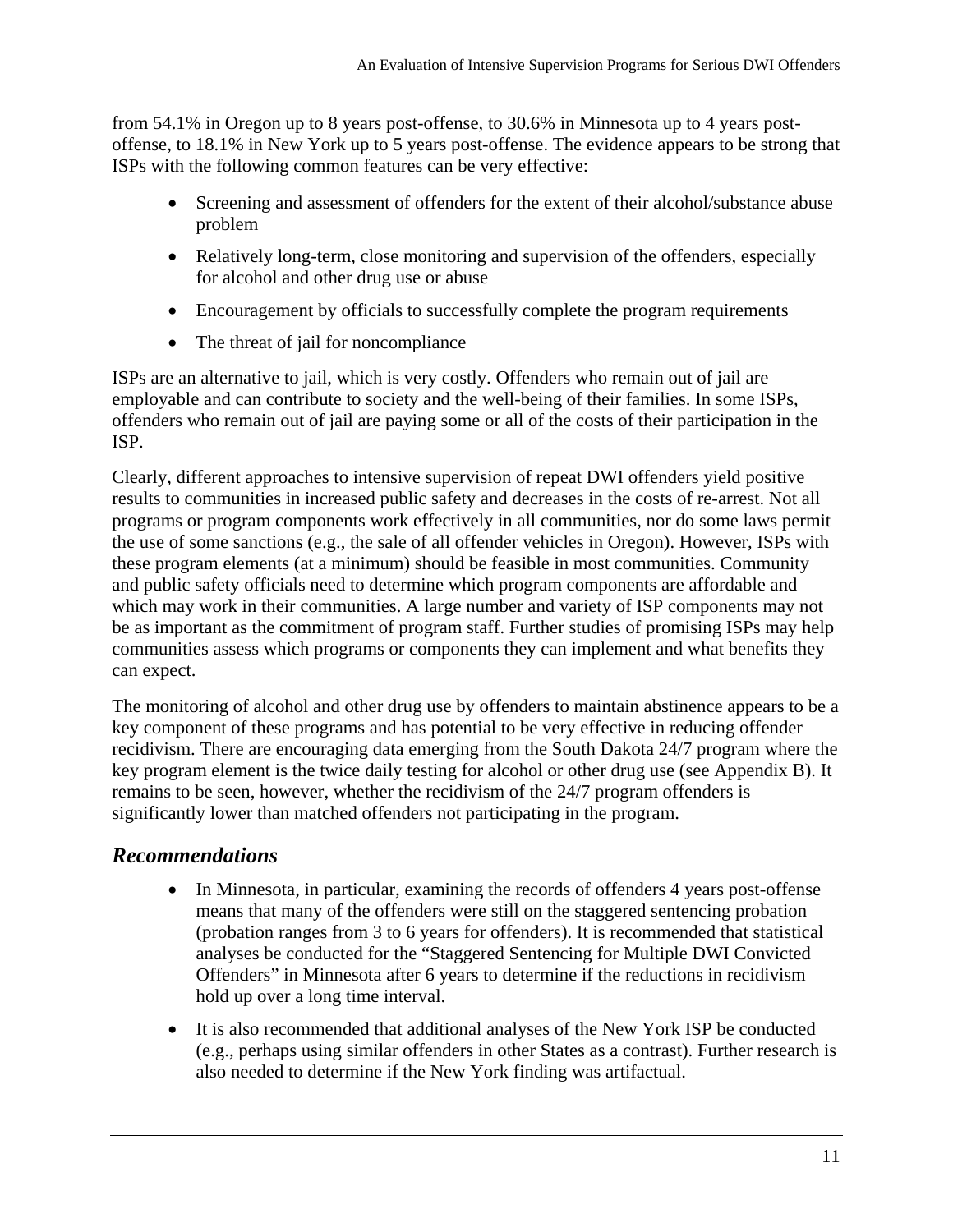from 54.1% in Oregon up to 8 years post-offense, to 30.6% in Minnesota up to 4 years postoffense, to 18.1% in New York up to 5 years post-offense. The evidence appears to be strong that ISPs with the following common features can be very effective:

- Screening and assessment of offenders for the extent of their alcohol/substance abuse problem
- Relatively long-term, close monitoring and supervision of the offenders, especially for alcohol and other drug use or abuse
- Encouragement by officials to successfully complete the program requirements
- The threat of jail for noncompliance

ISPs are an alternative to jail, which is very costly. Offenders who remain out of jail are employable and can contribute to society and the well-being of their families. In some ISPs, offenders who remain out of jail are paying some or all of the costs of their participation in the ISP.

Clearly, different approaches to intensive supervision of repeat DWI offenders yield positive results to communities in increased public safety and decreases in the costs of re-arrest. Not all programs or program components work effectively in all communities, nor do some laws permit the use of some sanctions (e.g., the sale of all offender vehicles in Oregon). However, ISPs with these program elements (at a minimum) should be feasible in most communities. Community and public safety officials need to determine which program components are affordable and which may work in their communities. A large number and variety of ISP components may not be as important as the commitment of program staff. Further studies of promising ISPs may help communities assess which programs or components they can implement and what benefits they can expect.

The monitoring of alcohol and other drug use by offenders to maintain abstinence appears to be a key component of these programs and has potential to be very effective in reducing offender recidivism. There are encouraging data emerging from the South Dakota 24/7 program where the key program element is the twice daily testing for alcohol or other drug use (see Appendix B). It remains to be seen, however, whether the recidivism of the 24/7 program offenders is significantly lower than matched offenders not participating in the program.

#### *Recommendations*

- In Minnesota, in particular, examining the records of offenders 4 years post-offense means that many of the offenders were still on the staggered sentencing probation (probation ranges from 3 to 6 years for offenders). It is recommended that statistical analyses be conducted for the "Staggered Sentencing for Multiple DWI Convicted Offenders" in Minnesota after 6 years to determine if the reductions in recidivism hold up over a long time interval.
- It is also recommended that additional analyses of the New York ISP be conducted (e.g., perhaps using similar offenders in other States as a contrast). Further research is also needed to determine if the New York finding was artifactual.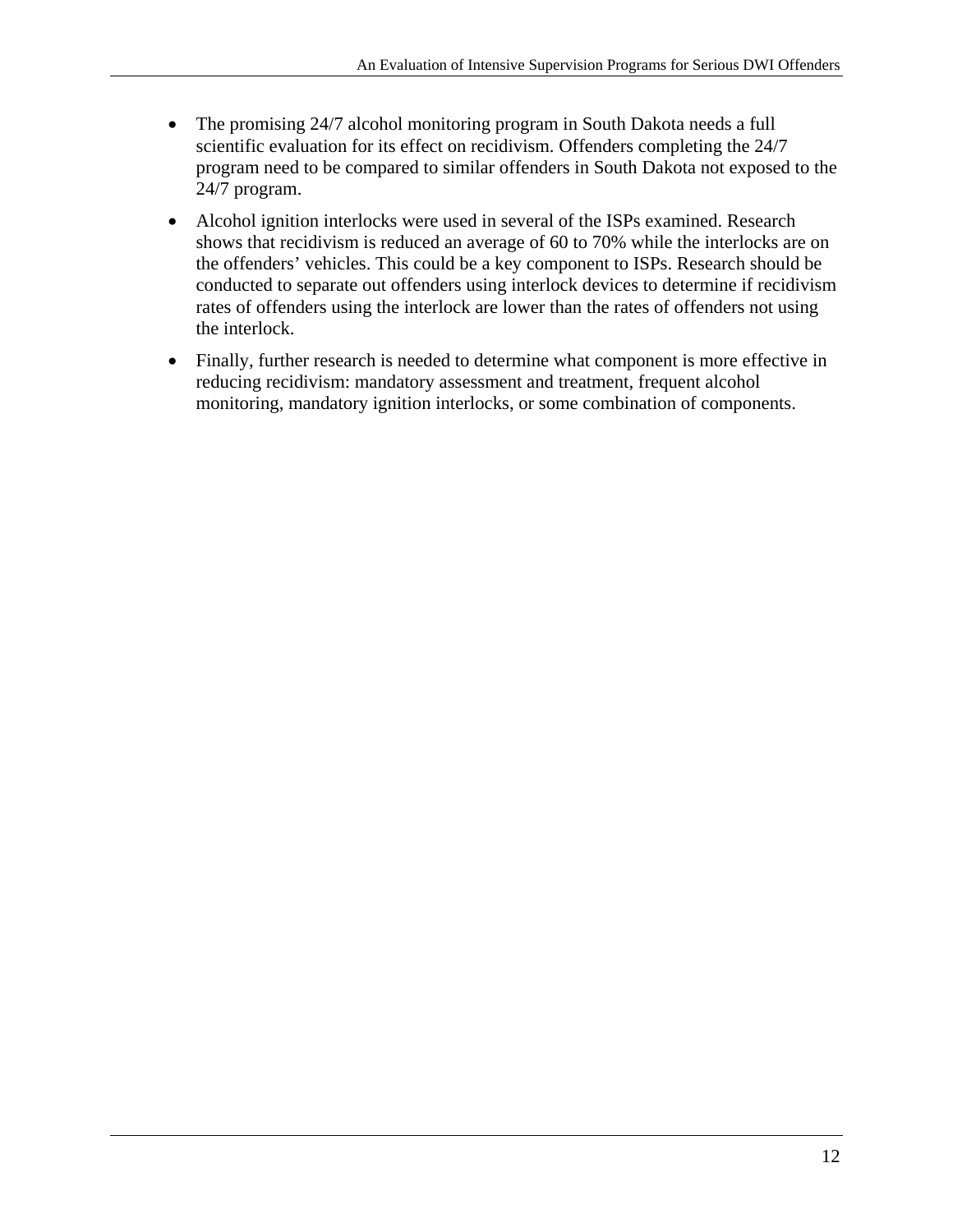- The promising 24/7 alcohol monitoring program in South Dakota needs a full scientific evaluation for its effect on recidivism. Offenders completing the 24/7 program need to be compared to similar offenders in South Dakota not exposed to the 24/7 program.
- Alcohol ignition interlocks were used in several of the ISPs examined. Research shows that recidivism is reduced an average of 60 to 70% while the interlocks are on the offenders' vehicles. This could be a key component to ISPs. Research should be conducted to separate out offenders using interlock devices to determine if recidivism rates of offenders using the interlock are lower than the rates of offenders not using the interlock.
- Finally, further research is needed to determine what component is more effective in reducing recidivism: mandatory assessment and treatment, frequent alcohol monitoring, mandatory ignition interlocks, or some combination of components.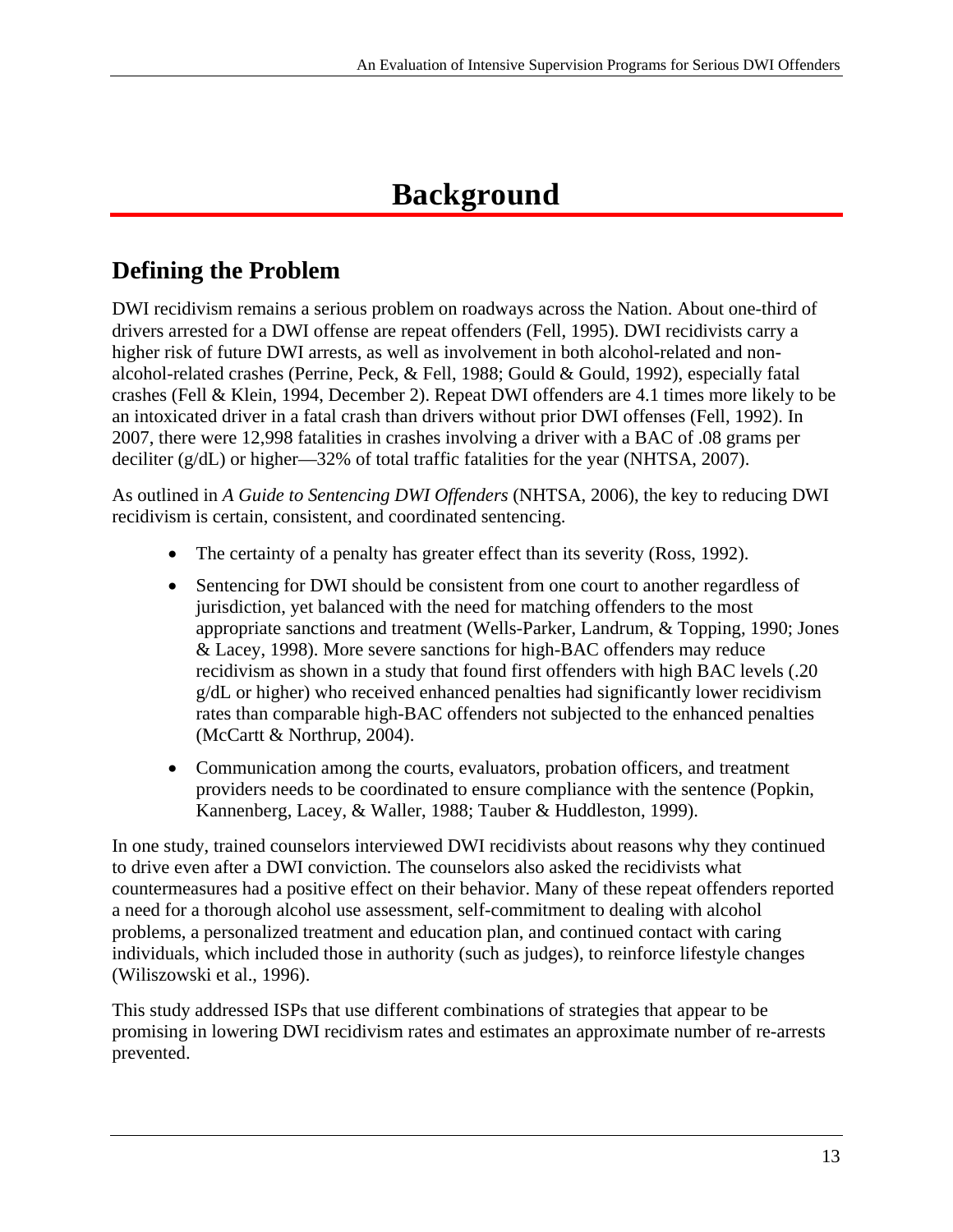# **Background**

# **Defining the Problem**

DWI recidivism remains a serious problem on roadways across the Nation. About one-third of drivers arrested for a DWI offense are repeat offenders (Fell, 1995). DWI recidivists carry a higher risk of future DWI arrests, as well as involvement in both alcohol-related and nonalcohol-related crashes (Perrine, Peck, & Fell, 1988; Gould & Gould, 1992), especially fatal crashes (Fell & Klein, 1994, December 2). Repeat DWI offenders are 4.1 times more likely to be an intoxicated driver in a fatal crash than drivers without prior DWI offenses (Fell, 1992). In 2007, there were 12,998 fatalities in crashes involving a driver with a BAC of .08 grams per deciliter (g/dL) or higher—32% of total traffic fatalities for the year (NHTSA, 2007).

As outlined in *A Guide to Sentencing DWI Offenders* (NHTSA, 2006), the key to reducing DWI recidivism is certain, consistent, and coordinated sentencing.

- The certainty of a penalty has greater effect than its severity (Ross, 1992).
- Sentencing for DWI should be consistent from one court to another regardless of jurisdiction, yet balanced with the need for matching offenders to the most appropriate sanctions and treatment (Wells-Parker, Landrum, & Topping, 1990; Jones & Lacey, 1998). More severe sanctions for high-BAC offenders may reduce recidivism as shown in a study that found first offenders with high BAC levels (.20 g/dL or higher) who received enhanced penalties had significantly lower recidivism rates than comparable high-BAC offenders not subjected to the enhanced penalties (McCartt & Northrup, 2004).
- Communication among the courts, evaluators, probation officers, and treatment providers needs to be coordinated to ensure compliance with the sentence (Popkin, Kannenberg, Lacey, & Waller, 1988; Tauber & Huddleston, 1999).

In one study, trained counselors interviewed DWI recidivists about reasons why they continued to drive even after a DWI conviction. The counselors also asked the recidivists what countermeasures had a positive effect on their behavior. Many of these repeat offenders reported a need for a thorough alcohol use assessment, self-commitment to dealing with alcohol problems, a personalized treatment and education plan, and continued contact with caring individuals, which included those in authority (such as judges), to reinforce lifestyle changes (Wiliszowski et al., 1996).

This study addressed ISPs that use different combinations of strategies that appear to be promising in lowering DWI recidivism rates and estimates an approximate number of re-arrests prevented.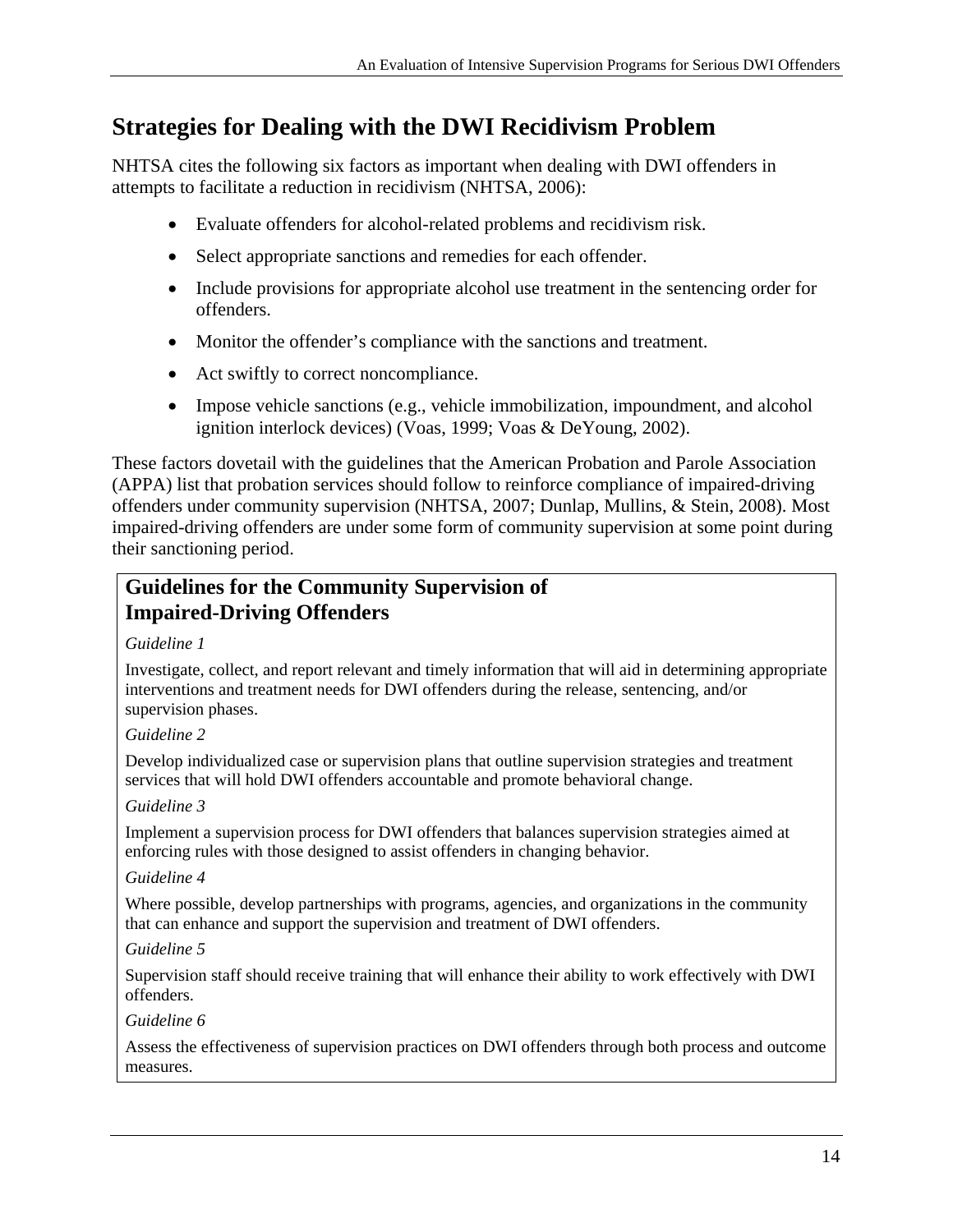## **Strategies for Dealing with the DWI Recidivism Problem**

NHTSA cites the following six factors as important when dealing with DWI offenders in attempts to facilitate a reduction in recidivism (NHTSA, 2006):

- Evaluate offenders for alcohol-related problems and recidivism risk.
- Select appropriate sanctions and remedies for each offender.
- Include provisions for appropriate alcohol use treatment in the sentencing order for offenders.
- Monitor the offender's compliance with the sanctions and treatment.
- Act swiftly to correct noncompliance.
- Impose vehicle sanctions (e.g., vehicle immobilization, impoundment, and alcohol ignition interlock devices) (Voas, 1999; Voas & DeYoung, 2002).

These factors dovetail with the guidelines that the American Probation and Parole Association (APPA) list that probation services should follow to reinforce compliance of impaired-driving offenders under community supervision (NHTSA, 2007; Dunlap, Mullins, & Stein, 2008). Most impaired-driving offenders are under some form of community supervision at some point during their sanctioning period.

#### **Guidelines for the Community Supervision of Impaired-Driving Offenders**

*Guideline 1* 

Investigate, collect, and report relevant and timely information that will aid in determining appropriate interventions and treatment needs for DWI offenders during the release, sentencing, and/or supervision phases.

*Guideline 2* 

Develop individualized case or supervision plans that outline supervision strategies and treatment services that will hold DWI offenders accountable and promote behavioral change.

*Guideline 3* 

Implement a supervision process for DWI offenders that balances supervision strategies aimed at enforcing rules with those designed to assist offenders in changing behavior.

*Guideline 4* 

Where possible, develop partnerships with programs, agencies, and organizations in the community that can enhance and support the supervision and treatment of DWI offenders.

*Guideline 5* 

Supervision staff should receive training that will enhance their ability to work effectively with DWI offenders.

*Guideline 6* 

Assess the effectiveness of supervision practices on DWI offenders through both process and outcome measures.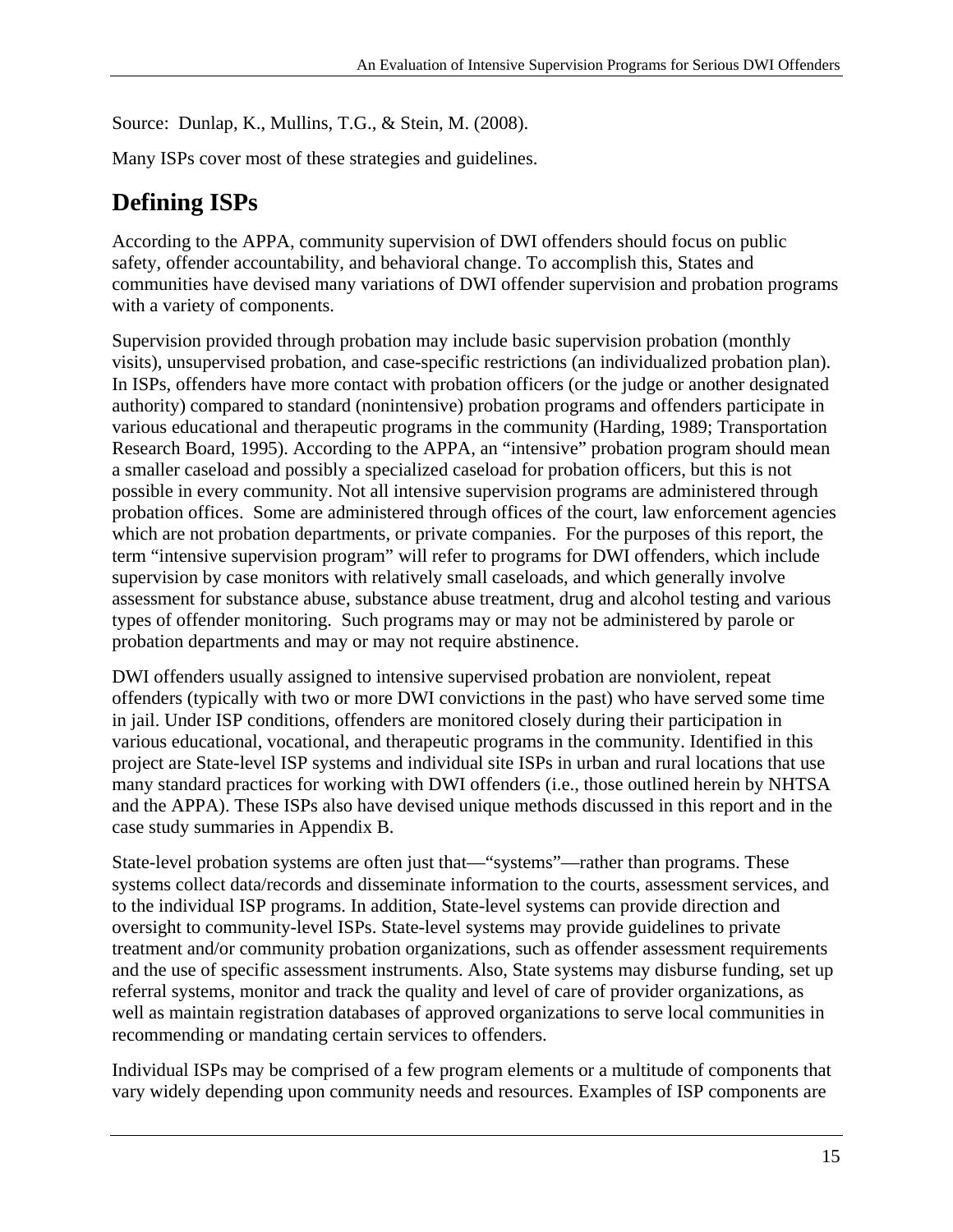Source: Dunlap, K., Mullins, T.G., & Stein, M. (2008).

Many ISPs cover most of these strategies and guidelines.

# **Defining ISPs**

According to the APPA, community supervision of DWI offenders should focus on public safety, offender accountability, and behavioral change. To accomplish this, States and communities have devised many variations of DWI offender supervision and probation programs with a variety of components.

Supervision provided through probation may include basic supervision probation (monthly visits), unsupervised probation, and case-specific restrictions (an individualized probation plan). In ISPs, offenders have more contact with probation officers (or the judge or another designated authority) compared to standard (nonintensive) probation programs and offenders participate in various educational and therapeutic programs in the community (Harding, 1989; Transportation Research Board, 1995). According to the APPA, an "intensive" probation program should mean a smaller caseload and possibly a specialized caseload for probation officers, but this is not possible in every community. Not all intensive supervision programs are administered through probation offices. Some are administered through offices of the court, law enforcement agencies which are not probation departments, or private companies. For the purposes of this report, the term "intensive supervision program" will refer to programs for DWI offenders, which include supervision by case monitors with relatively small caseloads, and which generally involve assessment for substance abuse, substance abuse treatment, drug and alcohol testing and various types of offender monitoring. Such programs may or may not be administered by parole or probation departments and may or may not require abstinence.

DWI offenders usually assigned to intensive supervised probation are nonviolent, repeat offenders (typically with two or more DWI convictions in the past) who have served some time in jail. Under ISP conditions, offenders are monitored closely during their participation in various educational, vocational, and therapeutic programs in the community. Identified in this project are State-level ISP systems and individual site ISPs in urban and rural locations that use many standard practices for working with DWI offenders (i.e., those outlined herein by NHTSA and the APPA). These ISPs also have devised unique methods discussed in this report and in the case study summaries in Appendix B.

State-level probation systems are often just that—"systems"—rather than programs. These systems collect data/records and disseminate information to the courts, assessment services, and to the individual ISP programs. In addition, State-level systems can provide direction and oversight to community-level ISPs. State-level systems may provide guidelines to private treatment and/or community probation organizations, such as offender assessment requirements and the use of specific assessment instruments. Also, State systems may disburse funding, set up referral systems, monitor and track the quality and level of care of provider organizations, as well as maintain registration databases of approved organizations to serve local communities in recommending or mandating certain services to offenders.

Individual ISPs may be comprised of a few program elements or a multitude of components that vary widely depending upon community needs and resources. Examples of ISP components are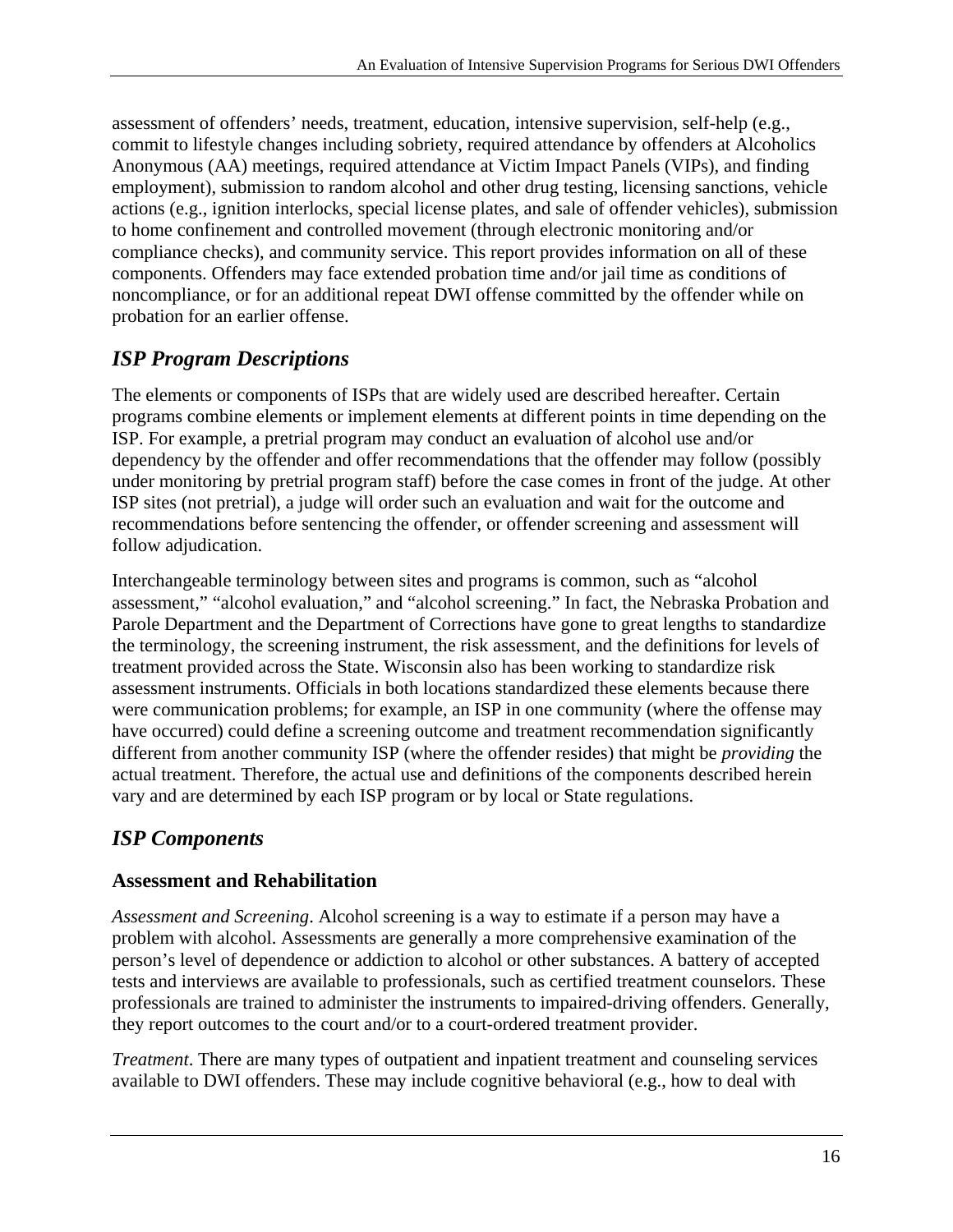assessment of offenders' needs, treatment, education, intensive supervision, self-help (e.g., commit to lifestyle changes including sobriety, required attendance by offenders at Alcoholics Anonymous (AA) meetings, required attendance at Victim Impact Panels (VIPs), and finding employment), submission to random alcohol and other drug testing, licensing sanctions, vehicle actions (e.g., ignition interlocks, special license plates, and sale of offender vehicles), submission to home confinement and controlled movement (through electronic monitoring and/or compliance checks), and community service. This report provides information on all of these components. Offenders may face extended probation time and/or jail time as conditions of noncompliance, or for an additional repeat DWI offense committed by the offender while on probation for an earlier offense.

#### *ISP Program Descriptions*

The elements or components of ISPs that are widely used are described hereafter. Certain programs combine elements or implement elements at different points in time depending on the ISP. For example, a pretrial program may conduct an evaluation of alcohol use and/or dependency by the offender and offer recommendations that the offender may follow (possibly under monitoring by pretrial program staff) before the case comes in front of the judge. At other ISP sites (not pretrial), a judge will order such an evaluation and wait for the outcome and recommendations before sentencing the offender, or offender screening and assessment will follow adjudication.

Interchangeable terminology between sites and programs is common, such as "alcohol assessment," "alcohol evaluation," and "alcohol screening." In fact, the Nebraska Probation and Parole Department and the Department of Corrections have gone to great lengths to standardize the terminology, the screening instrument, the risk assessment, and the definitions for levels of treatment provided across the State. Wisconsin also has been working to standardize risk assessment instruments. Officials in both locations standardized these elements because there were communication problems; for example, an ISP in one community (where the offense may have occurred) could define a screening outcome and treatment recommendation significantly different from another community ISP (where the offender resides) that might be *providing* the actual treatment. Therefore, the actual use and definitions of the components described herein vary and are determined by each ISP program or by local or State regulations.

#### *ISP Components*

#### **Assessment and Rehabilitation**

*Assessment and Screening*. Alcohol screening is a way to estimate if a person may have a problem with alcohol. Assessments are generally a more comprehensive examination of the person's level of dependence or addiction to alcohol or other substances. A battery of accepted tests and interviews are available to professionals, such as certified treatment counselors. These professionals are trained to administer the instruments to impaired-driving offenders. Generally, they report outcomes to the court and/or to a court-ordered treatment provider.

*Treatment*. There are many types of outpatient and inpatient treatment and counseling services available to DWI offenders. These may include cognitive behavioral (e.g., how to deal with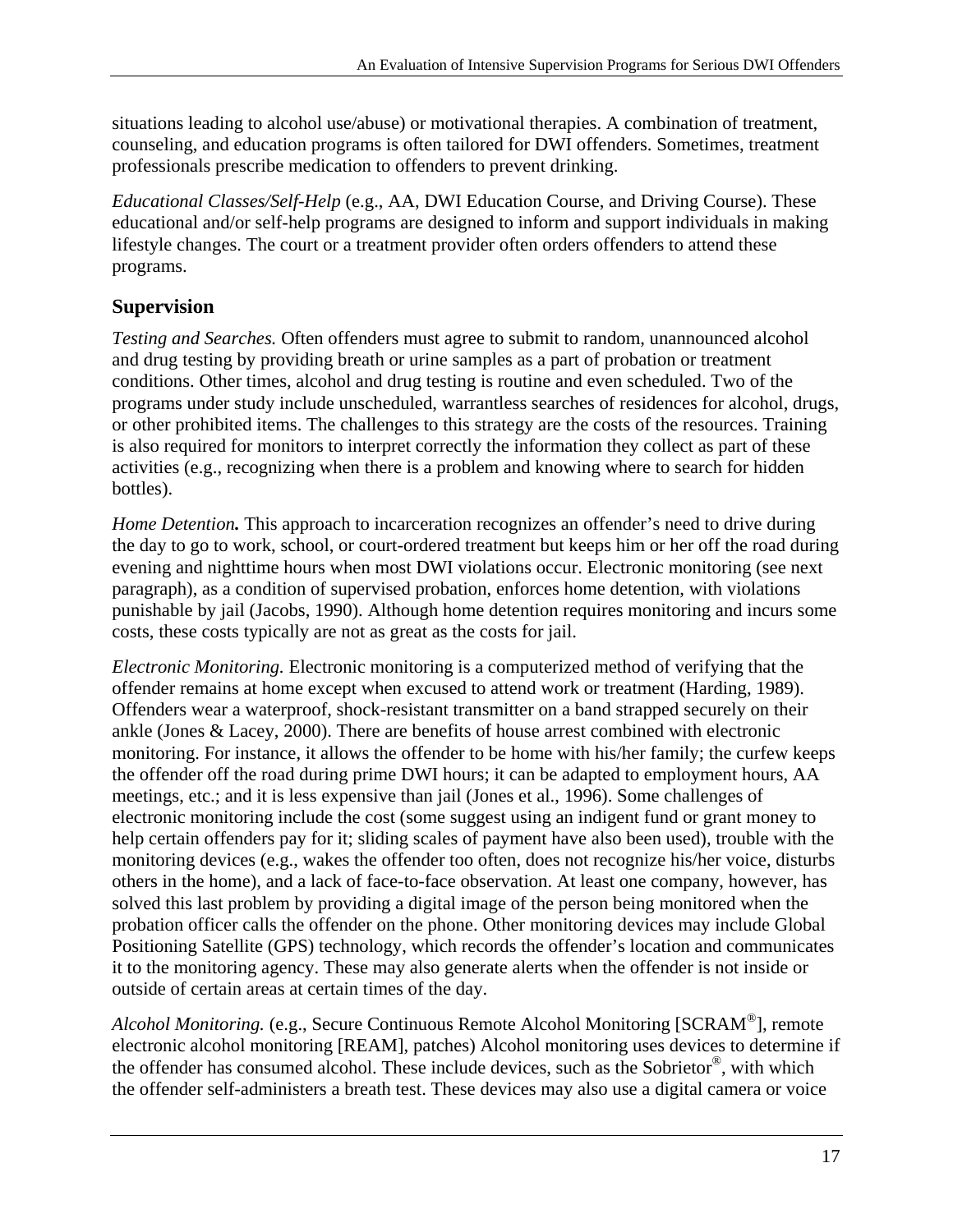situations leading to alcohol use/abuse) or motivational therapies. A combination of treatment, counseling, and education programs is often tailored for DWI offenders. Sometimes, treatment professionals prescribe medication to offenders to prevent drinking.

*Educational Classes/Self-Help* (e.g., AA, DWI Education Course, and Driving Course). These educational and/or self-help programs are designed to inform and support individuals in making lifestyle changes. The court or a treatment provider often orders offenders to attend these programs.

#### **Supervision**

*Testing and Searches.* Often offenders must agree to submit to random, unannounced alcohol and drug testing by providing breath or urine samples as a part of probation or treatment conditions. Other times, alcohol and drug testing is routine and even scheduled. Two of the programs under study include unscheduled, warrantless searches of residences for alcohol, drugs, or other prohibited items. The challenges to this strategy are the costs of the resources. Training is also required for monitors to interpret correctly the information they collect as part of these activities (e.g., recognizing when there is a problem and knowing where to search for hidden bottles).

*Home Detention*. This approach to incarceration recognizes an offender's need to drive during the day to go to work, school, or court-ordered treatment but keeps him or her off the road during evening and nighttime hours when most DWI violations occur. Electronic monitoring (see next paragraph), as a condition of supervised probation, enforces home detention, with violations punishable by jail (Jacobs, 1990). Although home detention requires monitoring and incurs some costs, these costs typically are not as great as the costs for jail.

*Electronic Monitoring.* Electronic monitoring is a computerized method of verifying that the offender remains at home except when excused to attend work or treatment (Harding, 1989). Offenders wear a waterproof, shock-resistant transmitter on a band strapped securely on their ankle (Jones & Lacey, 2000). There are benefits of house arrest combined with electronic monitoring. For instance, it allows the offender to be home with his/her family; the curfew keeps the offender off the road during prime DWI hours; it can be adapted to employment hours, AA meetings, etc.; and it is less expensive than jail (Jones et al., 1996). Some challenges of electronic monitoring include the cost (some suggest using an indigent fund or grant money to help certain offenders pay for it; sliding scales of payment have also been used), trouble with the monitoring devices (e.g., wakes the offender too often, does not recognize his/her voice, disturbs others in the home), and a lack of face-to-face observation. At least one company, however, has solved this last problem by providing a digital image of the person being monitored when the probation officer calls the offender on the phone. Other monitoring devices may include Global Positioning Satellite (GPS) technology, which records the offender's location and communicates it to the monitoring agency. These may also generate alerts when the offender is not inside or outside of certain areas at certain times of the day.

*Alcohol Monitoring.* (e.g., Secure Continuous Remote Alcohol Monitoring [SCRAM®], remote electronic alcohol monitoring [REAM], patches) Alcohol monitoring uses devices to determine if the offender has consumed alcohol. These include devices, such as the Sobrietor®, with which the offender self-administers a breath test. These devices may also use a digital camera or voice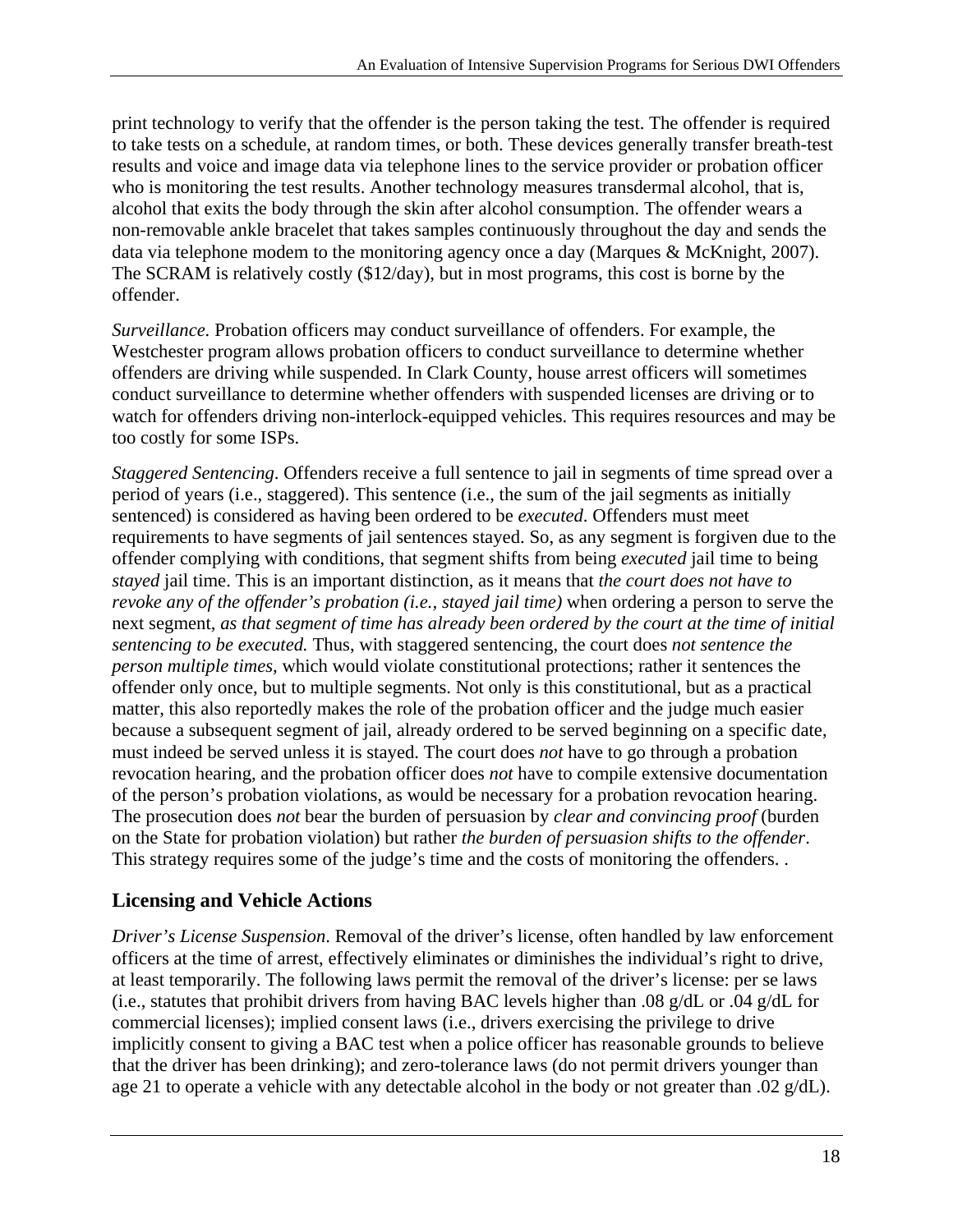print technology to verify that the offender is the person taking the test. The offender is required to take tests on a schedule, at random times, or both. These devices generally transfer breath-test results and voice and image data via telephone lines to the service provider or probation officer who is monitoring the test results. Another technology measures transdermal alcohol, that is, alcohol that exits the body through the skin after alcohol consumption. The offender wears a non-removable ankle bracelet that takes samples continuously throughout the day and sends the data via telephone modem to the monitoring agency once a day (Marques & McKnight, 2007). The SCRAM is relatively costly (\$12/day), but in most programs, this cost is borne by the offender.

*Surveillance.* Probation officers may conduct surveillance of offenders. For example, the Westchester program allows probation officers to conduct surveillance to determine whether offenders are driving while suspended. In Clark County, house arrest officers will sometimes conduct surveillance to determine whether offenders with suspended licenses are driving or to watch for offenders driving non-interlock-equipped vehicles. This requires resources and may be too costly for some ISPs.

*Staggered Sentencing*. Offenders receive a full sentence to jail in segments of time spread over a period of years (i.e., staggered). This sentence (i.e., the sum of the jail segments as initially sentenced) is considered as having been ordered to be *executed*. Offenders must meet requirements to have segments of jail sentences stayed. So, as any segment is forgiven due to the offender complying with conditions, that segment shifts from being *executed* jail time to being *stayed* jail time. This is an important distinction, as it means that *the court does not have to revoke any of the offender's probation (i.e., stayed jail time)* when ordering a person to serve the next segment, *as that segment of time has already been ordered by the court at the time of initial sentencing to be executed.* Thus, with staggered sentencing, the court does *not sentence the person multiple times,* which would violate constitutional protections; rather it sentences the offender only once, but to multiple segments. Not only is this constitutional, but as a practical matter, this also reportedly makes the role of the probation officer and the judge much easier because a subsequent segment of jail, already ordered to be served beginning on a specific date, must indeed be served unless it is stayed. The court does *not* have to go through a probation revocation hearing, and the probation officer does *not* have to compile extensive documentation of the person's probation violations, as would be necessary for a probation revocation hearing. The prosecution does *not* bear the burden of persuasion by *clear and convincing proof* (burden on the State for probation violation) but rather *the burden of persuasion shifts to the offender*. This strategy requires some of the judge's time and the costs of monitoring the offenders. .

#### **Licensing and Vehicle Actions**

*Driver's License Suspension*. Removal of the driver's license, often handled by law enforcement officers at the time of arrest, effectively eliminates or diminishes the individual's right to drive, at least temporarily. The following laws permit the removal of the driver's license: per se laws (i.e., statutes that prohibit drivers from having BAC levels higher than .08 g/dL or .04 g/dL for commercial licenses); implied consent laws (i.e., drivers exercising the privilege to drive implicitly consent to giving a BAC test when a police officer has reasonable grounds to believe that the driver has been drinking); and zero-tolerance laws (do not permit drivers younger than age 21 to operate a vehicle with any detectable alcohol in the body or not greater than .02 g/dL).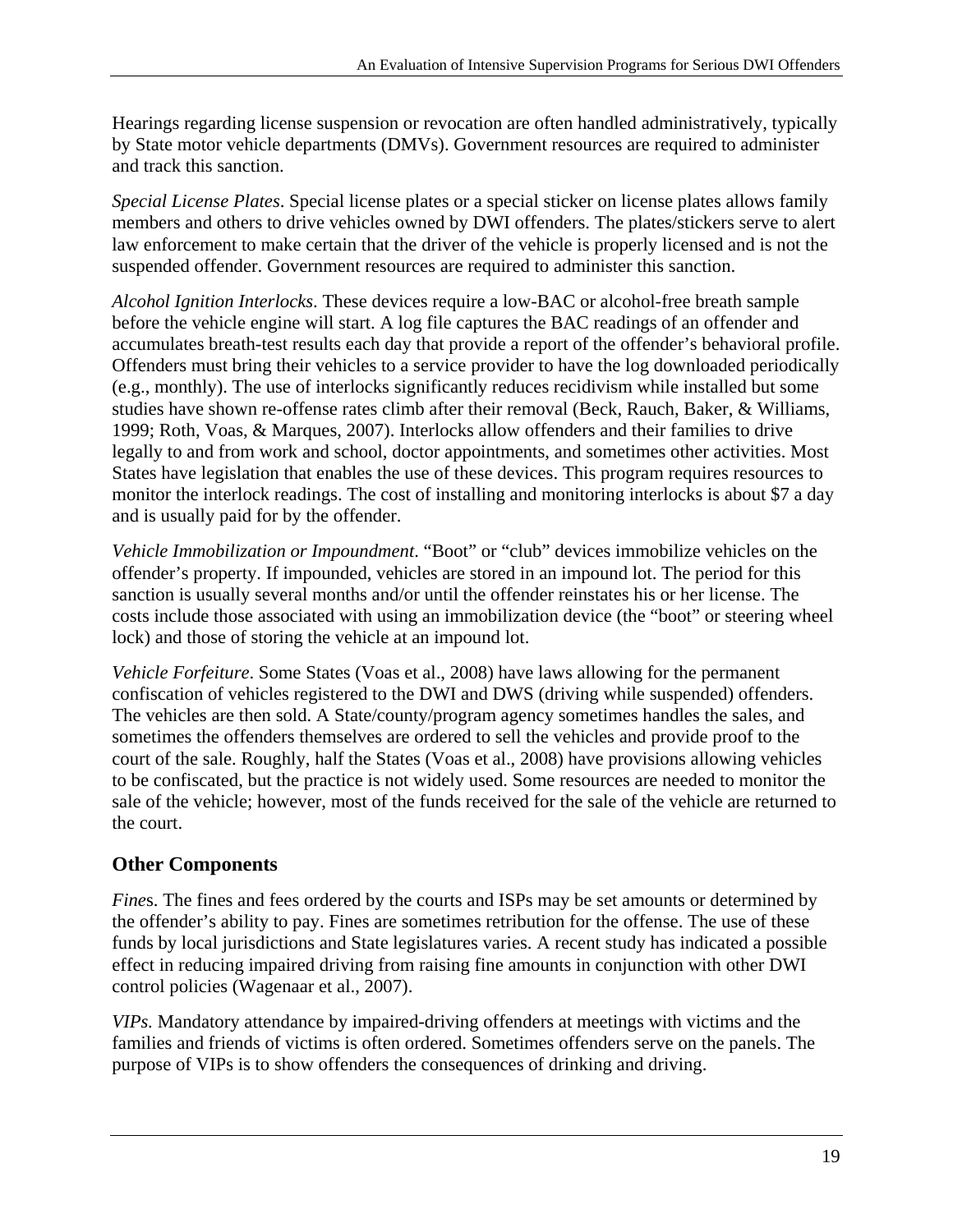Hearings regarding license suspension or revocation are often handled administratively, typically by State motor vehicle departments (DMVs). Government resources are required to administer and track this sanction.

*Special License Plates*. Special license plates or a special sticker on license plates allows family members and others to drive vehicles owned by DWI offenders. The plates/stickers serve to alert law enforcement to make certain that the driver of the vehicle is properly licensed and is not the suspended offender. Government resources are required to administer this sanction.

*Alcohol Ignition Interlocks*. These devices require a low-BAC or alcohol-free breath sample before the vehicle engine will start. A log file captures the BAC readings of an offender and accumulates breath-test results each day that provide a report of the offender's behavioral profile. Offenders must bring their vehicles to a service provider to have the log downloaded periodically (e.g., monthly). The use of interlocks significantly reduces recidivism while installed but some studies have shown re-offense rates climb after their removal (Beck, Rauch, Baker, & Williams, 1999; Roth, Voas, & Marques, 2007). Interlocks allow offenders and their families to drive legally to and from work and school, doctor appointments, and sometimes other activities. Most States have legislation that enables the use of these devices. This program requires resources to monitor the interlock readings. The cost of installing and monitoring interlocks is about \$7 a day and is usually paid for by the offender.

*Vehicle Immobilization or Impoundment*. "Boot" or "club" devices immobilize vehicles on the offender's property. If impounded, vehicles are stored in an impound lot. The period for this sanction is usually several months and/or until the offender reinstates his or her license. The costs include those associated with using an immobilization device (the "boot" or steering wheel lock) and those of storing the vehicle at an impound lot.

*Vehicle Forfeiture*. Some States (Voas et al., 2008) have laws allowing for the permanent confiscation of vehicles registered to the DWI and DWS (driving while suspended) offenders. The vehicles are then sold. A State/county/program agency sometimes handles the sales, and sometimes the offenders themselves are ordered to sell the vehicles and provide proof to the court of the sale. Roughly, half the States (Voas et al., 2008) have provisions allowing vehicles to be confiscated, but the practice is not widely used. Some resources are needed to monitor the sale of the vehicle; however, most of the funds received for the sale of the vehicle are returned to the court.

#### **Other Components**

*Fines*. The fines and fees ordered by the courts and ISPs may be set amounts or determined by the offender's ability to pay. Fines are sometimes retribution for the offense. The use of these funds by local jurisdictions and State legislatures varies. A recent study has indicated a possible effect in reducing impaired driving from raising fine amounts in conjunction with other DWI control policies (Wagenaar et al., 2007).

*VIPs.* Mandatory attendance by impaired-driving offenders at meetings with victims and the families and friends of victims is often ordered. Sometimes offenders serve on the panels. The purpose of VIPs is to show offenders the consequences of drinking and driving.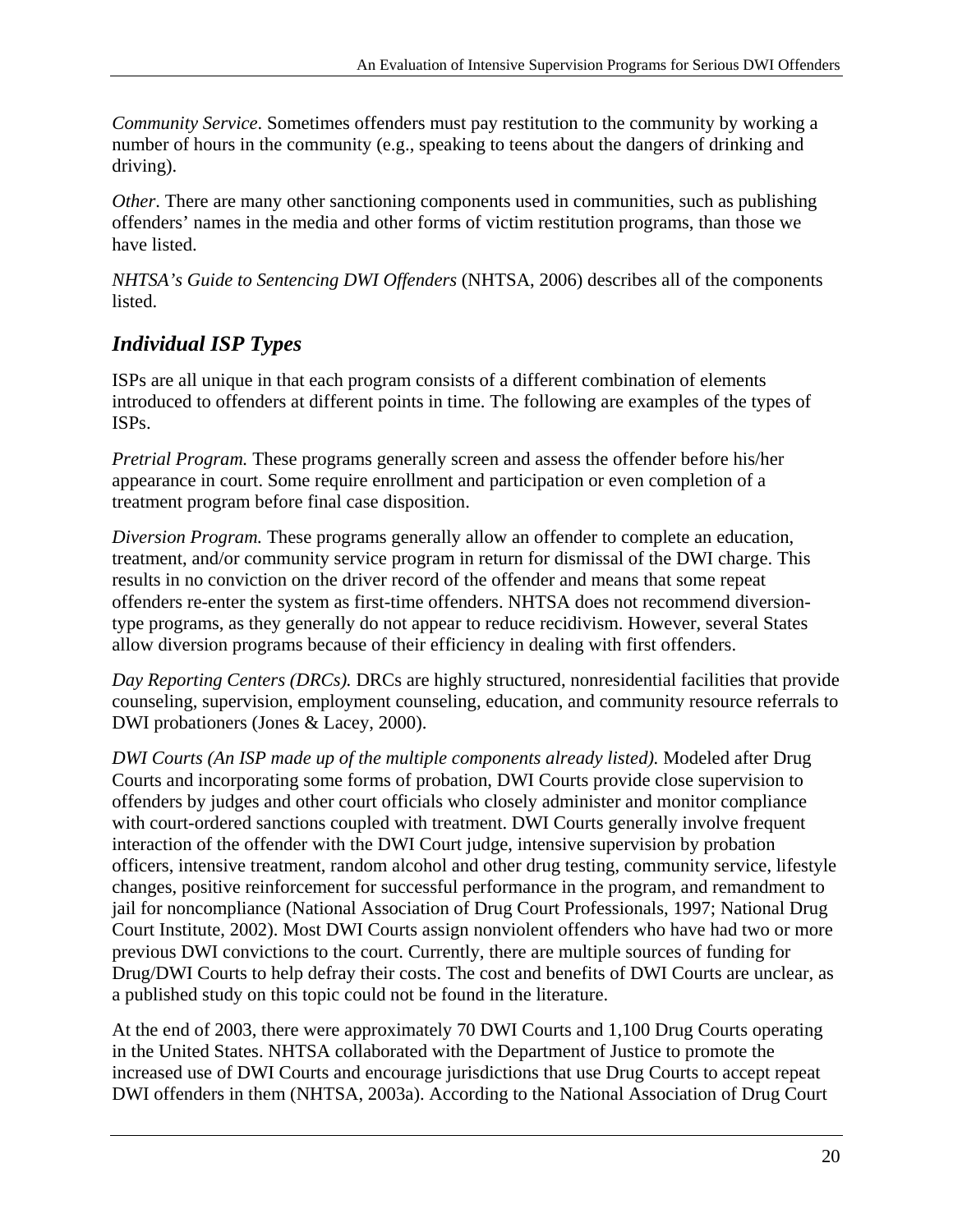*Community Service*. Sometimes offenders must pay restitution to the community by working a number of hours in the community (e.g., speaking to teens about the dangers of drinking and driving).

*Other*. There are many other sanctioning components used in communities, such as publishing offenders' names in the media and other forms of victim restitution programs, than those we have listed.

*NHTSA's Guide to Sentencing DWI Offenders* (NHTSA, 2006) describes all of the components listed.

#### *Individual ISP Types*

ISPs are all unique in that each program consists of a different combination of elements introduced to offenders at different points in time. The following are examples of the types of ISPs.

*Pretrial Program.* These programs generally screen and assess the offender before his/her appearance in court. Some require enrollment and participation or even completion of a treatment program before final case disposition.

*Diversion Program.* These programs generally allow an offender to complete an education, treatment, and/or community service program in return for dismissal of the DWI charge. This results in no conviction on the driver record of the offender and means that some repeat offenders re-enter the system as first-time offenders. NHTSA does not recommend diversiontype programs, as they generally do not appear to reduce recidivism. However, several States allow diversion programs because of their efficiency in dealing with first offenders.

*Day Reporting Centers (DRCs).* DRCs are highly structured, nonresidential facilities that provide counseling, supervision, employment counseling, education, and community resource referrals to DWI probationers (Jones & Lacey, 2000).

*DWI Courts (An ISP made up of the multiple components already listed).* Modeled after Drug Courts and incorporating some forms of probation, DWI Courts provide close supervision to offenders by judges and other court officials who closely administer and monitor compliance with court-ordered sanctions coupled with treatment. DWI Courts generally involve frequent interaction of the offender with the DWI Court judge, intensive supervision by probation officers, intensive treatment, random alcohol and other drug testing, community service, lifestyle changes, positive reinforcement for successful performance in the program, and remandment to jail for noncompliance (National Association of Drug Court Professionals, 1997; National Drug Court Institute, 2002). Most DWI Courts assign nonviolent offenders who have had two or more previous DWI convictions to the court. Currently, there are multiple sources of funding for Drug/DWI Courts to help defray their costs. The cost and benefits of DWI Courts are unclear, as a published study on this topic could not be found in the literature.

At the end of 2003, there were approximately 70 DWI Courts and 1,100 Drug Courts operating in the United States. NHTSA collaborated with the Department of Justice to promote the increased use of DWI Courts and encourage jurisdictions that use Drug Courts to accept repeat DWI offenders in them (NHTSA, 2003a). According to the National Association of Drug Court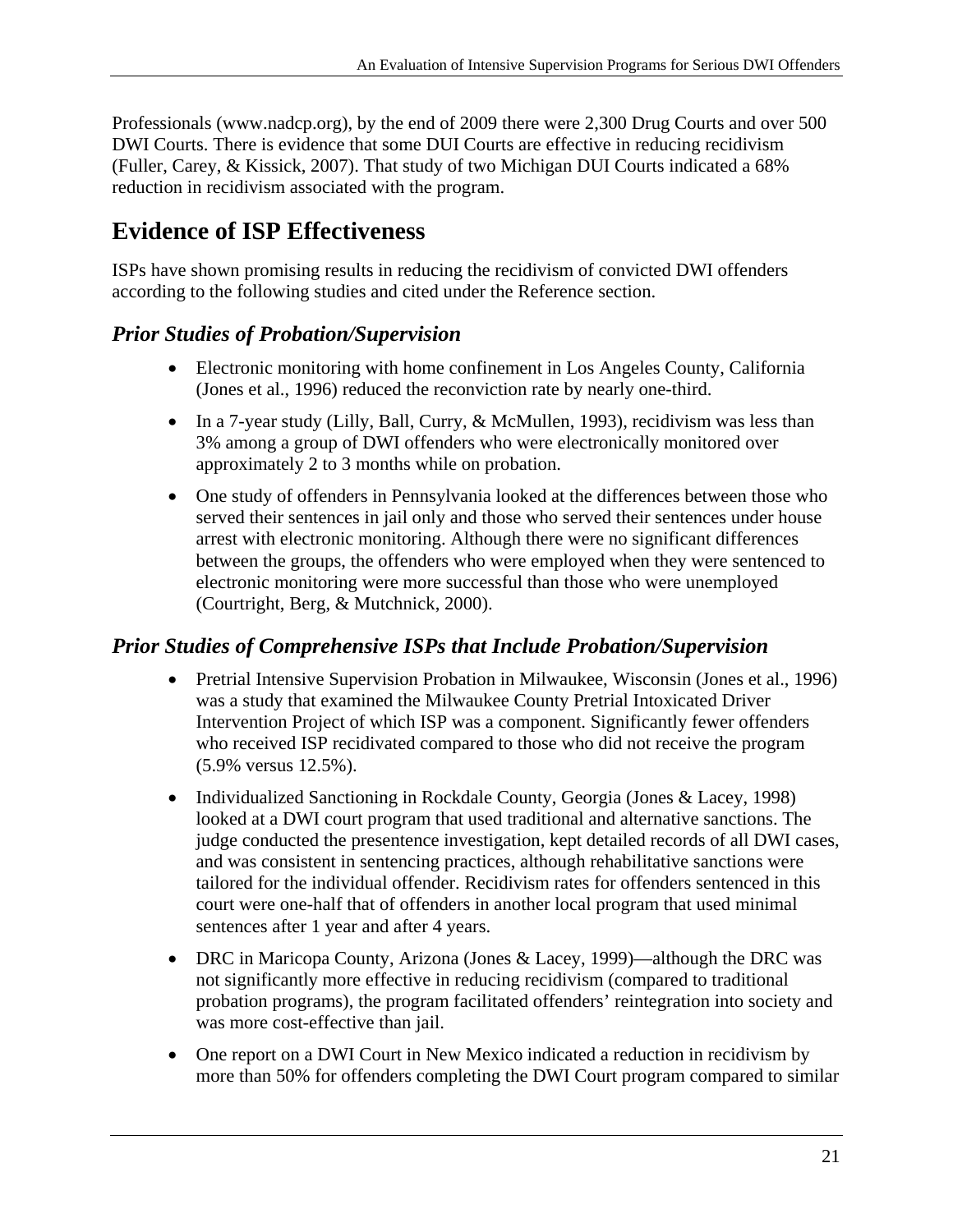Professionals (www.nadcp.org), by the end of 2009 there were 2,300 Drug Courts and over 500 DWI Courts. There is evidence that some DUI Courts are effective in reducing recidivism (Fuller, Carey, & Kissick, 2007). That study of two Michigan DUI Courts indicated a 68% reduction in recidivism associated with the program.

## **Evidence of ISP Effectiveness**

ISPs have shown promising results in reducing the recidivism of convicted DWI offenders according to the following studies and cited under the Reference section.

#### *Prior Studies of Probation/Supervision*

- Electronic monitoring with home confinement in Los Angeles County, California (Jones et al., 1996) reduced the reconviction rate by nearly one-third.
- In a 7-year study (Lilly, Ball, Curry, & McMullen, 1993), recidivism was less than 3% among a group of DWI offenders who were electronically monitored over approximately 2 to 3 months while on probation.
- One study of offenders in Pennsylvania looked at the differences between those who served their sentences in jail only and those who served their sentences under house arrest with electronic monitoring. Although there were no significant differences between the groups, the offenders who were employed when they were sentenced to electronic monitoring were more successful than those who were unemployed (Courtright, Berg, & Mutchnick, 2000).

#### *Prior Studies of Comprehensive ISPs that Include Probation/Supervision*

- Pretrial Intensive Supervision Probation in Milwaukee, Wisconsin (Jones et al., 1996) was a study that examined the Milwaukee County Pretrial Intoxicated Driver Intervention Project of which ISP was a component. Significantly fewer offenders who received ISP recidivated compared to those who did not receive the program (5.9% versus 12.5%).
- Individualized Sanctioning in Rockdale County, Georgia (Jones & Lacey, 1998) looked at a DWI court program that used traditional and alternative sanctions. The judge conducted the presentence investigation, kept detailed records of all DWI cases, and was consistent in sentencing practices, although rehabilitative sanctions were tailored for the individual offender. Recidivism rates for offenders sentenced in this court were one-half that of offenders in another local program that used minimal sentences after 1 year and after 4 years.
- DRC in Maricopa County, Arizona (Jones & Lacey, 1999)—although the DRC was not significantly more effective in reducing recidivism (compared to traditional probation programs), the program facilitated offenders' reintegration into society and was more cost-effective than jail.
- One report on a DWI Court in New Mexico indicated a reduction in recidivism by more than 50% for offenders completing the DWI Court program compared to similar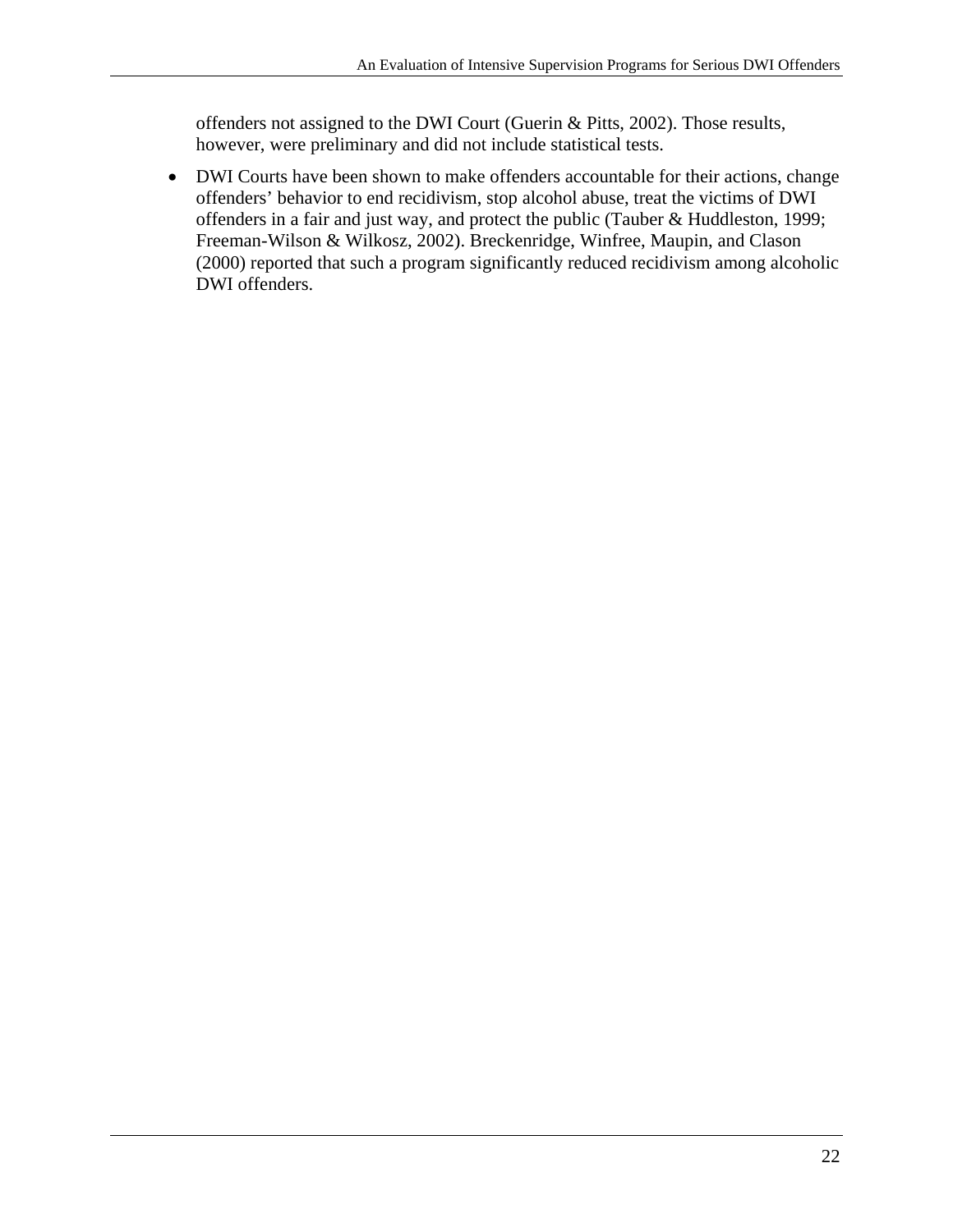offenders not assigned to the DWI Court (Guerin & Pitts, 2002). Those results, however, were preliminary and did not include statistical tests.

 DWI Courts have been shown to make offenders accountable for their actions, change offenders' behavior to end recidivism, stop alcohol abuse, treat the victims of DWI offenders in a fair and just way, and protect the public (Tauber & Huddleston, 1999; Freeman-Wilson & Wilkosz, 2002). Breckenridge, Winfree, Maupin, and Clason (2000) reported that such a program significantly reduced recidivism among alcoholic DWI offenders.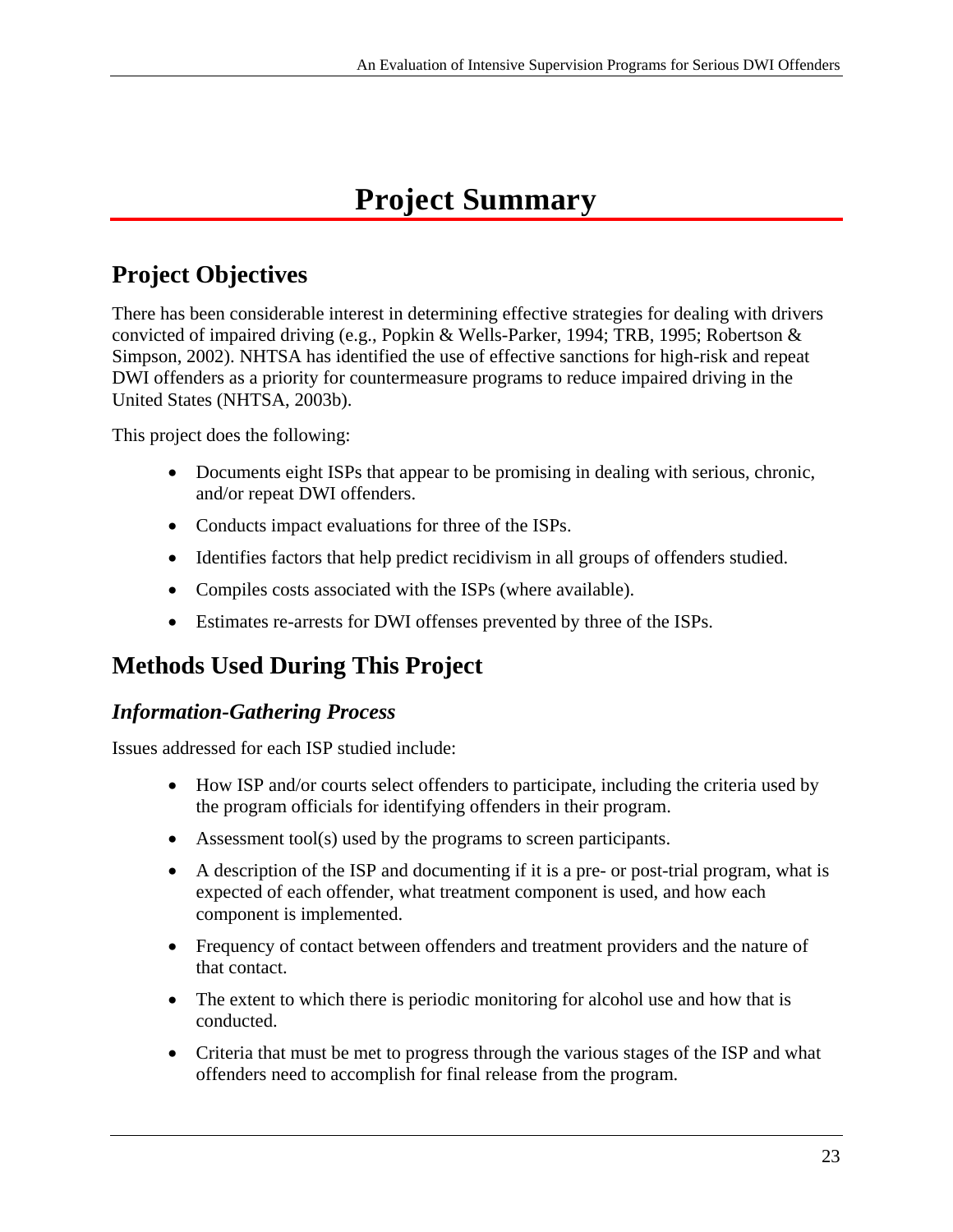# **Project Summary**

# **Project Objectives**

There has been considerable interest in determining effective strategies for dealing with drivers convicted of impaired driving (e.g., Popkin & Wells-Parker, 1994; TRB, 1995; Robertson & Simpson, 2002). NHTSA has identified the use of effective sanctions for high-risk and repeat DWI offenders as a priority for countermeasure programs to reduce impaired driving in the United States (NHTSA, 2003b).

This project does the following:

- Documents eight ISPs that appear to be promising in dealing with serious, chronic, and/or repeat DWI offenders.
- Conducts impact evaluations for three of the ISPs.
- Identifies factors that help predict recidivism in all groups of offenders studied.
- Compiles costs associated with the ISPs (where available).
- Estimates re-arrests for DWI offenses prevented by three of the ISPs.

## **Methods Used During This Project**

#### *Information-Gathering Process*

Issues addressed for each ISP studied include:

- How ISP and/or courts select offenders to participate, including the criteria used by the program officials for identifying offenders in their program.
- Assessment tool(s) used by the programs to screen participants.
- A description of the ISP and documenting if it is a pre- or post-trial program, what is expected of each offender, what treatment component is used, and how each component is implemented.
- that contact. • Frequency of contact between offenders and treatment providers and the nature of
- The extent to which there is periodic monitoring for alcohol use and how that is conducted.
- Criteria that must be met to progress through the various stages of the ISP and what offenders need to accomplish for final release from the program.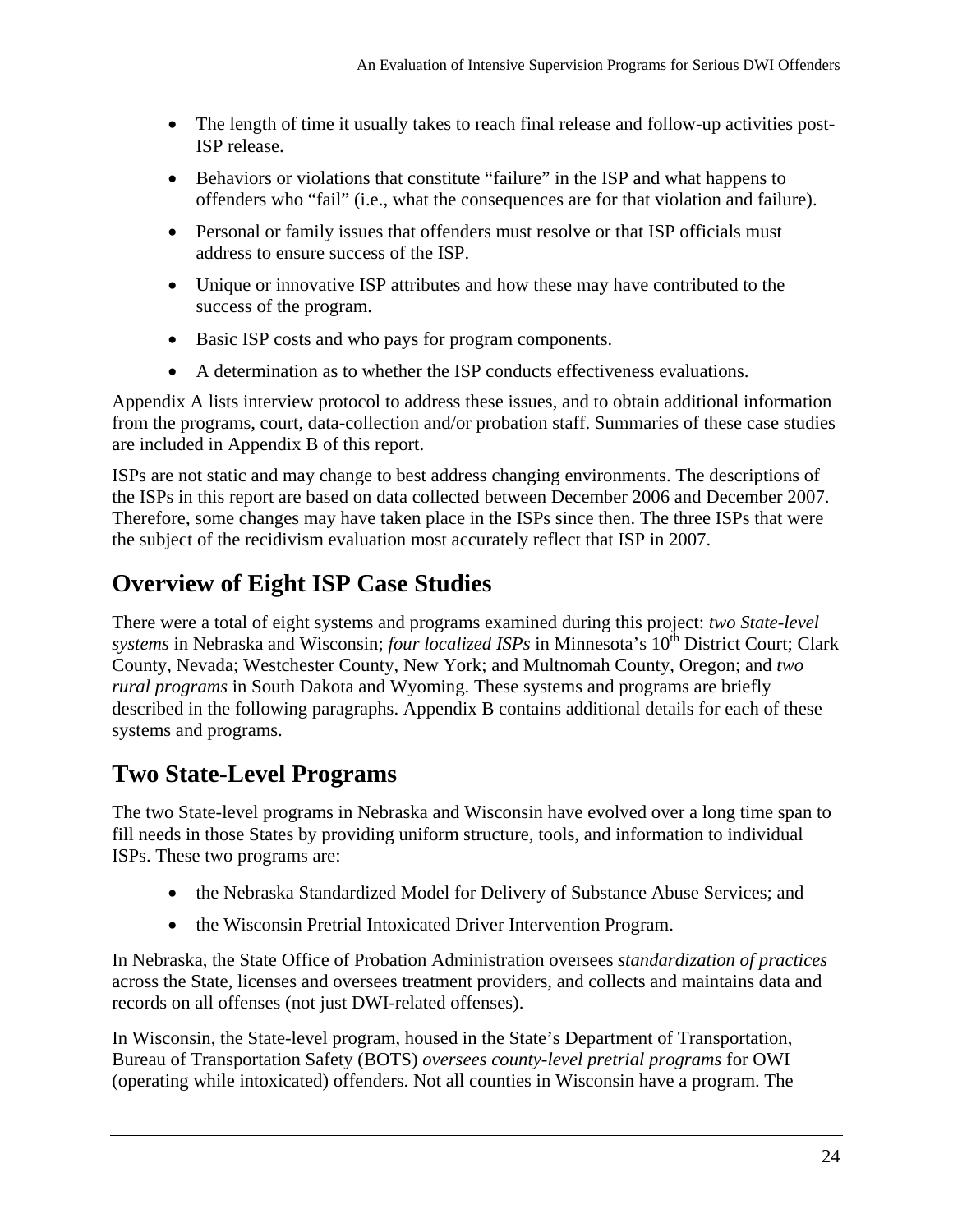- The length of time it usually takes to reach final release and follow-up activities post-ISP release.
- Behaviors or violations that constitute "failure" in the ISP and what happens to offenders who "fail" (i.e., what the consequences are for that violation and failure).
- Personal or family issues that offenders must resolve or that ISP officials must address to ensure success of the ISP.
- Unique or innovative ISP attributes and how these may have contributed to the success of the program.
- Basic ISP costs and who pays for program components.
- A determination as to whether the ISP conducts effectiveness evaluations.

Appendix A lists interview protocol to address these issues, and to obtain additional information from the programs, court, data-collection and/or probation staff. Summaries of these case studies are included in Appendix B of this report.

ISPs are not static and may change to best address changing environments. The descriptions of the ISPs in this report are based on data collected between December 2006 and December 2007. Therefore, some changes may have taken place in the ISPs since then. The three ISPs that were the subject of the recidivism evaluation most accurately reflect that ISP in 2007.

# **Overview of Eight ISP Case Studies**

There were a total of eight systems and programs examined during this project: *two State-level systems* in Nebraska and Wisconsin; *four localized ISPs* in Minnesota's 10<sup>th</sup> District Court; Clark County, Nevada; Westchester County, New York; and Multnomah County, Oregon; and *two rural programs* in South Dakota and Wyoming. These systems and programs are briefly described in the following paragraphs. Appendix B contains additional details for each of these systems and programs.

## **Two State-Level Programs**

The two State-level programs in Nebraska and Wisconsin have evolved over a long time span to fill needs in those States by providing uniform structure, tools, and information to individual ISPs. These two programs are:

- the Nebraska Standardized Model for Delivery of Substance Abuse Services; and
- the Wisconsin Pretrial Intoxicated Driver Intervention Program.

In Nebraska, the State Office of Probation Administration oversees *standardization of practices*  across the State, licenses and oversees treatment providers, and collects and maintains data and records on all offenses (not just DWI-related offenses).

In Wisconsin, the State-level program, housed in the State's Department of Transportation, Bureau of Transportation Safety (BOTS) *oversees county-level pretrial programs* for OWI (operating while intoxicated) offenders. Not all counties in Wisconsin have a program. The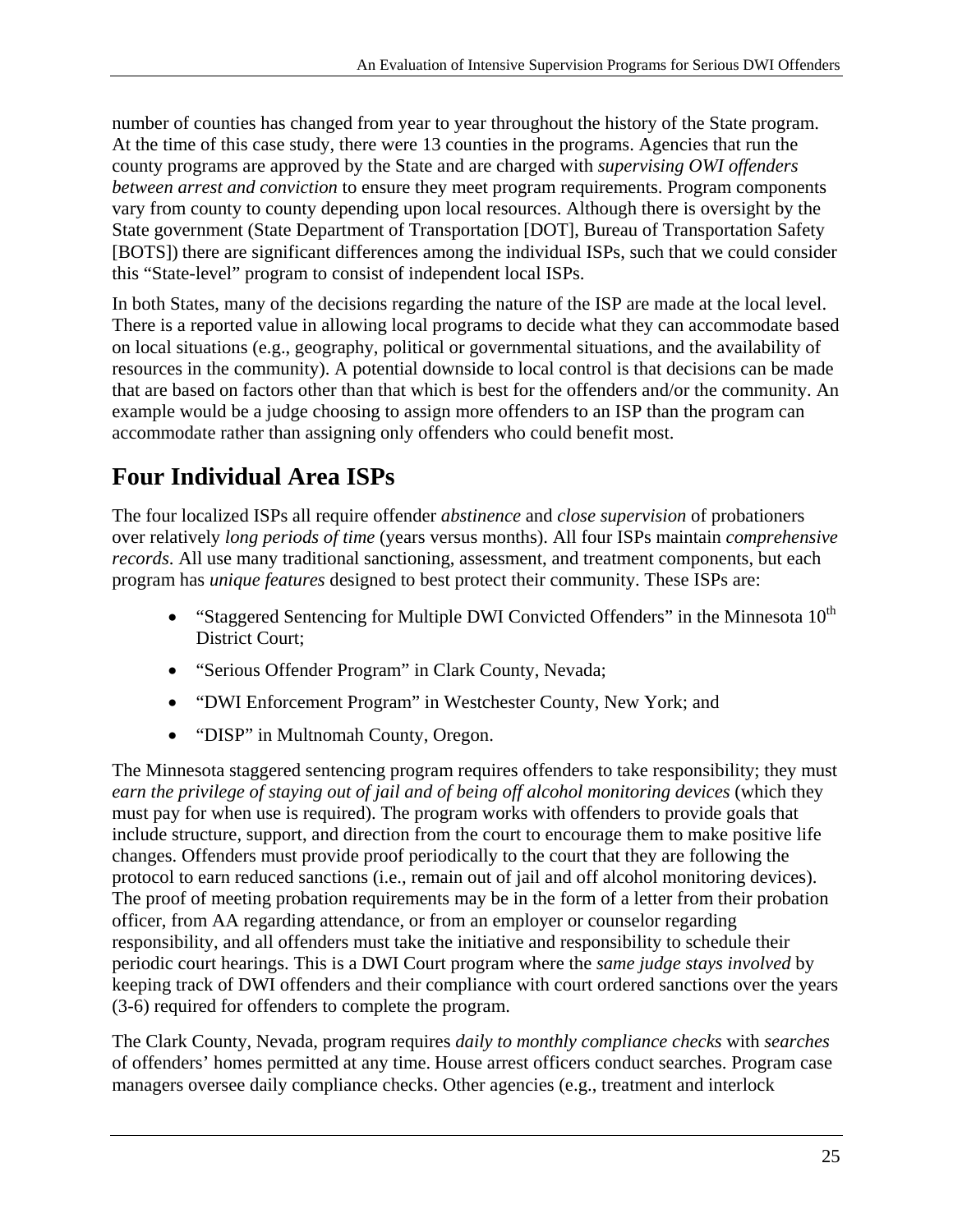number of counties has changed from year to year throughout the history of the State program. At the time of this case study, there were 13 counties in the programs. Agencies that run the county programs are approved by the State and are charged with *supervising OWI offenders between arrest and conviction* to ensure they meet program requirements. Program components vary from county to county depending upon local resources. Although there is oversight by the State government (State Department of Transportation [DOT], Bureau of Transportation Safety [BOTS]) there are significant differences among the individual ISPs, such that we could consider this "State-level" program to consist of independent local ISPs.

In both States, many of the decisions regarding the nature of the ISP are made at the local level. There is a reported value in allowing local programs to decide what they can accommodate based on local situations (e.g., geography, political or governmental situations, and the availability of resources in the community). A potential downside to local control is that decisions can be made that are based on factors other than that which is best for the offenders and/or the community. An example would be a judge choosing to assign more offenders to an ISP than the program can accommodate rather than assigning only offenders who could benefit most.

# **Four Individual Area ISPs**

The four localized ISPs all require offender *abstinence* and *close supervision* of probationers over relatively *long periods of time* (years versus months). All four ISPs maintain *comprehensive records*. All use many traditional sanctioning, assessment, and treatment components, but each program has *unique features* designed to best protect their community. These ISPs are:

- "Staggered Sentencing for Multiple DWI Convicted Offenders" in the Minnesota  $10^{th}$ District Court;
- "Serious Offender Program" in Clark County, Nevada;
- "DWI Enforcement Program" in Westchester County, New York; and
- "DISP" in Multnomah County, Oregon.

The Minnesota staggered sentencing program requires offenders to take responsibility; they must *earn the privilege of staying out of jail and of being off alcohol monitoring devices* (which they must pay for when use is required). The program works with offenders to provide goals that include structure, support, and direction from the court to encourage them to make positive life changes. Offenders must provide proof periodically to the court that they are following the protocol to earn reduced sanctions (i.e., remain out of jail and off alcohol monitoring devices). The proof of meeting probation requirements may be in the form of a letter from their probation officer, from AA regarding attendance, or from an employer or counselor regarding responsibility, and all offenders must take the initiative and responsibility to schedule their periodic court hearings. This is a DWI Court program where the *same judge stays involved* by keeping track of DWI offenders and their compliance with court ordered sanctions over the years (3-6) required for offenders to complete the program.

The Clark County, Nevada, program requires *daily to monthly compliance checks* with *searches*  of offenders' homes permitted at any time. House arrest officers conduct searches. Program case managers oversee daily compliance checks. Other agencies (e.g., treatment and interlock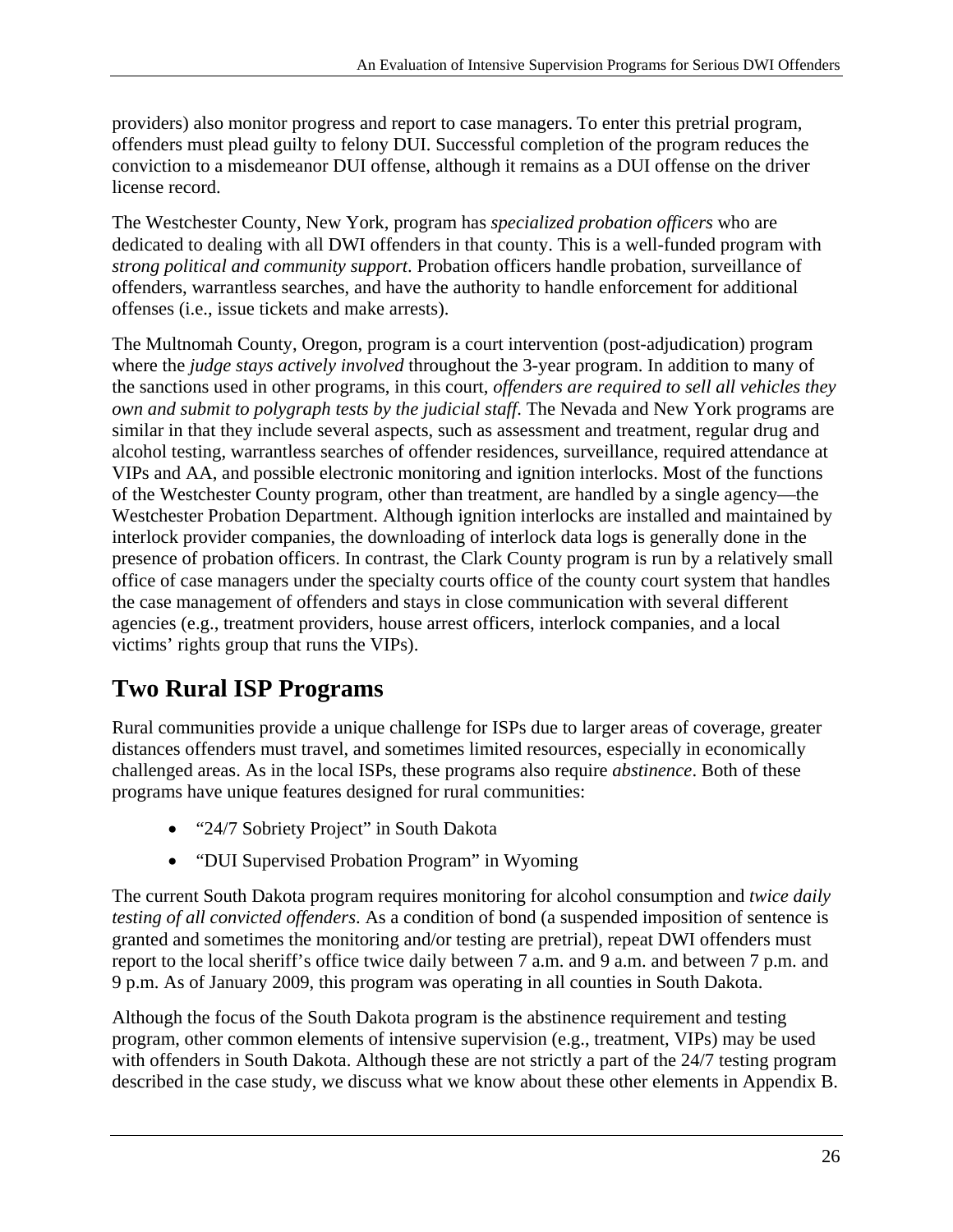providers) also monitor progress and report to case managers. To enter this pretrial program, offenders must plead guilty to felony DUI. Successful completion of the program reduces the conviction to a misdemeanor DUI offense, although it remains as a DUI offense on the driver license record.

The Westchester County, New York, program has *specialized probation officers* who are dedicated to dealing with all DWI offenders in that county. This is a well-funded program with *strong political and community support*. Probation officers handle probation, surveillance of offenders, warrantless searches, and have the authority to handle enforcement for additional offenses (i.e., issue tickets and make arrests).

The Multnomah County, Oregon, program is a court intervention (post-adjudication) program where the *judge stays actively involved* throughout the 3-year program. In addition to many of the sanctions used in other programs, in this court, *offenders are required to sell all vehicles they own and submit to polygraph tests by the judicial staff*. The Nevada and New York programs are similar in that they include several aspects, such as assessment and treatment, regular drug and alcohol testing, warrantless searches of offender residences, surveillance, required attendance at VIPs and AA, and possible electronic monitoring and ignition interlocks. Most of the functions of the Westchester County program, other than treatment, are handled by a single agency—the Westchester Probation Department. Although ignition interlocks are installed and maintained by interlock provider companies, the downloading of interlock data logs is generally done in the presence of probation officers. In contrast, the Clark County program is run by a relatively small office of case managers under the specialty courts office of the county court system that handles the case management of offenders and stays in close communication with several different agencies (e.g., treatment providers, house arrest officers, interlock companies, and a local victims' rights group that runs the VIPs).

# **Two Rural ISP Programs**

Rural communities provide a unique challenge for ISPs due to larger areas of coverage, greater distances offenders must travel, and sometimes limited resources, especially in economically challenged areas. As in the local ISPs, these programs also require *abstinence*. Both of these programs have unique features designed for rural communities:

- "24/7 Sobriety Project" in South Dakota
- "DUI Supervised Probation Program" in Wyoming

The current South Dakota program requires monitoring for alcohol consumption and *twice daily testing of all convicted offenders*. As a condition of bond (a suspended imposition of sentence is granted and sometimes the monitoring and/or testing are pretrial), repeat DWI offenders must report to the local sheriff's office twice daily between 7 a.m. and 9 a.m. and between 7 p.m. and 9 p.m. As of January 2009, this program was operating in all counties in South Dakota.

Although the focus of the South Dakota program is the abstinence requirement and testing program, other common elements of intensive supervision (e.g., treatment, VIPs) may be used with offenders in South Dakota. Although these are not strictly a part of the 24/7 testing program described in the case study, we discuss what we know about these other elements in Appendix B.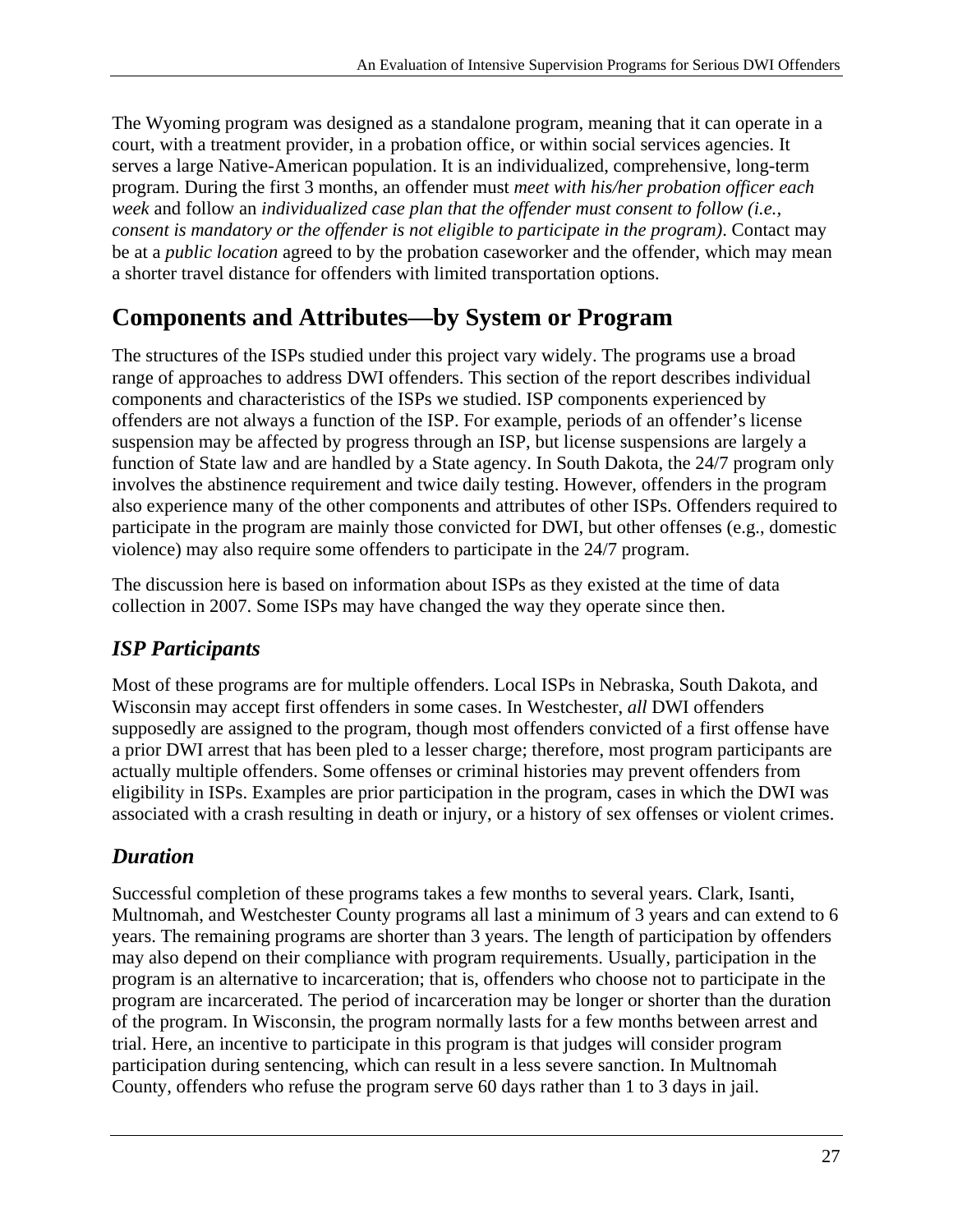The Wyoming program was designed as a standalone program, meaning that it can operate in a court, with a treatment provider, in a probation office, or within social services agencies. It serves a large Native-American population. It is an individualized, comprehensive, long-term program. During the first 3 months, an offender must *meet with his/her probation officer each week* and follow an *individualized case plan that the offender must consent to follow (i.e., consent is mandatory or the offender is not eligible to participate in the program)*. Contact may be at a *public location* agreed to by the probation caseworker and the offender, which may mean a shorter travel distance for offenders with limited transportation options.

# **Components and Attributes—by System or Program**

The structures of the ISPs studied under this project vary widely. The programs use a broad range of approaches to address DWI offenders. This section of the report describes individual components and characteristics of the ISPs we studied. ISP components experienced by offenders are not always a function of the ISP. For example, periods of an offender's license suspension may be affected by progress through an ISP, but license suspensions are largely a function of State law and are handled by a State agency. In South Dakota, the 24/7 program only involves the abstinence requirement and twice daily testing. However, offenders in the program also experience many of the other components and attributes of other ISPs. Offenders required to participate in the program are mainly those convicted for DWI, but other offenses (e.g., domestic violence) may also require some offenders to participate in the 24/7 program.

The discussion here is based on information about ISPs as they existed at the time of data collection in 2007. Some ISPs may have changed the way they operate since then.

## *ISP Participants*

Most of these programs are for multiple offenders. Local ISPs in Nebraska, South Dakota, and Wisconsin may accept first offenders in some cases. In Westchester, *all* DWI offenders supposedly are assigned to the program, though most offenders convicted of a first offense have a prior DWI arrest that has been pled to a lesser charge; therefore, most program participants are actually multiple offenders. Some offenses or criminal histories may prevent offenders from eligibility in ISPs. Examples are prior participation in the program, cases in which the DWI was associated with a crash resulting in death or injury, or a history of sex offenses or violent crimes.

#### *Duration*

Successful completion of these programs takes a few months to several years. Clark, Isanti, Multnomah, and Westchester County programs all last a minimum of 3 years and can extend to 6 years. The remaining programs are shorter than 3 years. The length of participation by offenders may also depend on their compliance with program requirements. Usually, participation in the program is an alternative to incarceration; that is, offenders who choose not to participate in the program are incarcerated. The period of incarceration may be longer or shorter than the duration of the program. In Wisconsin, the program normally lasts for a few months between arrest and trial. Here, an incentive to participate in this program is that judges will consider program participation during sentencing, which can result in a less severe sanction. In Multnomah County, offenders who refuse the program serve 60 days rather than 1 to 3 days in jail.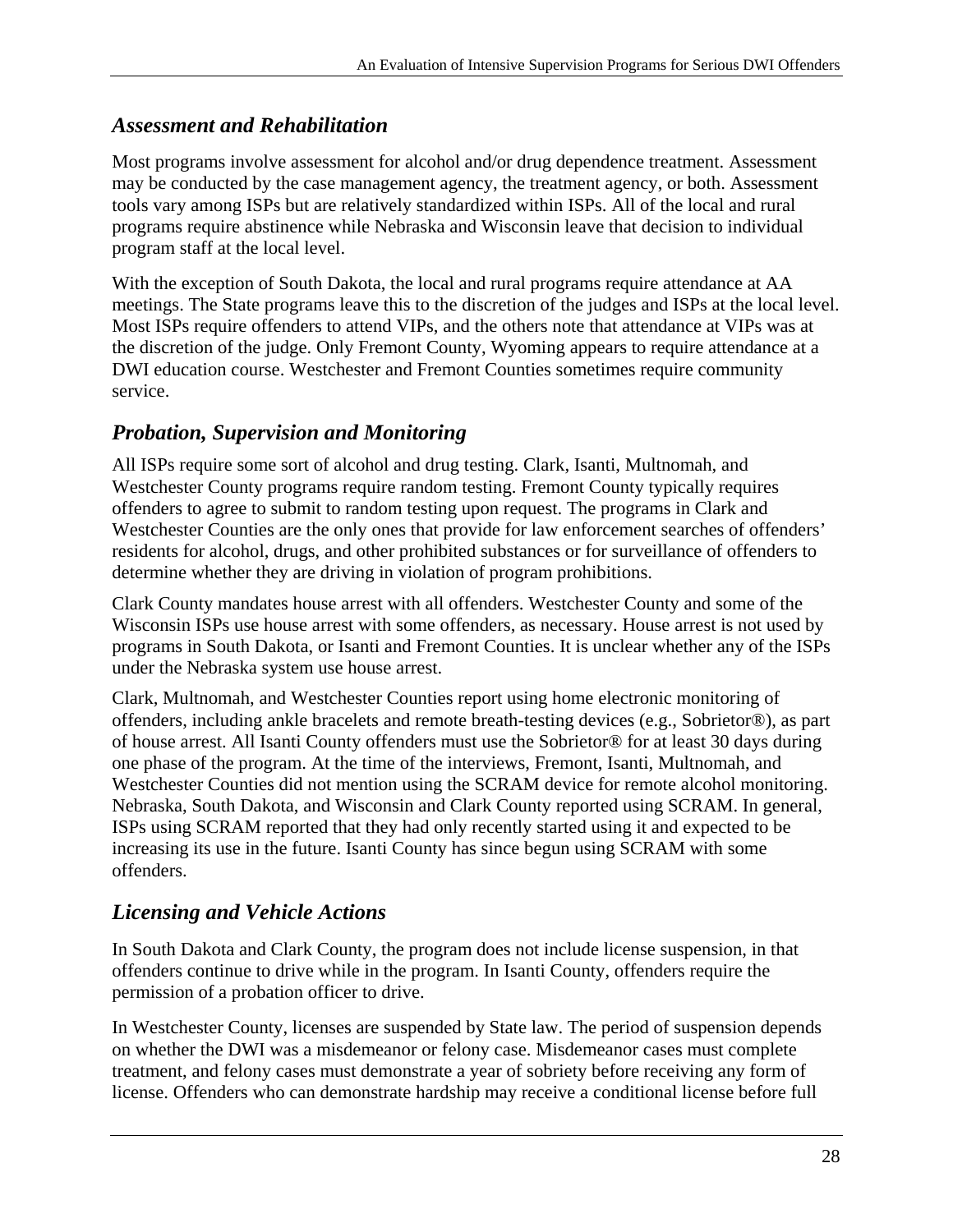#### *Assessment and Rehabilitation*

Most programs involve assessment for alcohol and/or drug dependence treatment. Assessment may be conducted by the case management agency, the treatment agency, or both. Assessment tools vary among ISPs but are relatively standardized within ISPs. All of the local and rural programs require abstinence while Nebraska and Wisconsin leave that decision to individual program staff at the local level.

With the exception of South Dakota, the local and rural programs require attendance at AA meetings. The State programs leave this to the discretion of the judges and ISPs at the local level. Most ISPs require offenders to attend VIPs, and the others note that attendance at VIPs was at the discretion of the judge. Only Fremont County, Wyoming appears to require attendance at a DWI education course. Westchester and Fremont Counties sometimes require community service.

#### *Probation, Supervision and Monitoring*

All ISPs require some sort of alcohol and drug testing. Clark, Isanti, Multnomah, and Westchester County programs require random testing. Fremont County typically requires offenders to agree to submit to random testing upon request. The programs in Clark and Westchester Counties are the only ones that provide for law enforcement searches of offenders' residents for alcohol, drugs, and other prohibited substances or for surveillance of offenders to determine whether they are driving in violation of program prohibitions.

Clark County mandates house arrest with all offenders. Westchester County and some of the Wisconsin ISPs use house arrest with some offenders, as necessary. House arrest is not used by programs in South Dakota, or Isanti and Fremont Counties. It is unclear whether any of the ISPs under the Nebraska system use house arrest.

Clark, Multnomah, and Westchester Counties report using home electronic monitoring of offenders, including ankle bracelets and remote breath-testing devices (e.g., Sobrietor®), as part of house arrest. All Isanti County offenders must use the Sobrietor® for at least 30 days during one phase of the program. At the time of the interviews, Fremont, Isanti, Multnomah, and Westchester Counties did not mention using the SCRAM device for remote alcohol monitoring. Nebraska, South Dakota, and Wisconsin and Clark County reported using SCRAM. In general, ISPs using SCRAM reported that they had only recently started using it and expected to be increasing its use in the future. Isanti County has since begun using SCRAM with some offenders.

#### *Licensing and Vehicle Actions*

In South Dakota and Clark County, the program does not include license suspension, in that offenders continue to drive while in the program. In Isanti County, offenders require the permission of a probation officer to drive.

In Westchester County, licenses are suspended by State law. The period of suspension depends on whether the DWI was a misdemeanor or felony case. Misdemeanor cases must complete treatment, and felony cases must demonstrate a year of sobriety before receiving any form of license. Offenders who can demonstrate hardship may receive a conditional license before full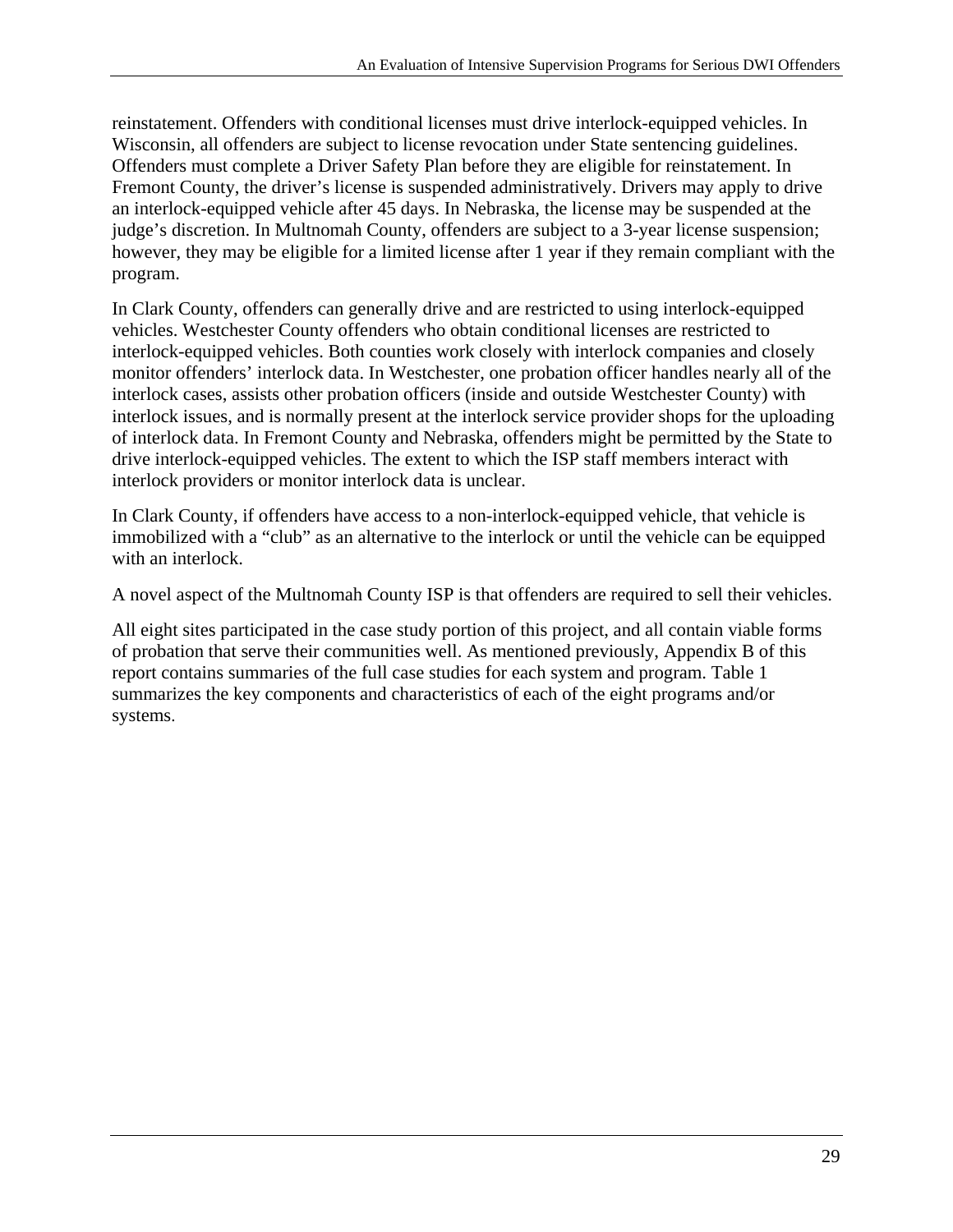reinstatement. Offenders with conditional licenses must drive interlock-equipped vehicles. In Wisconsin, all offenders are subject to license revocation under State sentencing guidelines. Offenders must complete a Driver Safety Plan before they are eligible for reinstatement. In Fremont County, the driver's license is suspended administratively. Drivers may apply to drive an interlock-equipped vehicle after 45 days. In Nebraska, the license may be suspended at the judge's discretion. In Multnomah County, offenders are subject to a 3-year license suspension; however, they may be eligible for a limited license after 1 year if they remain compliant with the program.

In Clark County, offenders can generally drive and are restricted to using interlock-equipped vehicles. Westchester County offenders who obtain conditional licenses are restricted to interlock-equipped vehicles. Both counties work closely with interlock companies and closely monitor offenders' interlock data. In Westchester, one probation officer handles nearly all of the interlock cases, assists other probation officers (inside and outside Westchester County) with interlock issues, and is normally present at the interlock service provider shops for the uploading of interlock data. In Fremont County and Nebraska, offenders might be permitted by the State to drive interlock-equipped vehicles. The extent to which the ISP staff members interact with interlock providers or monitor interlock data is unclear.

In Clark County, if offenders have access to a non-interlock-equipped vehicle, that vehicle is immobilized with a "club" as an alternative to the interlock or until the vehicle can be equipped with an interlock.

A novel aspect of the Multnomah County ISP is that offenders are required to sell their vehicles.

All eight sites participated in the case study portion of this project, and all contain viable forms of probation that serve their communities well. As mentioned previously, Appendix B of this report contains summaries of the full case studies for each system and program. Table 1 summarizes the key components and characteristics of each of the eight programs and/or systems.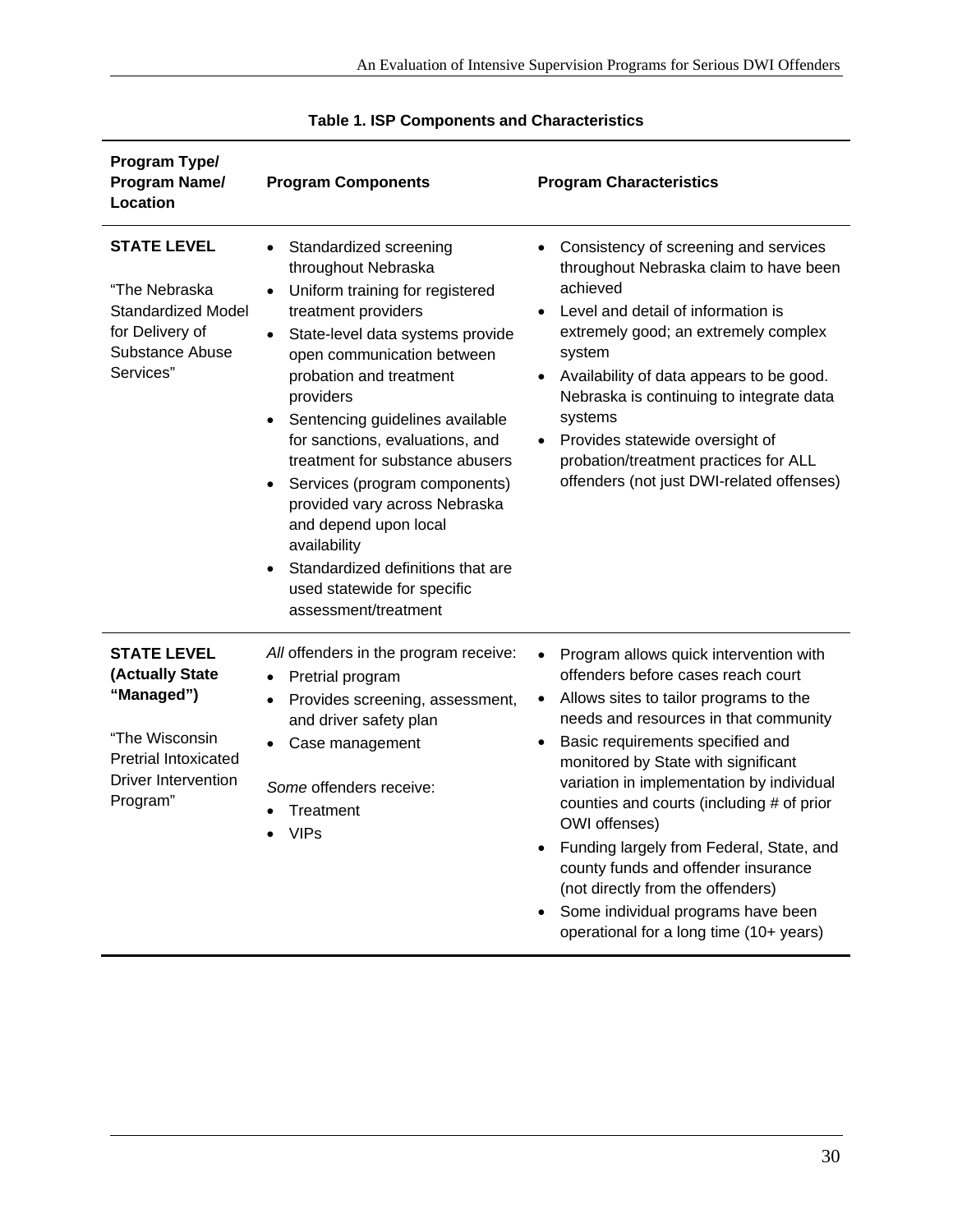| Program Type/<br>Program Name/<br>Location                                                                                                     | <b>Program Components</b>                                                                                                                                                                                                                                                                                                                                                                                                                                                                                                                                                                          | <b>Program Characteristics</b>                                                                                                                                                                                                                                                                                                                                                                                                                                                                                                                                                                        |
|------------------------------------------------------------------------------------------------------------------------------------------------|----------------------------------------------------------------------------------------------------------------------------------------------------------------------------------------------------------------------------------------------------------------------------------------------------------------------------------------------------------------------------------------------------------------------------------------------------------------------------------------------------------------------------------------------------------------------------------------------------|-------------------------------------------------------------------------------------------------------------------------------------------------------------------------------------------------------------------------------------------------------------------------------------------------------------------------------------------------------------------------------------------------------------------------------------------------------------------------------------------------------------------------------------------------------------------------------------------------------|
| <b>STATE LEVEL</b><br>"The Nebraska<br><b>Standardized Model</b><br>for Delivery of<br><b>Substance Abuse</b><br>Services"                     | Standardized screening<br>$\bullet$<br>throughout Nebraska<br>Uniform training for registered<br>$\bullet$<br>treatment providers<br>State-level data systems provide<br>$\bullet$<br>open communication between<br>probation and treatment<br>providers<br>Sentencing guidelines available<br>for sanctions, evaluations, and<br>treatment for substance abusers<br>Services (program components)<br>$\bullet$<br>provided vary across Nebraska<br>and depend upon local<br>availability<br>Standardized definitions that are<br>$\bullet$<br>used statewide for specific<br>assessment/treatment | Consistency of screening and services<br>throughout Nebraska claim to have been<br>achieved<br>Level and detail of information is<br>extremely good; an extremely complex<br>system<br>Availability of data appears to be good.<br>$\bullet$<br>Nebraska is continuing to integrate data<br>systems<br>Provides statewide oversight of<br>$\bullet$<br>probation/treatment practices for ALL<br>offenders (not just DWI-related offenses)                                                                                                                                                             |
| <b>STATE LEVEL</b><br>(Actually State<br>"Managed")<br>"The Wisconsin<br><b>Pretrial Intoxicated</b><br><b>Driver Intervention</b><br>Program" | All offenders in the program receive:<br>Pretrial program<br>$\bullet$<br>Provides screening, assessment,<br>$\bullet$<br>and driver safety plan<br>Case management<br>$\bullet$<br>Some offenders receive:<br>Treatment<br>$\bullet$<br><b>VIPs</b>                                                                                                                                                                                                                                                                                                                                               | Program allows quick intervention with<br>offenders before cases reach court<br>Allows sites to tailor programs to the<br>$\bullet$<br>needs and resources in that community<br>Basic requirements specified and<br>$\bullet$<br>monitored by State with significant<br>variation in implementation by individual<br>counties and courts (including # of prior<br>OWI offenses)<br>Funding largely from Federal, State, and<br>$\bullet$<br>county funds and offender insurance<br>(not directly from the offenders)<br>Some individual programs have been<br>operational for a long time (10+ years) |

#### **Table 1. ISP Components and Characteristics**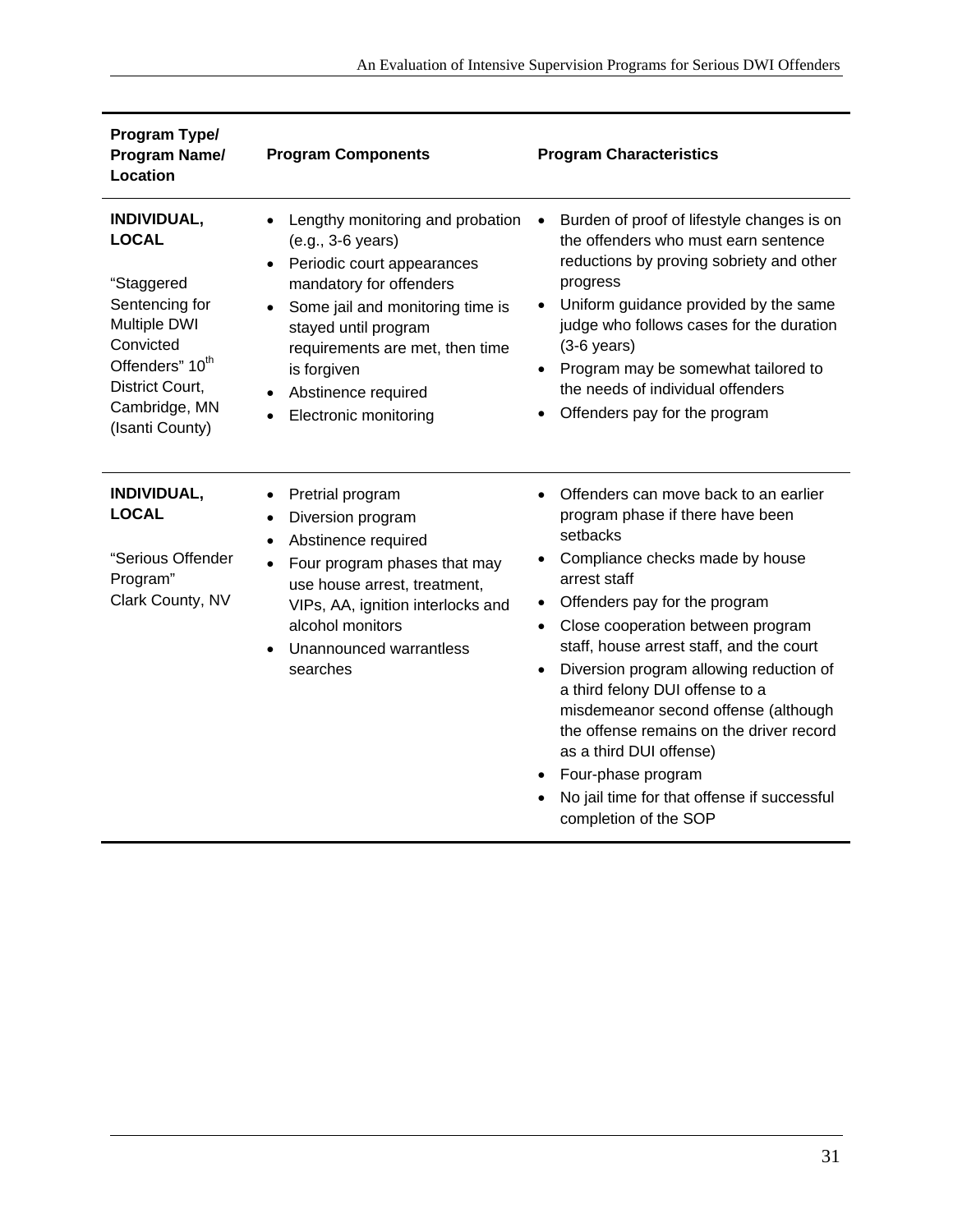| Program Type/<br>Program Name/<br>Location                                                                                                                                            | <b>Program Components</b>                                                                                                                                                                                                                                                                        | <b>Program Characteristics</b>                                                                                                                                                                                                                                                                                                                                                                                                                                                                                                                                                                            |
|---------------------------------------------------------------------------------------------------------------------------------------------------------------------------------------|--------------------------------------------------------------------------------------------------------------------------------------------------------------------------------------------------------------------------------------------------------------------------------------------------|-----------------------------------------------------------------------------------------------------------------------------------------------------------------------------------------------------------------------------------------------------------------------------------------------------------------------------------------------------------------------------------------------------------------------------------------------------------------------------------------------------------------------------------------------------------------------------------------------------------|
| INDIVIDUAL,<br><b>LOCAL</b><br>"Staggered<br>Sentencing for<br><b>Multiple DWI</b><br>Convicted<br>Offenders" 10 <sup>th</sup><br>District Court,<br>Cambridge, MN<br>(Isanti County) | Lengthy monitoring and probation<br>$\bullet$<br>(e.g., 3-6 years)<br>Periodic court appearances<br>mandatory for offenders<br>Some jail and monitoring time is<br>stayed until program<br>requirements are met, then time<br>is forgiven<br>Abstinence required<br><b>Electronic monitoring</b> | Burden of proof of lifestyle changes is on<br>$\bullet$<br>the offenders who must earn sentence<br>reductions by proving sobriety and other<br>progress<br>Uniform guidance provided by the same<br>$\bullet$<br>judge who follows cases for the duration<br>$(3-6$ years)<br>Program may be somewhat tailored to<br>$\bullet$<br>the needs of individual offenders<br>Offenders pay for the program                                                                                                                                                                                                      |
| INDIVIDUAL,<br><b>LOCAL</b><br>"Serious Offender<br>Program"<br>Clark County, NV                                                                                                      | Pretrial program<br>٠<br>Diversion program<br>$\bullet$<br>Abstinence required<br>Four program phases that may<br>use house arrest, treatment,<br>VIPs, AA, ignition interlocks and<br>alcohol monitors<br>Unannounced warrantless<br>searches                                                   | Offenders can move back to an earlier<br>$\bullet$<br>program phase if there have been<br>setbacks<br>Compliance checks made by house<br>arrest staff<br>Offenders pay for the program<br>$\bullet$<br>Close cooperation between program<br>$\bullet$<br>staff, house arrest staff, and the court<br>Diversion program allowing reduction of<br>$\bullet$<br>a third felony DUI offense to a<br>misdemeanor second offense (although<br>the offense remains on the driver record<br>as a third DUI offense)<br>Four-phase program<br>No jail time for that offense if successful<br>completion of the SOP |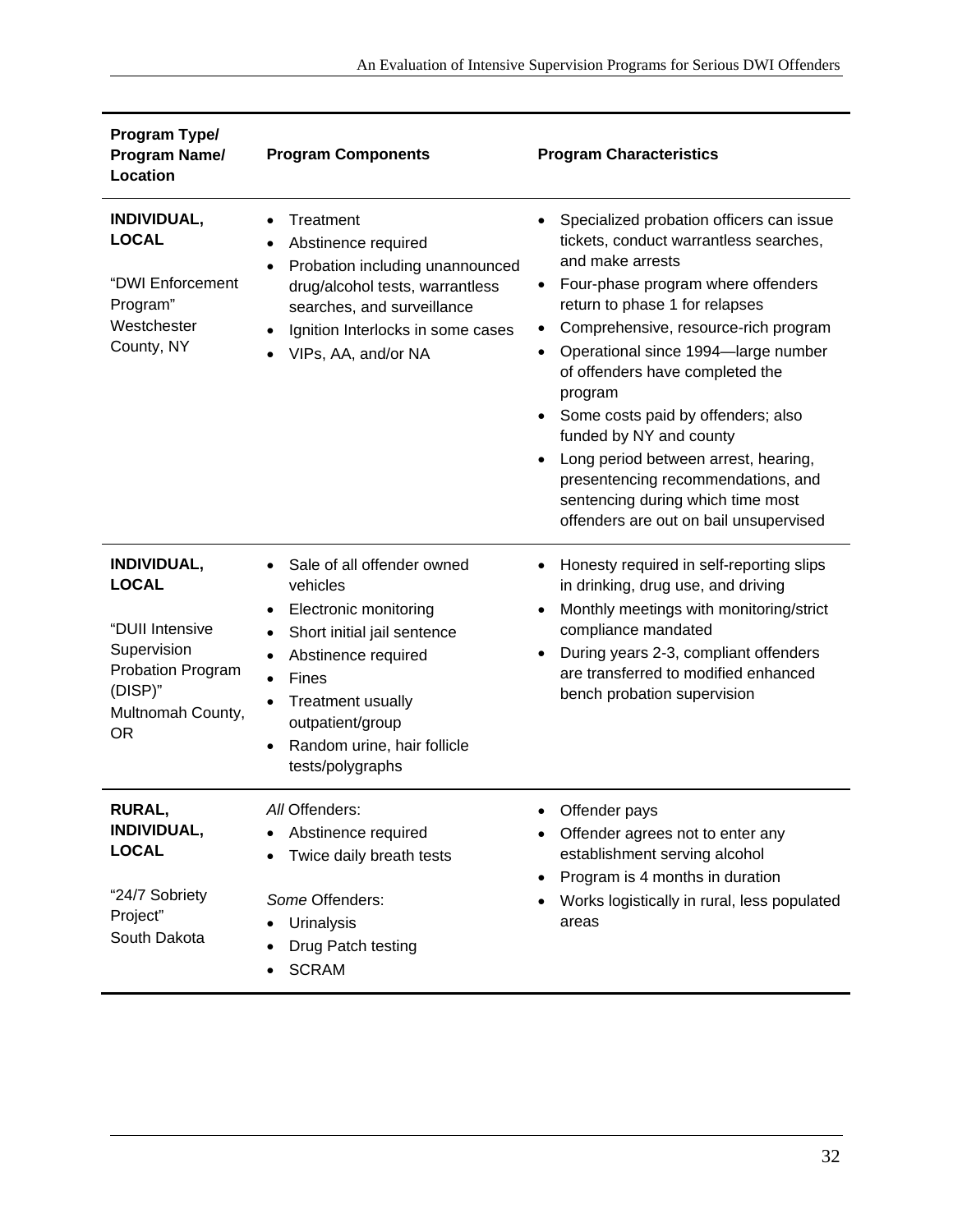| Program Type/<br><b>Program Name/</b><br>Location                                                                                      | <b>Program Components</b>                                                                                                                                                                                                              | <b>Program Characteristics</b>                                                                                                                                                                                                                                                                                                                                                                                                                                                                                                                                      |
|----------------------------------------------------------------------------------------------------------------------------------------|----------------------------------------------------------------------------------------------------------------------------------------------------------------------------------------------------------------------------------------|---------------------------------------------------------------------------------------------------------------------------------------------------------------------------------------------------------------------------------------------------------------------------------------------------------------------------------------------------------------------------------------------------------------------------------------------------------------------------------------------------------------------------------------------------------------------|
| INDIVIDUAL,<br><b>LOCAL</b><br>"DWI Enforcement<br>Program"<br>Westchester<br>County, NY                                               | Treatment<br>$\bullet$<br>Abstinence required<br>Probation including unannounced<br>drug/alcohol tests, warrantless<br>searches, and surveillance<br>Ignition Interlocks in some cases<br>VIPs, AA, and/or NA                          | Specialized probation officers can issue<br>tickets, conduct warrantless searches,<br>and make arrests<br>Four-phase program where offenders<br>$\bullet$<br>return to phase 1 for relapses<br>Comprehensive, resource-rich program<br>Operational since 1994-large number<br>$\bullet$<br>of offenders have completed the<br>program<br>Some costs paid by offenders; also<br>funded by NY and county<br>Long period between arrest, hearing,<br>presentencing recommendations, and<br>sentencing during which time most<br>offenders are out on bail unsupervised |
| <b>INDIVIDUAL,</b><br><b>LOCAL</b><br>"DUII Intensive<br>Supervision<br>Probation Program<br>(DISP)"<br>Multnomah County,<br><b>OR</b> | Sale of all offender owned<br>vehicles<br>Electronic monitoring<br>Short initial jail sentence<br>٠<br>Abstinence required<br>Fines<br><b>Treatment usually</b><br>outpatient/group<br>Random urine, hair follicle<br>tests/polygraphs | Honesty required in self-reporting slips<br>in drinking, drug use, and driving<br>Monthly meetings with monitoring/strict<br>compliance mandated<br>During years 2-3, compliant offenders<br>are transferred to modified enhanced<br>bench probation supervision                                                                                                                                                                                                                                                                                                    |
| <b>RURAL,</b><br>INDIVIDUAL,<br><b>LOCAL</b><br>"24/7 Sobriety<br>Project"<br>South Dakota                                             | All Offenders:<br>Abstinence required<br>Twice daily breath tests<br>Some Offenders:<br>Urinalysis<br>Drug Patch testing<br><b>SCRAM</b>                                                                                               | Offender pays<br>Offender agrees not to enter any<br>establishment serving alcohol<br>Program is 4 months in duration<br>Works logistically in rural, less populated<br>areas                                                                                                                                                                                                                                                                                                                                                                                       |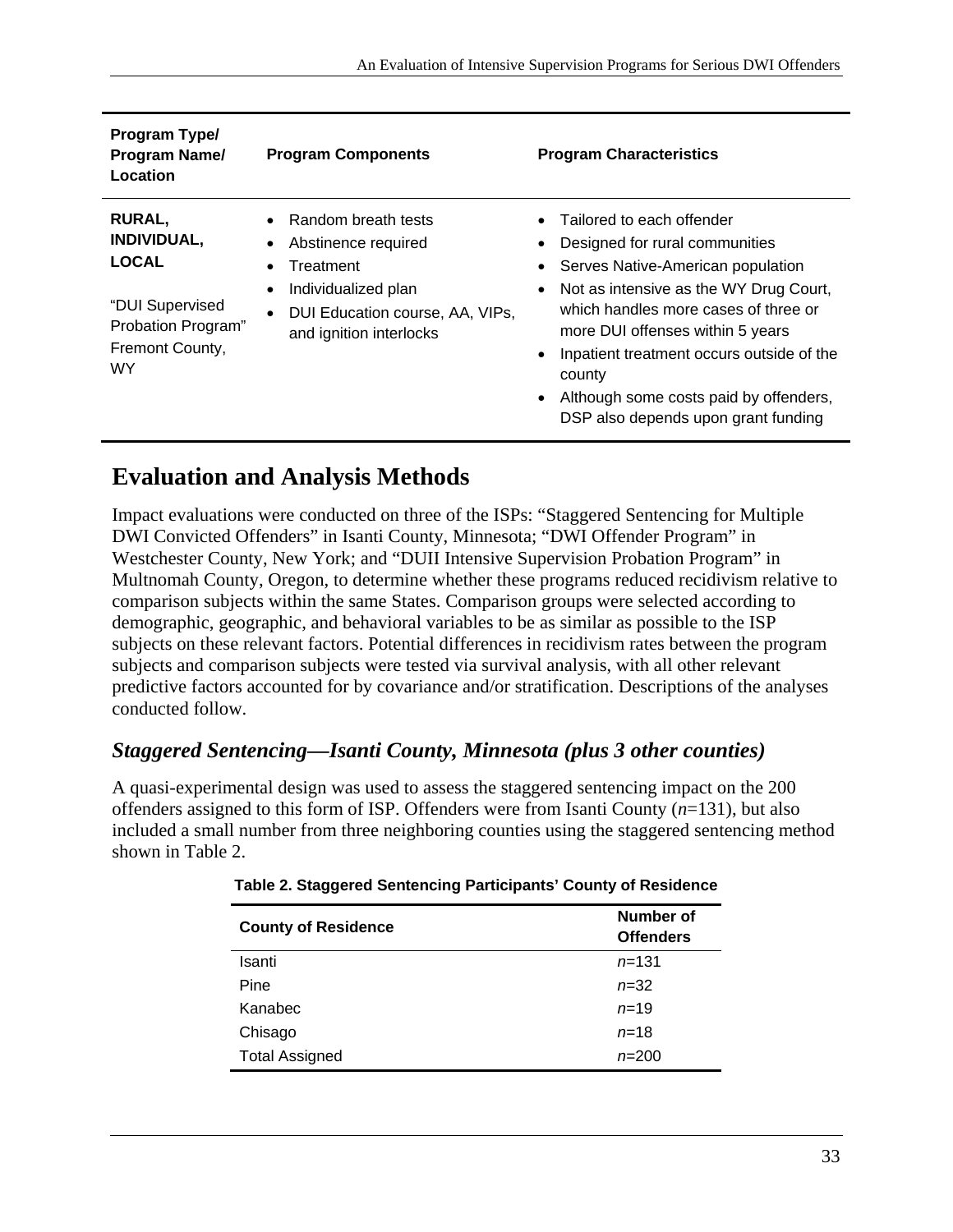| Program Type/<br><b>Program Name/</b><br>Location                                                                      | <b>Program Components</b>                                                                                                                                                                        | <b>Program Characteristics</b>                                                                                                                                                                                                                                                                                                                                              |
|------------------------------------------------------------------------------------------------------------------------|--------------------------------------------------------------------------------------------------------------------------------------------------------------------------------------------------|-----------------------------------------------------------------------------------------------------------------------------------------------------------------------------------------------------------------------------------------------------------------------------------------------------------------------------------------------------------------------------|
| <b>RURAL,</b><br><b>INDIVIDUAL,</b><br><b>LOCAL</b><br>"DUI Supervised<br>Probation Program"<br>Fremont County,<br>WY. | Random breath tests<br>Abstinence required<br>$\bullet$<br>Treatment<br>$\bullet$<br>Individualized plan<br>$\bullet$<br>DUI Education course, AA, VIPs,<br>$\bullet$<br>and ignition interlocks | Tailored to each offender<br>Designed for rural communities<br>Serves Native-American population<br>Not as intensive as the WY Drug Court,<br>which handles more cases of three or<br>more DUI offenses within 5 years<br>Inpatient treatment occurs outside of the<br>county<br>Although some costs paid by offenders,<br>$\bullet$<br>DSP also depends upon grant funding |

## **Evaluation and Analysis Methods**

Impact evaluations were conducted on three of the ISPs: "Staggered Sentencing for Multiple DWI Convicted Offenders" in Isanti County, Minnesota; "DWI Offender Program" in Westchester County, New York; and "DUII Intensive Supervision Probation Program" in Multnomah County, Oregon, to determine whether these programs reduced recidivism relative to comparison subjects within the same States. Comparison groups were selected according to demographic, geographic, and behavioral variables to be as similar as possible to the ISP subjects on these relevant factors. Potential differences in recidivism rates between the program subjects and comparison subjects were tested via survival analysis, with all other relevant predictive factors accounted for by covariance and/or stratification. Descriptions of the analyses conducted follow.

#### *Staggered Sentencing—Isanti County, Minnesota (plus 3 other counties)*

A quasi-experimental design was used to assess the staggered sentencing impact on the 200 offenders assigned to this form of ISP. Offenders were from Isanti County (*n*=131), but also included a small number from three neighboring counties using the staggered sentencing method shown in Table 2.

| <b>County of Residence</b> | Number of<br><b>Offenders</b> |
|----------------------------|-------------------------------|
| Isanti                     | $n = 131$                     |
| Pine                       | $n = 32$                      |
| Kanabec                    | $n = 19$                      |
| Chisago                    | $n = 18$                      |
| <b>Total Assigned</b>      | $n = 200$                     |

|  | Table 2. Staggered Sentencing Participants' County of Residence |  |
|--|-----------------------------------------------------------------|--|
|  |                                                                 |  |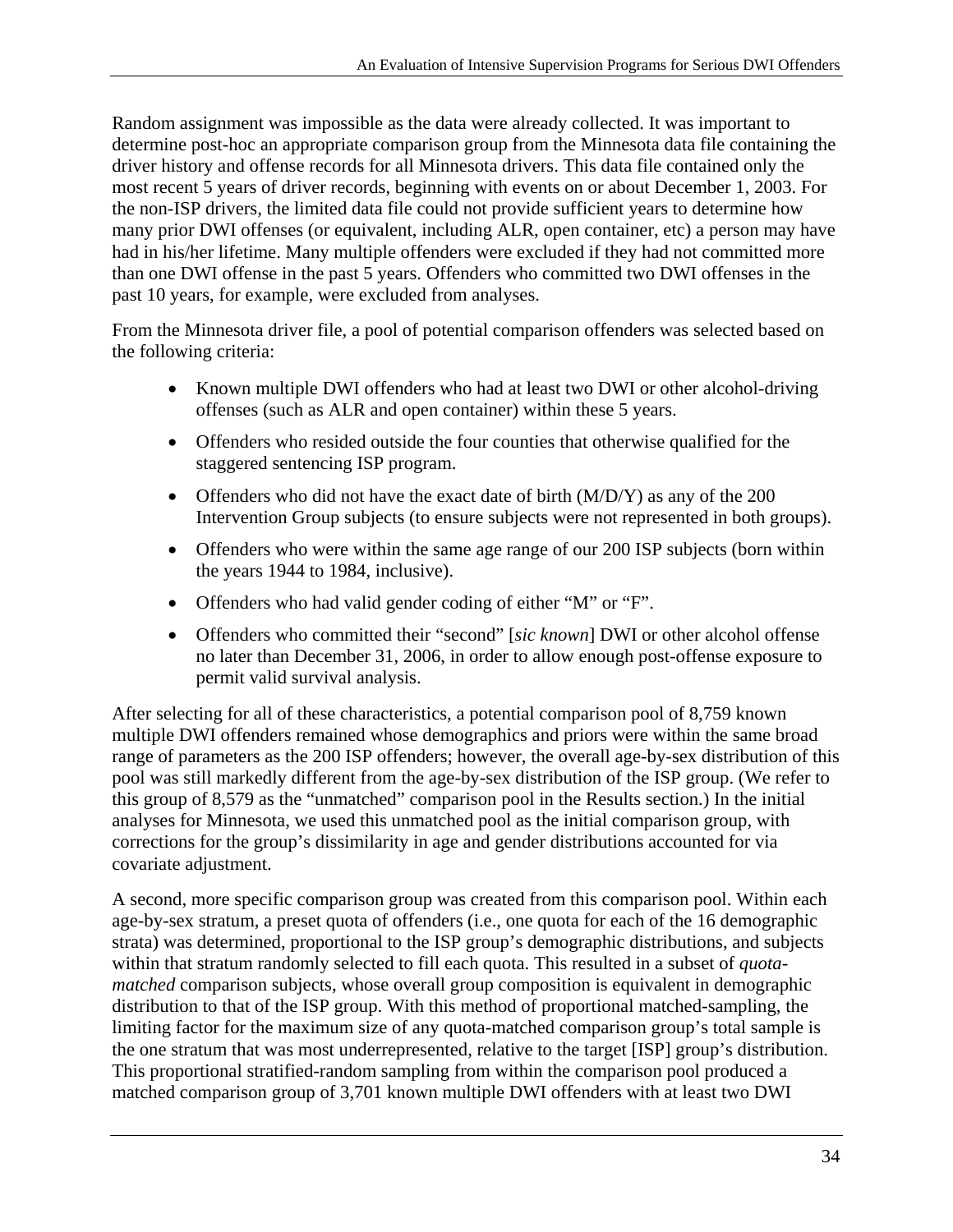Random assignment was impossible as the data were already collected. It was important to determine post-hoc an appropriate comparison group from the Minnesota data file containing the driver history and offense records for all Minnesota drivers. This data file contained only the most recent 5 years of driver records, beginning with events on or about December 1, 2003. For the non-ISP drivers, the limited data file could not provide sufficient years to determine how many prior DWI offenses (or equivalent, including ALR, open container, etc) a person may have had in his/her lifetime. Many multiple offenders were excluded if they had not committed more than one DWI offense in the past 5 years. Offenders who committed two DWI offenses in the past 10 years, for example, were excluded from analyses.

From the Minnesota driver file, a pool of potential comparison offenders was selected based on the following criteria:

- Known multiple DWI offenders who had at least two DWI or other alcohol-driving offenses (such as ALR and open container) within these 5 years.
- Offenders who resided outside the four counties that otherwise qualified for the staggered sentencing ISP program.
- Offenders who did not have the exact date of birth (M/D/Y) as any of the 200 Intervention Group subjects (to ensure subjects were not represented in both groups).
- Offenders who were within the same age range of our 200 ISP subjects (born within the years 1944 to 1984, inclusive).
- Offenders who had valid gender coding of either "M" or "F".
- Offenders who committed their "second" [*sic known*] DWI or other alcohol offense no later than December 31, 2006, in order to allow enough post-offense exposure to permit valid survival analysis.

After selecting for all of these characteristics, a potential comparison pool of 8,759 known multiple DWI offenders remained whose demographics and priors were within the same broad range of parameters as the 200 ISP offenders; however, the overall age-by-sex distribution of this pool was still markedly different from the age-by-sex distribution of the ISP group. (We refer to this group of 8,579 as the "unmatched" comparison pool in the Results section.) In the initial analyses for Minnesota, we used this unmatched pool as the initial comparison group, with corrections for the group's dissimilarity in age and gender distributions accounted for via covariate adjustment.

A second, more specific comparison group was created from this comparison pool. Within each age-by-sex stratum, a preset quota of offenders (i.e., one quota for each of the 16 demographic strata) was determined, proportional to the ISP group's demographic distributions, and subjects within that stratum randomly selected to fill each quota. This resulted in a subset of *quotamatched* comparison subjects, whose overall group composition is equivalent in demographic distribution to that of the ISP group. With this method of proportional matched-sampling, the limiting factor for the maximum size of any quota-matched comparison group's total sample is the one stratum that was most underrepresented, relative to the target [ISP] group's distribution. This proportional stratified-random sampling from within the comparison pool produced a matched comparison group of 3,701 known multiple DWI offenders with at least two DWI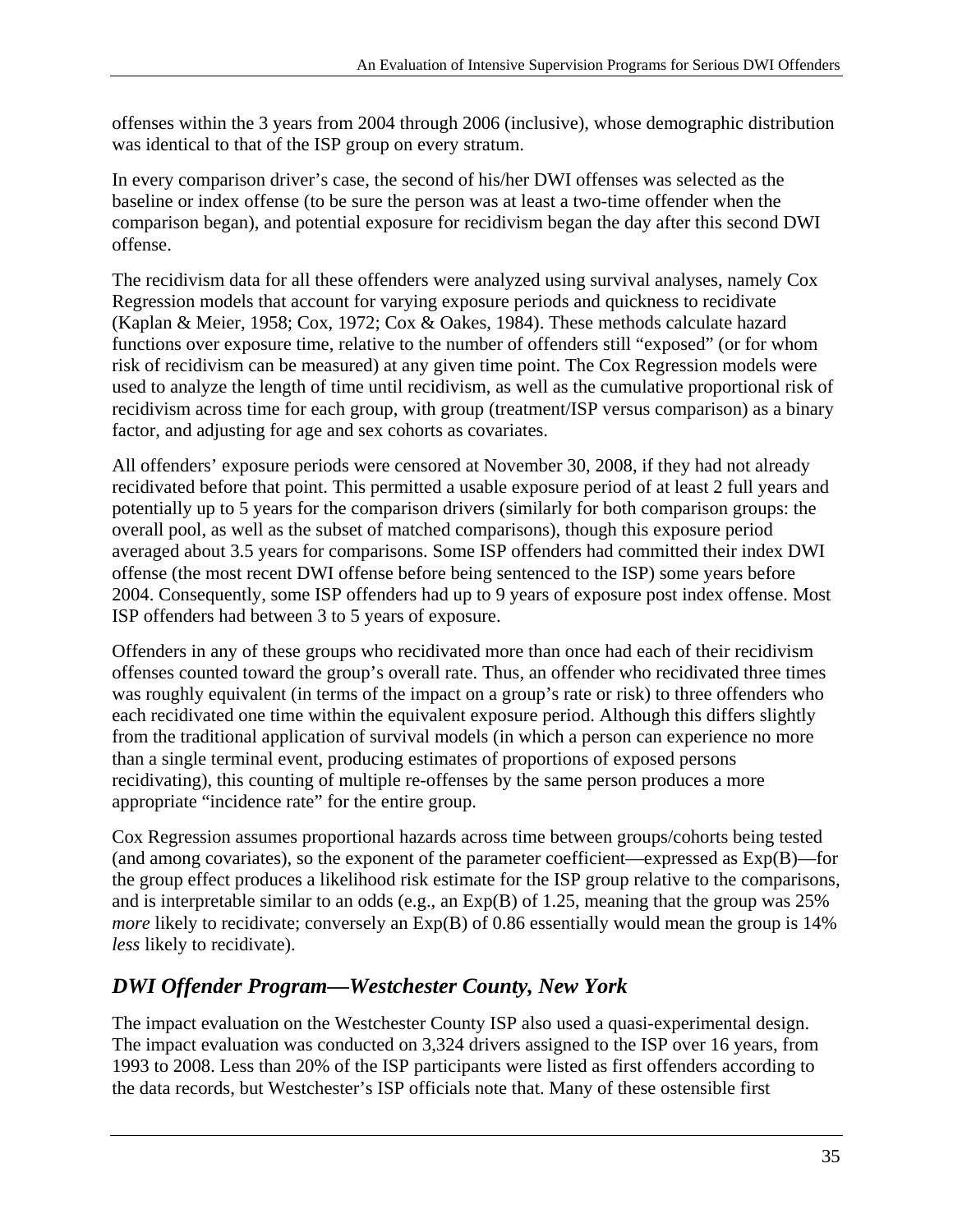offenses within the 3 years from 2004 through 2006 (inclusive), whose demographic distribution was identical to that of the ISP group on every stratum.

In every comparison driver's case, the second of his/her DWI offenses was selected as the baseline or index offense (to be sure the person was at least a two-time offender when the comparison began), and potential exposure for recidivism began the day after this second DWI offense.

The recidivism data for all these offenders were analyzed using survival analyses, namely Cox Regression models that account for varying exposure periods and quickness to recidivate (Kaplan & Meier, 1958; Cox, 1972; Cox & Oakes, 1984). These methods calculate hazard functions over exposure time, relative to the number of offenders still "exposed" (or for whom risk of recidivism can be measured) at any given time point. The Cox Regression models were used to analyze the length of time until recidivism, as well as the cumulative proportional risk of recidivism across time for each group, with group (treatment/ISP versus comparison) as a binary factor, and adjusting for age and sex cohorts as covariates.

All offenders' exposure periods were censored at November 30, 2008, if they had not already recidivated before that point. This permitted a usable exposure period of at least 2 full years and potentially up to 5 years for the comparison drivers (similarly for both comparison groups: the overall pool, as well as the subset of matched comparisons), though this exposure period averaged about 3.5 years for comparisons. Some ISP offenders had committed their index DWI offense (the most recent DWI offense before being sentenced to the ISP) some years before 2004. Consequently, some ISP offenders had up to 9 years of exposure post index offense. Most ISP offenders had between 3 to 5 years of exposure.

Offenders in any of these groups who recidivated more than once had each of their recidivism offenses counted toward the group's overall rate. Thus, an offender who recidivated three times was roughly equivalent (in terms of the impact on a group's rate or risk) to three offenders who each recidivated one time within the equivalent exposure period. Although this differs slightly from the traditional application of survival models (in which a person can experience no more than a single terminal event, producing estimates of proportions of exposed persons recidivating), this counting of multiple re-offenses by the same person produces a more appropriate "incidence rate" for the entire group.

Cox Regression assumes proportional hazards across time between groups/cohorts being tested (and among covariates), so the exponent of the parameter coefficient—expressed as Exp(B)—for the group effect produces a likelihood risk estimate for the ISP group relative to the comparisons, and is interpretable similar to an odds (e.g., an Exp(B) of 1.25, meaning that the group was 25% *more* likely to recidivate; conversely an Exp(B) of 0.86 essentially would mean the group is 14% *less* likely to recidivate).

#### *DWI Offender Program—Westchester County, New York*

The impact evaluation on the Westchester County ISP also used a quasi-experimental design. The impact evaluation was conducted on 3,324 drivers assigned to the ISP over 16 years, from 1993 to 2008. Less than 20% of the ISP participants were listed as first offenders according to the data records, but Westchester's ISP officials note that. Many of these ostensible first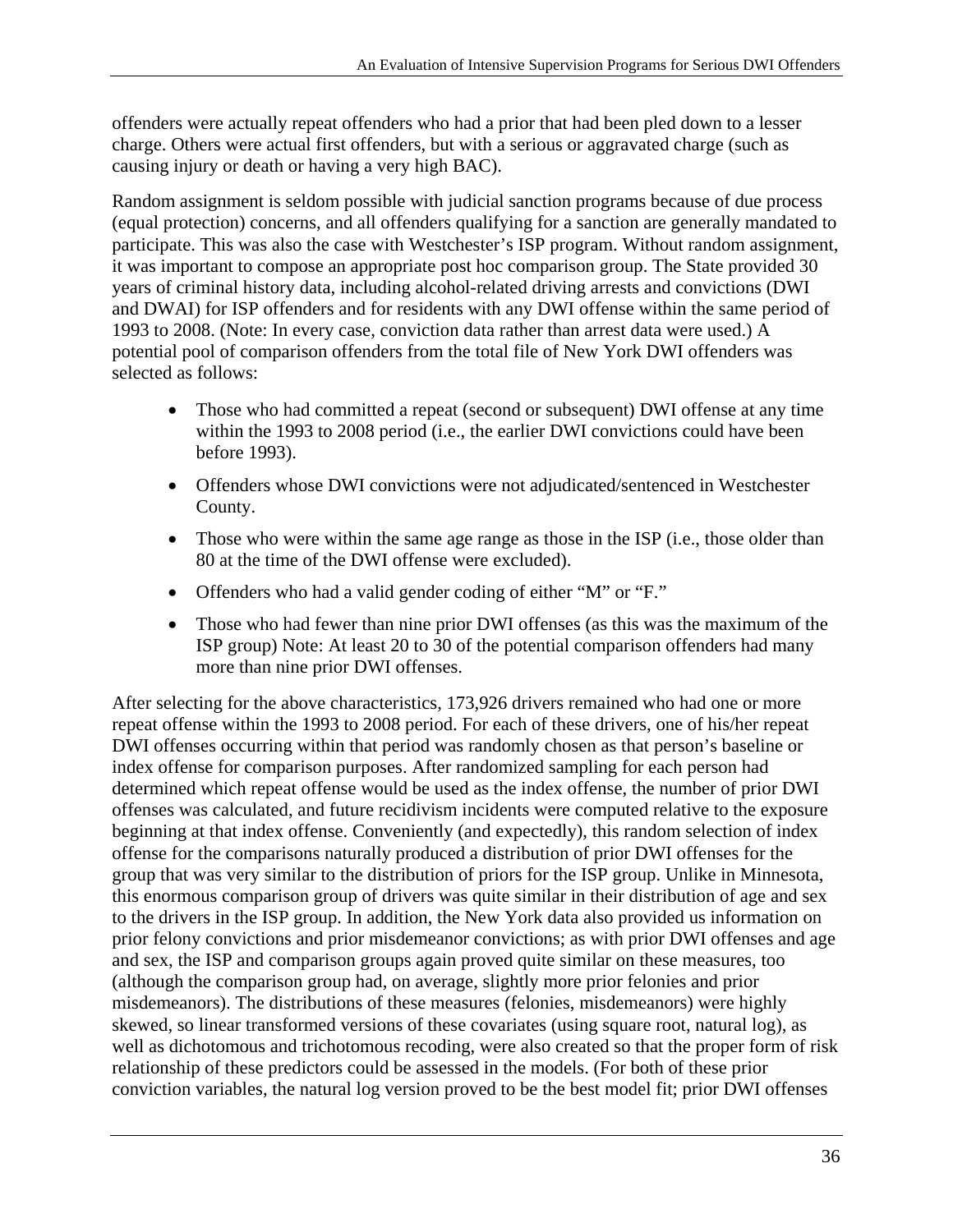offenders were actually repeat offenders who had a prior that had been pled down to a lesser charge. Others were actual first offenders, but with a serious or aggravated charge (such as causing injury or death or having a very high BAC).

Random assignment is seldom possible with judicial sanction programs because of due process (equal protection) concerns, and all offenders qualifying for a sanction are generally mandated to participate. This was also the case with Westchester's ISP program. Without random assignment, it was important to compose an appropriate post hoc comparison group. The State provided 30 years of criminal history data, including alcohol-related driving arrests and convictions (DWI and DWAI) for ISP offenders and for residents with any DWI offense within the same period of 1993 to 2008. (Note: In every case, conviction data rather than arrest data were used.) A potential pool of comparison offenders from the total file of New York DWI offenders was selected as follows:

- Those who had committed a repeat (second or subsequent) DWI offense at any time within the 1993 to 2008 period (i.e., the earlier DWI convictions could have been before 1993).
- Offenders whose DWI convictions were not adjudicated/sentenced in Westchester County.
- Those who were within the same age range as those in the ISP (i.e., those older than 80 at the time of the DWI offense were excluded).
- Offenders who had a valid gender coding of either "M" or "F."
- Those who had fewer than nine prior DWI offenses (as this was the maximum of the ISP group) Note: At least 20 to 30 of the potential comparison offenders had many more than nine prior DWI offenses.

After selecting for the above characteristics, 173,926 drivers remained who had one or more repeat offense within the 1993 to 2008 period. For each of these drivers, one of his/her repeat DWI offenses occurring within that period was randomly chosen as that person's baseline or index offense for comparison purposes. After randomized sampling for each person had determined which repeat offense would be used as the index offense, the number of prior DWI offenses was calculated, and future recidivism incidents were computed relative to the exposure beginning at that index offense. Conveniently (and expectedly), this random selection of index offense for the comparisons naturally produced a distribution of prior DWI offenses for the group that was very similar to the distribution of priors for the ISP group. Unlike in Minnesota, this enormous comparison group of drivers was quite similar in their distribution of age and sex to the drivers in the ISP group. In addition, the New York data also provided us information on prior felony convictions and prior misdemeanor convictions; as with prior DWI offenses and age and sex, the ISP and comparison groups again proved quite similar on these measures, too (although the comparison group had, on average, slightly more prior felonies and prior misdemeanors). The distributions of these measures (felonies, misdemeanors) were highly skewed, so linear transformed versions of these covariates (using square root, natural log), as well as dichotomous and trichotomous recoding, were also created so that the proper form of risk relationship of these predictors could be assessed in the models. (For both of these prior conviction variables, the natural log version proved to be the best model fit; prior DWI offenses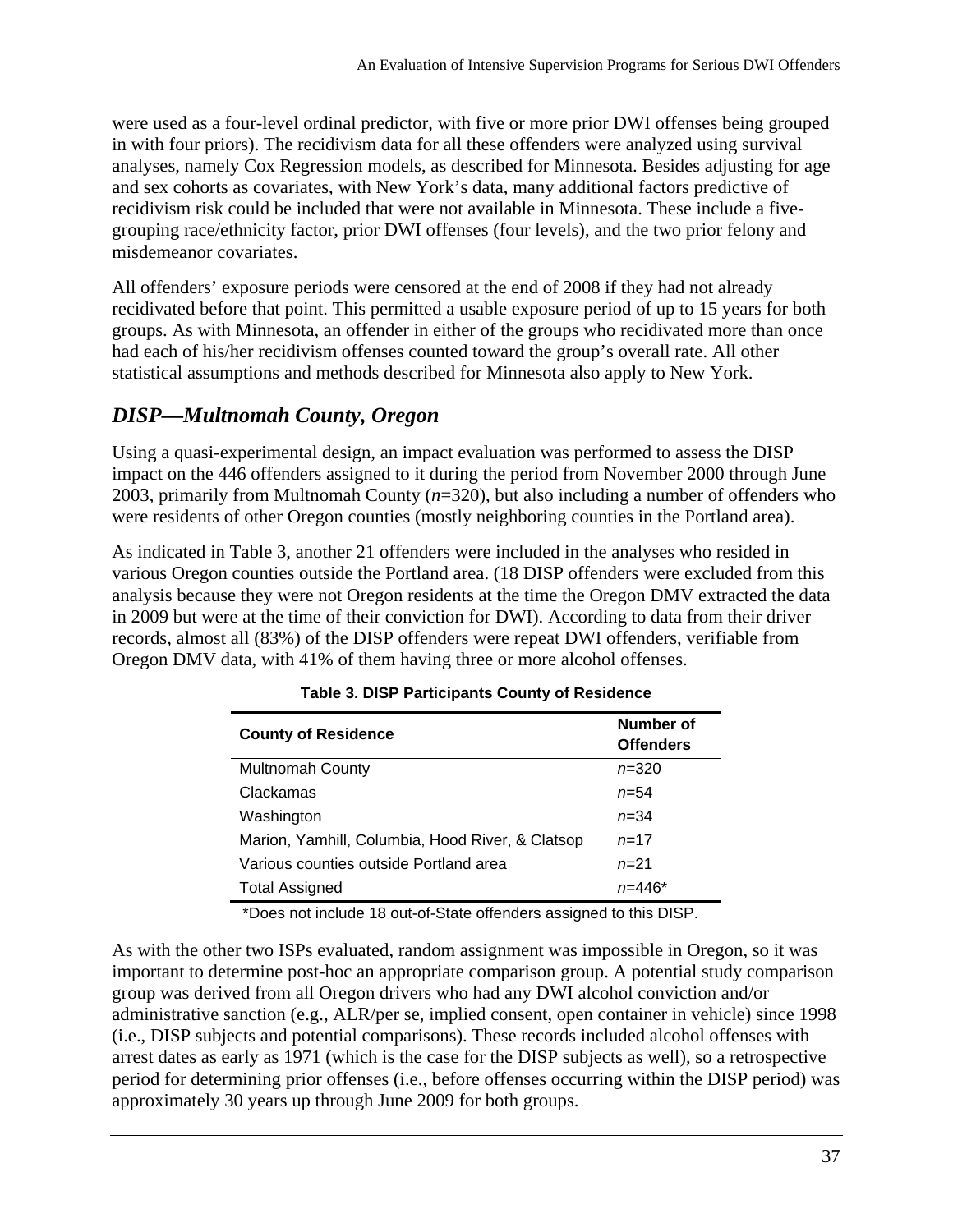were used as a four-level ordinal predictor, with five or more prior DWI offenses being grouped in with four priors). The recidivism data for all these offenders were analyzed using survival analyses, namely Cox Regression models, as described for Minnesota. Besides adjusting for age and sex cohorts as covariates, with New York's data, many additional factors predictive of recidivism risk could be included that were not available in Minnesota. These include a fivegrouping race/ethnicity factor, prior DWI offenses (four levels), and the two prior felony and misdemeanor covariates.

All offenders' exposure periods were censored at the end of 2008 if they had not already recidivated before that point. This permitted a usable exposure period of up to 15 years for both groups. As with Minnesota, an offender in either of the groups who recidivated more than once had each of his/her recidivism offenses counted toward the group's overall rate. All other statistical assumptions and methods described for Minnesota also apply to New York.

#### *DISP—Multnomah County, Oregon*

Using a quasi-experimental design, an impact evaluation was performed to assess the DISP impact on the 446 offenders assigned to it during the period from November 2000 through June 2003, primarily from Multnomah County (*n*=320), but also including a number of offenders who were residents of other Oregon counties (mostly neighboring counties in the Portland area).

As indicated in Table 3, another 21 offenders were included in the analyses who resided in various Oregon counties outside the Portland area. (18 DISP offenders were excluded from this analysis because they were not Oregon residents at the time the Oregon DMV extracted the data in 2009 but were at the time of their conviction for DWI). According to data from their driver records, almost all (83%) of the DISP offenders were repeat DWI offenders, verifiable from Oregon DMV data, with 41% of them having three or more alcohol offenses.

| <b>County of Residence</b>                       | Number of<br><b>Offenders</b> |
|--------------------------------------------------|-------------------------------|
| <b>Multnomah County</b>                          | $n = 320$                     |
| Clackamas                                        | $n = 54$                      |
| Washington                                       | $n = 34$                      |
| Marion, Yamhill, Columbia, Hood River, & Clatsop | $n = 17$                      |
| Various counties outside Portland area           | $n = 21$                      |
| <b>Total Assigned</b>                            |                               |

| Table 3. DISP Participants County of Residence |  |
|------------------------------------------------|--|
|------------------------------------------------|--|

\*Does not include 18 out-of-State offenders assigned to this DISP.

As with the other two ISPs evaluated, random assignment was impossible in Oregon, so it was important to determine post-hoc an appropriate comparison group. A potential study comparison group was derived from all Oregon drivers who had any DWI alcohol conviction and/or administrative sanction (e.g., ALR/per se, implied consent, open container in vehicle) since 1998 (i.e., DISP subjects and potential comparisons). These records included alcohol offenses with arrest dates as early as 1971 (which is the case for the DISP subjects as well), so a retrospective period for determining prior offenses (i.e., before offenses occurring within the DISP period) was approximately 30 years up through June 2009 for both groups.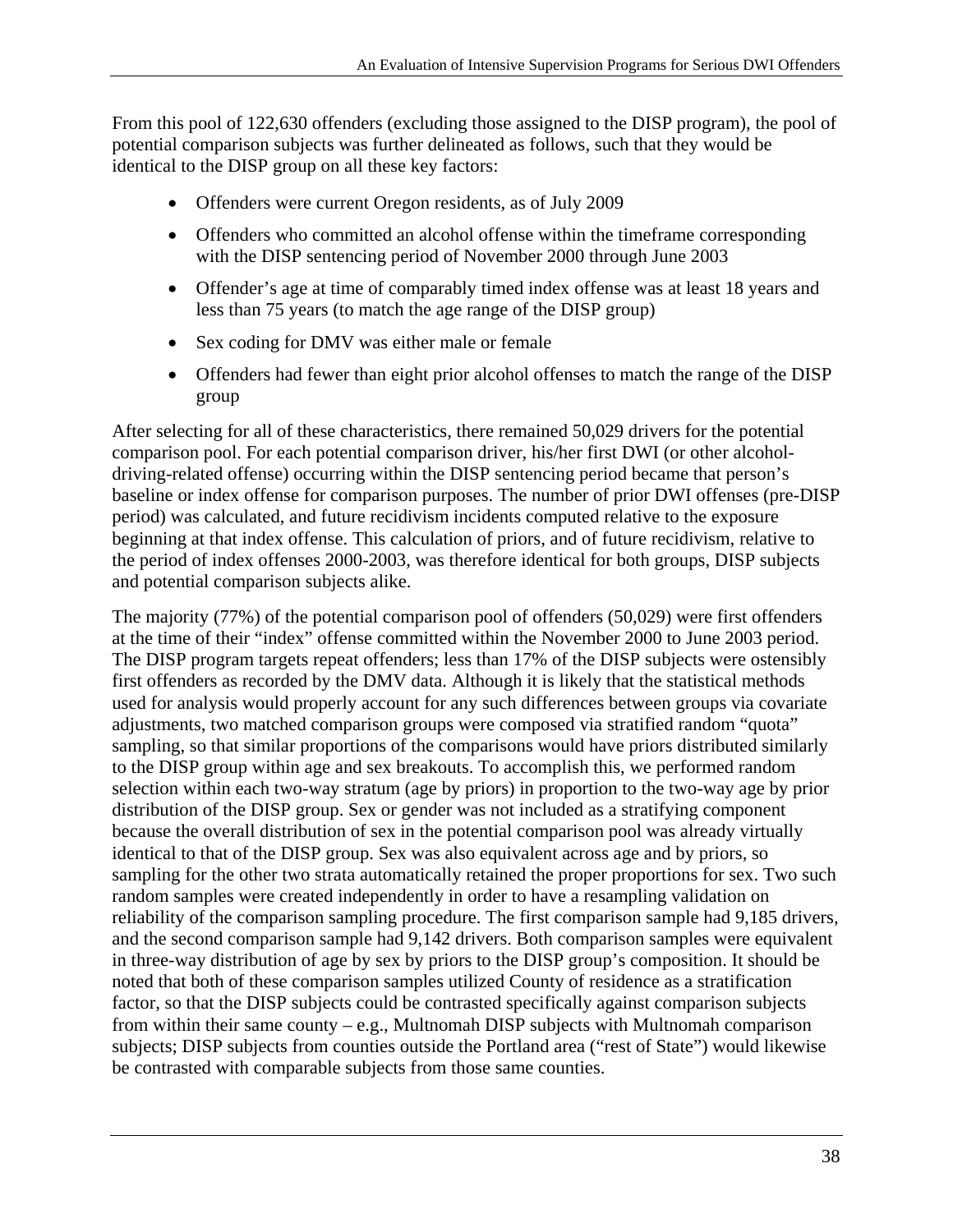From this pool of 122,630 offenders (excluding those assigned to the DISP program), the pool of potential comparison subjects was further delineated as follows, such that they would be identical to the DISP group on all these key factors:

- Offenders were current Oregon residents, as of July 2009
- Offenders who committed an alcohol offense within the timeframe corresponding with the DISP sentencing period of November 2000 through June 2003
- Offender's age at time of comparably timed index offense was at least 18 years and less than 75 years (to match the age range of the DISP group)
- Sex coding for DMV was either male or female
- Offenders had fewer than eight prior alcohol offenses to match the range of the DISP group

After selecting for all of these characteristics, there remained 50,029 drivers for the potential comparison pool. For each potential comparison driver, his/her first DWI (or other alcoholdriving-related offense) occurring within the DISP sentencing period became that person's baseline or index offense for comparison purposes. The number of prior DWI offenses (pre-DISP period) was calculated, and future recidivism incidents computed relative to the exposure beginning at that index offense. This calculation of priors, and of future recidivism, relative to the period of index offenses 2000-2003, was therefore identical for both groups, DISP subjects and potential comparison subjects alike.

The majority (77%) of the potential comparison pool of offenders (50,029) were first offenders at the time of their "index" offense committed within the November 2000 to June 2003 period. The DISP program targets repeat offenders; less than 17% of the DISP subjects were ostensibly first offenders as recorded by the DMV data. Although it is likely that the statistical methods used for analysis would properly account for any such differences between groups via covariate adjustments, two matched comparison groups were composed via stratified random "quota" sampling, so that similar proportions of the comparisons would have priors distributed similarly to the DISP group within age and sex breakouts. To accomplish this, we performed random selection within each two-way stratum (age by priors) in proportion to the two-way age by prior distribution of the DISP group. Sex or gender was not included as a stratifying component because the overall distribution of sex in the potential comparison pool was already virtually identical to that of the DISP group. Sex was also equivalent across age and by priors, so sampling for the other two strata automatically retained the proper proportions for sex. Two such random samples were created independently in order to have a resampling validation on reliability of the comparison sampling procedure. The first comparison sample had 9,185 drivers, and the second comparison sample had 9,142 drivers. Both comparison samples were equivalent in three-way distribution of age by sex by priors to the DISP group's composition. It should be noted that both of these comparison samples utilized County of residence as a stratification factor, so that the DISP subjects could be contrasted specifically against comparison subjects from within their same county – e.g., Multnomah DISP subjects with Multnomah comparison subjects; DISP subjects from counties outside the Portland area ("rest of State") would likewise be contrasted with comparable subjects from those same counties.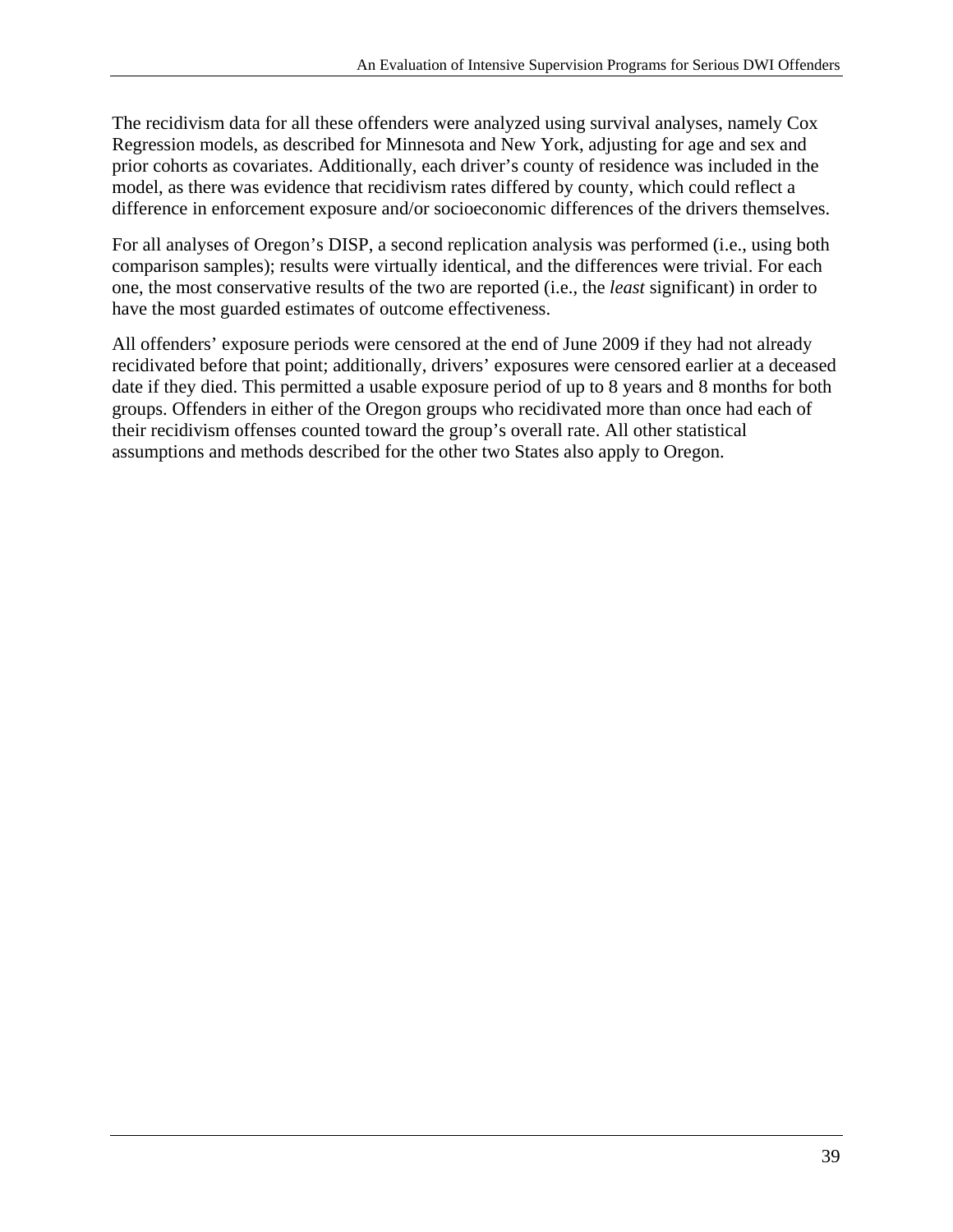The recidivism data for all these offenders were analyzed using survival analyses, namely Cox Regression models, as described for Minnesota and New York, adjusting for age and sex and prior cohorts as covariates. Additionally, each driver's county of residence was included in the model, as there was evidence that recidivism rates differed by county, which could reflect a difference in enforcement exposure and/or socioeconomic differences of the drivers themselves.

For all analyses of Oregon's DISP, a second replication analysis was performed (i.e., using both comparison samples); results were virtually identical, and the differences were trivial. For each one, the most conservative results of the two are reported (i.e., the *least* significant) in order to have the most guarded estimates of outcome effectiveness.

All offenders' exposure periods were censored at the end of June 2009 if they had not already recidivated before that point; additionally, drivers' exposures were censored earlier at a deceased date if they died. This permitted a usable exposure period of up to 8 years and 8 months for both groups. Offenders in either of the Oregon groups who recidivated more than once had each of their recidivism offenses counted toward the group's overall rate. All other statistical assumptions and methods described for the other two States also apply to Oregon.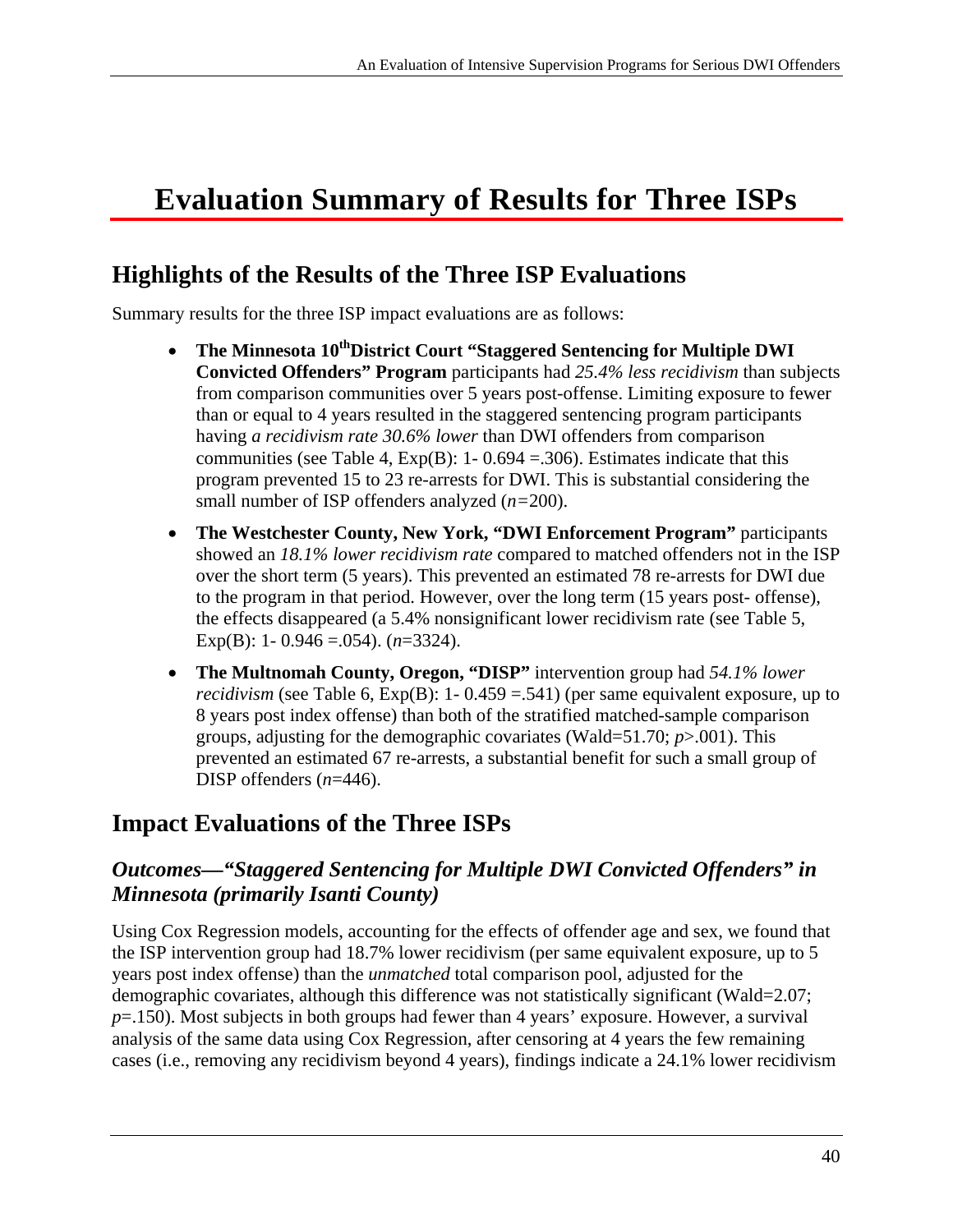# **Evaluation Summary of Results for Three ISPs**

## **Highlights of the Results of the Three ISP Evaluations**

Summary results for the three ISP impact evaluations are as follows:

- The Minnesota 10<sup>th</sup>District Court "Staggered Sentencing for Multiple DWI **Convicted Offenders" Program** participants had *25.4% less recidivism* than subjects from comparison communities over 5 years post-offense. Limiting exposure to fewer than or equal to 4 years resulted in the staggered sentencing program participants having *a recidivism rate 30.6% lower* than DWI offenders from comparison communities (see Table 4,  $Exp(B)$ : 1- 0.694 = 306). Estimates indicate that this program prevented 15 to 23 re-arrests for DWI. This is substantial considering the small number of ISP offenders analyzed (*n=*200).
- **The Westchester County, New York, "DWI Enforcement Program"** participants showed an *18.1% lower recidivism rate* compared to matched offenders not in the ISP over the short term (5 years). This prevented an estimated 78 re-arrests for DWI due to the program in that period. However, over the long term (15 years post- offense), the effects disappeared (a 5.4% nonsignificant lower recidivism rate (see Table 5, Exp(B): 1- 0.946 =.054). (*n*=3324).
- **The Multnomah County, Oregon, "DISP"** intervention group had *54.1% lower recidivism* (see Table 6,  $Exp(B)$ : 1-0.459 = .541) (per same equivalent exposure, up to 8 years post index offense) than both of the stratified matched-sample comparison groups, adjusting for the demographic covariates (Wald=51.70; *p*>.001). This prevented an estimated 67 re-arrests, a substantial benefit for such a small group of DISP offenders (*n*=446).

## **Impact Evaluations of the Three ISPs**

#### *Outcomes—"Staggered Sentencing for Multiple DWI Convicted Offenders" in Minnesota (primarily Isanti County)*

Using Cox Regression models, accounting for the effects of offender age and sex, we found that the ISP intervention group had 18.7% lower recidivism (per same equivalent exposure, up to 5 years post index offense) than the *unmatched* total comparison pool, adjusted for the demographic covariates, although this difference was not statistically significant (Wald=2.07; *p*=.150). Most subjects in both groups had fewer than 4 years' exposure. However, a survival analysis of the same data using Cox Regression, after censoring at 4 years the few remaining cases (i.e., removing any recidivism beyond 4 years), findings indicate a 24.1% lower recidivism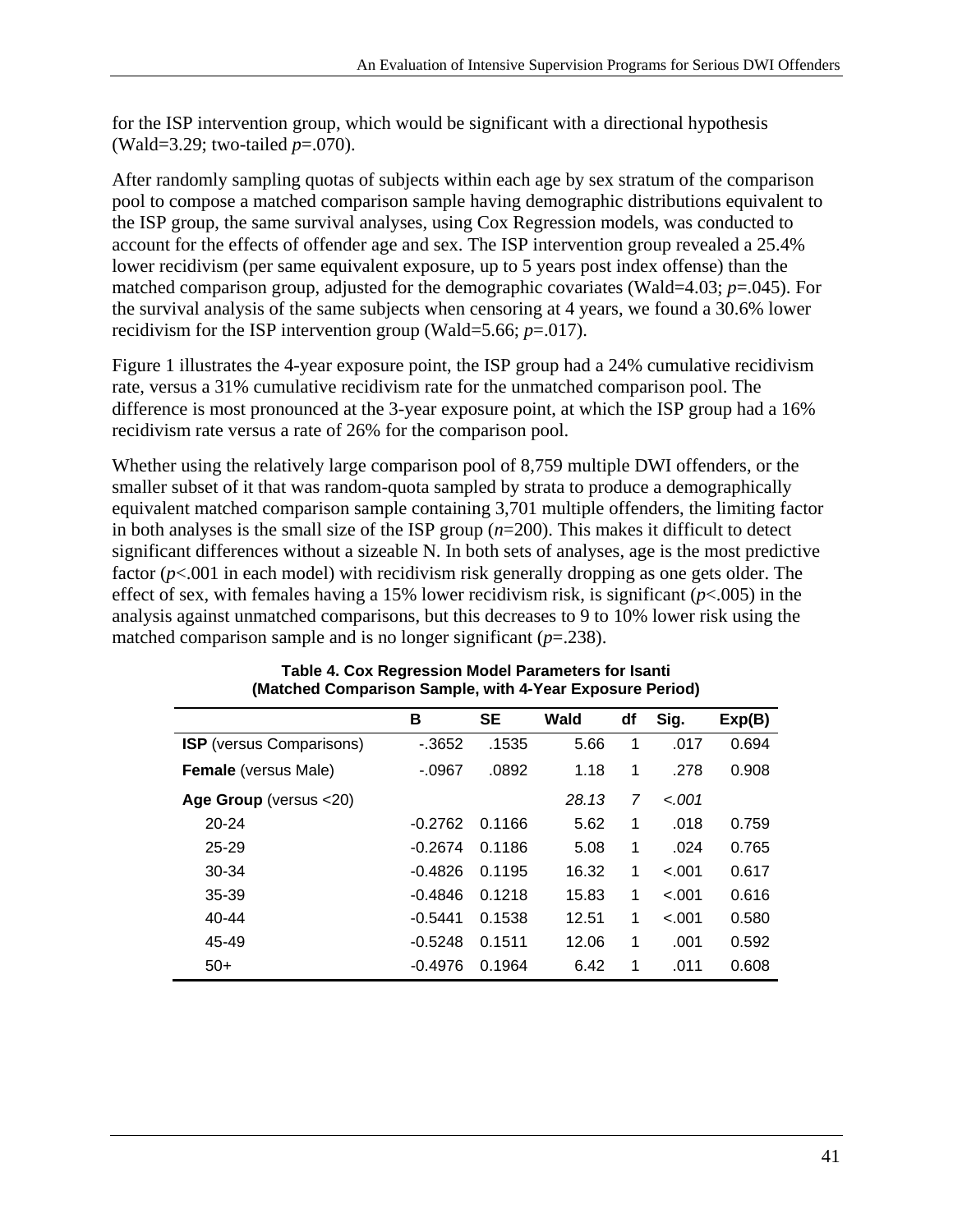for the ISP intervention group, which would be significant with a directional hypothesis (Wald=3.29; two-tailed *p*=.070).

After randomly sampling quotas of subjects within each age by sex stratum of the comparison pool to compose a matched comparison sample having demographic distributions equivalent to the ISP group, the same survival analyses, using Cox Regression models, was conducted to account for the effects of offender age and sex. The ISP intervention group revealed a 25.4% lower recidivism (per same equivalent exposure, up to 5 years post index offense) than the matched comparison group, adjusted for the demographic covariates (Wald=4.03; *p*=.045). For the survival analysis of the same subjects when censoring at 4 years, we found a 30.6% lower recidivism for the ISP intervention group (Wald=5.66; *p*=.017).

Figure 1 illustrates the 4-year exposure point, the ISP group had a 24% cumulative recidivism rate, versus a 31% cumulative recidivism rate for the unmatched comparison pool. The difference is most pronounced at the 3-year exposure point, at which the ISP group had a 16% recidivism rate versus a rate of 26% for the comparison pool.

Whether using the relatively large comparison pool of 8,759 multiple DWI offenders, or the smaller subset of it that was random-quota sampled by strata to produce a demographically equivalent matched comparison sample containing 3,701 multiple offenders, the limiting factor in both analyses is the small size of the ISP group (*n*=200). This makes it difficult to detect significant differences without a sizeable N. In both sets of analyses, age is the most predictive factor ( $p$ <.001 in each model) with recidivism risk generally dropping as one gets older. The effect of sex, with females having a 15% lower recidivism risk, is significant (*p*<.005) in the analysis against unmatched comparisons, but this decreases to 9 to 10% lower risk using the matched comparison sample and is no longer significant (*p*=.238).

|                                 | В         | <b>SE</b> | Wald  | df | Sig.    | Exp(B) |
|---------------------------------|-----------|-----------|-------|----|---------|--------|
| <b>ISP</b> (versus Comparisons) | $-3652$   | .1535     | 5.66  | 1  | .017    | 0.694  |
| <b>Female</b> (versus Male)     | $-.0967$  | .0892     | 1.18  | 1  | .278    | 0.908  |
| Age Group (versus <20)          |           |           | 28.13 | 7  | $-.001$ |        |
| $20 - 24$                       | $-0.2762$ | 0.1166    | 5.62  | 1  | .018    | 0.759  |
| 25-29                           | $-0.2674$ | 0.1186    | 5.08  | 1  | .024    | 0.765  |
| 30-34                           | $-0.4826$ | 0.1195    | 16.32 | 1  | $-.001$ | 0.617  |
| 35-39                           | $-0.4846$ | 0.1218    | 15.83 | 1  | $-.001$ | 0.616  |
| 40-44                           | $-0.5441$ | 0.1538    | 12.51 | 1  | $-.001$ | 0.580  |
| 45-49                           | $-0.5248$ | 0.1511    | 12.06 | 1  | .001    | 0.592  |
| $50+$                           | $-0.4976$ | 0.1964    | 6.42  | 1  | .011    | 0.608  |

#### **Table 4. Cox Regression Model Parameters for Isanti (Matched Comparison Sample, with 4-Year Exposure Period)**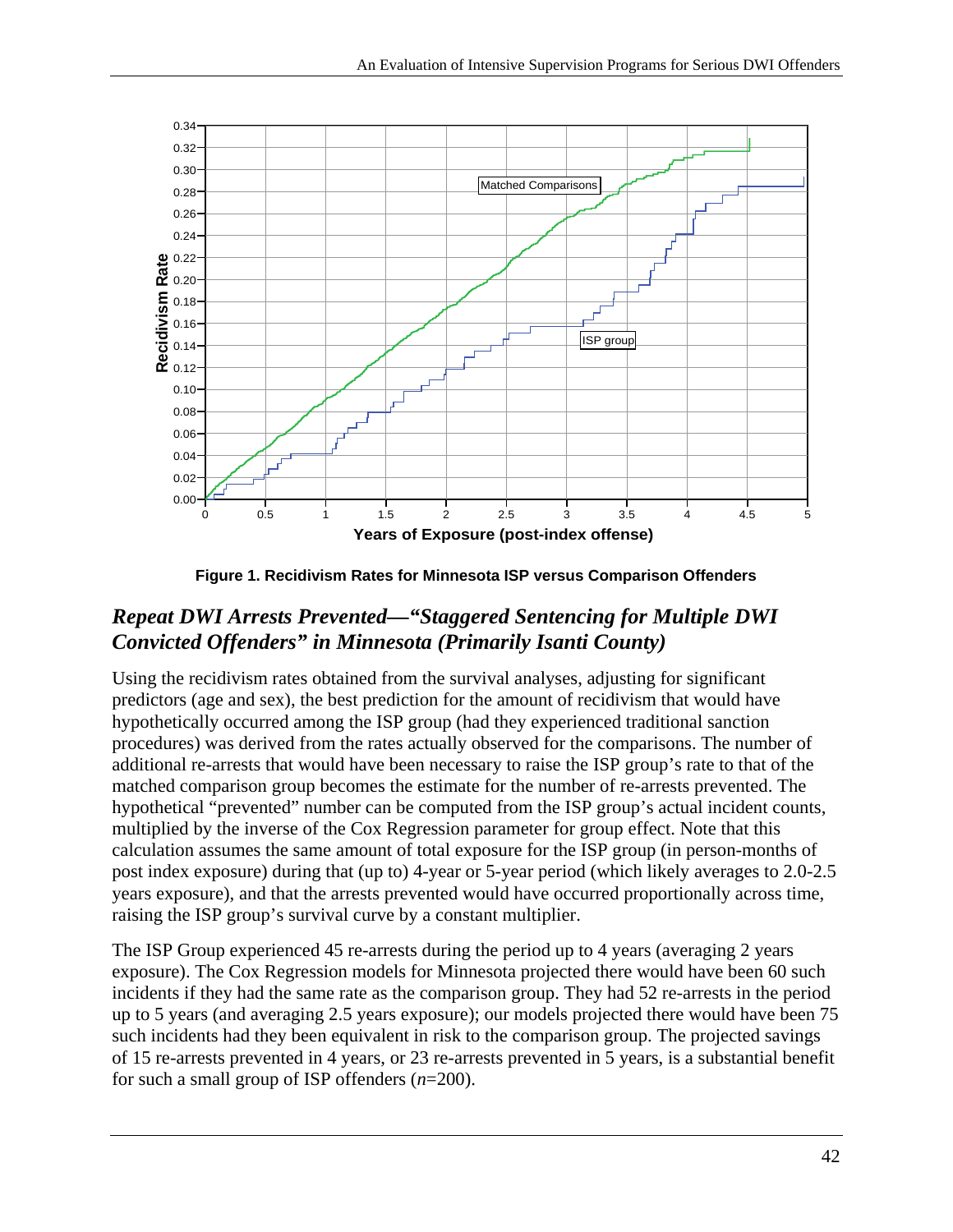

**Figure 1. Recidivism Rates for Minnesota ISP versus Comparison Offenders** 

#### *Repeat DWI Arrests Prevented—"Staggered Sentencing for Multiple DWI Convicted Offenders" in Minnesota (Primarily Isanti County)*

Using the recidivism rates obtained from the survival analyses, adjusting for significant predictors (age and sex), the best prediction for the amount of recidivism that would have hypothetically occurred among the ISP group (had they experienced traditional sanction procedures) was derived from the rates actually observed for the comparisons. The number of additional re-arrests that would have been necessary to raise the ISP group's rate to that of the matched comparison group becomes the estimate for the number of re-arrests prevented. The hypothetical "prevented" number can be computed from the ISP group's actual incident counts, multiplied by the inverse of the Cox Regression parameter for group effect. Note that this calculation assumes the same amount of total exposure for the ISP group (in person-months of post index exposure) during that (up to) 4-year or 5-year period (which likely averages to 2.0-2.5 years exposure), and that the arrests prevented would have occurred proportionally across time, raising the ISP group's survival curve by a constant multiplier.

The ISP Group experienced 45 re-arrests during the period up to 4 years (averaging 2 years exposure). The Cox Regression models for Minnesota projected there would have been 60 such incidents if they had the same rate as the comparison group. They had 52 re-arrests in the period up to 5 years (and averaging 2.5 years exposure); our models projected there would have been 75 such incidents had they been equivalent in risk to the comparison group. The projected savings of 15 re-arrests prevented in 4 years, or 23 re-arrests prevented in 5 years, is a substantial benefit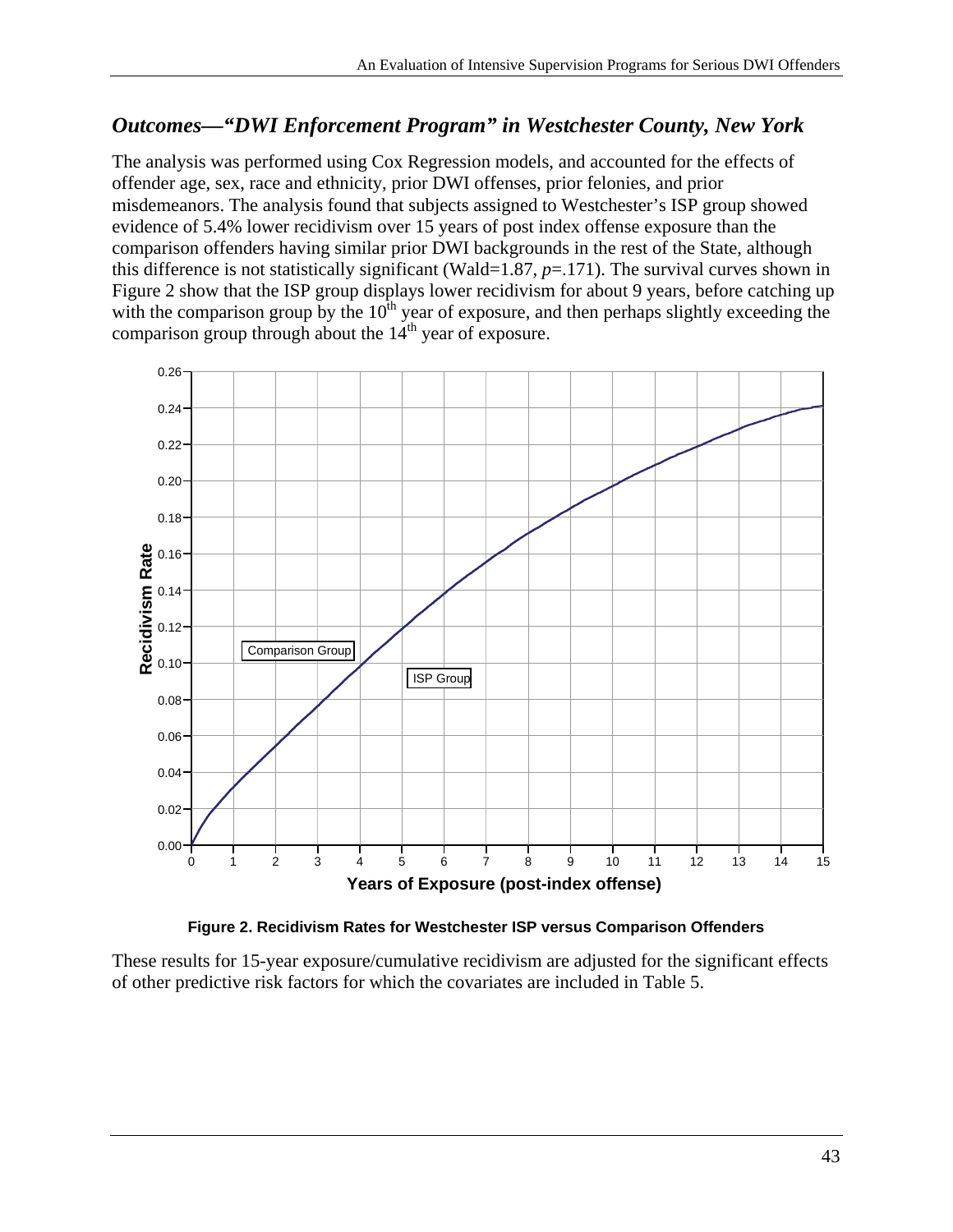#### *Outcomes—"DWI Enforcement Program" in Westchester County, New York*

The analysis was performed using Cox Regression models, and accounted for the effects of offender age, sex, race and ethnicity, prior DWI offenses, prior felonies, and prior misdemeanors. The analysis found that subjects assigned to Westchester's ISP group showed evidence of 5.4% lower recidivism over 15 years of post index offense exposure than the comparison offenders having similar prior DWI backgrounds in the rest of the State, although this difference is not statistically significant (Wald=1.87, *p*=.171). The survival curves shown in Figure 2 show that the ISP group displays lower recidivism for about 9 years, before catching up with the comparison group by the  $10<sup>th</sup>$  year of exposure, and then perhaps slightly exceeding the comparison group through about the  $14<sup>th</sup>$  year of exposure.



**Figure 2. Recidivism Rates for Westchester ISP versus Comparison Offenders** 

These results for 15-year exposure/cumulative recidivism are adjusted for the significant effects of other predictive risk factors for which the covariates are included in Table 5.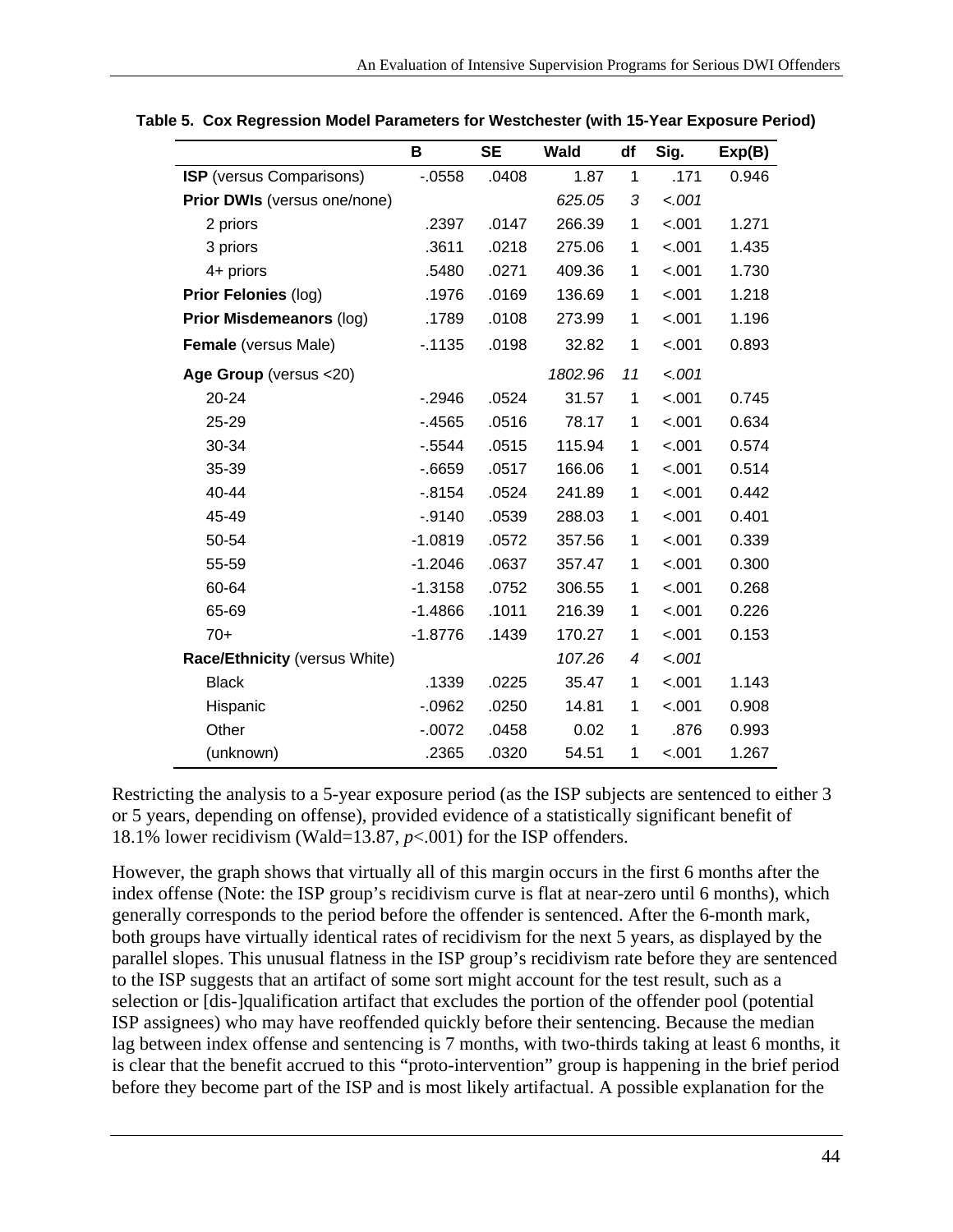|                                     | B         | <b>SE</b> | <b>Wald</b> | df | Sig.    | Exp(B) |
|-------------------------------------|-----------|-----------|-------------|----|---------|--------|
| <b>ISP</b> (versus Comparisons)     | $-0.0558$ | .0408     | 1.87        | 1  | .171    | 0.946  |
| <b>Prior DWIs (versus one/none)</b> |           |           | 625.05      | 3  | $-.001$ |        |
| 2 priors                            | .2397     | .0147     | 266.39      | 1  | $-.001$ | 1.271  |
| 3 priors                            | .3611     | .0218     | 275.06      | 1  | $-.001$ | 1.435  |
| 4+ priors                           | .5480     | .0271     | 409.36      | 1  | $-.001$ | 1.730  |
| Prior Felonies (log)                | .1976     | .0169     | 136.69      | 1  | $-.001$ | 1.218  |
| Prior Misdemeanors (log)            | .1789     | .0108     | 273.99      | 1  | $-.001$ | 1.196  |
| <b>Female</b> (versus Male)         | $-1135$   | .0198     | 32.82       | 1  | $-.001$ | 0.893  |
| Age Group (versus <20)              |           |           | 1802.96     | 11 | $-.001$ |        |
| 20-24                               | $-2946$   | .0524     | 31.57       | 1  | $-.001$ | 0.745  |
| 25-29                               | $-4565$   | .0516     | 78.17       | 1  | $-.001$ | 0.634  |
| 30-34                               | $-0.5544$ | .0515     | 115.94      | 1  | $-.001$ | 0.574  |
| 35-39                               | $-0.6659$ | .0517     | 166.06      | 1  | $-.001$ | 0.514  |
| 40-44                               | $-0.8154$ | .0524     | 241.89      | 1  | $-.001$ | 0.442  |
| 45-49                               | $-.9140$  | .0539     | 288.03      | 1  | $-.001$ | 0.401  |
| 50-54                               | $-1.0819$ | .0572     | 357.56      | 1  | $-.001$ | 0.339  |
| 55-59                               | $-1.2046$ | .0637     | 357.47      | 1  | $-.001$ | 0.300  |
| 60-64                               | $-1.3158$ | .0752     | 306.55      | 1  | $-.001$ | 0.268  |
| 65-69                               | $-1.4866$ | .1011     | 216.39      | 1  | $-.001$ | 0.226  |
| $70+$                               | $-1.8776$ | .1439     | 170.27      | 1  | $-.001$ | 0.153  |
| Race/Ethnicity (versus White)       |           |           | 107.26      | 4  | $-.001$ |        |
| <b>Black</b>                        | .1339     | .0225     | 35.47       | 1  | $-.001$ | 1.143  |
| Hispanic                            | $-0.0962$ | .0250     | 14.81       | 1  | $-.001$ | 0.908  |
| Other                               | $-.0072$  | .0458     | 0.02        | 1  | .876    | 0.993  |
| (unknown)                           | .2365     | .0320     | 54.51       | 1  | $-.001$ | 1.267  |

**Table 5. Cox Regression Model Parameters for Westchester (with 15-Year Exposure Period)** 

Restricting the analysis to a 5-year exposure period (as the ISP subjects are sentenced to either 3 or 5 years, depending on offense), provided evidence of a statistically significant benefit of 18.1% lower recidivism (Wald=13.87, *p*<.001) for the ISP offenders.

However, the graph shows that virtually all of this margin occurs in the first 6 months after the index offense (Note: the ISP group's recidivism curve is flat at near-zero until 6 months), which generally corresponds to the period before the offender is sentenced. After the 6-month mark, both groups have virtually identical rates of recidivism for the next 5 years, as displayed by the parallel slopes. This unusual flatness in the ISP group's recidivism rate before they are sentenced to the ISP suggests that an artifact of some sort might account for the test result, such as a selection or [dis-]qualification artifact that excludes the portion of the offender pool (potential ISP assignees) who may have reoffended quickly before their sentencing. Because the median lag between index offense and sentencing is 7 months, with two-thirds taking at least 6 months, it is clear that the benefit accrued to this "proto-intervention" group is happening in the brief period before they become part of the ISP and is most likely artifactual. A possible explanation for the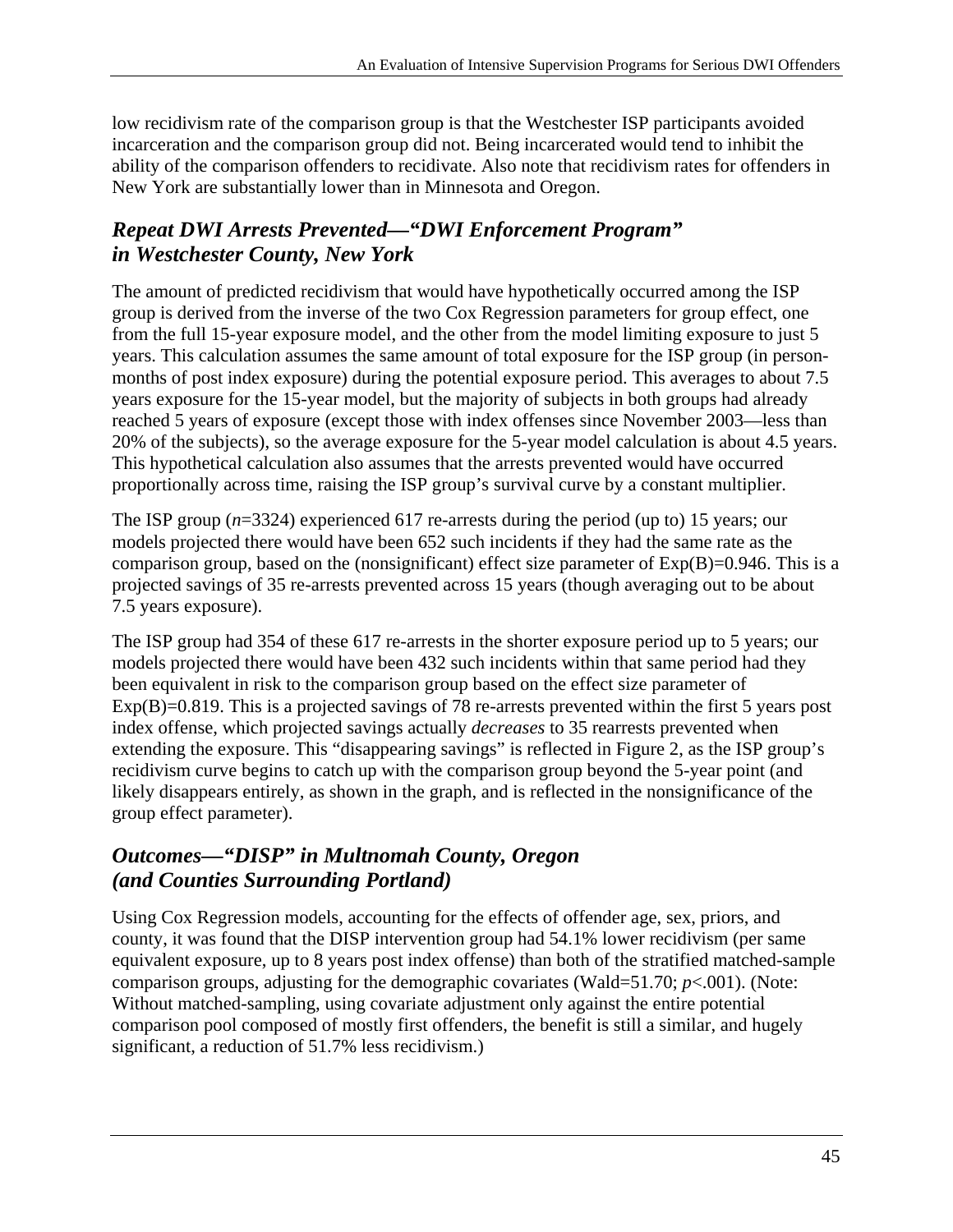low recidivism rate of the comparison group is that the Westchester ISP participants avoided incarceration and the comparison group did not. Being incarcerated would tend to inhibit the ability of the comparison offenders to recidivate. Also note that recidivism rates for offenders in New York are substantially lower than in Minnesota and Oregon.

#### *Repeat DWI Arrests Prevented—"DWI Enforcement Program" in Westchester County, New York*

The amount of predicted recidivism that would have hypothetically occurred among the ISP group is derived from the inverse of the two Cox Regression parameters for group effect, one from the full 15-year exposure model, and the other from the model limiting exposure to just 5 years. This calculation assumes the same amount of total exposure for the ISP group (in personmonths of post index exposure) during the potential exposure period. This averages to about 7.5 years exposure for the 15-year model, but the majority of subjects in both groups had already reached 5 years of exposure (except those with index offenses since November 2003—less than 20% of the subjects), so the average exposure for the 5-year model calculation is about 4.5 years. This hypothetical calculation also assumes that the arrests prevented would have occurred proportionally across time, raising the ISP group's survival curve by a constant multiplier.

The ISP group (*n*=3324) experienced 617 re-arrests during the period (up to) 15 years; our models projected there would have been 652 such incidents if they had the same rate as the comparison group, based on the (nonsignificant) effect size parameter of Exp(B)=0.946. This is a projected savings of 35 re-arrests prevented across 15 years (though averaging out to be about 7.5 years exposure).

The ISP group had 354 of these 617 re-arrests in the shorter exposure period up to 5 years; our models projected there would have been 432 such incidents within that same period had they been equivalent in risk to the comparison group based on the effect size parameter of Exp(B)=0.819. This is a projected savings of 78 re-arrests prevented within the first 5 years post index offense, which projected savings actually *decreases* to 35 rearrests prevented when extending the exposure. This "disappearing savings" is reflected in Figure 2, as the ISP group's recidivism curve begins to catch up with the comparison group beyond the 5-year point (and likely disappears entirely, as shown in the graph, and is reflected in the nonsignificance of the group effect parameter).

#### *Outcomes—"DISP" in Multnomah County, Oregon (and Counties Surrounding Portland)*

Using Cox Regression models, accounting for the effects of offender age, sex, priors, and county, it was found that the DISP intervention group had 54.1% lower recidivism (per same equivalent exposure, up to 8 years post index offense) than both of the stratified matched-sample comparison groups, adjusting for the demographic covariates (Wald=51.70;  $p$ <.001). (Note: Without matched-sampling, using covariate adjustment only against the entire potential comparison pool composed of mostly first offenders, the benefit is still a similar, and hugely significant, a reduction of 51.7% less recidivism.)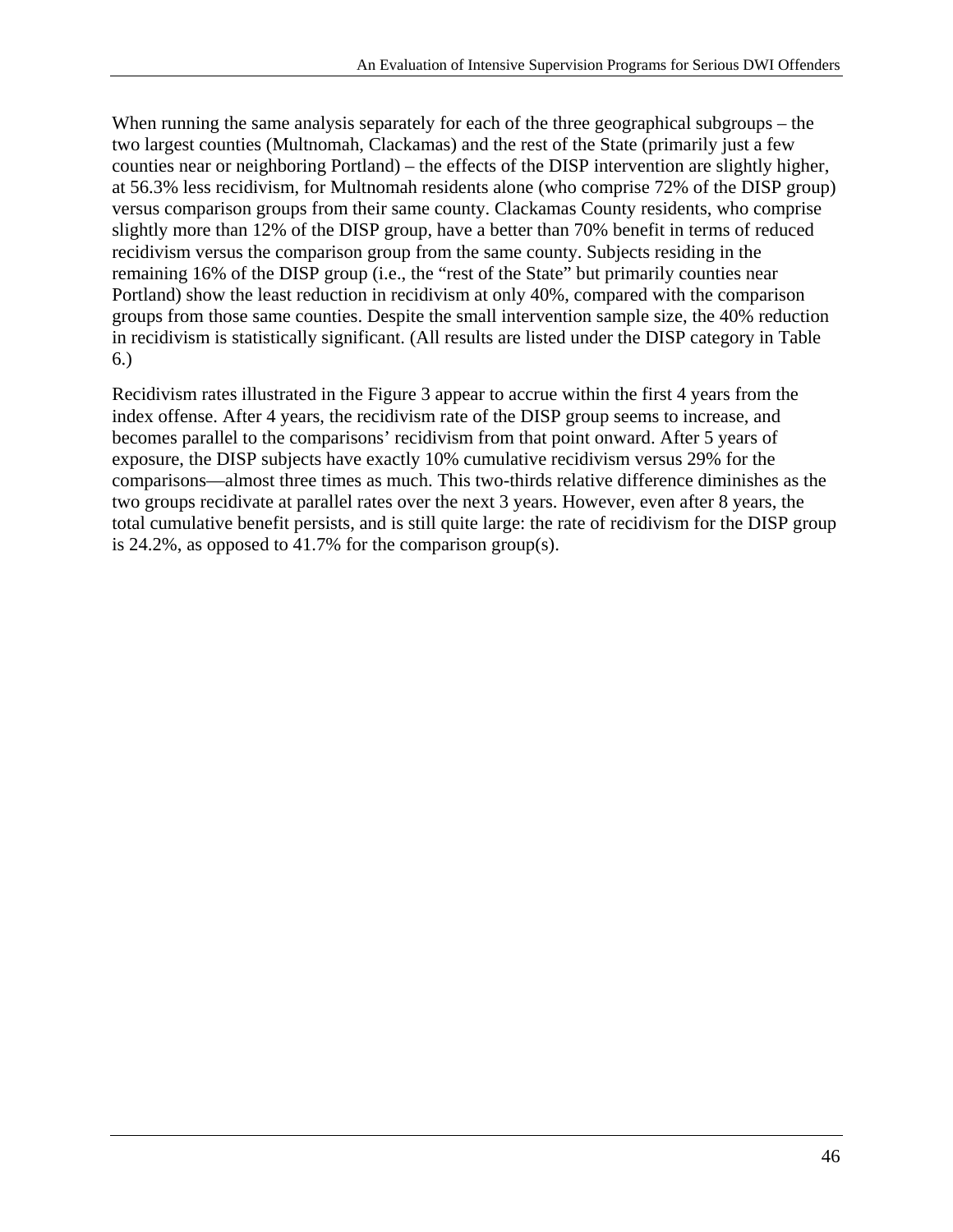When running the same analysis separately for each of the three geographical subgroups – the two largest counties (Multnomah, Clackamas) and the rest of the State (primarily just a few counties near or neighboring Portland) – the effects of the DISP intervention are slightly higher, at 56.3% less recidivism, for Multnomah residents alone (who comprise 72% of the DISP group) versus comparison groups from their same county. Clackamas County residents, who comprise slightly more than 12% of the DISP group, have a better than 70% benefit in terms of reduced recidivism versus the comparison group from the same county. Subjects residing in the remaining 16% of the DISP group (i.e., the "rest of the State" but primarily counties near Portland) show the least reduction in recidivism at only 40%, compared with the comparison groups from those same counties. Despite the small intervention sample size, the 40% reduction in recidivism is statistically significant. (All results are listed under the DISP category in Table 6.)

Recidivism rates illustrated in the Figure 3 appear to accrue within the first 4 years from the index offense. After 4 years, the recidivism rate of the DISP group seems to increase, and becomes parallel to the comparisons' recidivism from that point onward. After 5 years of exposure, the DISP subjects have exactly 10% cumulative recidivism versus 29% for the comparisons—almost three times as much. This two-thirds relative difference diminishes as the two groups recidivate at parallel rates over the next 3 years. However, even after 8 years, the total cumulative benefit persists, and is still quite large: the rate of recidivism for the DISP group is 24.2%, as opposed to 41.7% for the comparison group(s).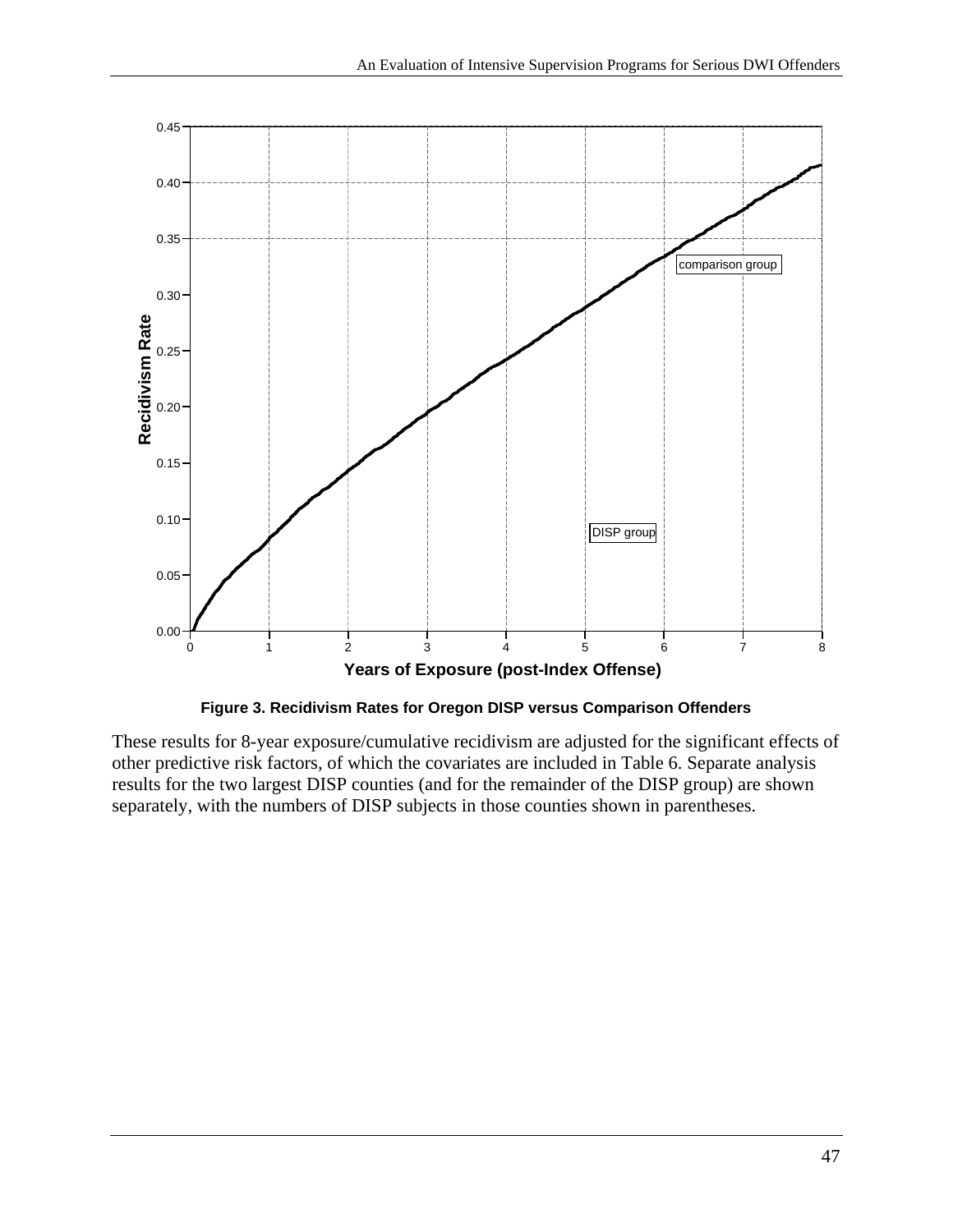



These results for 8-year exposure/cumulative recidivism are adjusted for the significant effects of other predictive risk factors, of which the covariates are included in Table 6. Separate analysis results for the two largest DISP counties (and for the remainder of the DISP group) are shown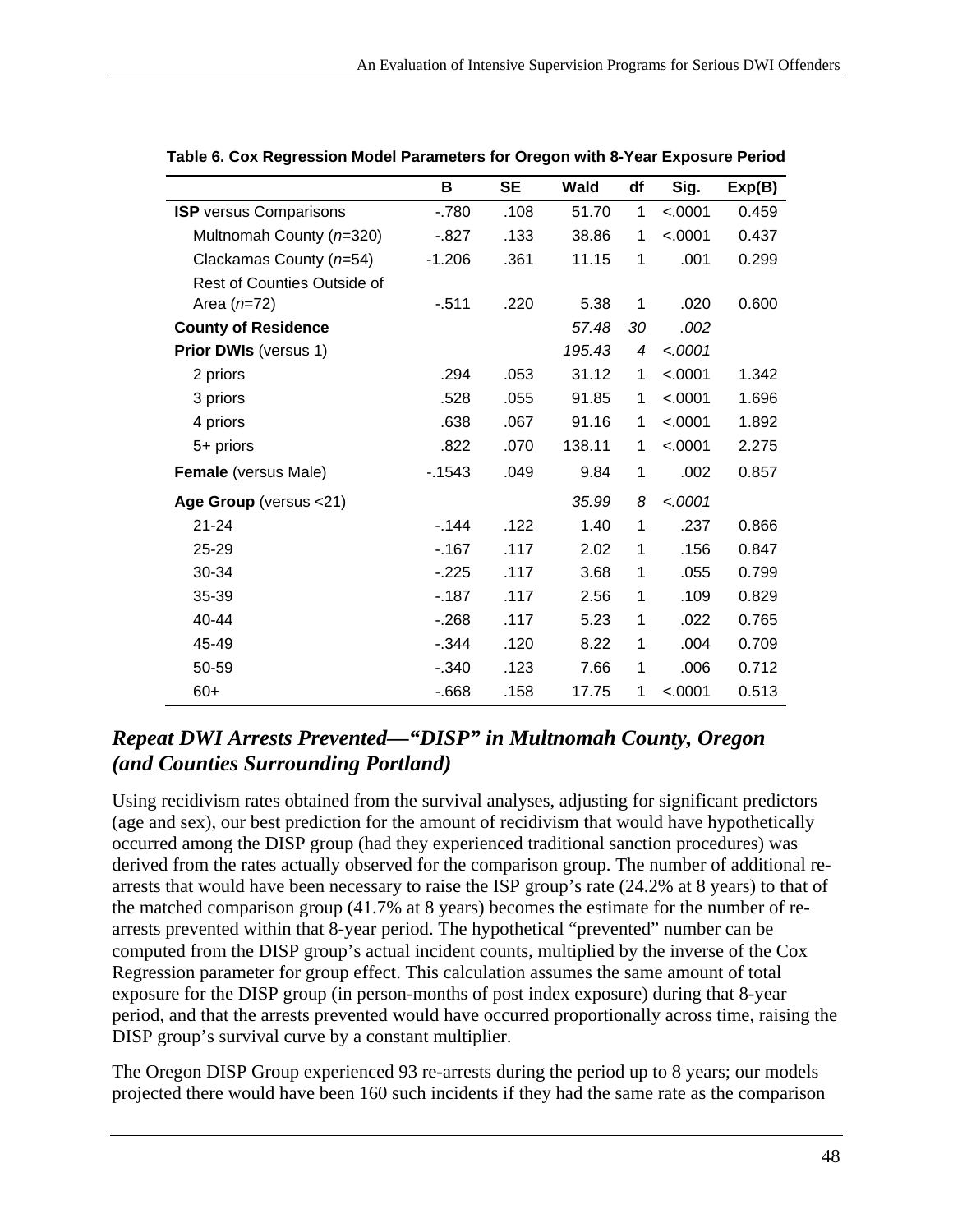|                               | В        | <b>SE</b> | Wald   | df | Sig.     | Exp(B) |
|-------------------------------|----------|-----------|--------|----|----------|--------|
| <b>ISP</b> versus Comparisons | $-780$   | .108      | 51.70  | 1  | < .0001  | 0.459  |
| Multnomah County (n=320)      | $-0.827$ | .133      | 38.86  | 1  | < .0001  | 0.437  |
| Clackamas County $(n=54)$     | $-1.206$ | .361      | 11.15  | 1  | .001     | 0.299  |
| Rest of Counties Outside of   |          |           |        |    |          |        |
| Area $(n=72)$                 | $-511$   | .220      | 5.38   | 1  | .020     | 0.600  |
| <b>County of Residence</b>    |          |           | 57.48  | 30 | .002     |        |
| Prior DWIs (versus 1)         |          |           | 195.43 | 4  | $-.0001$ |        |
| 2 priors                      | .294     | .053      | 31.12  | 1  | < .0001  | 1.342  |
| 3 priors                      | .528     | .055      | 91.85  | 1  | < .0001  | 1.696  |
| 4 priors                      | .638     | .067      | 91.16  | 1  | < .0001  | 1.892  |
| 5+ priors                     | .822     | .070      | 138.11 | 1  | < .0001  | 2.275  |
| Female (versus Male)          | $-1543$  | .049      | 9.84   | 1  | .002     | 0.857  |
| Age Group (versus <21)        |          |           | 35.99  | 8  | $-.0001$ |        |
| $21 - 24$                     | $-144$   | .122      | 1.40   | 1  | .237     | 0.866  |
| 25-29                         | $-167$   | .117      | 2.02   | 1  | .156     | 0.847  |
| 30-34                         | $-225$   | .117      | 3.68   | 1  | .055     | 0.799  |
| 35-39                         | $-187$   | .117      | 2.56   | 1  | .109     | 0.829  |
| 40-44                         | $-268$   | .117      | 5.23   | 1  | .022     | 0.765  |
| 45-49                         | $-344$   | .120      | 8.22   | 1  | .004     | 0.709  |
| 50-59                         | $-.340$  | .123      | 7.66   | 1  | .006     | 0.712  |
| $60+$                         | $-668$   | .158      | 17.75  | 1  | < .0001  | 0.513  |

**Table 6. Cox Regression Model Parameters for Oregon with 8-Year Exposure Period** 

#### *Repeat DWI Arrests Prevented—"DISP" in Multnomah County, Oregon (and Counties Surrounding Portland)*

Using recidivism rates obtained from the survival analyses, adjusting for significant predictors (age and sex), our best prediction for the amount of recidivism that would have hypothetically occurred among the DISP group (had they experienced traditional sanction procedures) was derived from the rates actually observed for the comparison group. The number of additional rearrests that would have been necessary to raise the ISP group's rate (24.2% at 8 years) to that of the matched comparison group (41.7% at 8 years) becomes the estimate for the number of rearrests prevented within that 8-year period. The hypothetical "prevented" number can be computed from the DISP group's actual incident counts, multiplied by the inverse of the Cox Regression parameter for group effect. This calculation assumes the same amount of total exposure for the DISP group (in person-months of post index exposure) during that 8-year period, and that the arrests prevented would have occurred proportionally across time, raising the DISP group's survival curve by a constant multiplier.

The Oregon DISP Group experienced 93 re-arrests during the period up to 8 years; our models projected there would have been 160 such incidents if they had the same rate as the comparison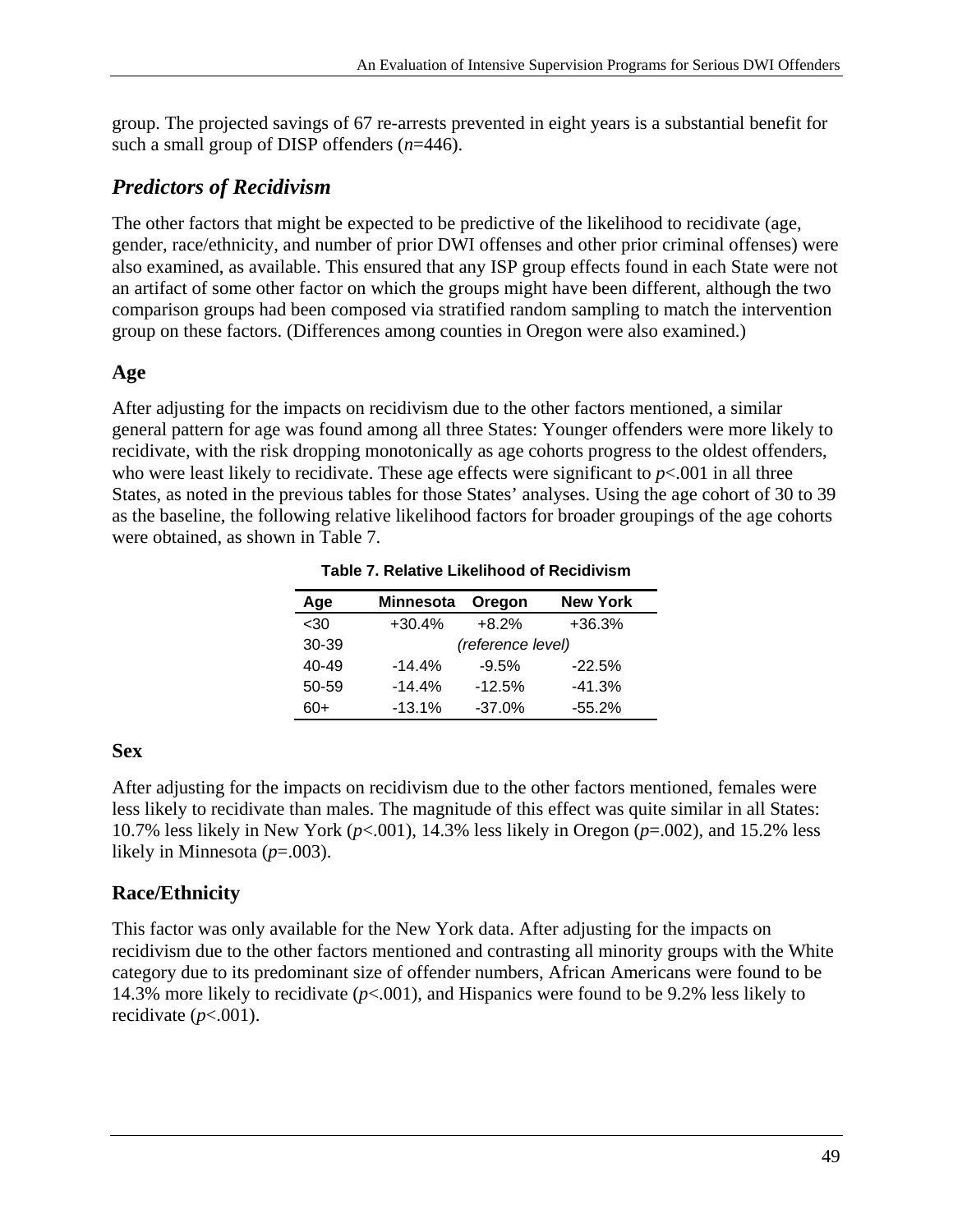group. The projected savings of 67 re-arrests prevented in eight years is a substantial benefit for such a small group of DISP offenders (*n*=446).

#### *Predictors of Recidivism*

The other factors that might be expected to be predictive of the likelihood to recidivate (age, gender, race/ethnicity, and number of prior DWI offenses and other prior criminal offenses) were also examined, as available. This ensured that any ISP group effects found in each State were not an artifact of some other factor on which the groups might have been different, although the two comparison groups had been composed via stratified random sampling to match the intervention group on these factors. (Differences among counties in Oregon were also examined.)

#### **Age**

After adjusting for the impacts on recidivism due to the other factors mentioned, a similar general pattern for age was found among all three States: Younger offenders were more likely to recidivate, with the risk dropping monotonically as age cohorts progress to the oldest offenders, who were least likely to recidivate. These age effects were significant to  $p<001$  in all three States, as noted in the previous tables for those States' analyses. Using the age cohort of 30 to 39 as the baseline, the following relative likelihood factors for broader groupings of the age cohorts were obtained, as shown in Table 7.

| Age   | <b>Minnesota</b>  | Oregon   | <b>New York</b> |  |  |  |
|-------|-------------------|----------|-----------------|--|--|--|
| $30$  | $+30.4%$          | $+8.2%$  | $+36.3%$        |  |  |  |
| 30-39 | (reference level) |          |                 |  |  |  |
| 40-49 | $-14.4%$          | $-9.5%$  | $-22.5%$        |  |  |  |
| 50-59 | $-14.4%$          | $-12.5%$ | $-41.3%$        |  |  |  |
| $60+$ | $-13.1%$          | $-37.0%$ | $-55.2%$        |  |  |  |

**Table 7. Relative Likelihood of Recidivism** 

#### **Sex**

After adjusting for the impacts on recidivism due to the other factors mentioned, females were less likely to recidivate than males. The magnitude of this effect was quite similar in all States: 10.7% less likely in New York (*p*<.001), 14.3% less likely in Oregon (*p*=.002), and 15.2% less likely in Minnesota (*p*=.003).

#### **Race/Ethnicity**

This factor was only available for the New York data. After adjusting for the impacts on recidivism due to the other factors mentioned and contrasting all minority groups with the White category due to its predominant size of offender numbers, African Americans were found to be 14.3% more likely to recidivate (*p*<.001), and Hispanics were found to be 9.2% less likely to recidivate  $(p<.001)$ .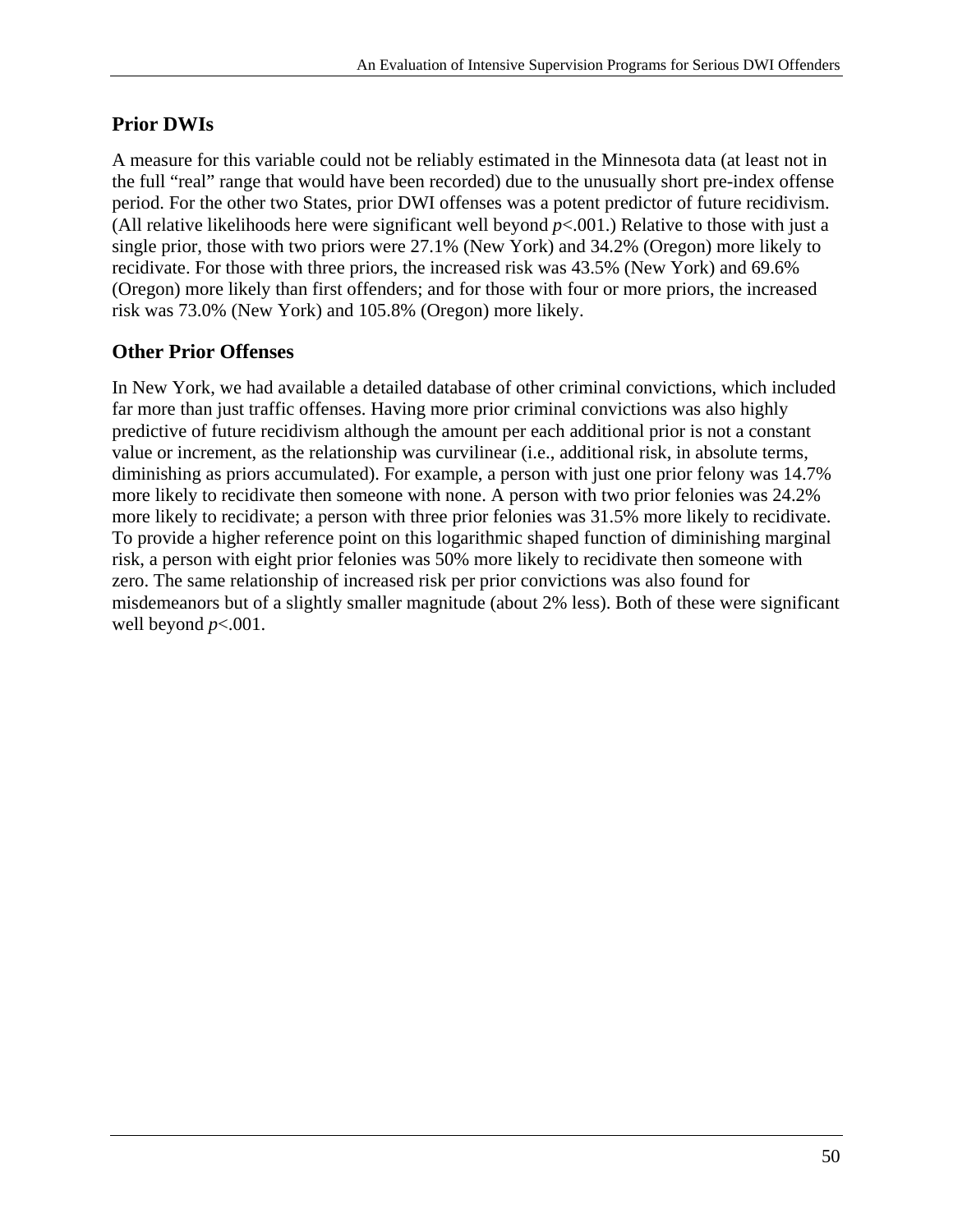#### **Prior DWIs**

A measure for this variable could not be reliably estimated in the Minnesota data (at least not in the full "real" range that would have been recorded) due to the unusually short pre-index offense period. For the other two States, prior DWI offenses was a potent predictor of future recidivism. (All relative likelihoods here were significant well beyond  $p<0.001$ .) Relative to those with just a single prior, those with two priors were 27.1% (New York) and 34.2% (Oregon) more likely to recidivate. For those with three priors, the increased risk was 43.5% (New York) and 69.6% (Oregon) more likely than first offenders; and for those with four or more priors, the increased risk was 73.0% (New York) and 105.8% (Oregon) more likely.

#### **Other Prior Offenses**

In New York, we had available a detailed database of other criminal convictions, which included far more than just traffic offenses. Having more prior criminal convictions was also highly predictive of future recidivism although the amount per each additional prior is not a constant value or increment, as the relationship was curvilinear (i.e., additional risk, in absolute terms, diminishing as priors accumulated). For example, a person with just one prior felony was 14.7% more likely to recidivate then someone with none. A person with two prior felonies was 24.2% more likely to recidivate; a person with three prior felonies was 31.5% more likely to recidivate. To provide a higher reference point on this logarithmic shaped function of diminishing marginal risk, a person with eight prior felonies was 50% more likely to recidivate then someone with zero. The same relationship of increased risk per prior convictions was also found for misdemeanors but of a slightly smaller magnitude (about 2% less). Both of these were significant well beyond *p*<.001.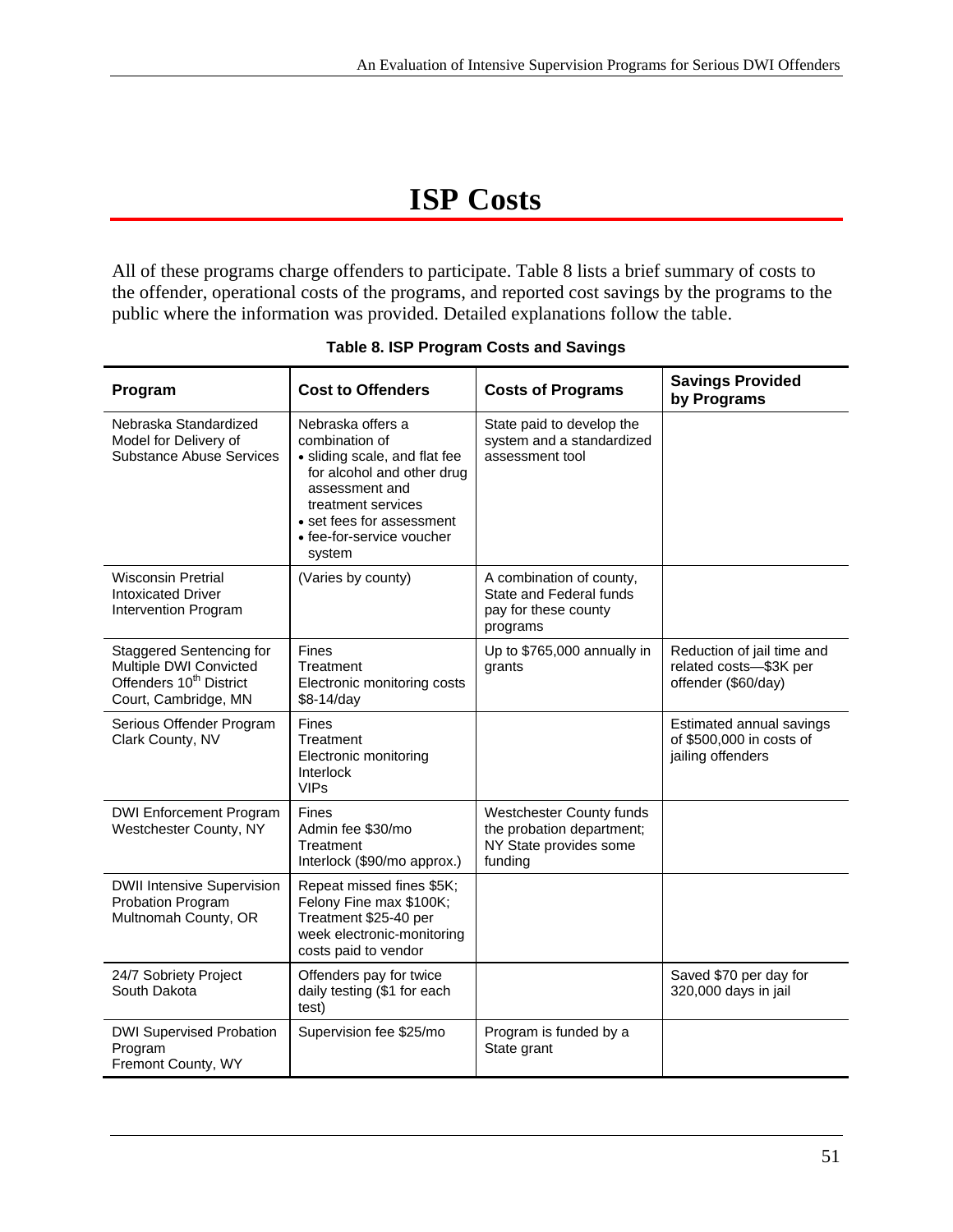# **ISP Costs**

All of these programs charge offenders to participate. Table 8 lists a brief summary of costs to the offender, operational costs of the programs, and reported cost savings by the programs to the public where the information was provided. Detailed explanations follow the table.

| Program                                                                                                                  | <b>Cost to Offenders</b>                                                                                                                                                                                       | <b>Costs of Programs</b>                                                                          | <b>Savings Provided</b><br>by Programs                                      |
|--------------------------------------------------------------------------------------------------------------------------|----------------------------------------------------------------------------------------------------------------------------------------------------------------------------------------------------------------|---------------------------------------------------------------------------------------------------|-----------------------------------------------------------------------------|
| Nebraska Standardized<br>Model for Delivery of<br><b>Substance Abuse Services</b>                                        | Nebraska offers a<br>combination of<br>• sliding scale, and flat fee<br>for alcohol and other drug<br>assessment and<br>treatment services<br>• set fees for assessment<br>• fee-for-service voucher<br>system | State paid to develop the<br>system and a standardized<br>assessment tool                         |                                                                             |
| <b>Wisconsin Pretrial</b><br><b>Intoxicated Driver</b><br>Intervention Program                                           | (Varies by county)                                                                                                                                                                                             | A combination of county,<br>State and Federal funds<br>pay for these county<br>programs           |                                                                             |
| <b>Staggered Sentencing for</b><br>Multiple DWI Convicted<br>Offenders 10 <sup>th</sup> District<br>Court, Cambridge, MN | <b>Fines</b><br>Treatment<br>Electronic monitoring costs<br>\$8-14/day                                                                                                                                         | Up to \$765,000 annually in<br>grants                                                             | Reduction of jail time and<br>related costs-\$3K per<br>offender (\$60/day) |
| Serious Offender Program<br>Clark County, NV                                                                             | <b>Fines</b><br>Treatment<br>Electronic monitoring<br>Interlock<br><b>VIPs</b>                                                                                                                                 | Estimated annual savings<br>of \$500,000 in costs of<br>jailing offenders                         |                                                                             |
| <b>DWI Enforcement Program</b><br>Westchester County, NY                                                                 | Fines<br>Admin fee \$30/mo<br>Treatment<br>Interlock (\$90/mo approx.)                                                                                                                                         | <b>Westchester County funds</b><br>the probation department;<br>NY State provides some<br>funding |                                                                             |
| <b>DWII Intensive Supervision</b><br>Probation Program<br>Multnomah County, OR                                           | Repeat missed fines \$5K;<br>Felony Fine max \$100K;<br>Treatment \$25-40 per<br>week electronic-monitoring<br>costs paid to vendor                                                                            |                                                                                                   |                                                                             |
| 24/7 Sobriety Project<br>South Dakota                                                                                    | Offenders pay for twice<br>daily testing (\$1 for each<br>test)                                                                                                                                                |                                                                                                   | Saved \$70 per day for<br>320,000 days in jail                              |
| <b>DWI Supervised Probation</b><br>Program<br>Fremont County, WY                                                         | Supervision fee \$25/mo                                                                                                                                                                                        | Program is funded by a<br>State grant                                                             |                                                                             |

#### **Table 8. ISP Program Costs and Savings**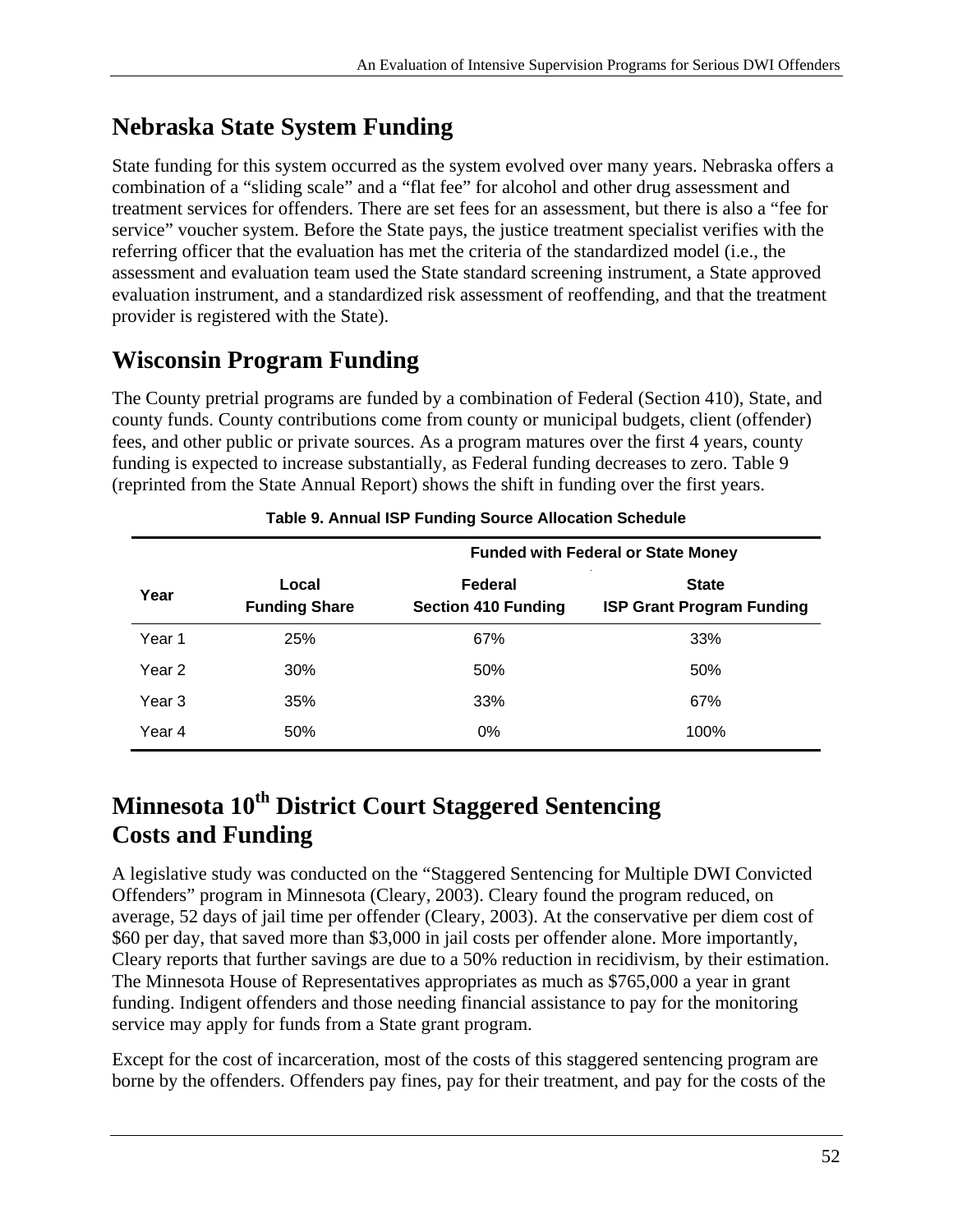## **Nebraska State System Funding**

State funding for this system occurred as the system evolved over many years. Nebraska offers a combination of a "sliding scale" and a "flat fee" for alcohol and other drug assessment and treatment services for offenders. There are set fees for an assessment, but there is also a "fee for service" voucher system. Before the State pays, the justice treatment specialist verifies with the referring officer that the evaluation has met the criteria of the standardized model (i.e., the assessment and evaluation team used the State standard screening instrument, a State approved evaluation instrument, and a standardized risk assessment of reoffending, and that the treatment provider is registered with the State).

## **Wisconsin Program Funding**

The County pretrial programs are funded by a combination of Federal (Section 410), State, and county funds. County contributions come from county or municipal budgets, client (offender) fees, and other public or private sources. As a program matures over the first 4 years, county funding is expected to increase substantially, as Federal funding decreases to zero. Table 9 (reprinted from the State Annual Report) shows the shift in funding over the first years.

|        |                               | <b>Funded with Federal or State Money</b> |                                                  |  |
|--------|-------------------------------|-------------------------------------------|--------------------------------------------------|--|
| Year   | Local<br><b>Funding Share</b> | Federal<br><b>Section 410 Funding</b>     | <b>State</b><br><b>ISP Grant Program Funding</b> |  |
| Year 1 | 25%                           | 67%                                       | 33%                                              |  |
| Year 2 | 30%                           | 50%                                       | 50%                                              |  |
| Year 3 | 35%                           | 33%                                       | 67%                                              |  |
| Year 4 | 50%                           | 0%                                        | 100%                                             |  |

#### **Table 9. Annual ISP Funding Source Allocation Schedule**

## **Minnesota 10th District Court Staggered Sentencing Costs and Funding**

A legislative study was conducted on the "Staggered Sentencing for Multiple DWI Convicted Offenders" program in Minnesota (Cleary, 2003). Cleary found the program reduced, on average, 52 days of jail time per offender (Cleary, 2003). At the conservative per diem cost of \$60 per day, that saved more than \$3,000 in jail costs per offender alone. More importantly, Cleary reports that further savings are due to a 50% reduction in recidivism, by their estimation. The Minnesota House of Representatives appropriates as much as \$765,000 a year in grant funding. Indigent offenders and those needing financial assistance to pay for the monitoring service may apply for funds from a State grant program.

Except for the cost of incarceration, most of the costs of this staggered sentencing program are borne by the offenders. Offenders pay fines, pay for their treatment, and pay for the costs of the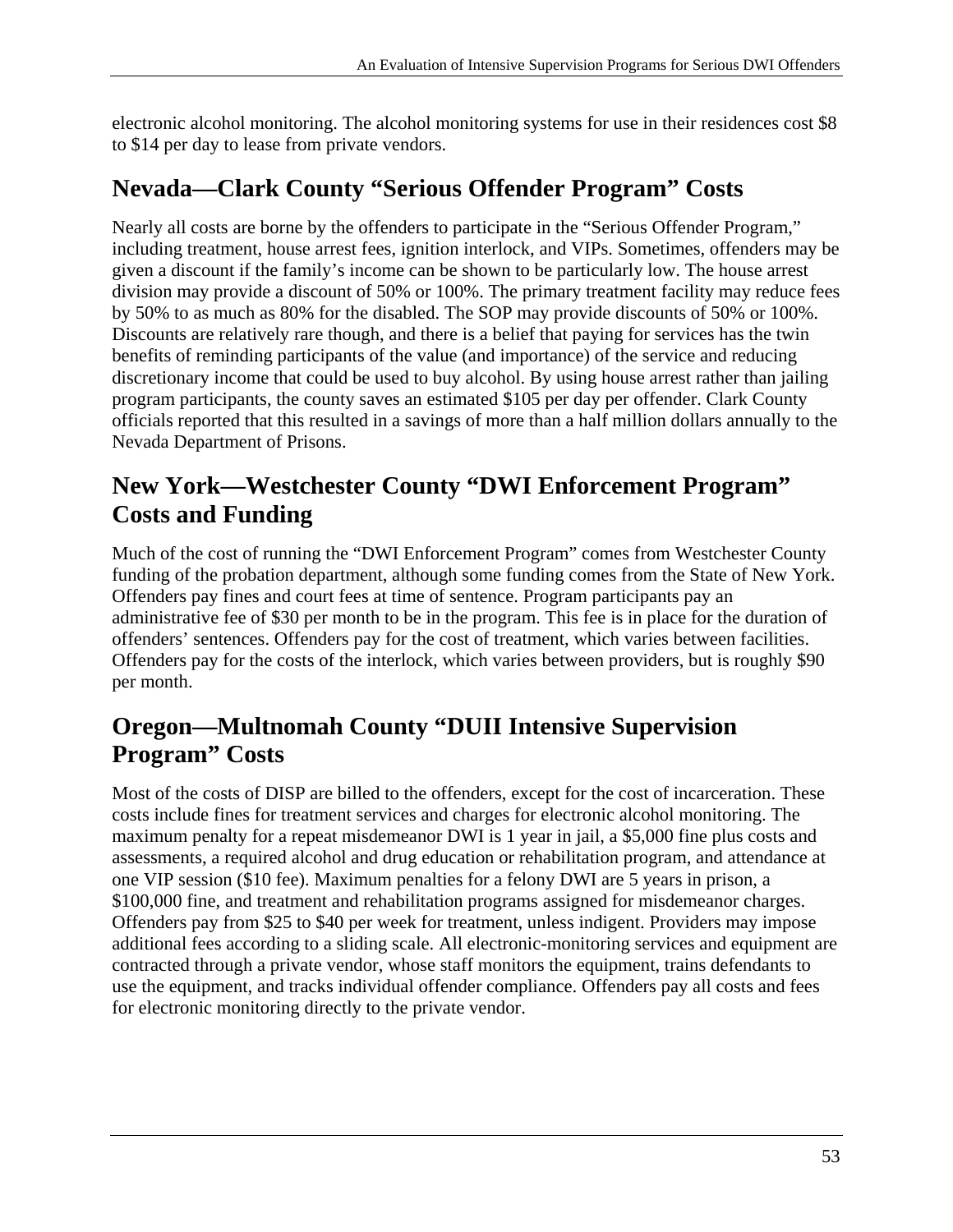electronic alcohol monitoring. The alcohol monitoring systems for use in their residences cost \$8 to \$14 per day to lease from private vendors.

## **Nevada—Clark County "Serious Offender Program" Costs**

Nearly all costs are borne by the offenders to participate in the "Serious Offender Program," including treatment, house arrest fees, ignition interlock, and VIPs. Sometimes, offenders may be given a discount if the family's income can be shown to be particularly low. The house arrest division may provide a discount of 50% or 100%. The primary treatment facility may reduce fees by 50% to as much as 80% for the disabled. The SOP may provide discounts of 50% or 100%. Discounts are relatively rare though, and there is a belief that paying for services has the twin benefits of reminding participants of the value (and importance) of the service and reducing discretionary income that could be used to buy alcohol. By using house arrest rather than jailing program participants, the county saves an estimated \$105 per day per offender. Clark County officials reported that this resulted in a savings of more than a half million dollars annually to the Nevada Department of Prisons.

## **New York—Westchester County "DWI Enforcement Program" Costs and Funding**

Much of the cost of running the "DWI Enforcement Program" comes from Westchester County funding of the probation department, although some funding comes from the State of New York. Offenders pay fines and court fees at time of sentence. Program participants pay an administrative fee of \$30 per month to be in the program. This fee is in place for the duration of offenders' sentences. Offenders pay for the cost of treatment, which varies between facilities. Offenders pay for the costs of the interlock, which varies between providers, but is roughly \$90 per month.

## **Oregon—Multnomah County "DUII Intensive Supervision Program" Costs**

Most of the costs of DISP are billed to the offenders, except for the cost of incarceration. These costs include fines for treatment services and charges for electronic alcohol monitoring. The maximum penalty for a repeat misdemeanor DWI is 1 year in jail, a \$5,000 fine plus costs and assessments, a required alcohol and drug education or rehabilitation program, and attendance at one VIP session (\$10 fee). Maximum penalties for a felony DWI are 5 years in prison, a \$100,000 fine, and treatment and rehabilitation programs assigned for misdemeanor charges. Offenders pay from \$25 to \$40 per week for treatment, unless indigent. Providers may impose additional fees according to a sliding scale. All electronic-monitoring services and equipment are contracted through a private vendor, whose staff monitors the equipment, trains defendants to use the equipment, and tracks individual offender compliance. Offenders pay all costs and fees for electronic monitoring directly to the private vendor.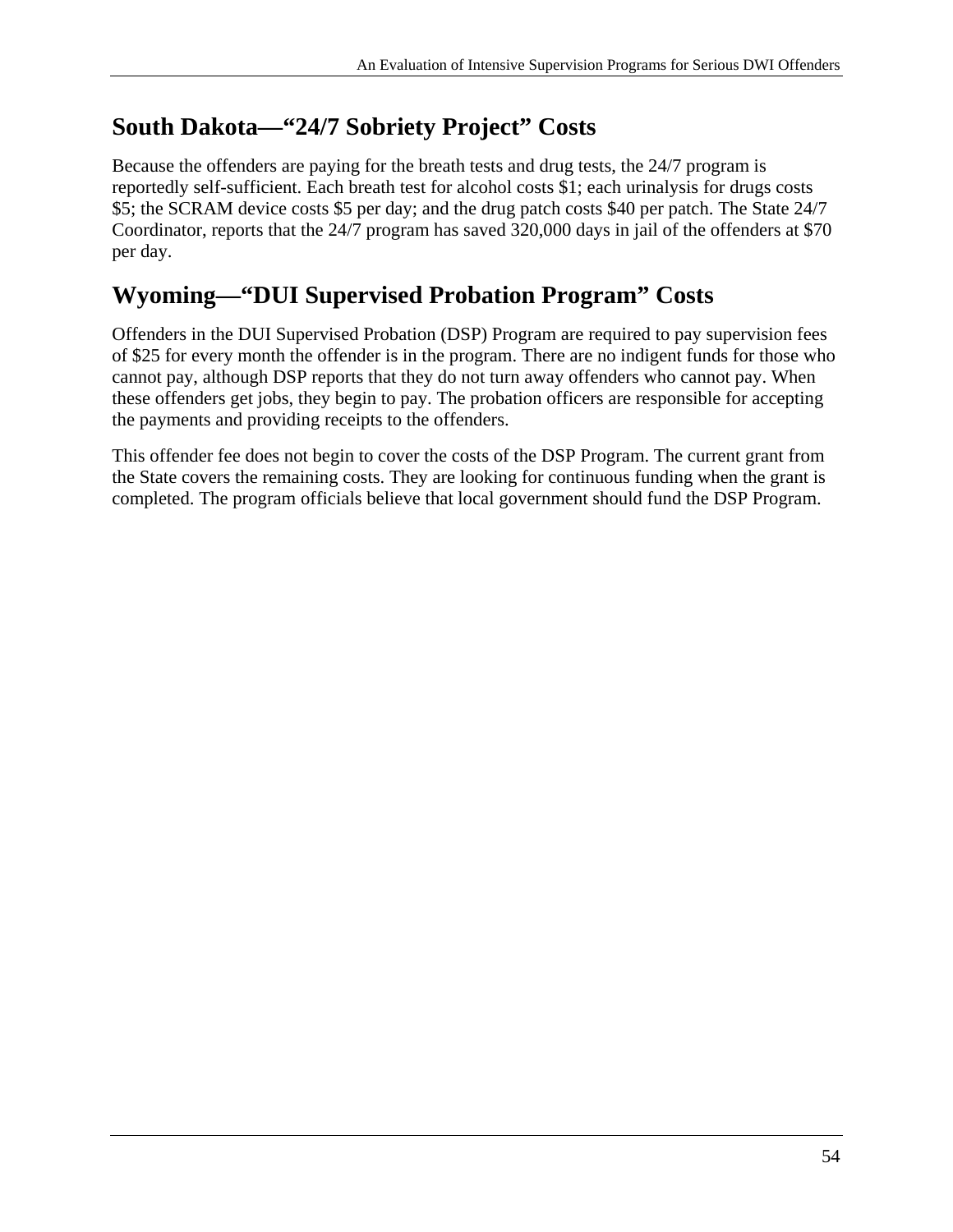## **South Dakota—"24/7 Sobriety Project" Costs**

Because the offenders are paying for the breath tests and drug tests, the 24/7 program is reportedly self-sufficient. Each breath test for alcohol costs \$1; each urinalysis for drugs costs \$5; the SCRAM device costs \$5 per day; and the drug patch costs \$40 per patch. The State 24/7 Coordinator, reports that the 24/7 program has saved 320,000 days in jail of the offenders at \$70 per day.

## **Wyoming—"DUI Supervised Probation Program" Costs**

Offenders in the DUI Supervised Probation (DSP) Program are required to pay supervision fees of \$25 for every month the offender is in the program. There are no indigent funds for those who cannot pay, although DSP reports that they do not turn away offenders who cannot pay. When these offenders get jobs, they begin to pay. The probation officers are responsible for accepting the payments and providing receipts to the offenders.

This offender fee does not begin to cover the costs of the DSP Program. The current grant from the State covers the remaining costs. They are looking for continuous funding when the grant is completed. The program officials believe that local government should fund the DSP Program.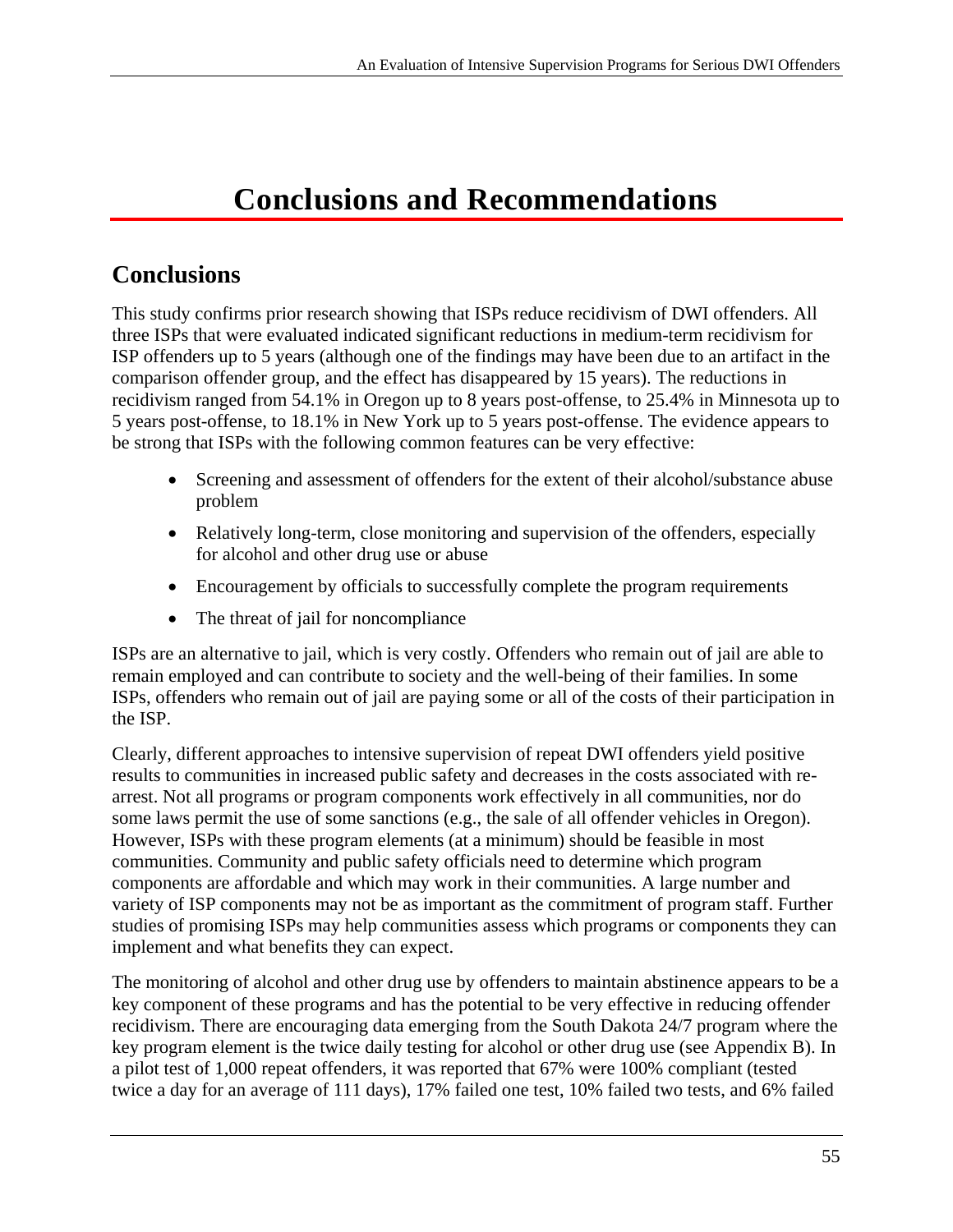# **Conclusions and Recommendations**

## **Conclusions**

This study confirms prior research showing that ISPs reduce recidivism of DWI offenders. All three ISPs that were evaluated indicated significant reductions in medium-term recidivism for ISP offenders up to 5 years (although one of the findings may have been due to an artifact in the comparison offender group, and the effect has disappeared by 15 years). The reductions in recidivism ranged from 54.1% in Oregon up to 8 years post-offense, to 25.4% in Minnesota up to 5 years post-offense, to 18.1% in New York up to 5 years post-offense. The evidence appears to be strong that ISPs with the following common features can be very effective:

- Screening and assessment of offenders for the extent of their alcohol/substance abuse problem
- Relatively long-term, close monitoring and supervision of the offenders, especially for alcohol and other drug use or abuse
- Encouragement by officials to successfully complete the program requirements
- The threat of jail for noncompliance

ISPs are an alternative to jail, which is very costly. Offenders who remain out of jail are able to remain employed and can contribute to society and the well-being of their families. In some ISPs, offenders who remain out of jail are paying some or all of the costs of their participation in the ISP.

Clearly, different approaches to intensive supervision of repeat DWI offenders yield positive results to communities in increased public safety and decreases in the costs associated with rearrest. Not all programs or program components work effectively in all communities, nor do some laws permit the use of some sanctions (e.g., the sale of all offender vehicles in Oregon). However, ISPs with these program elements (at a minimum) should be feasible in most communities. Community and public safety officials need to determine which program components are affordable and which may work in their communities. A large number and variety of ISP components may not be as important as the commitment of program staff. Further studies of promising ISPs may help communities assess which programs or components they can implement and what benefits they can expect.

The monitoring of alcohol and other drug use by offenders to maintain abstinence appears to be a key component of these programs and has the potential to be very effective in reducing offender recidivism. There are encouraging data emerging from the South Dakota 24/7 program where the key program element is the twice daily testing for alcohol or other drug use (see Appendix B). In a pilot test of 1,000 repeat offenders, it was reported that 67% were 100% compliant (tested twice a day for an average of 111 days), 17% failed one test, 10% failed two tests, and 6% failed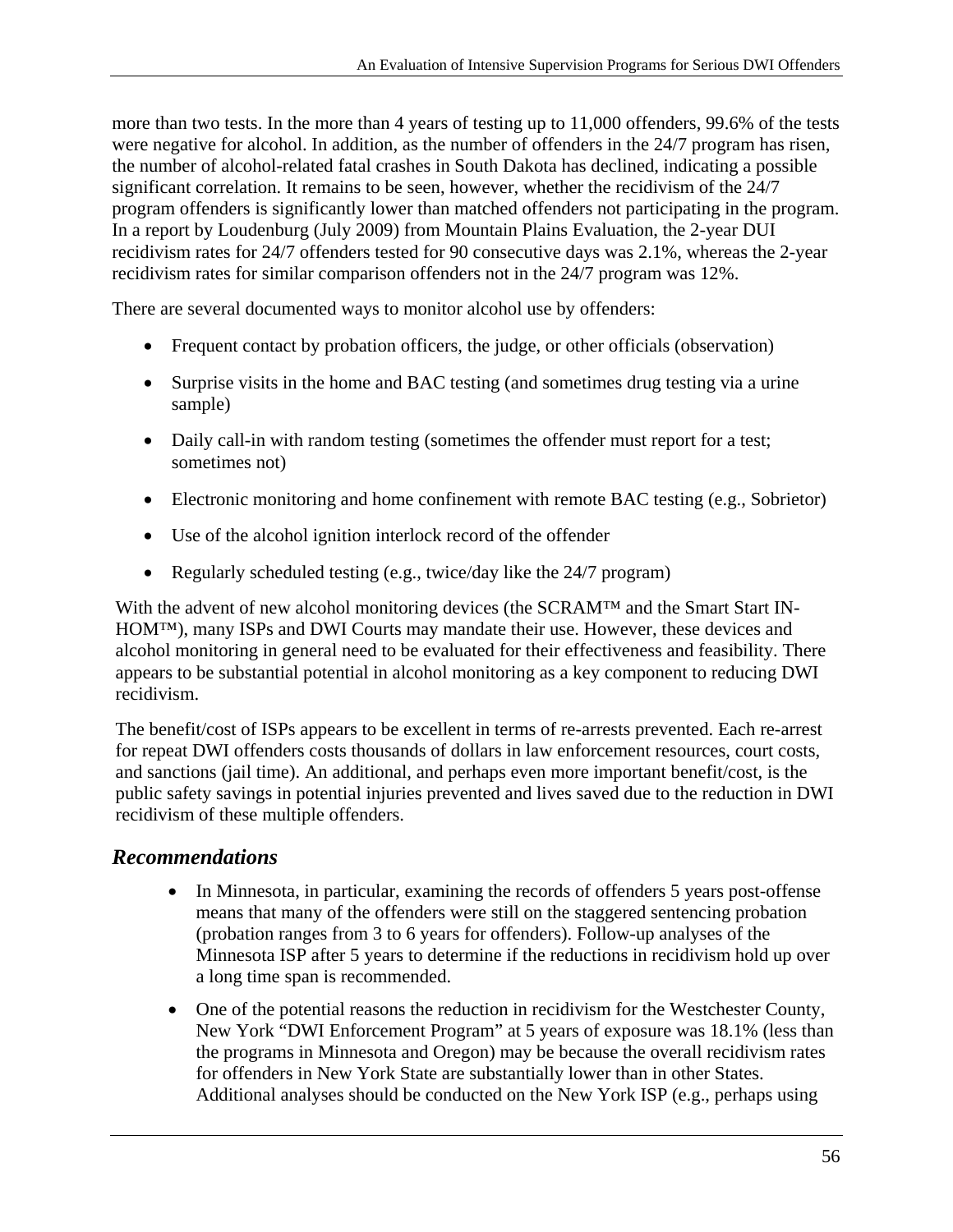more than two tests. In the more than 4 years of testing up to 11,000 offenders, 99.6% of the tests were negative for alcohol. In addition, as the number of offenders in the 24/7 program has risen, the number of alcohol-related fatal crashes in South Dakota has declined, indicating a possible significant correlation. It remains to be seen, however, whether the recidivism of the 24/7 program offenders is significantly lower than matched offenders not participating in the program. In a report by Loudenburg (July 2009) from Mountain Plains Evaluation, the 2-year DUI recidivism rates for 24/7 offenders tested for 90 consecutive days was 2.1%, whereas the 2-year recidivism rates for similar comparison offenders not in the 24/7 program was 12%.

There are several documented ways to monitor alcohol use by offenders:

- Frequent contact by probation officers, the judge, or other officials (observation)
- Surprise visits in the home and BAC testing (and sometimes drug testing via a urine sample)
- Daily call-in with random testing (sometimes the offender must report for a test; sometimes not)
- Electronic monitoring and home confinement with remote BAC testing (e.g., Sobrietor)
- Use of the alcohol ignition interlock record of the offender
- Regularly scheduled testing (e.g., twice/day like the 24/7 program)

With the advent of new alcohol monitoring devices (the SCRAM™ and the Smart Start IN-HOM™), many ISPs and DWI Courts may mandate their use. However, these devices and alcohol monitoring in general need to be evaluated for their effectiveness and feasibility. There appears to be substantial potential in alcohol monitoring as a key component to reducing DWI recidivism.

The benefit/cost of ISPs appears to be excellent in terms of re-arrests prevented. Each re-arrest for repeat DWI offenders costs thousands of dollars in law enforcement resources, court costs, and sanctions (jail time). An additional, and perhaps even more important benefit/cost, is the public safety savings in potential injuries prevented and lives saved due to the reduction in DWI recidivism of these multiple offenders.

#### *Recommendations*

- In Minnesota, in particular, examining the records of offenders 5 years post-offense means that many of the offenders were still on the staggered sentencing probation (probation ranges from 3 to 6 years for offenders). Follow-up analyses of the Minnesota ISP after 5 years to determine if the reductions in recidivism hold up over a long time span is recommended.
- One of the potential reasons the reduction in recidivism for the Westchester County, New York "DWI Enforcement Program" at 5 years of exposure was 18.1% (less than the programs in Minnesota and Oregon) may be because the overall recidivism rates for offenders in New York State are substantially lower than in other States. Additional analyses should be conducted on the New York ISP (e.g., perhaps using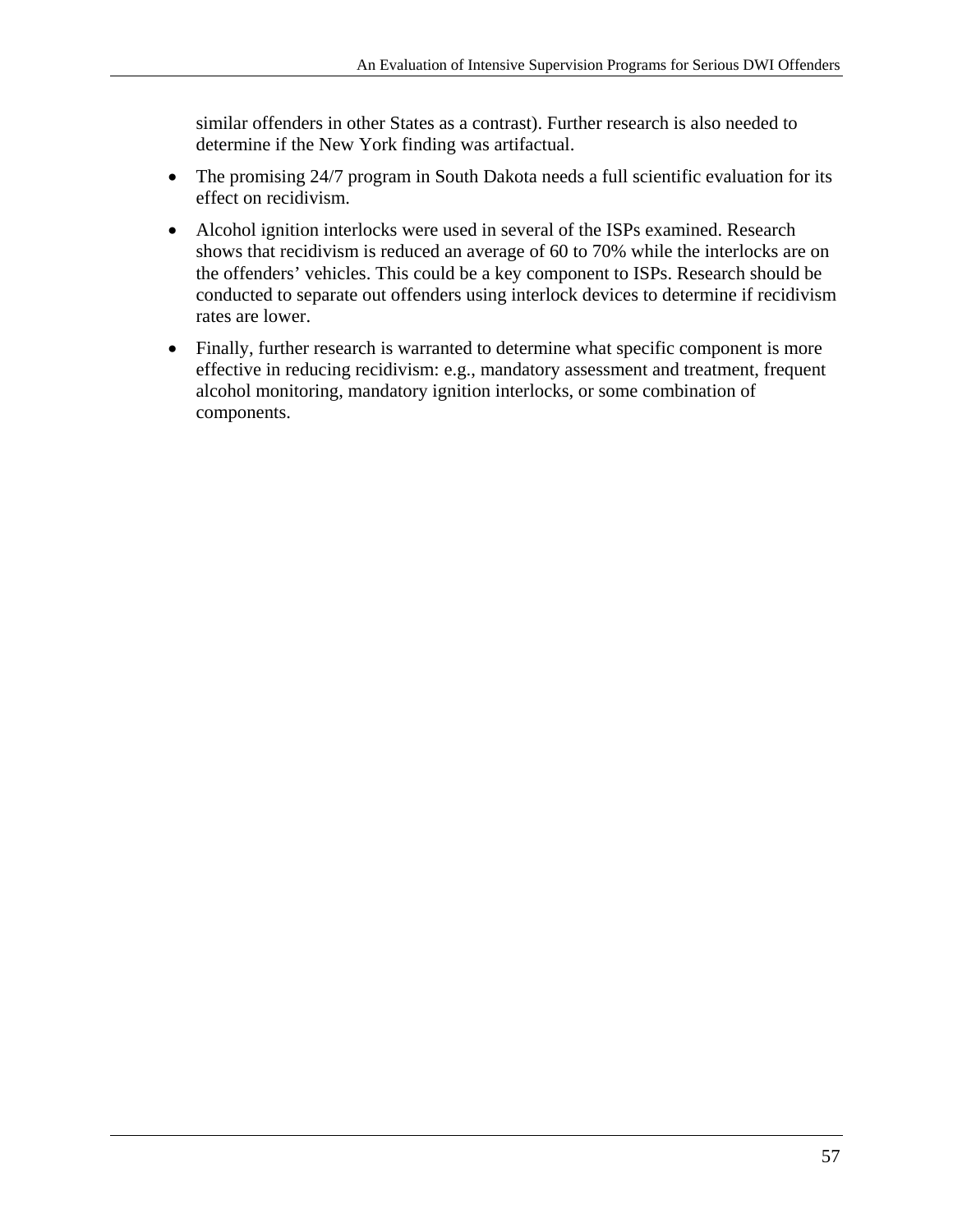similar offenders in other States as a contrast). Further research is also needed to determine if the New York finding was artifactual.

- The promising 24/7 program in South Dakota needs a full scientific evaluation for its effect on recidivism.
- Alcohol ignition interlocks were used in several of the ISPs examined. Research shows that recidivism is reduced an average of 60 to 70% while the interlocks are on the offenders' vehicles. This could be a key component to ISPs. Research should be conducted to separate out offenders using interlock devices to determine if recidivism rates are lower.
- Finally, further research is warranted to determine what specific component is more effective in reducing recidivism: e.g., mandatory assessment and treatment, frequent alcohol monitoring, mandatory ignition interlocks, or some combination of components.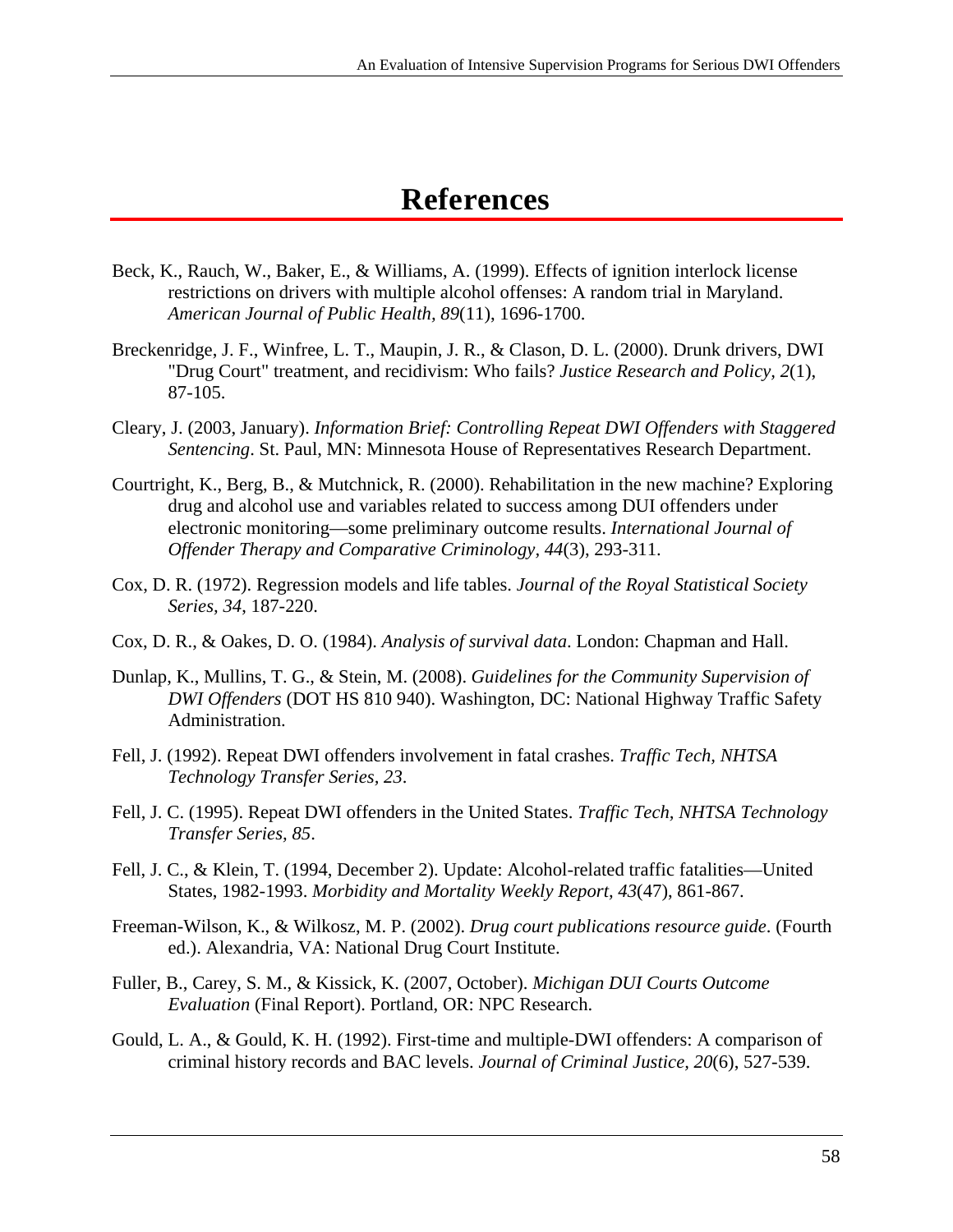## **References**

- Beck, K., Rauch, W., Baker, E., & Williams, A. (1999). Effects of ignition interlock license restrictions on drivers with multiple alcohol offenses: A random trial in Maryland. *American Journal of Public Health, 89*(11), 1696-1700.
- Breckenridge, J. F., Winfree, L. T., Maupin, J. R., & Clason, D. L. (2000). Drunk drivers, DWI "Drug Court" treatment, and recidivism: Who fails? *Justice Research and Policy, 2*(1), 87-105.
- Cleary, J. (2003, January). *Information Brief: Controlling Repeat DWI Offenders with Staggered Sentencing*. St. Paul, MN: Minnesota House of Representatives Research Department.
- Courtright, K., Berg, B., & Mutchnick, R. (2000). Rehabilitation in the new machine? Exploring drug and alcohol use and variables related to success among DUI offenders under electronic monitoring—some preliminary outcome results. *International Journal of Offender Therapy and Comparative Criminology, 44*(3), 293-311.
- Cox, D. R. (1972). Regression models and life tables. *Journal of the Royal Statistical Society Series, 34*, 187-220.
- Cox, D. R., & Oakes, D. O. (1984). *Analysis of survival data*. London: Chapman and Hall.
- Dunlap, K., Mullins, T. G., & Stein, M. (2008). *Guidelines for the Community Supervision of DWI Offenders* (DOT HS 810 940). Washington, DC: National Highway Traffic Safety Administration.
- Fell, J. (1992). Repeat DWI offenders involvement in fatal crashes. *Traffic Tech, NHTSA Technology Transfer Series, 23*.
- Fell, J. C. (1995). Repeat DWI offenders in the United States. *Traffic Tech, NHTSA Technology Transfer Series, 85*.
- Fell, J. C., & Klein, T. (1994, December 2). Update: Alcohol-related traffic fatalities—United States, 1982-1993. *Morbidity and Mortality Weekly Report, 43*(47), 861-867.
- Freeman-Wilson, K., & Wilkosz, M. P. (2002). *Drug court publications resource guide*. (Fourth ed.). Alexandria, VA: National Drug Court Institute.
- Fuller, B., Carey, S. M., & Kissick, K. (2007, October). *Michigan DUI Courts Outcome Evaluation* (Final Report). Portland, OR: NPC Research.
- Gould, L. A., & Gould, K. H. (1992). First-time and multiple-DWI offenders: A comparison of criminal history records and BAC levels. *Journal of Criminal Justice, 20*(6), 527-539.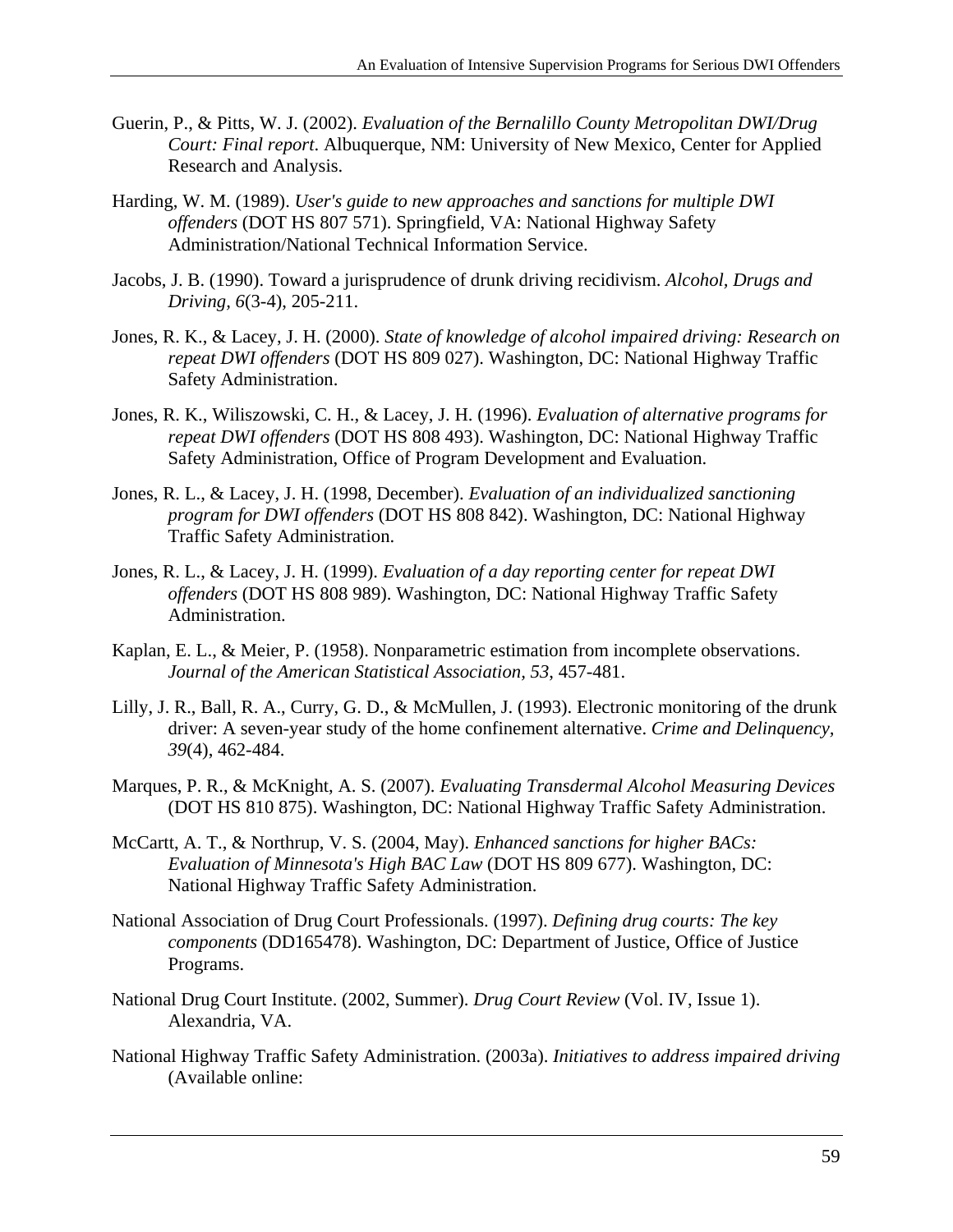- Guerin, P., & Pitts, W. J. (2002). *Evaluation of the Bernalillo County Metropolitan DWI/Drug Court: Final report*. Albuquerque, NM: University of New Mexico, Center for Applied Research and Analysis.
- Harding, W. M. (1989). *User's guide to new approaches and sanctions for multiple DWI offenders* (DOT HS 807 571). Springfield, VA: National Highway Safety Administration/National Technical Information Service.
- Jacobs, J. B. (1990). Toward a jurisprudence of drunk driving recidivism. *Alcohol, Drugs and Driving, 6*(3-4), 205-211.
- Jones, R. K., & Lacey, J. H. (2000). *State of knowledge of alcohol impaired driving: Research on repeat DWI offenders* (DOT HS 809 027). Washington, DC: National Highway Traffic Safety Administration.
- Jones, R. K., Wiliszowski, C. H., & Lacey, J. H. (1996). *Evaluation of alternative programs for repeat DWI offenders* (DOT HS 808 493). Washington, DC: National Highway Traffic Safety Administration, Office of Program Development and Evaluation.
- Jones, R. L., & Lacey, J. H. (1998, December). *Evaluation of an individualized sanctioning program for DWI offenders* (DOT HS 808 842). Washington, DC: National Highway Traffic Safety Administration.
- Jones, R. L., & Lacey, J. H. (1999). *Evaluation of a day reporting center for repeat DWI offenders* (DOT HS 808 989). Washington, DC: National Highway Traffic Safety Administration.
- Kaplan, E. L., & Meier, P. (1958). Nonparametric estimation from incomplete observations. *Journal of the American Statistical Association, 53*, 457-481.
- Lilly, J. R., Ball, R. A., Curry, G. D., & McMullen, J. (1993). Electronic monitoring of the drunk driver: A seven-year study of the home confinement alternative. *Crime and Delinquency, 39*(4), 462-484.
- Marques, P. R., & McKnight, A. S. (2007). *Evaluating Transdermal Alcohol Measuring Devices*  (DOT HS 810 875). Washington, DC: National Highway Traffic Safety Administration.
- McCartt, A. T., & Northrup, V. S. (2004, May). *Enhanced sanctions for higher BACs: Evaluation of Minnesota's High BAC Law* (DOT HS 809 677). Washington, DC: National Highway Traffic Safety Administration.
- National Association of Drug Court Professionals. (1997). *Defining drug courts: The key components* (DD165478). Washington, DC: Department of Justice, Office of Justice Programs.
- National Drug Court Institute. (2002, Summer). *Drug Court Review* (Vol. IV, Issue 1). Alexandria, VA.
- National Highway Traffic Safety Administration. (2003a). *Initiatives to address impaired driving*  (Available online: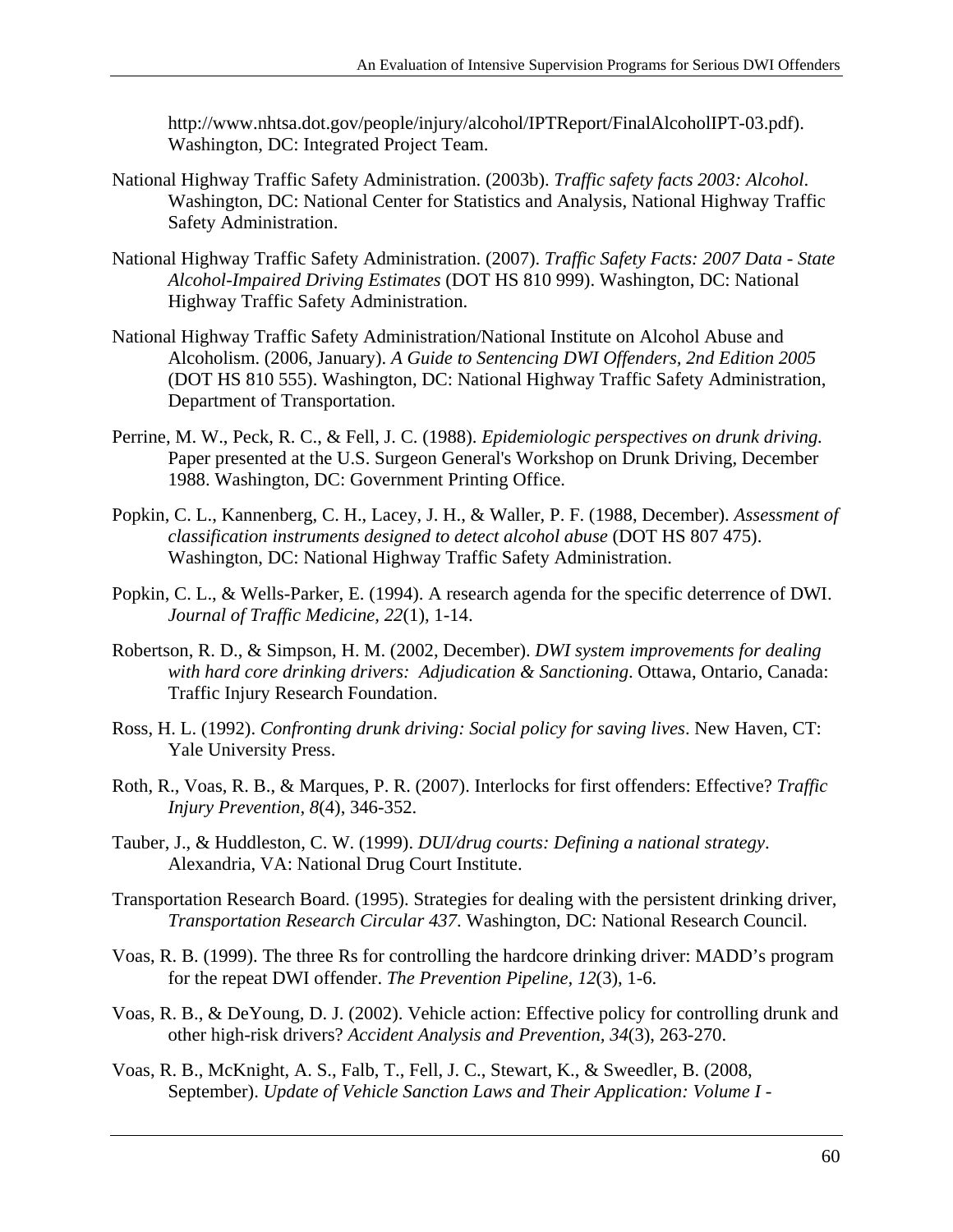http://www.nhtsa.dot.gov/people/injury/alcohol/IPTReport/FinalAlcoholIPT-03.pdf). Washington, DC: Integrated Project Team.

- National Highway Traffic Safety Administration. (2003b). *Traffic safety facts 2003: Alcohol*. Washington, DC: National Center for Statistics and Analysis, National Highway Traffic Safety Administration.
- National Highway Traffic Safety Administration. (2007). *Traffic Safety Facts: 2007 Data State Alcohol-Impaired Driving Estimates* (DOT HS 810 999). Washington, DC: National Highway Traffic Safety Administration.
- National Highway Traffic Safety Administration/National Institute on Alcohol Abuse and Alcoholism. (2006, January). *A Guide to Sentencing DWI Offenders, 2nd Edition 2005*  (DOT HS 810 555). Washington, DC: National Highway Traffic Safety Administration, Department of Transportation.
- Perrine, M. W., Peck, R. C., & Fell, J. C. (1988). *Epidemiologic perspectives on drunk driving.*  Paper presented at the U.S. Surgeon General's Workshop on Drunk Driving, December 1988. Washington, DC: Government Printing Office.
- Popkin, C. L., Kannenberg, C. H., Lacey, J. H., & Waller, P. F. (1988, December). *Assessment of classification instruments designed to detect alcohol abuse* (DOT HS 807 475). Washington, DC: National Highway Traffic Safety Administration.
- Popkin, C. L., & Wells-Parker, E. (1994). A research agenda for the specific deterrence of DWI. *Journal of Traffic Medicine, 22*(1), 1-14.
- Robertson, R. D., & Simpson, H. M. (2002, December). *DWI system improvements for dealing with hard core drinking drivers: Adjudication & Sanctioning*. Ottawa, Ontario, Canada: Traffic Injury Research Foundation.
- Ross, H. L. (1992). *Confronting drunk driving: Social policy for saving lives*. New Haven, CT: Yale University Press.
- Roth, R., Voas, R. B., & Marques, P. R. (2007). Interlocks for first offenders: Effective? *Traffic Injury Prevention, 8*(4), 346-352.
- Tauber, J., & Huddleston, C. W. (1999). *DUI/drug courts: Defining a national strategy*. Alexandria, VA: National Drug Court Institute.
- Transportation Research Board. (1995). Strategies for dealing with the persistent drinking driver, *Transportation Research Circular 437*. Washington, DC: National Research Council.
- Voas, R. B. (1999). The three Rs for controlling the hardcore drinking driver: MADD's program for the repeat DWI offender. *The Prevention Pipeline, 12*(3), 1-6.
- Voas, R. B., & DeYoung, D. J. (2002). Vehicle action: Effective policy for controlling drunk and other high-risk drivers? *Accident Analysis and Prevention, 34*(3), 263-270.
- Voas, R. B., McKnight, A. S., Falb, T., Fell, J. C., Stewart, K., & Sweedler, B. (2008, September). *Update of Vehicle Sanction Laws and Their Application: Volume I -*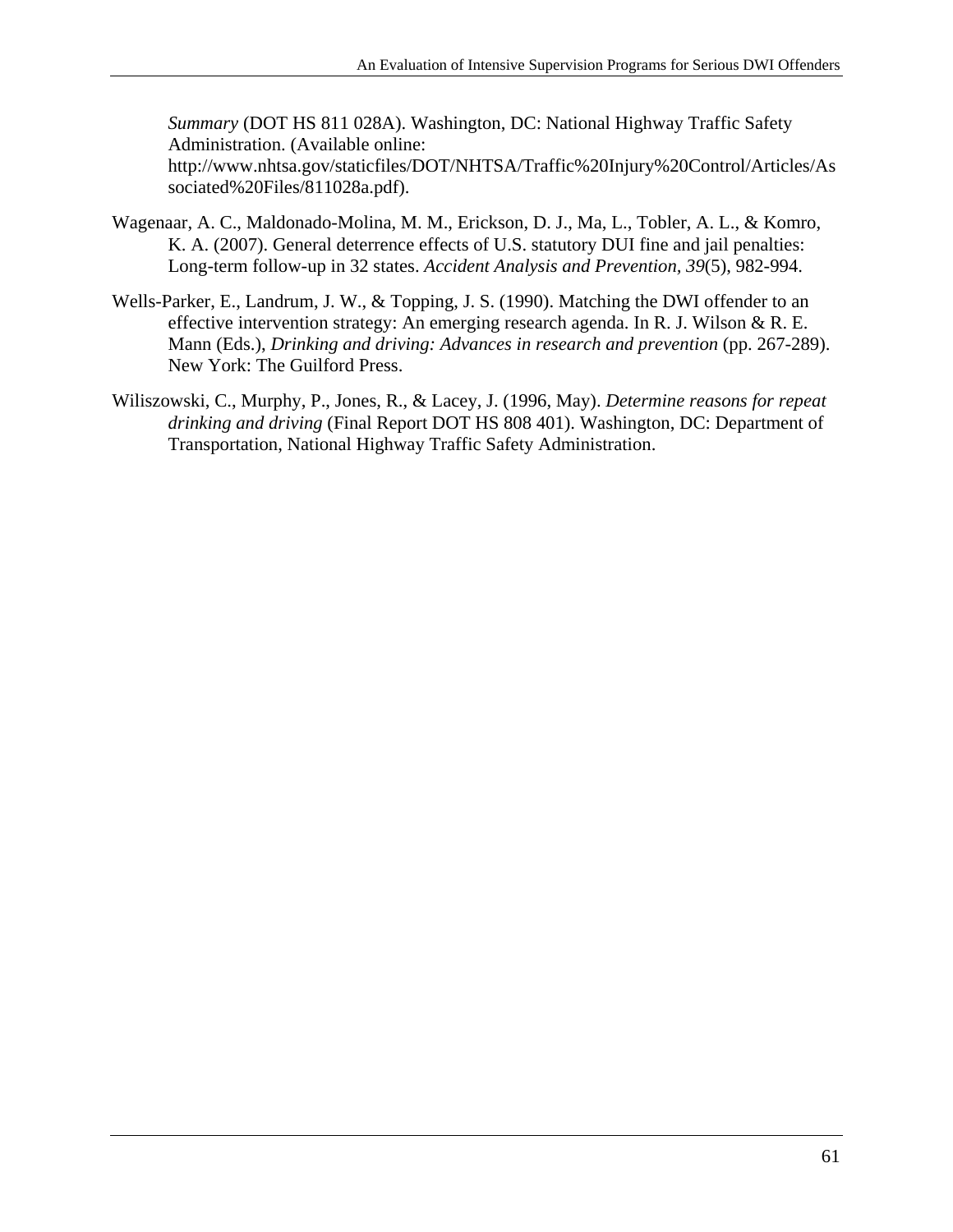*Summary* (DOT HS 811 028A). Washington, DC: National Highway Traffic Safety Administration. (Available online: http://www.nhtsa.gov/staticfiles/DOT/NHTSA/Traffic%20Injury%20Control/Articles/As sociated%20Files/811028a.pdf).

- Wagenaar, A. C., Maldonado-Molina, M. M., Erickson, D. J., Ma, L., Tobler, A. L., & Komro, K. A. (2007). General deterrence effects of U.S. statutory DUI fine and jail penalties: Long-term follow-up in 32 states. *Accident Analysis and Prevention, 39*(5), 982-994.
- Wells-Parker, E., Landrum, J. W., & Topping, J. S. (1990). Matching the DWI offender to an effective intervention strategy: An emerging research agenda. In R. J. Wilson & R. E. Mann (Eds.), *Drinking and driving: Advances in research and prevention* (pp. 267-289). New York: The Guilford Press.
- Wiliszowski, C., Murphy, P., Jones, R., & Lacey, J. (1996, May). *Determine reasons for repeat drinking and driving* (Final Report DOT HS 808 401). Washington, DC: Department of Transportation, National Highway Traffic Safety Administration.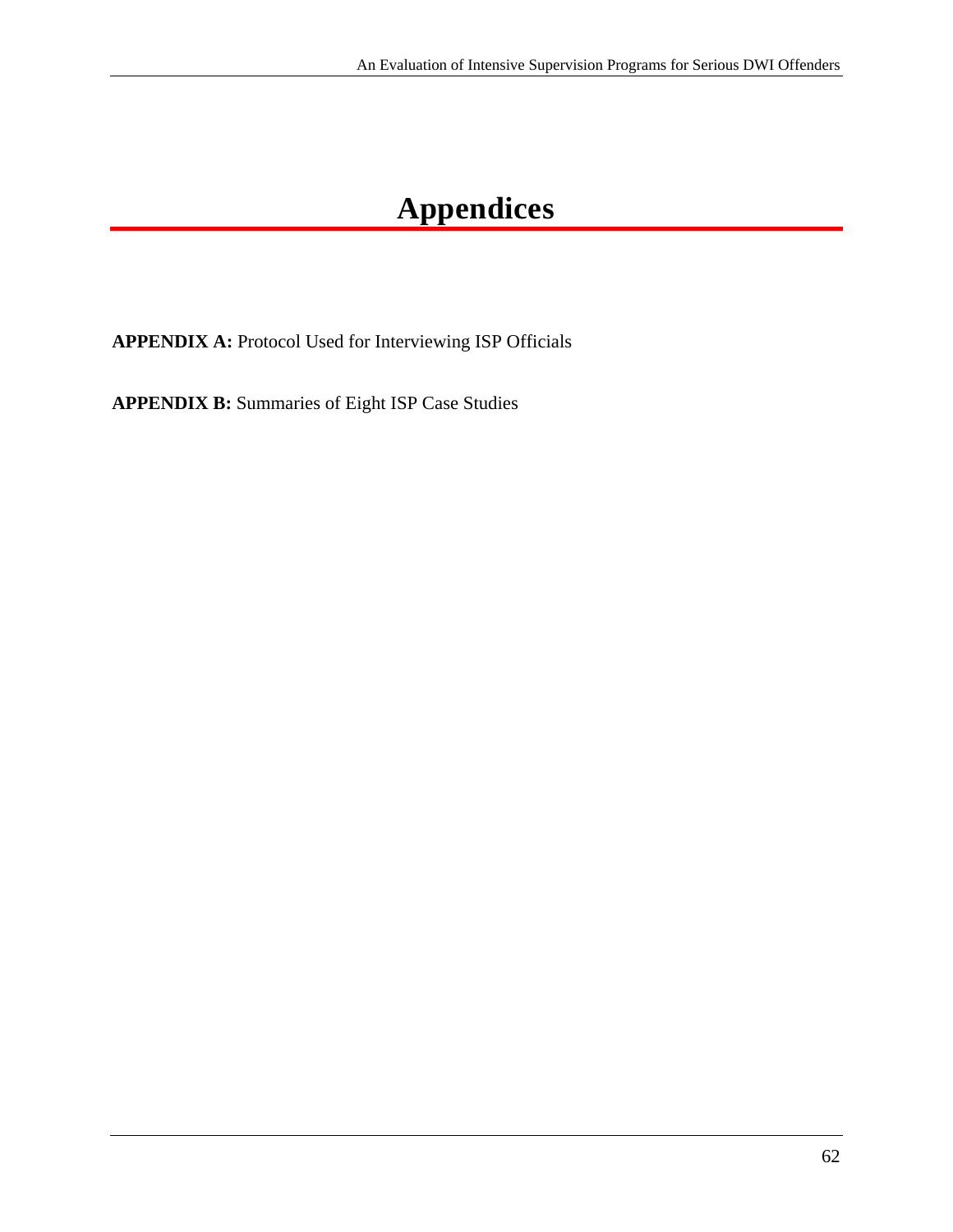# **Appendices**

**APPENDIX A:** Protocol Used for Interviewing ISP Officials

**APPENDIX B:** Summaries of Eight ISP Case Studies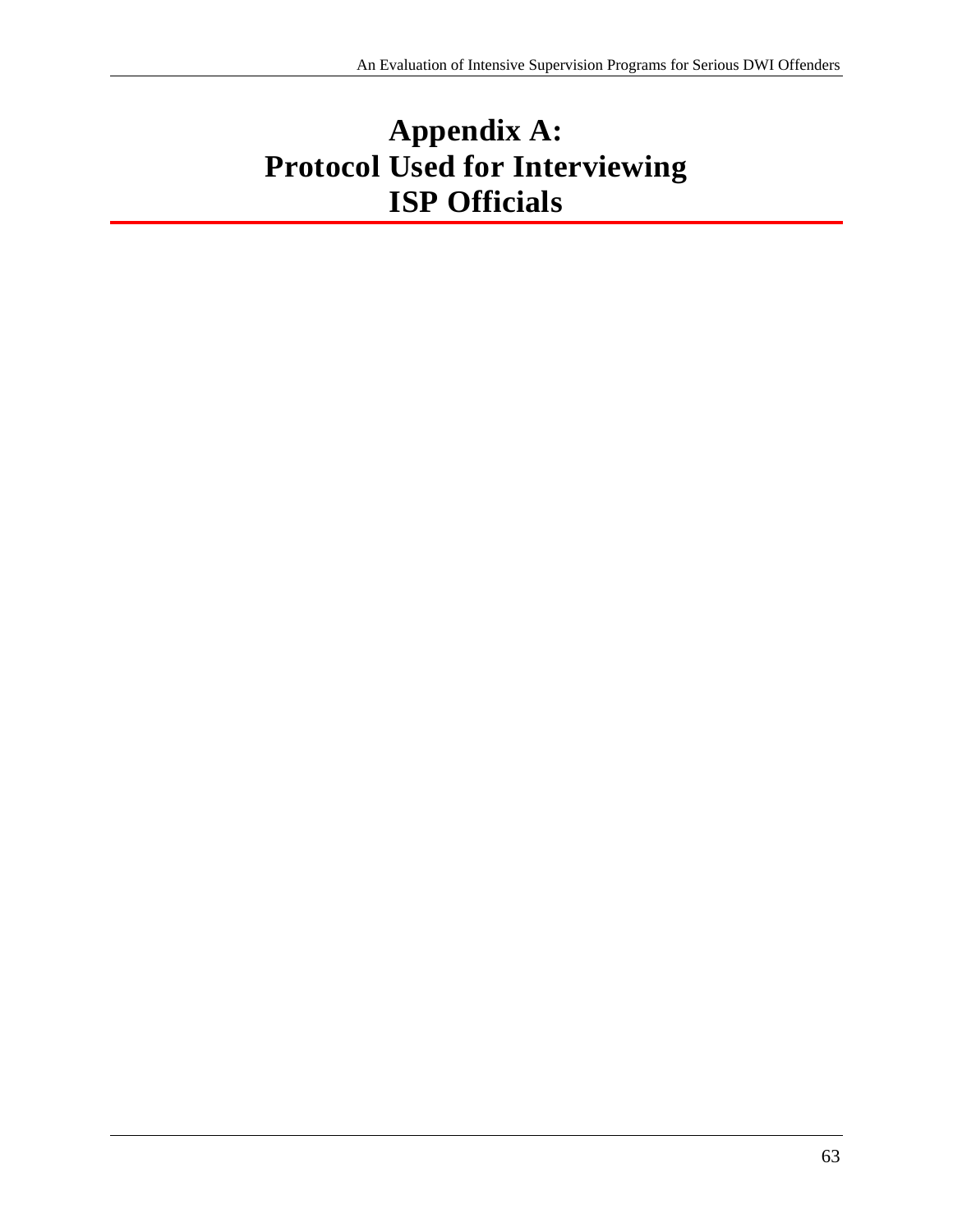# **Appendix A: Protocol Used for Interviewing ISP Officials**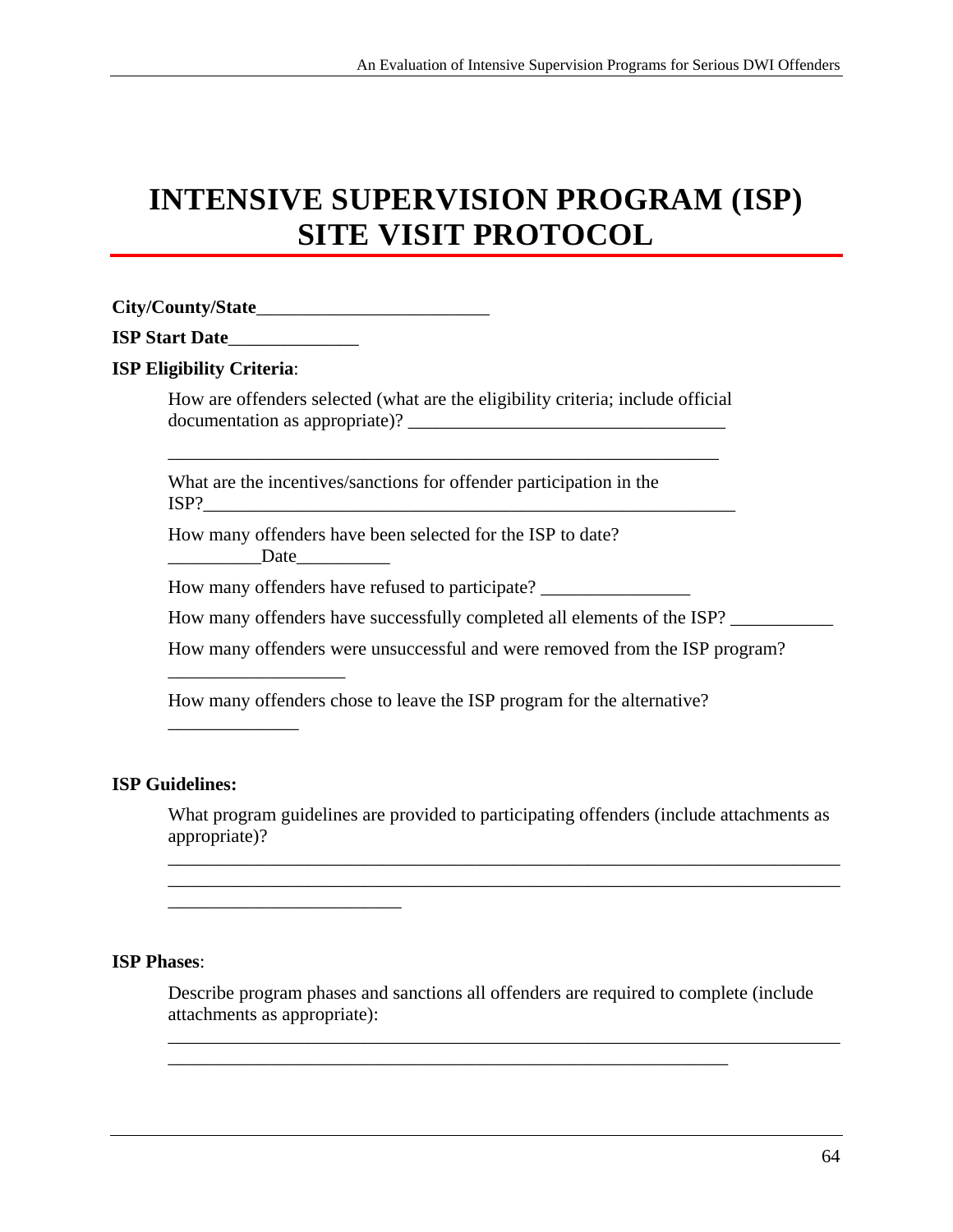# **INTENSIVE SUPERVISION PROGRAM (ISP) SITE VISIT PROTOCOL**

#### **City/County/State**\_\_\_\_\_\_\_\_\_\_\_\_\_\_\_\_\_\_\_\_\_\_\_\_\_

|  | <b>ISP Start Date</b> |
|--|-----------------------|

\_\_\_\_\_\_\_\_\_\_\_\_\_\_\_\_\_\_\_

\_\_\_\_\_\_\_\_\_\_\_\_\_\_\_\_\_\_\_\_\_\_\_\_\_

 $\overline{\phantom{a}}$  , where  $\overline{\phantom{a}}$ 

#### **ISP Eligibility Criteria**:

How are offenders selected (what are the eligibility criteria; include official documentation as appropriate)? \_\_\_\_\_\_\_\_\_\_\_\_\_\_\_\_\_\_\_\_\_\_\_\_\_\_\_\_\_\_\_\_\_\_

\_\_\_\_\_\_\_\_\_\_\_\_\_\_\_\_\_\_\_\_\_\_\_\_\_\_\_\_\_\_\_\_\_\_\_\_\_\_\_\_\_\_\_\_\_\_\_\_\_\_\_\_\_\_\_\_\_\_\_

What are the incentives/sanctions for offender participation in the  $ISP?$ 

How many offenders have been selected for the ISP to date? Date

How many offenders have refused to participate?

How many offenders have successfully completed all elements of the ISP? \_\_\_\_\_\_\_\_

How many offenders were unsuccessful and were removed from the ISP program?

How many offenders chose to leave the ISP program for the alternative?

#### **ISP Guidelines:**

What program guidelines are provided to participating offenders (include attachments as appropriate)?

\_\_\_\_\_\_\_\_\_\_\_\_\_\_\_\_\_\_\_\_\_\_\_\_\_\_\_\_\_\_\_\_\_\_\_\_\_\_\_\_\_\_\_\_\_\_\_\_\_\_\_\_\_\_\_\_\_\_\_\_\_\_\_\_\_\_\_\_\_\_\_\_ \_\_\_\_\_\_\_\_\_\_\_\_\_\_\_\_\_\_\_\_\_\_\_\_\_\_\_\_\_\_\_\_\_\_\_\_\_\_\_\_\_\_\_\_\_\_\_\_\_\_\_\_\_\_\_\_\_\_\_\_\_\_\_\_\_\_\_\_\_\_\_\_

#### **ISP Phases**:

Describe program phases and sanctions all offenders are required to complete (include attachments as appropriate):

\_\_\_\_\_\_\_\_\_\_\_\_\_\_\_\_\_\_\_\_\_\_\_\_\_\_\_\_\_\_\_\_\_\_\_\_\_\_\_\_\_\_\_\_\_\_\_\_\_\_\_\_\_\_\_\_\_\_\_\_

\_\_\_\_\_\_\_\_\_\_\_\_\_\_\_\_\_\_\_\_\_\_\_\_\_\_\_\_\_\_\_\_\_\_\_\_\_\_\_\_\_\_\_\_\_\_\_\_\_\_\_\_\_\_\_\_\_\_\_\_\_\_\_\_\_\_\_\_\_\_\_\_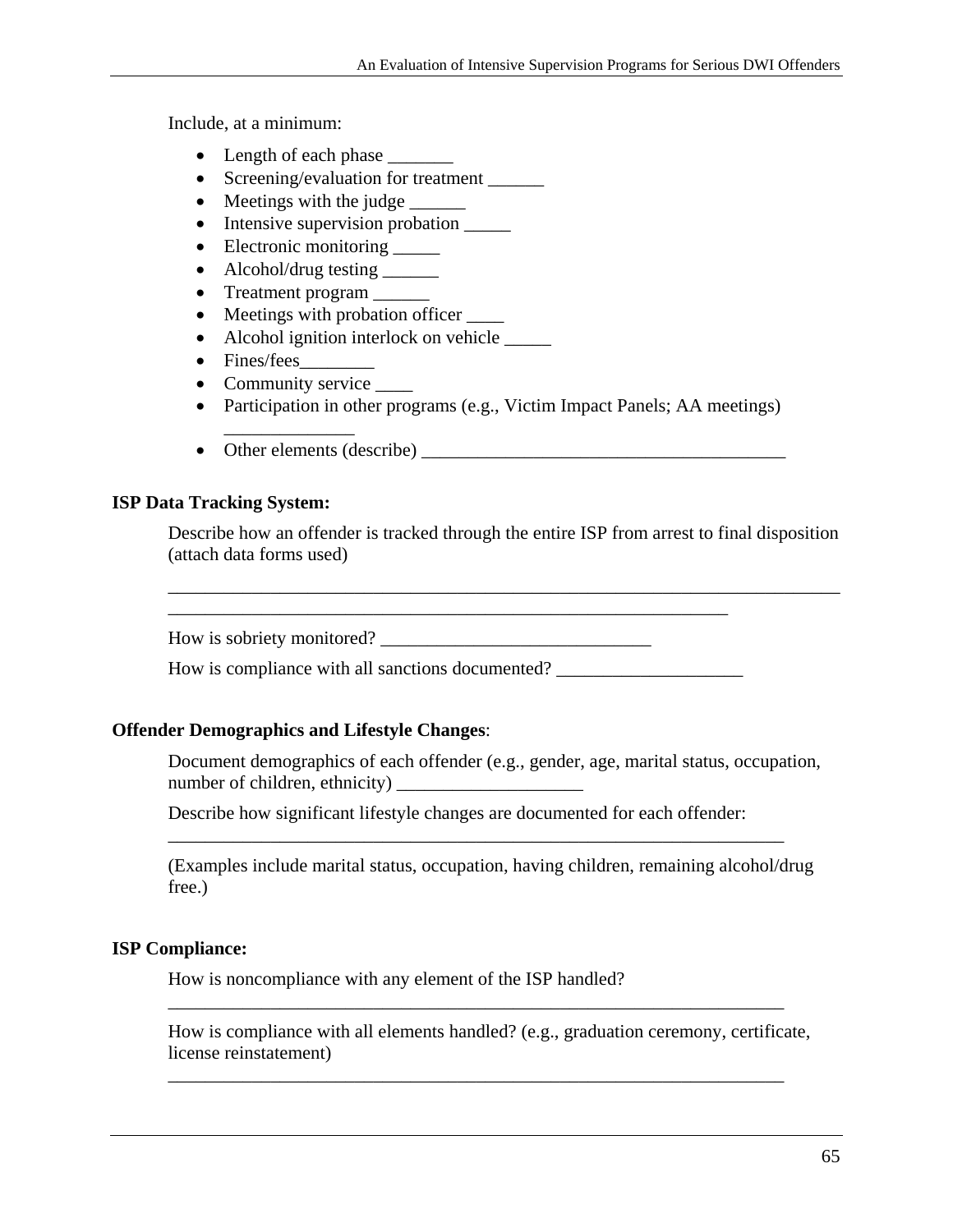Include, at a minimum:

- Length of each phase
- Screening/evaluation for treatment \_\_\_\_\_\_
- Meetings with the judge
- Intensive supervision probation  $\qquad \qquad$
- Electronic monitoring \_\_\_\_\_\_
- Alcohol/drug testing \_\_\_\_\_\_\_
- Treatment program
- Meetings with probation officer \_\_\_\_\_\_
- Alcohol ignition interlock on vehicle  $\qquad \qquad$
- Fines/fees
- Community service

\_\_\_\_\_\_\_\_\_\_\_\_\_\_

- Participation in other programs (e.g., Victim Impact Panels; AA meetings)
- Other elements (describe)

#### **ISP Data Tracking System:**

Describe how an offender is tracked through the entire ISP from arrest to final disposition (attach data forms used)

\_\_\_\_\_\_\_\_\_\_\_\_\_\_\_\_\_\_\_\_\_\_\_\_\_\_\_\_\_\_\_\_\_\_\_\_\_\_\_\_\_\_\_\_\_\_\_\_\_\_\_\_\_\_\_\_\_\_\_\_\_\_\_\_\_\_\_\_\_\_\_\_

\_\_\_\_\_\_\_\_\_\_\_\_\_\_\_\_\_\_\_\_\_\_\_\_\_\_\_\_\_\_\_\_\_\_\_\_\_\_\_\_\_\_\_\_\_\_\_\_\_\_\_\_\_\_\_\_\_\_\_\_ How is sobriety monitored? \_\_\_\_\_\_\_\_\_\_\_\_\_\_\_\_\_\_\_\_\_\_\_\_\_\_\_\_\_

How is compliance with all sanctions documented? \_\_\_\_\_\_\_\_\_\_\_\_\_\_\_\_\_\_\_\_\_\_\_\_\_\_\_\_\_\_\_

#### **Offender Demographics and Lifestyle Changes**:

Document demographics of each offender (e.g., gender, age, marital status, occupation, number of children, ethnicity)

Describe how significant lifestyle changes are documented for each offender:

(Examples include marital status, occupation, having children, remaining alcohol/drug free.)

\_\_\_\_\_\_\_\_\_\_\_\_\_\_\_\_\_\_\_\_\_\_\_\_\_\_\_\_\_\_\_\_\_\_\_\_\_\_\_\_\_\_\_\_\_\_\_\_\_\_\_\_\_\_\_\_\_\_\_\_\_\_\_\_\_\_

#### **ISP Compliance:**

How is noncompliance with any element of the ISP handled?

How is compliance with all elements handled? (e.g., graduation ceremony, certificate, license reinstatement)

\_\_\_\_\_\_\_\_\_\_\_\_\_\_\_\_\_\_\_\_\_\_\_\_\_\_\_\_\_\_\_\_\_\_\_\_\_\_\_\_\_\_\_\_\_\_\_\_\_\_\_\_\_\_\_\_\_\_\_\_\_\_\_\_\_\_

\_\_\_\_\_\_\_\_\_\_\_\_\_\_\_\_\_\_\_\_\_\_\_\_\_\_\_\_\_\_\_\_\_\_\_\_\_\_\_\_\_\_\_\_\_\_\_\_\_\_\_\_\_\_\_\_\_\_\_\_\_\_\_\_\_\_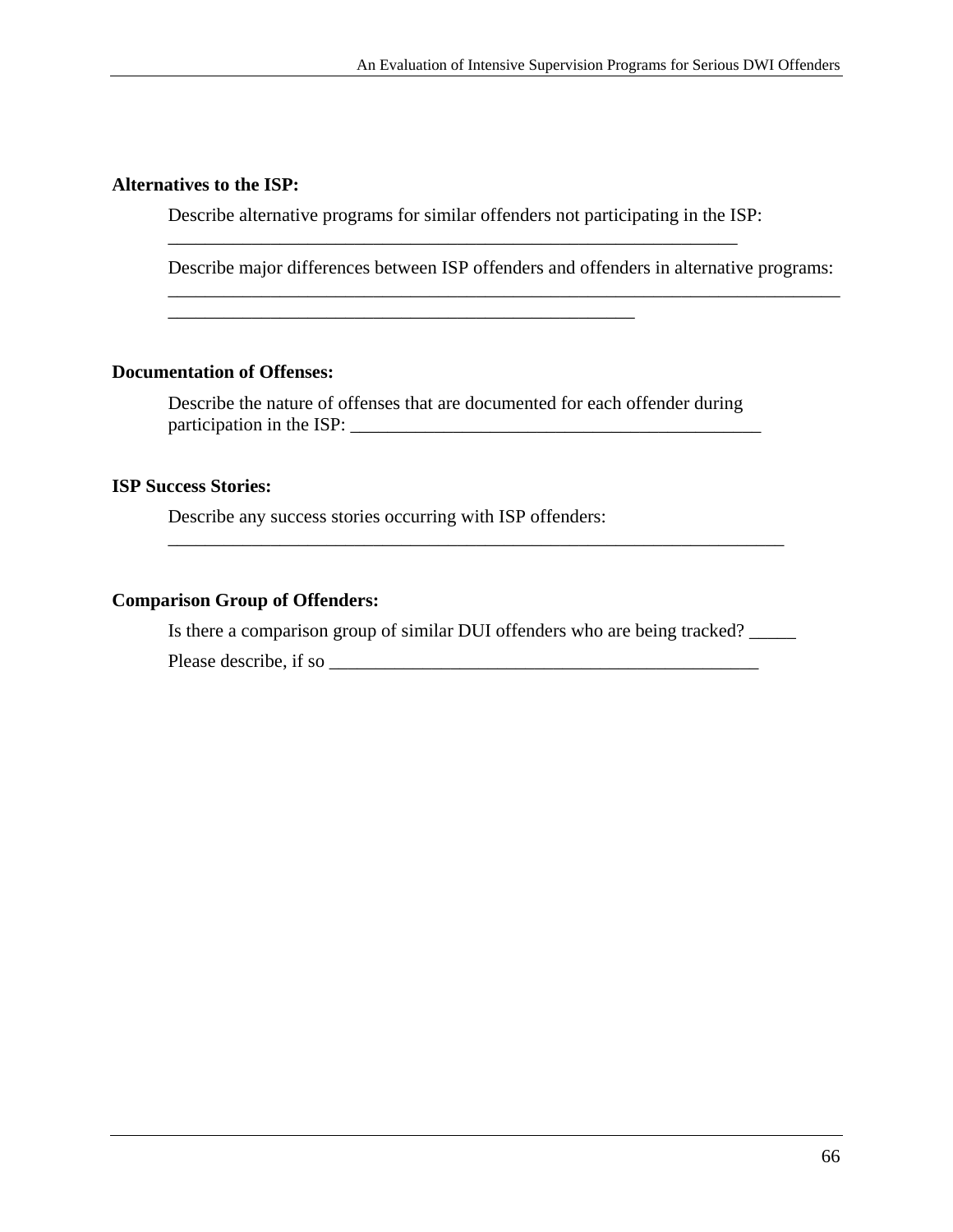#### **Alternatives to the ISP:**

Describe alternative programs for similar offenders not participating in the ISP:

\_\_\_\_\_\_\_\_\_\_\_\_\_\_\_\_\_\_\_\_\_\_\_\_\_\_\_\_\_\_\_\_\_\_\_\_\_\_\_\_\_\_\_\_\_\_\_\_\_\_\_\_\_\_\_\_\_\_\_\_\_

\_\_\_\_\_\_\_\_\_\_\_\_\_\_\_\_\_\_\_\_\_\_\_\_\_\_\_\_\_\_\_\_\_\_\_\_\_\_\_\_\_\_\_\_\_\_\_\_\_\_\_\_\_\_\_\_\_\_\_\_\_\_\_\_\_\_\_\_\_\_\_\_ Describe major differences between ISP offenders and offenders in alternative programs:

#### **Documentation of Offenses:**

Describe the nature of offenses that are documented for each offender during participation in the ISP: \_\_\_\_\_\_\_\_\_\_\_\_\_\_\_\_\_\_\_\_\_\_\_\_\_\_\_\_\_\_\_\_\_\_\_\_\_\_\_\_\_\_\_\_

#### **ISP Success Stories:**

Describe any success stories occurring with ISP offenders:

\_\_\_\_\_\_\_\_\_\_\_\_\_\_\_\_\_\_\_\_\_\_\_\_\_\_\_\_\_\_\_\_\_\_\_\_\_\_\_\_\_\_\_\_\_\_\_\_\_\_

#### **Comparison Group of Offenders:**

Is there a comparison group of similar DUI offenders who are being tracked? Please describe, if so \_\_\_\_\_\_\_\_\_\_\_\_\_\_\_\_\_\_\_\_\_\_\_\_\_\_\_\_\_\_\_\_\_\_\_\_\_\_\_\_\_\_\_\_\_\_

\_\_\_\_\_\_\_\_\_\_\_\_\_\_\_\_\_\_\_\_\_\_\_\_\_\_\_\_\_\_\_\_\_\_\_\_\_\_\_\_\_\_\_\_\_\_\_\_\_\_\_\_\_\_\_\_\_\_\_\_\_\_\_\_\_\_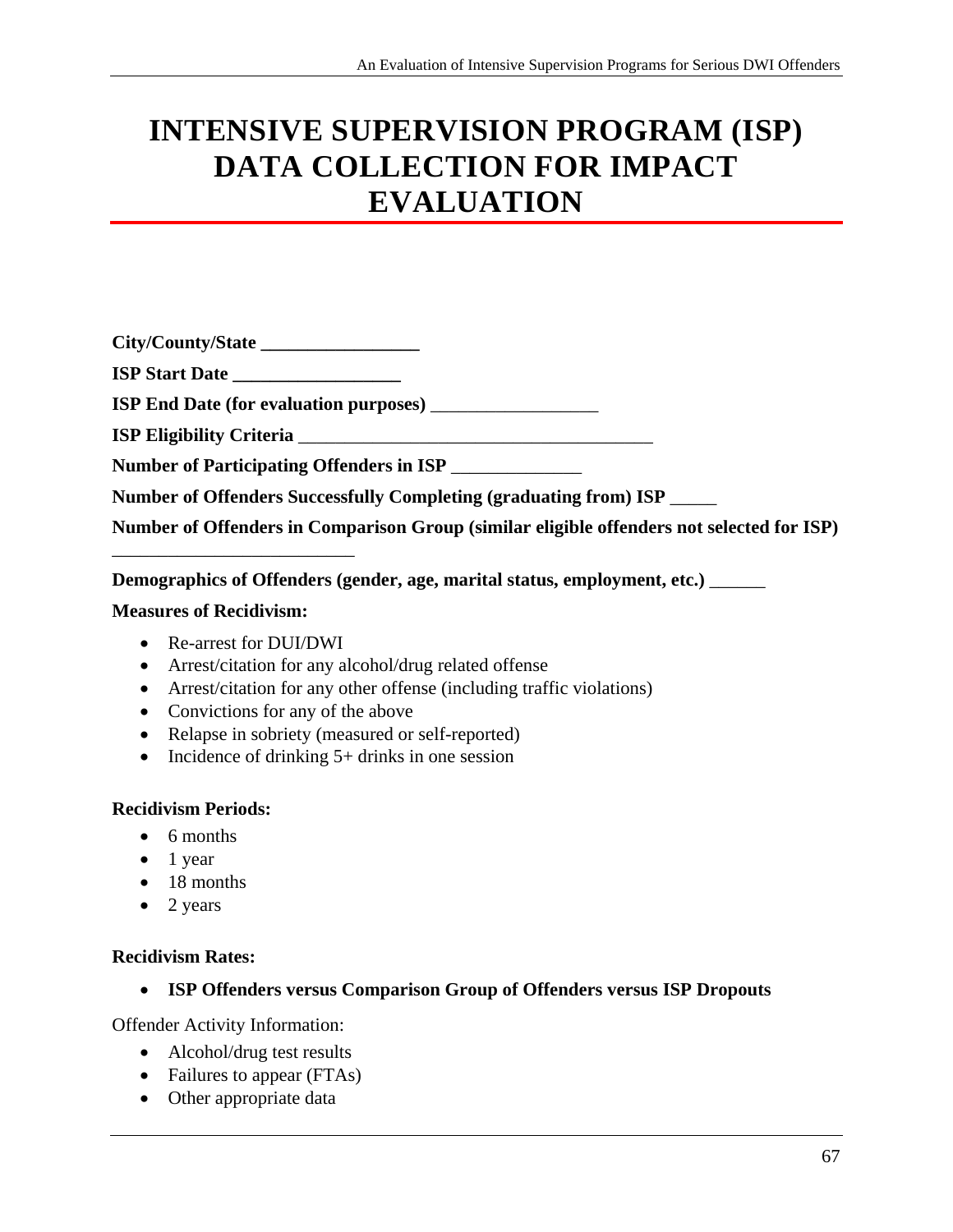# **INTENSIVE SUPERVISION PROGRAM (ISP) DATA COLLECTION FOR IMPACT EVALUATION**

| City/County/State                                                                         |
|-------------------------------------------------------------------------------------------|
|                                                                                           |
| <b>ISP End Date (for evaluation purposes)</b>                                             |
|                                                                                           |
| Number of Participating Offenders in ISP                                                  |
| Number of Offenders Successfully Completing (graduating from) ISP _____                   |
| Number of Offenders in Comparison Group (similar eligible offenders not selected for ISP) |

**Demographics of Offenders (gender, age, marital status, employment, etc.)** \_\_\_\_\_\_

#### **Measures of Recidivism:**

- Re-arrest for DUI/DWI
- Arrest/citation for any alcohol/drug related offense
- Arrest/citation for any other offense (including traffic violations)
- Convictions for any of the above
- Relapse in sobriety (measured or self-reported)
- Incidence of drinking  $5+$  drinks in one session

#### **Recidivism Periods:**

- 6 months
- $\bullet$  1 year
- 18 months
- $\bullet$  2 years

#### **Recidivism Rates:**

**ISP Offenders versus Comparison Group of Offenders versus ISP Dropouts** 

Offender Activity Information:

- Alcohol/drug test results
- Failures to appear (FTAs)
- Other appropriate data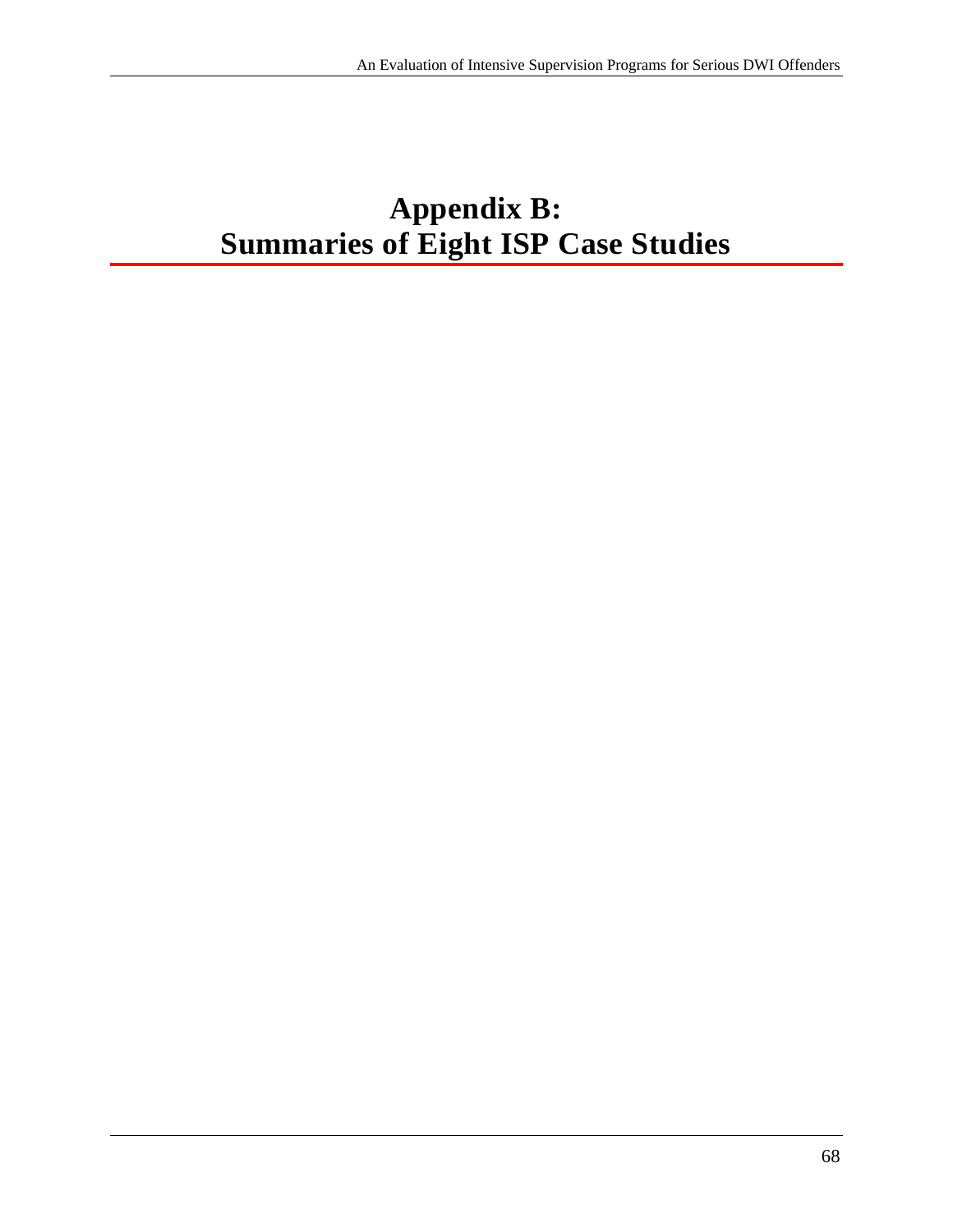# **Appendix B: Summaries of Eight ISP Case Studies**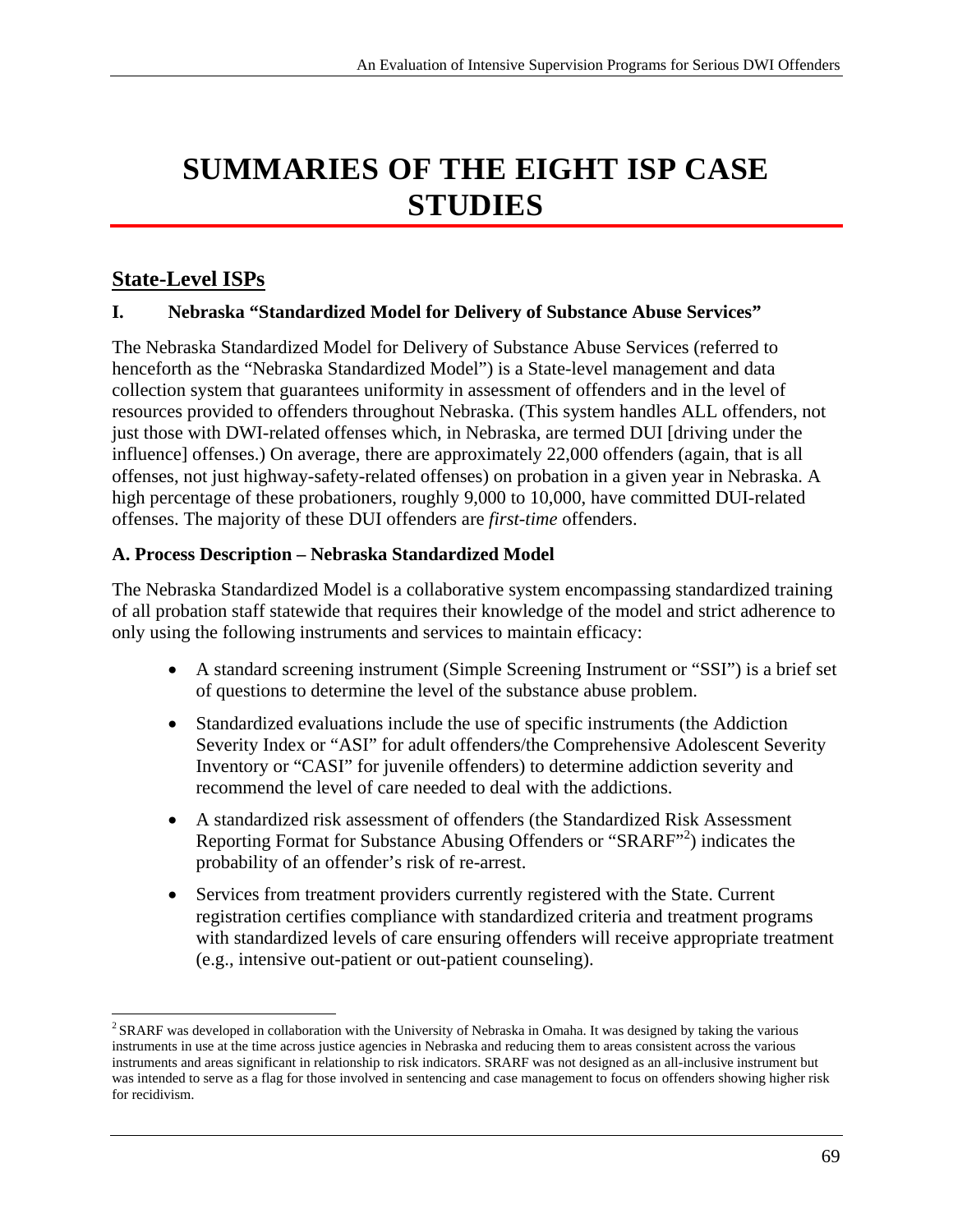# **SUMMARIES OF THE EIGHT ISP CASE STUDIES**

# **State-Level ISPs**

 $\overline{a}$ 

### **I. Nebraska "Standardized Model for Delivery of Substance Abuse Services"**

The Nebraska Standardized Model for Delivery of Substance Abuse Services (referred to henceforth as the "Nebraska Standardized Model") is a State-level management and data collection system that guarantees uniformity in assessment of offenders and in the level of resources provided to offenders throughout Nebraska. (This system handles ALL offenders, not just those with DWI-related offenses which, in Nebraska, are termed DUI [driving under the influence] offenses.) On average, there are approximately 22,000 offenders (again, that is all offenses, not just highway-safety-related offenses) on probation in a given year in Nebraska. A high percentage of these probationers, roughly 9,000 to 10,000, have committed DUI-related offenses. The majority of these DUI offenders are *first-time* offenders.

## **A. Process Description – Nebraska Standardized Model**

The Nebraska Standardized Model is a collaborative system encompassing standardized training of all probation staff statewide that requires their knowledge of the model and strict adherence to only using the following instruments and services to maintain efficacy:

- of questions to determine the level of the substance abuse problem. A standard screening instrument (Simple Screening Instrument or "SSI") is a brief set
- Standardized evaluations include the use of specific instruments (the Addiction Severity Index or "ASI" for adult offenders/the Comprehensive Adolescent Severity Inventory or "CASI" for juvenile offenders) to determine addiction severity and recommend the level of care needed to deal with the addictions.
- A standardized risk assessment of offenders (the Standardized Risk Assessment Reporting Format for Substance Abusing Offenders or "SRARF"<sup>2</sup>) indicates the probability of an offender's risk of re-arrest.
- Services from treatment providers currently registered with the State. Current registration certifies compliance with standardized criteria and treatment programs with standardized levels of care ensuring offenders will receive appropriate treatment (e.g., intensive out-patient or out-patient counseling).

<sup>&</sup>lt;sup>2</sup> SRARF was developed in collaboration with the University of Nebraska in Omaha. It was designed by taking the various instruments in use at the time across justice agencies in Nebraska and reducing them to areas consistent across the various instruments and areas significant in relationship to risk indicators. SRARF was not designed as an all-inclusive instrument but was intended to serve as a flag for those involved in sentencing and case management to focus on offenders showing higher risk for recidivism.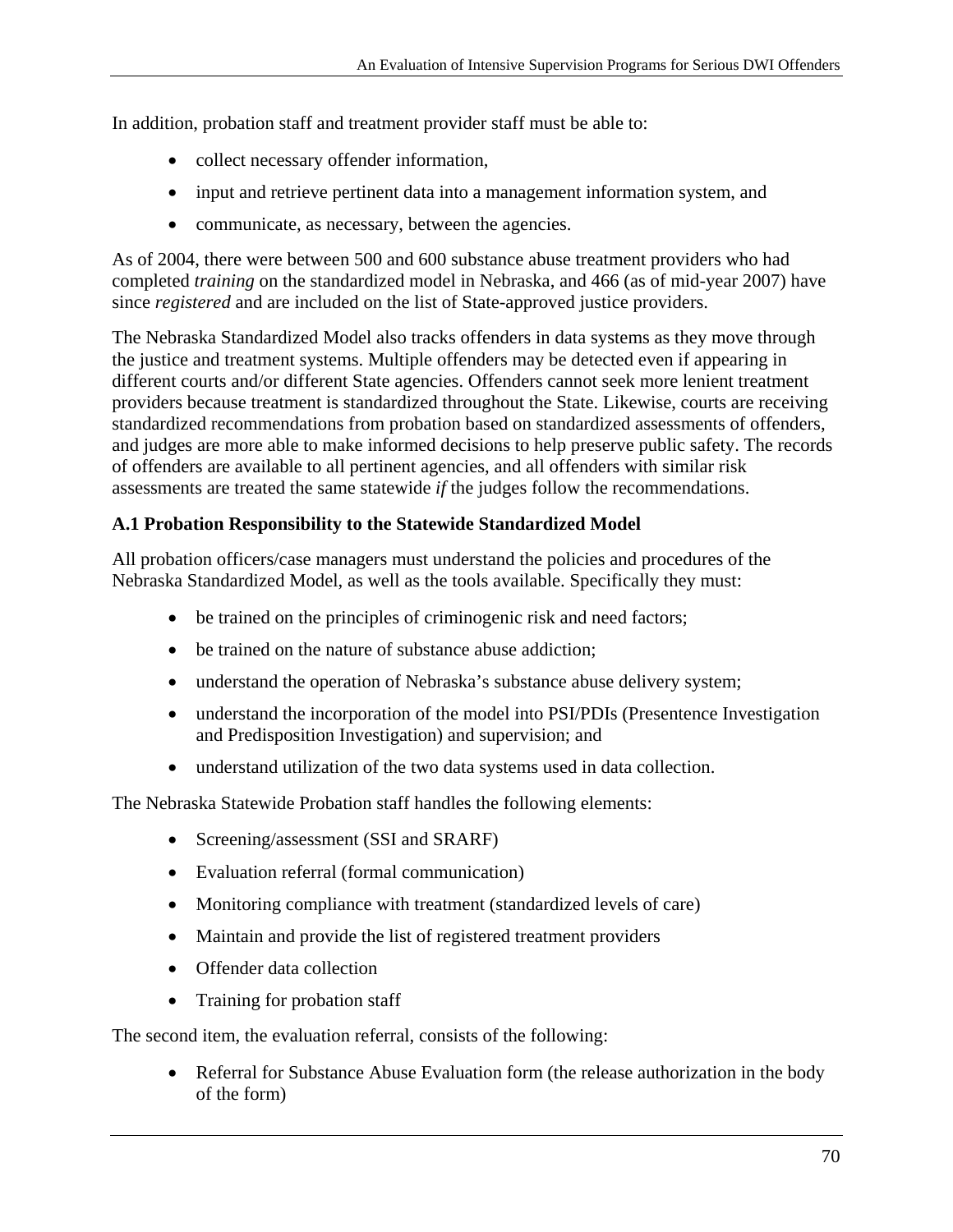In addition, probation staff and treatment provider staff must be able to:

- collect necessary offender information,
- input and retrieve pertinent data into a management information system, and
- communicate, as necessary, between the agencies.

As of 2004, there were between 500 and 600 substance abuse treatment providers who had completed *training* on the standardized model in Nebraska, and 466 (as of mid-year 2007) have since *registered* and are included on the list of State-approved justice providers.

The Nebraska Standardized Model also tracks offenders in data systems as they move through the justice and treatment systems. Multiple offenders may be detected even if appearing in different courts and/or different State agencies. Offenders cannot seek more lenient treatment providers because treatment is standardized throughout the State. Likewise, courts are receiving standardized recommendations from probation based on standardized assessments of offenders, and judges are more able to make informed decisions to help preserve public safety. The records of offenders are available to all pertinent agencies, and all offenders with similar risk assessments are treated the same statewide *if* the judges follow the recommendations.

# **A.1 Probation Responsibility to the Statewide Standardized Model**

All probation officers/case managers must understand the policies and procedures of the Nebraska Standardized Model, as well as the tools available. Specifically they must:

- be trained on the principles of criminogenic risk and need factors;
- be trained on the nature of substance abuse addiction:
- understand the operation of Nebraska's substance abuse delivery system;
- understand the incorporation of the model into PSI/PDIs (Presentence Investigation and Predisposition Investigation) and supervision; and
- understand utilization of the two data systems used in data collection.

The Nebraska Statewide Probation staff handles the following elements:

- Screening/assessment (SSI and SRARF)
- Evaluation referral (formal communication)
- Monitoring compliance with treatment (standardized levels of care)
- Maintain and provide the list of registered treatment providers
- Offender data collection
- Training for probation staff

The second item, the evaluation referral, consists of the following:

 Referral for Substance Abuse Evaluation form (the release authorization in the body of the form)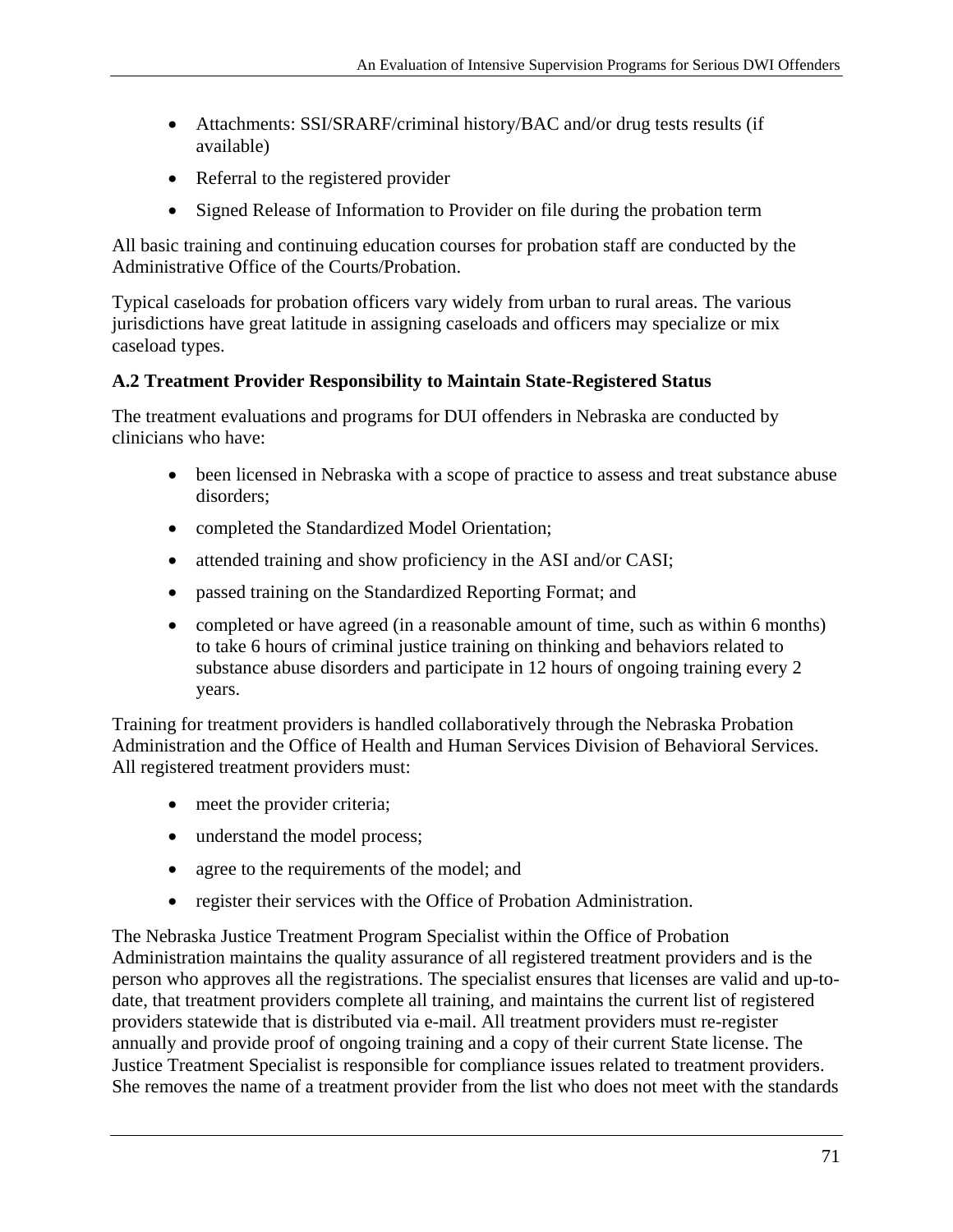- Attachments: SSI/SRARF/criminal history/BAC and/or drug tests results (if available)
- Referral to the registered provider
- Signed Release of Information to Provider on file during the probation term

All basic training and continuing education courses for probation staff are conducted by the Administrative Office of the Courts/Probation.

Typical caseloads for probation officers vary widely from urban to rural areas. The various jurisdictions have great latitude in assigning caseloads and officers may specialize or mix caseload types.

## **A.2 Treatment Provider Responsibility to Maintain State-Registered Status**

The treatment evaluations and programs for DUI offenders in Nebraska are conducted by clinicians who have:

- been licensed in Nebraska with a scope of practice to assess and treat substance abuse disorders;
- completed the Standardized Model Orientation;
- attended training and show proficiency in the ASI and/or CASI;
- passed training on the Standardized Reporting Format; and
- completed or have agreed (in a reasonable amount of time, such as within 6 months) to take 6 hours of criminal justice training on thinking and behaviors related to substance abuse disorders and participate in 12 hours of ongoing training every 2 years.

Training for treatment providers is handled collaboratively through the Nebraska Probation Administration and the Office of Health and Human Services Division of Behavioral Services. All registered treatment providers must:

- meet the provider criteria;
- understand the model process;
- agree to the requirements of the model; and
- register their services with the Office of Probation Administration.

The Nebraska Justice Treatment Program Specialist within the Office of Probation Administration maintains the quality assurance of all registered treatment providers and is the person who approves all the registrations. The specialist ensures that licenses are valid and up-todate, that treatment providers complete all training, and maintains the current list of registered providers statewide that is distributed via e-mail. All treatment providers must re-register annually and provide proof of ongoing training and a copy of their current State license. The Justice Treatment Specialist is responsible for compliance issues related to treatment providers. She removes the name of a treatment provider from the list who does not meet with the standards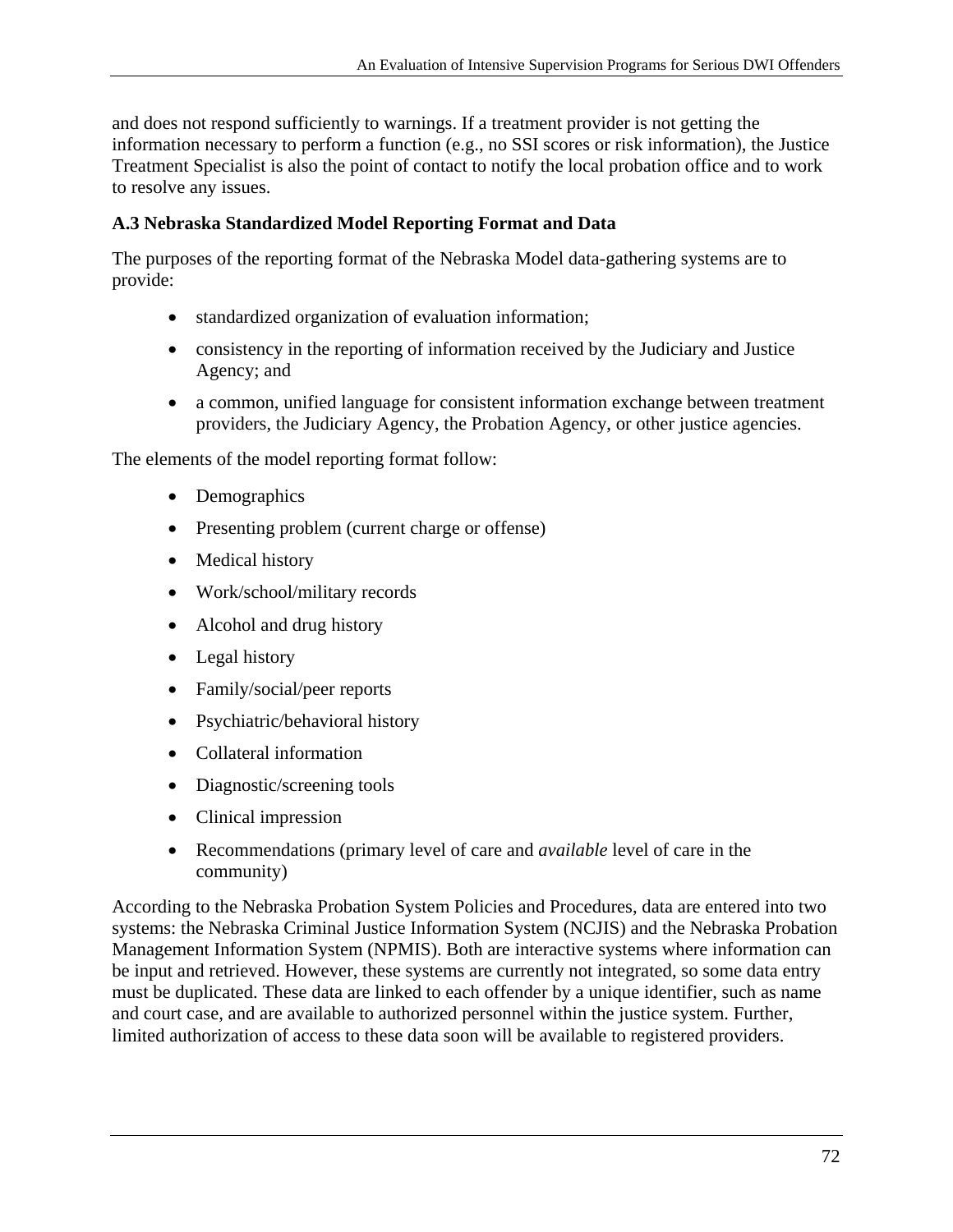and does not respond sufficiently to warnings. If a treatment provider is not getting the information necessary to perform a function (e.g., no SSI scores or risk information), the Justice Treatment Specialist is also the point of contact to notify the local probation office and to work to resolve any issues.

## **A.3 Nebraska Standardized Model Reporting Format and Data**

The purposes of the reporting format of the Nebraska Model data-gathering systems are to provide:

- standardized organization of evaluation information;
- consistency in the reporting of information received by the Judiciary and Justice Agency; and
- a common, unified language for consistent information exchange between treatment providers, the Judiciary Agency, the Probation Agency, or other justice agencies.

The elements of the model reporting format follow:

- Demographics
- Presenting problem (current charge or offense)
- Medical history
- Work/school/military records
- Alcohol and drug history
- Legal history
- Family/social/peer reports
- Psychiatric/behavioral history
- Collateral information
- Diagnostic/screening tools
- Clinical impression
- Recommendations (primary level of care and *available* level of care in the community)

According to the Nebraska Probation System Policies and Procedures, data are entered into two systems: the Nebraska Criminal Justice Information System (NCJIS) and the Nebraska Probation Management Information System (NPMIS). Both are interactive systems where information can be input and retrieved. However, these systems are currently not integrated, so some data entry must be duplicated. These data are linked to each offender by a unique identifier, such as name and court case, and are available to authorized personnel within the justice system. Further, limited authorization of access to these data soon will be available to registered providers.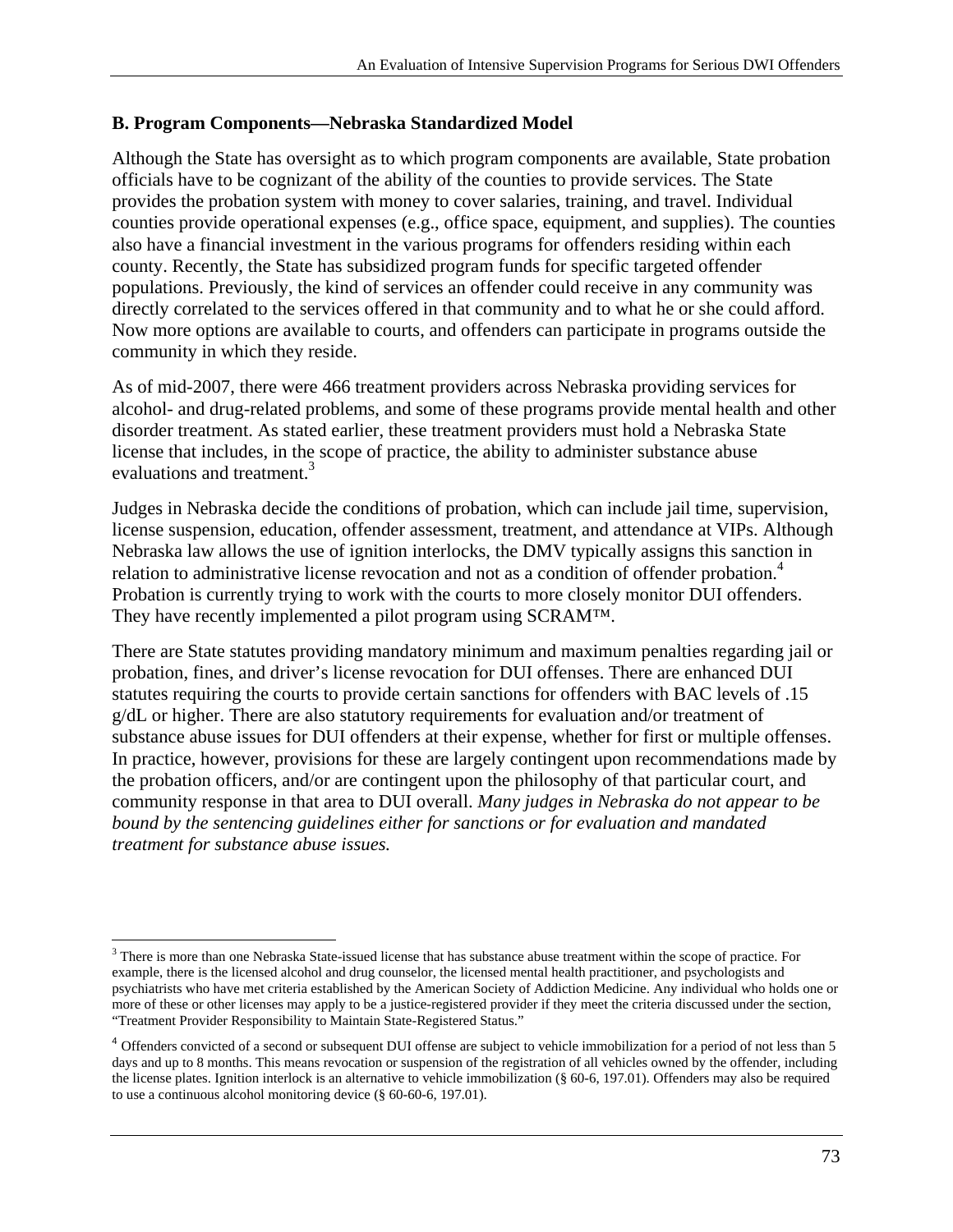#### **B. Program Components—Nebraska Standardized Model**

Although the State has oversight as to which program components are available, State probation officials have to be cognizant of the ability of the counties to provide services. The State provides the probation system with money to cover salaries, training, and travel. Individual counties provide operational expenses (e.g., office space, equipment, and supplies). The counties also have a financial investment in the various programs for offenders residing within each county. Recently, the State has subsidized program funds for specific targeted offender populations. Previously, the kind of services an offender could receive in any community was directly correlated to the services offered in that community and to what he or she could afford. Now more options are available to courts, and offenders can participate in programs outside the community in which they reside.

As of mid-2007, there were 466 treatment providers across Nebraska providing services for alcohol- and drug-related problems, and some of these programs provide mental health and other disorder treatment. As stated earlier, these treatment providers must hold a Nebraska State license that includes, in the scope of practice, the ability to administer substance abuse evaluations and treatment.<sup>3</sup>

Judges in Nebraska decide the conditions of probation, which can include jail time, supervision, license suspension, education, offender assessment, treatment, and attendance at VIPs. Although Nebraska law allows the use of ignition interlocks, the DMV typically assigns this sanction in relation to administrative license revocation and not as a condition of offender probation.<sup>4</sup> Probation is currently trying to work with the courts to more closely monitor DUI offenders. They have recently implemented a pilot program using SCRAM™.

 community response in that area to DUI overall. *Many judges in Nebraska do not appear to be treatment for substance abuse issues.* There are State statutes providing mandatory minimum and maximum penalties regarding jail or probation, fines, and driver's license revocation for DUI offenses. There are enhanced DUI statutes requiring the courts to provide certain sanctions for offenders with BAC levels of .15 g/dL or higher. There are also statutory requirements for evaluation and/or treatment of substance abuse issues for DUI offenders at their expense, whether for first or multiple offenses. In practice, however, provisions for these are largely contingent upon recommendations made by the probation officers, and/or are contingent upon the philosophy of that particular court, and *bound by the sentencing guidelines either for sanctions or for evaluation and mandated* 

 $\overline{a}$ 

<sup>&</sup>lt;sup>3</sup> There is more than one Nebraska State-issued license that has substance abuse treatment within the scope of practice. For example, there is the licensed alcohol and drug counselor, the licensed mental health practitioner, and psychologists and psychiatrists who have met criteria established by the American Society of Addiction Medicine. Any individual who holds one or more of these or other licenses may apply to be a justice-registered provider if they meet the criteria discussed under the section, "Treatment Provider Responsibility to Maintain State-Registered Status."

<sup>&</sup>lt;sup>4</sup> Offenders convicted of a second or subsequent DUI offense are subject to vehicle immobilization for a period of not less than 5 days and up to 8 months. This means revocation or suspension of the registration of all vehicles owned by the offender, including the license plates. Ignition interlock is an alternative to vehicle immobilization (§ 60-6, 197.01). Offenders may also be required to use a continuous alcohol monitoring device (§ 60-60-6, 197.01).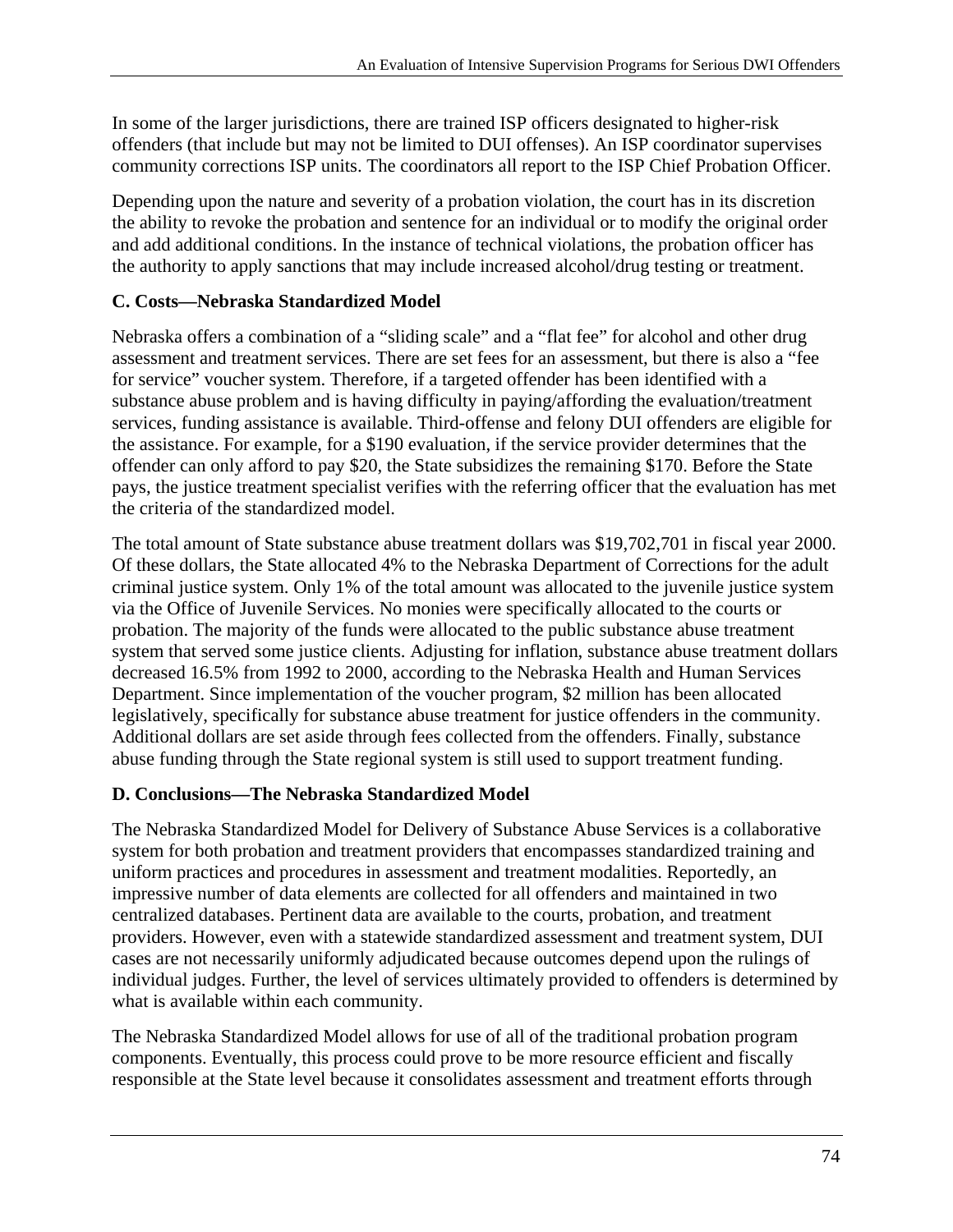In some of the larger jurisdictions, there are trained ISP officers designated to higher-risk offenders (that include but may not be limited to DUI offenses). An ISP coordinator supervises community corrections ISP units. The coordinators all report to the ISP Chief Probation Officer.

Depending upon the nature and severity of a probation violation, the court has in its discretion the ability to revoke the probation and sentence for an individual or to modify the original order and add additional conditions. In the instance of technical violations, the probation officer has the authority to apply sanctions that may include increased alcohol/drug testing or treatment.

## **C. Costs—Nebraska Standardized Model**

Nebraska offers a combination of a "sliding scale" and a "flat fee" for alcohol and other drug assessment and treatment services. There are set fees for an assessment, but there is also a "fee for service" voucher system. Therefore, if a targeted offender has been identified with a substance abuse problem and is having difficulty in paying/affording the evaluation/treatment services, funding assistance is available. Third-offense and felony DUI offenders are eligible for the assistance. For example, for a \$190 evaluation, if the service provider determines that the offender can only afford to pay \$20, the State subsidizes the remaining \$170. Before the State pays, the justice treatment specialist verifies with the referring officer that the evaluation has met the criteria of the standardized model.

The total amount of State substance abuse treatment dollars was \$19,702,701 in fiscal year 2000. Of these dollars, the State allocated 4% to the Nebraska Department of Corrections for the adult criminal justice system. Only 1% of the total amount was allocated to the juvenile justice system via the Office of Juvenile Services. No monies were specifically allocated to the courts or probation. The majority of the funds were allocated to the public substance abuse treatment system that served some justice clients. Adjusting for inflation, substance abuse treatment dollars decreased 16.5% from 1992 to 2000, according to the Nebraska Health and Human Services Department. Since implementation of the voucher program, \$2 million has been allocated legislatively, specifically for substance abuse treatment for justice offenders in the community. Additional dollars are set aside through fees collected from the offenders. Finally, substance abuse funding through the State regional system is still used to support treatment funding.

### **D. Conclusions—The Nebraska Standardized Model**

The Nebraska Standardized Model for Delivery of Substance Abuse Services is a collaborative system for both probation and treatment providers that encompasses standardized training and uniform practices and procedures in assessment and treatment modalities. Reportedly, an impressive number of data elements are collected for all offenders and maintained in two centralized databases. Pertinent data are available to the courts, probation, and treatment providers. However, even with a statewide standardized assessment and treatment system, DUI cases are not necessarily uniformly adjudicated because outcomes depend upon the rulings of individual judges. Further, the level of services ultimately provided to offenders is determined by what is available within each community.

The Nebraska Standardized Model allows for use of all of the traditional probation program components. Eventually, this process could prove to be more resource efficient and fiscally responsible at the State level because it consolidates assessment and treatment efforts through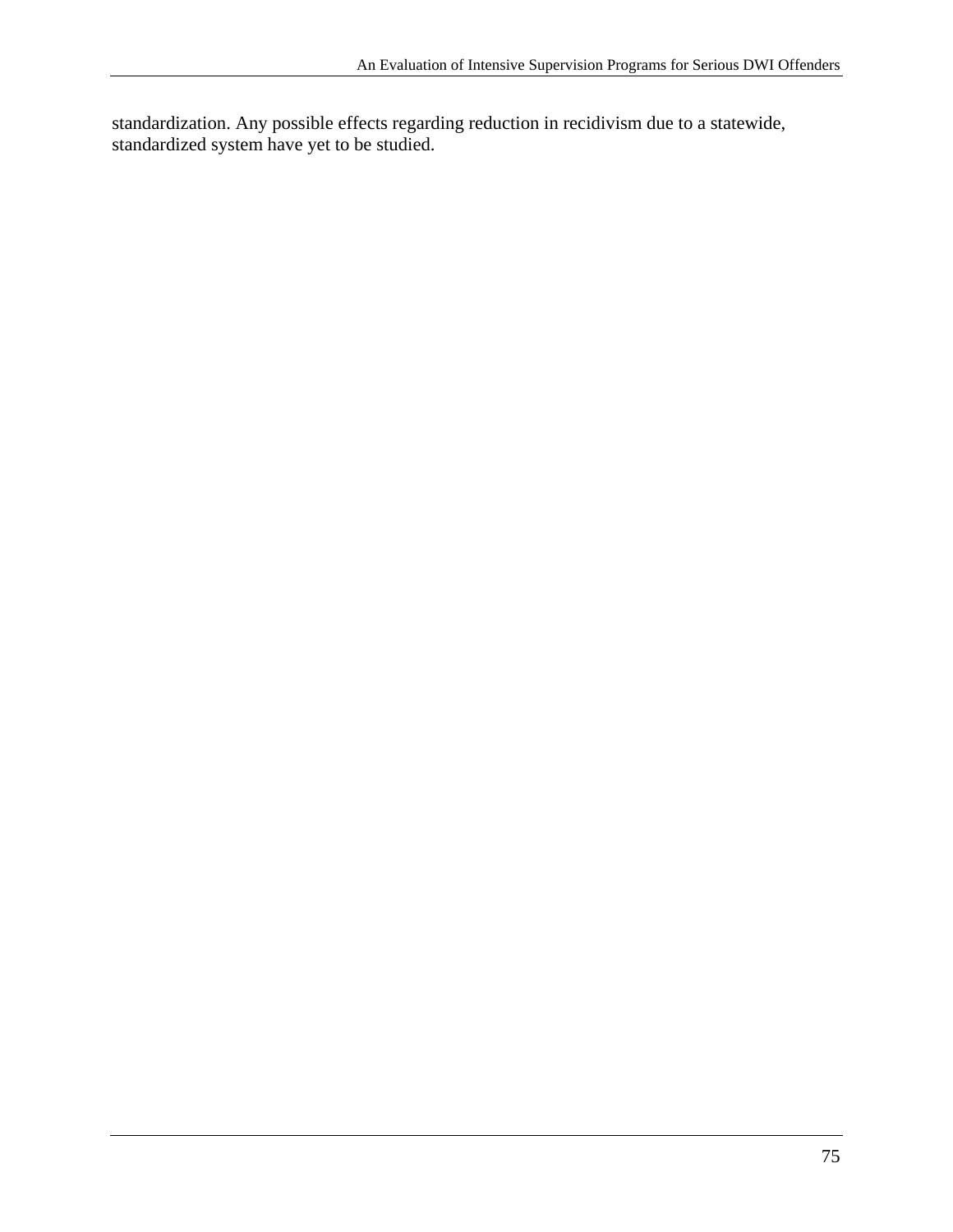standardization. Any possible effects regarding reduction in recidivism due to a statewide, standardized system have yet to be studied.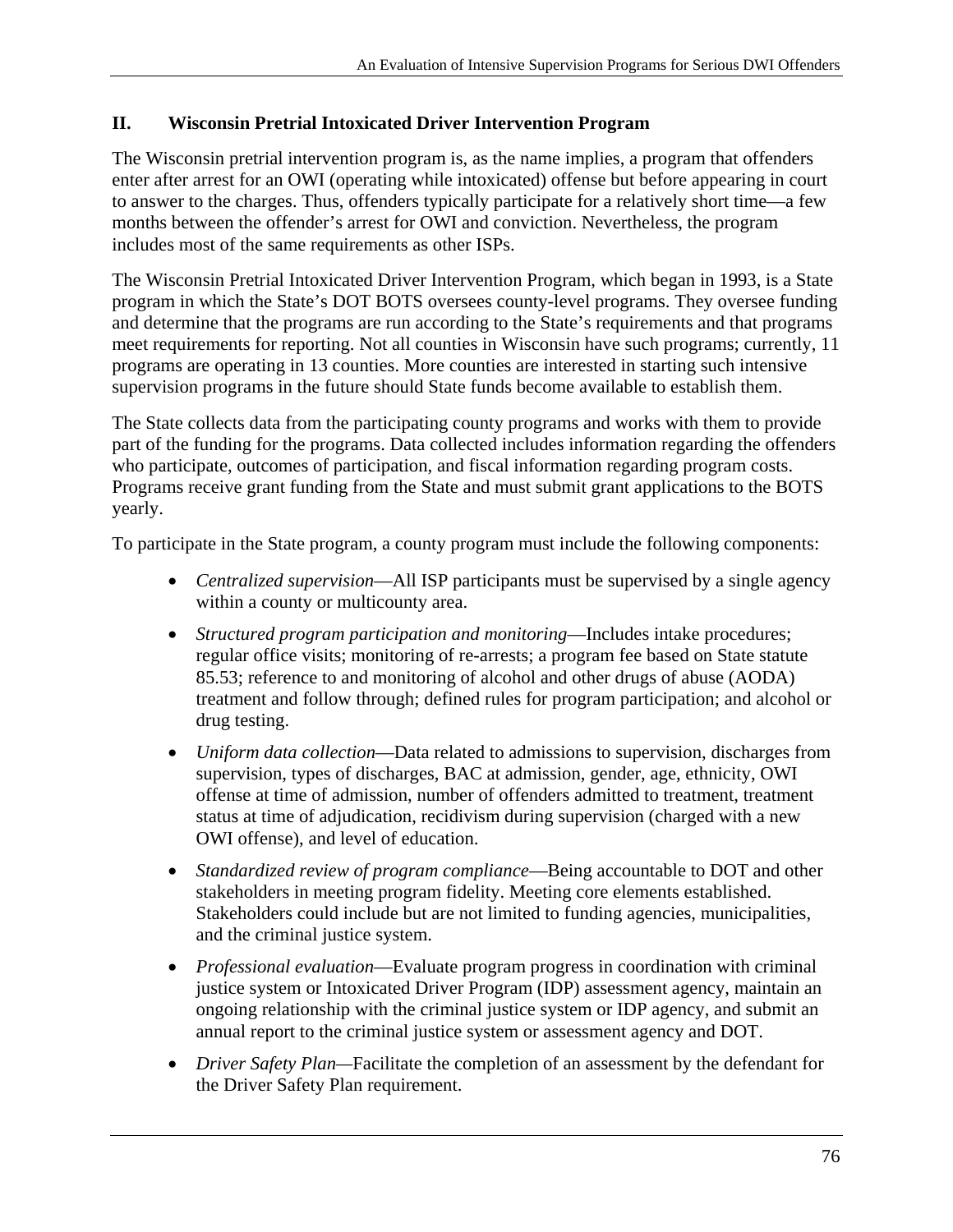## **II. Wisconsin Pretrial Intoxicated Driver Intervention Program**

The Wisconsin pretrial intervention program is, as the name implies, a program that offenders enter after arrest for an OWI (operating while intoxicated) offense but before appearing in court to answer to the charges. Thus, offenders typically participate for a relatively short time—a few months between the offender's arrest for OWI and conviction. Nevertheless, the program includes most of the same requirements as other ISPs.

The Wisconsin Pretrial Intoxicated Driver Intervention Program, which began in 1993, is a State program in which the State's DOT BOTS oversees county-level programs. They oversee funding and determine that the programs are run according to the State's requirements and that programs meet requirements for reporting. Not all counties in Wisconsin have such programs; currently, 11 programs are operating in 13 counties. More counties are interested in starting such intensive supervision programs in the future should State funds become available to establish them.

The State collects data from the participating county programs and works with them to provide part of the funding for the programs. Data collected includes information regarding the offenders who participate, outcomes of participation, and fiscal information regarding program costs. Programs receive grant funding from the State and must submit grant applications to the BOTS yearly.

To participate in the State program, a county program must include the following components:

- *Centralized supervision*—All ISP participants must be supervised by a single agency within a county or multicounty area.
- *Structured program participation and monitoring*—Includes intake procedures; regular office visits; monitoring of re-arrests; a program fee based on State statute 85.53; reference to and monitoring of alcohol and other drugs of abuse (AODA) treatment and follow through; defined rules for program participation; and alcohol or drug testing.
- *Uniform data collection*—Data related to admissions to supervision, discharges from supervision, types of discharges, BAC at admission, gender, age, ethnicity, OWI offense at time of admission, number of offenders admitted to treatment, treatment status at time of adjudication, recidivism during supervision (charged with a new OWI offense), and level of education.
- *Standardized review of program compliance*—Being accountable to DOT and other stakeholders in meeting program fidelity. Meeting core elements established. Stakeholders could include but are not limited to funding agencies, municipalities, and the criminal justice system.
- *Professional evaluation*—Evaluate program progress in coordination with criminal justice system or Intoxicated Driver Program (IDP) assessment agency, maintain an ongoing relationship with the criminal justice system or IDP agency, and submit an annual report to the criminal justice system or assessment agency and DOT.
- *Driver Safety Plan—*Facilitate the completion of an assessment by the defendant for the Driver Safety Plan requirement.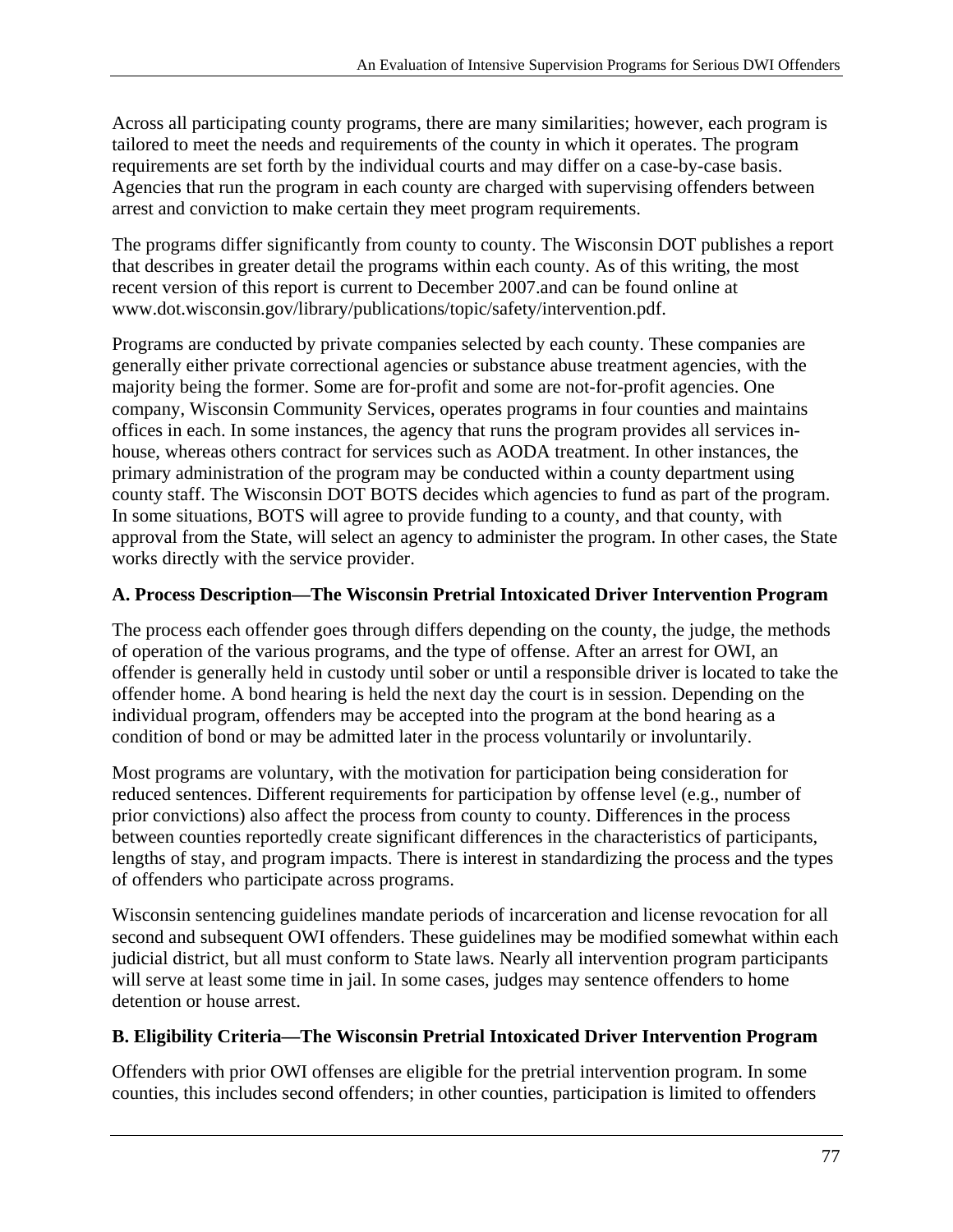Across all participating county programs, there are many similarities; however, each program is tailored to meet the needs and requirements of the county in which it operates. The program requirements are set forth by the individual courts and may differ on a case-by-case basis. Agencies that run the program in each county are charged with supervising offenders between arrest and conviction to make certain they meet program requirements.

The programs differ significantly from county to county. The Wisconsin DOT publishes a report that describes in greater detail the programs within each county. As of this writing, the most recent version of this report is current to December 2007.and can be found online at www.dot.wisconsin.gov/library/publications/topic/safety/intervention.pdf.

Programs are conducted by private companies selected by each county. These companies are generally either private correctional agencies or substance abuse treatment agencies, with the majority being the former. Some are for-profit and some are not-for-profit agencies. One company, Wisconsin Community Services, operates programs in four counties and maintains offices in each. In some instances, the agency that runs the program provides all services inhouse, whereas others contract for services such as AODA treatment. In other instances, the primary administration of the program may be conducted within a county department using county staff. The Wisconsin DOT BOTS decides which agencies to fund as part of the program. In some situations, BOTS will agree to provide funding to a county, and that county, with approval from the State, will select an agency to administer the program. In other cases, the State works directly with the service provider.

# **A. Process Description—The Wisconsin Pretrial Intoxicated Driver Intervention Program**

The process each offender goes through differs depending on the county, the judge, the methods of operation of the various programs, and the type of offense. After an arrest for OWI, an offender is generally held in custody until sober or until a responsible driver is located to take the offender home. A bond hearing is held the next day the court is in session. Depending on the individual program, offenders may be accepted into the program at the bond hearing as a condition of bond or may be admitted later in the process voluntarily or involuntarily.

Most programs are voluntary, with the motivation for participation being consideration for reduced sentences. Different requirements for participation by offense level (e.g., number of prior convictions) also affect the process from county to county. Differences in the process between counties reportedly create significant differences in the characteristics of participants, lengths of stay, and program impacts. There is interest in standardizing the process and the types of offenders who participate across programs.

Wisconsin sentencing guidelines mandate periods of incarceration and license revocation for all second and subsequent OWI offenders. These guidelines may be modified somewhat within each judicial district, but all must conform to State laws. Nearly all intervention program participants will serve at least some time in jail. In some cases, judges may sentence offenders to home detention or house arrest.

### **B. Eligibility Criteria—The Wisconsin Pretrial Intoxicated Driver Intervention Program**

Offenders with prior OWI offenses are eligible for the pretrial intervention program. In some counties, this includes second offenders; in other counties, participation is limited to offenders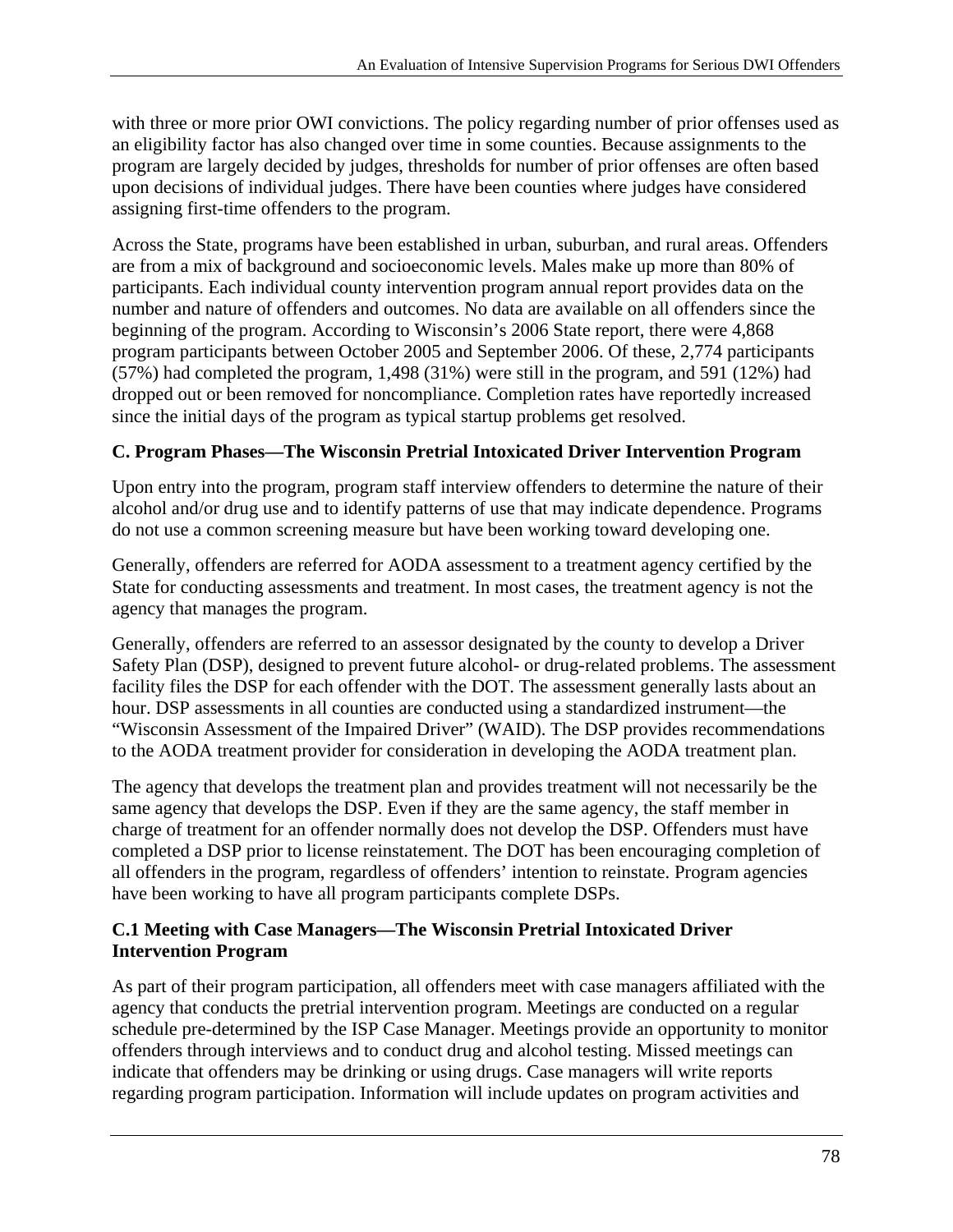with three or more prior OWI convictions. The policy regarding number of prior offenses used as an eligibility factor has also changed over time in some counties. Because assignments to the program are largely decided by judges, thresholds for number of prior offenses are often based upon decisions of individual judges. There have been counties where judges have considered assigning first-time offenders to the program.

Across the State, programs have been established in urban, suburban, and rural areas. Offenders are from a mix of background and socioeconomic levels. Males make up more than 80% of participants. Each individual county intervention program annual report provides data on the number and nature of offenders and outcomes. No data are available on all offenders since the beginning of the program. According to Wisconsin's 2006 State report, there were 4,868 program participants between October 2005 and September 2006. Of these, 2,774 participants (57%) had completed the program, 1,498 (31%) were still in the program, and 591 (12%) had dropped out or been removed for noncompliance. Completion rates have reportedly increased since the initial days of the program as typical startup problems get resolved.

## **C. Program Phases—The Wisconsin Pretrial Intoxicated Driver Intervention Program**

Upon entry into the program, program staff interview offenders to determine the nature of their alcohol and/or drug use and to identify patterns of use that may indicate dependence. Programs do not use a common screening measure but have been working toward developing one.

Generally, offenders are referred for AODA assessment to a treatment agency certified by the State for conducting assessments and treatment. In most cases, the treatment agency is not the agency that manages the program.

Generally, offenders are referred to an assessor designated by the county to develop a Driver Safety Plan (DSP), designed to prevent future alcohol- or drug-related problems. The assessment facility files the DSP for each offender with the DOT. The assessment generally lasts about an hour. DSP assessments in all counties are conducted using a standardized instrument—the "Wisconsin Assessment of the Impaired Driver" (WAID). The DSP provides recommendations to the AODA treatment provider for consideration in developing the AODA treatment plan.

The agency that develops the treatment plan and provides treatment will not necessarily be the same agency that develops the DSP. Even if they are the same agency, the staff member in charge of treatment for an offender normally does not develop the DSP. Offenders must have completed a DSP prior to license reinstatement. The DOT has been encouraging completion of all offenders in the program, regardless of offenders' intention to reinstate. Program agencies have been working to have all program participants complete DSPs.

#### **C.1 Meeting with Case Managers—The Wisconsin Pretrial Intoxicated Driver Intervention Program**

As part of their program participation, all offenders meet with case managers affiliated with the agency that conducts the pretrial intervention program. Meetings are conducted on a regular schedule pre-determined by the ISP Case Manager. Meetings provide an opportunity to monitor offenders through interviews and to conduct drug and alcohol testing. Missed meetings can indicate that offenders may be drinking or using drugs. Case managers will write reports regarding program participation. Information will include updates on program activities and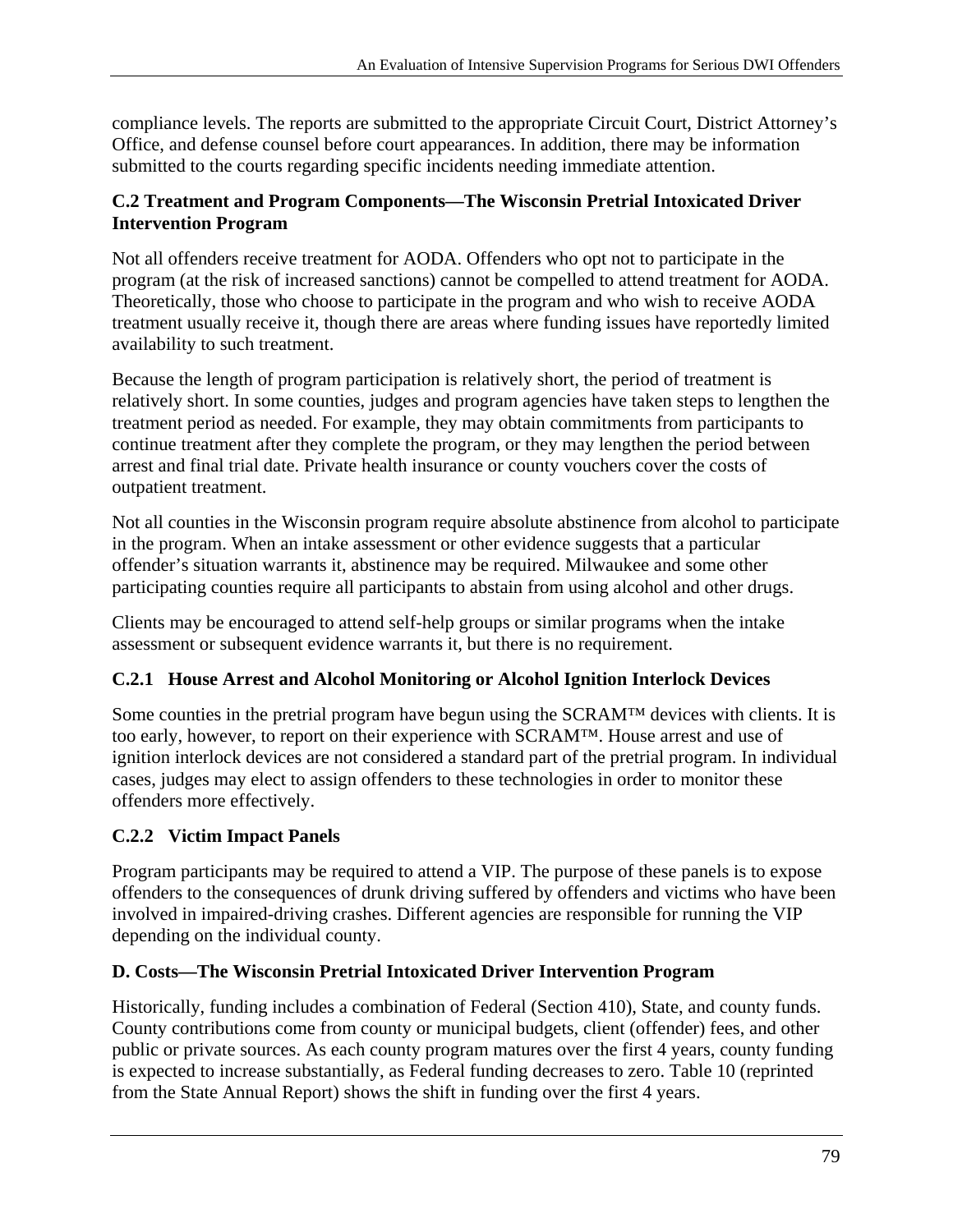compliance levels. The reports are submitted to the appropriate Circuit Court, District Attorney's Office, and defense counsel before court appearances. In addition, there may be information submitted to the courts regarding specific incidents needing immediate attention.

### **C.2 Treatment and Program Components—The Wisconsin Pretrial Intoxicated Driver Intervention Program**

Not all offenders receive treatment for AODA. Offenders who opt not to participate in the program (at the risk of increased sanctions) cannot be compelled to attend treatment for AODA. Theoretically, those who choose to participate in the program and who wish to receive AODA treatment usually receive it, though there are areas where funding issues have reportedly limited availability to such treatment.

Because the length of program participation is relatively short, the period of treatment is relatively short. In some counties, judges and program agencies have taken steps to lengthen the treatment period as needed. For example, they may obtain commitments from participants to continue treatment after they complete the program, or they may lengthen the period between arrest and final trial date. Private health insurance or county vouchers cover the costs of outpatient treatment.

Not all counties in the Wisconsin program require absolute abstinence from alcohol to participate in the program. When an intake assessment or other evidence suggests that a particular offender's situation warrants it, abstinence may be required. Milwaukee and some other participating counties require all participants to abstain from using alcohol and other drugs.

Clients may be encouraged to attend self-help groups or similar programs when the intake assessment or subsequent evidence warrants it, but there is no requirement.

# **C.2.1 House Arrest and Alcohol Monitoring or Alcohol Ignition Interlock Devices**

Some counties in the pretrial program have begun using the SCRAM™ devices with clients. It is too early, however, to report on their experience with SCRAM™. House arrest and use of ignition interlock devices are not considered a standard part of the pretrial program. In individual cases, judges may elect to assign offenders to these technologies in order to monitor these offenders more effectively.

# **C.2.2 Victim Impact Panels**

Program participants may be required to attend a VIP. The purpose of these panels is to expose offenders to the consequences of drunk driving suffered by offenders and victims who have been involved in impaired-driving crashes. Different agencies are responsible for running the VIP depending on the individual county.

# **D. Costs—The Wisconsin Pretrial Intoxicated Driver Intervention Program**

Historically, funding includes a combination of Federal (Section 410), State, and county funds. County contributions come from county or municipal budgets, client (offender) fees, and other public or private sources. As each county program matures over the first 4 years, county funding is expected to increase substantially, as Federal funding decreases to zero. Table 10 (reprinted from the State Annual Report) shows the shift in funding over the first 4 years.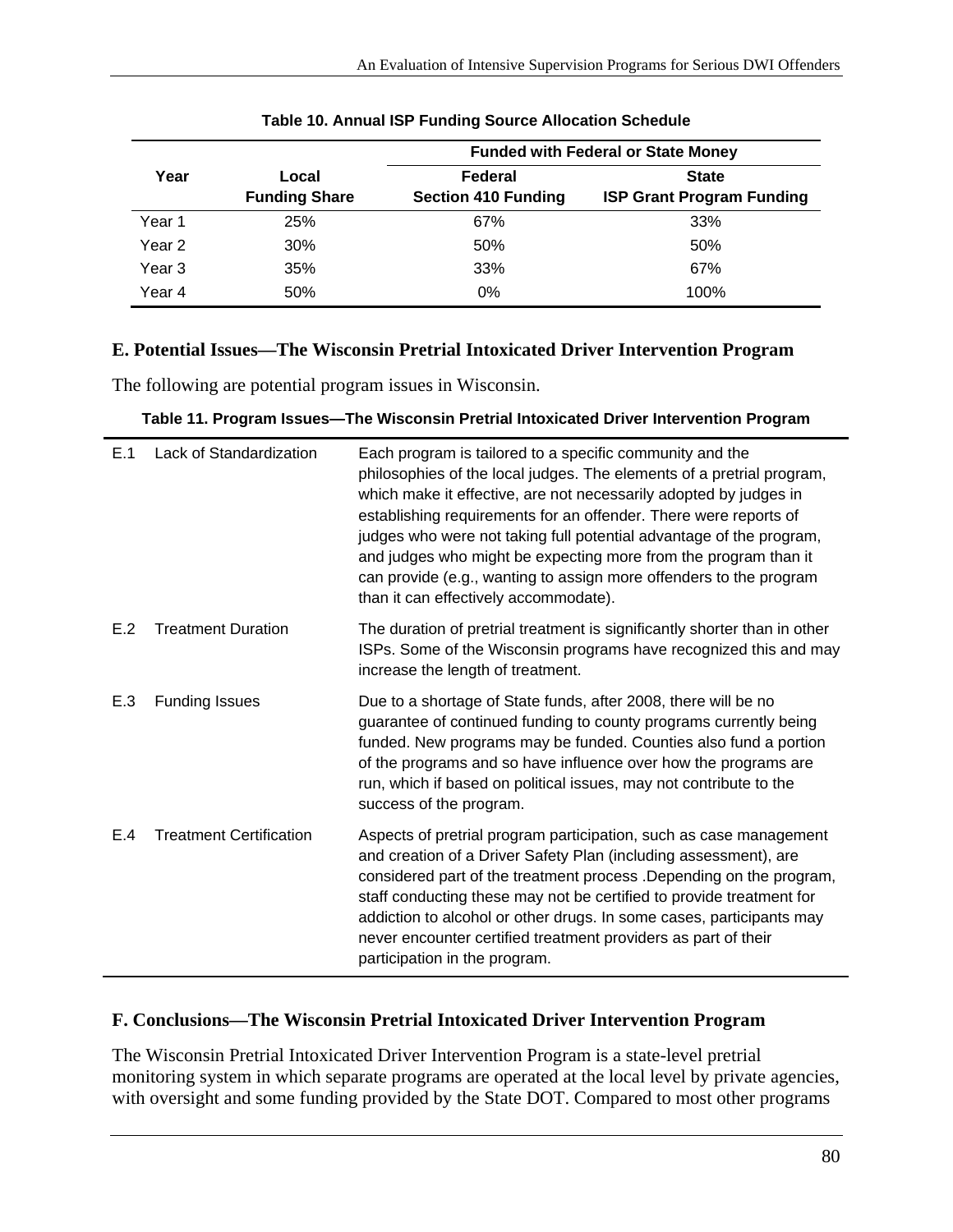|        |                      | <b>Funded with Federal or State Money</b> |                                  |  |
|--------|----------------------|-------------------------------------------|----------------------------------|--|
| Year   | Local                | Federal                                   | <b>State</b>                     |  |
|        | <b>Funding Share</b> | <b>Section 410 Funding</b>                | <b>ISP Grant Program Funding</b> |  |
| Year 1 | 25%                  | 67%                                       | 33%                              |  |
| Year 2 | 30%                  | 50%                                       | 50%                              |  |
| Year 3 | 35%                  | 33%                                       | 67%                              |  |
| Year 4 | 50%                  | $0\%$                                     | 100%                             |  |

# **E. Potential Issues—The Wisconsin Pretrial Intoxicated Driver Intervention Program**

The following are potential program issues in Wisconsin.

|  | Table 11. Program Issues—The Wisconsin Pretrial Intoxicated Driver Intervention Program |  |
|--|-----------------------------------------------------------------------------------------|--|
|  |                                                                                         |  |

| E.1 | Lack of Standardization        | Each program is tailored to a specific community and the<br>philosophies of the local judges. The elements of a pretrial program,<br>which make it effective, are not necessarily adopted by judges in<br>establishing requirements for an offender. There were reports of<br>judges who were not taking full potential advantage of the program,<br>and judges who might be expecting more from the program than it<br>can provide (e.g., wanting to assign more offenders to the program<br>than it can effectively accommodate). |
|-----|--------------------------------|-------------------------------------------------------------------------------------------------------------------------------------------------------------------------------------------------------------------------------------------------------------------------------------------------------------------------------------------------------------------------------------------------------------------------------------------------------------------------------------------------------------------------------------|
| E.2 | <b>Treatment Duration</b>      | The duration of pretrial treatment is significantly shorter than in other<br>ISPs. Some of the Wisconsin programs have recognized this and may<br>increase the length of treatment.                                                                                                                                                                                                                                                                                                                                                 |
| E.3 | <b>Funding Issues</b>          | Due to a shortage of State funds, after 2008, there will be no<br>guarantee of continued funding to county programs currently being<br>funded. New programs may be funded. Counties also fund a portion<br>of the programs and so have influence over how the programs are<br>run, which if based on political issues, may not contribute to the<br>success of the program.                                                                                                                                                         |
| E.4 | <b>Treatment Certification</b> | Aspects of pretrial program participation, such as case management<br>and creation of a Driver Safety Plan (including assessment), are<br>considered part of the treatment process .Depending on the program,<br>staff conducting these may not be certified to provide treatment for<br>addiction to alcohol or other drugs. In some cases, participants may<br>never encounter certified treatment providers as part of their<br>participation in the program.                                                                    |

#### **F. Conclusions—The Wisconsin Pretrial Intoxicated Driver Intervention Program**

The Wisconsin Pretrial Intoxicated Driver Intervention Program is a state-level pretrial monitoring system in which separate programs are operated at the local level by private agencies, with oversight and some funding provided by the State DOT. Compared to most other programs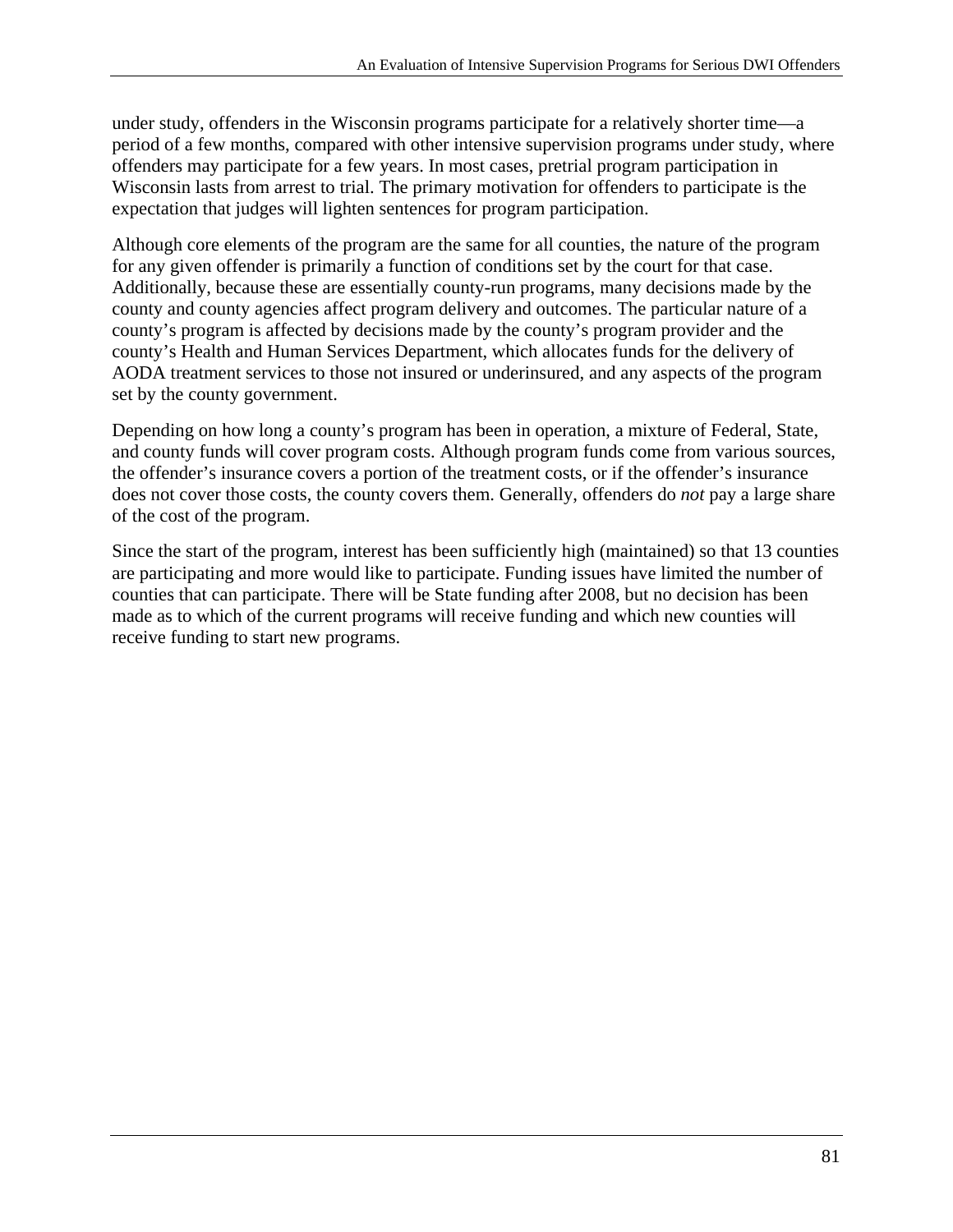under study, offenders in the Wisconsin programs participate for a relatively shorter time—a period of a few months, compared with other intensive supervision programs under study, where offenders may participate for a few years. In most cases, pretrial program participation in Wisconsin lasts from arrest to trial. The primary motivation for offenders to participate is the expectation that judges will lighten sentences for program participation.

Although core elements of the program are the same for all counties, the nature of the program for any given offender is primarily a function of conditions set by the court for that case. Additionally, because these are essentially county-run programs, many decisions made by the county and county agencies affect program delivery and outcomes. The particular nature of a county's program is affected by decisions made by the county's program provider and the county's Health and Human Services Department, which allocates funds for the delivery of AODA treatment services to those not insured or underinsured, and any aspects of the program set by the county government.

Depending on how long a county's program has been in operation, a mixture of Federal, State, and county funds will cover program costs. Although program funds come from various sources, the offender's insurance covers a portion of the treatment costs, or if the offender's insurance does not cover those costs, the county covers them. Generally, offenders do *not* pay a large share of the cost of the program.

Since the start of the program, interest has been sufficiently high (maintained) so that 13 counties are participating and more would like to participate. Funding issues have limited the number of counties that can participate. There will be State funding after 2008, but no decision has been made as to which of the current programs will receive funding and which new counties will receive funding to start new programs.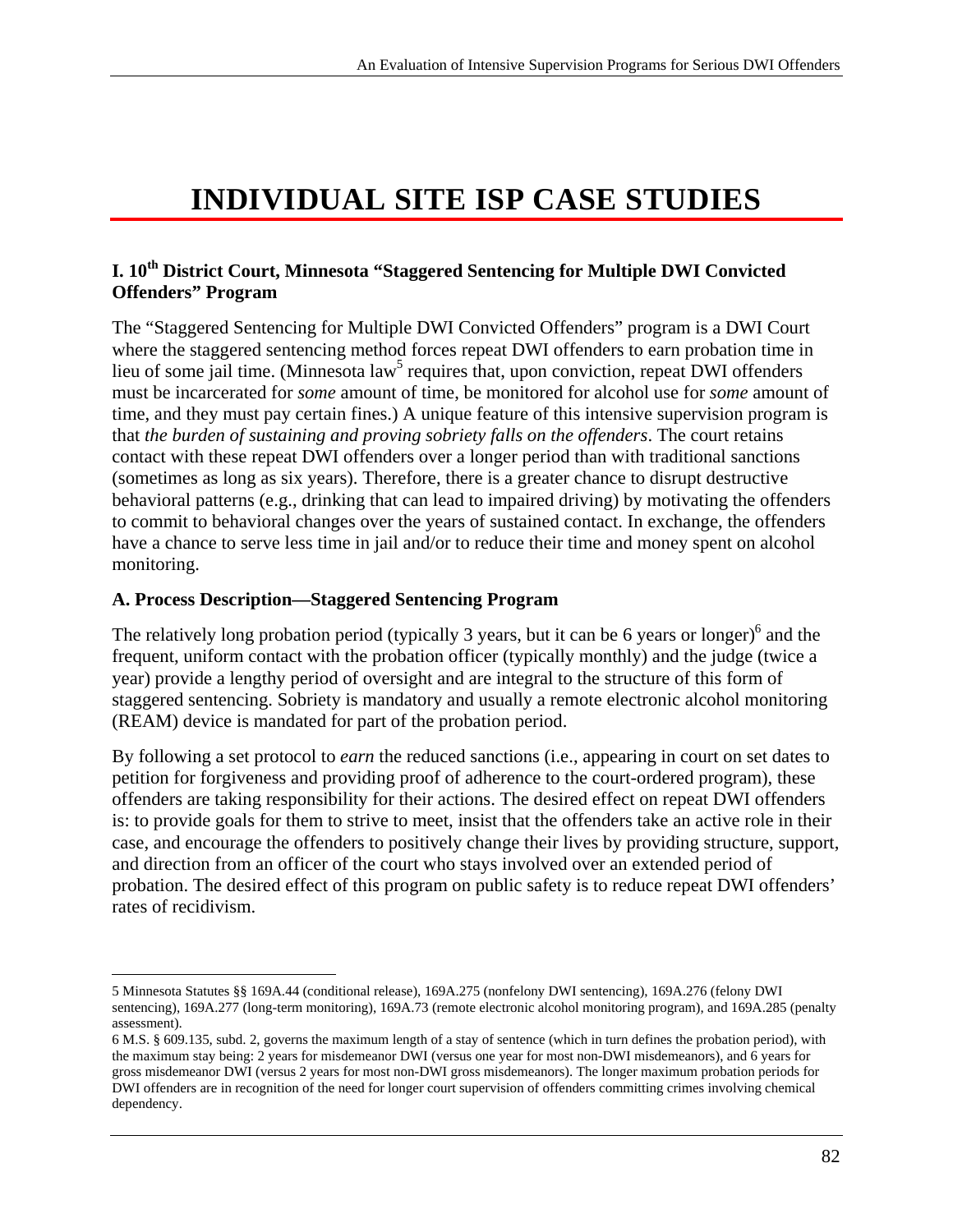# **INDIVIDUAL SITE ISP CASE STUDIES**

# **I. 10th District Court, Minnesota "Staggered Sentencing for Multiple DWI Convicted Offenders" Program**

The "Staggered Sentencing for Multiple DWI Convicted Offenders" program is a DWI Court where the staggered sentencing method forces repeat DWI offenders to earn probation time in lieu of some jail time. (Minnesota law<sup>5</sup> requires that, upon conviction, repeat DWI offenders must be incarcerated for *some* amount of time, be monitored for alcohol use for *some* amount of time, and they must pay certain fines.) A unique feature of this intensive supervision program is that *the burden of sustaining and proving sobriety falls on the offenders*. The court retains contact with these repeat DWI offenders over a longer period than with traditional sanctions (sometimes as long as six years). Therefore, there is a greater chance to disrupt destructive behavioral patterns (e.g., drinking that can lead to impaired driving) by motivating the offenders to commit to behavioral changes over the years of sustained contact. In exchange, the offenders have a chance to serve less time in jail and/or to reduce their time and money spent on alcohol monitoring.

#### **A. Process Description—Staggered Sentencing Program**

 $\overline{a}$ 

The relatively long probation period (typically 3 years, but it can be 6 years or longer) $<sup>6</sup>$  and the</sup> frequent, uniform contact with the probation officer (typically monthly) and the judge (twice a year) provide a lengthy period of oversight and are integral to the structure of this form of staggered sentencing. Sobriety is mandatory and usually a remote electronic alcohol monitoring (REAM) device is mandated for part of the probation period.

By following a set protocol to *earn* the reduced sanctions (i.e., appearing in court on set dates to petition for forgiveness and providing proof of adherence to the court-ordered program), these offenders are taking responsibility for their actions. The desired effect on repeat DWI offenders is: to provide goals for them to strive to meet, insist that the offenders take an active role in their case, and encourage the offenders to positively change their lives by providing structure, support, and direction from an officer of the court who stays involved over an extended period of probation. The desired effect of this program on public safety is to reduce repeat DWI offenders' rates of recidivism.

<sup>5</sup> Minnesota Statutes §§ 169A.44 (conditional release), 169A.275 (nonfelony DWI sentencing), 169A.276 (felony DWI sentencing), 169A.277 (long-term monitoring), 169A.73 (remote electronic alcohol monitoring program), and 169A.285 (penalty assessment).

dependency. 6 M.S. § 609.135, subd. 2, governs the maximum length of a stay of sentence (which in turn defines the probation period), with the maximum stay being: 2 years for misdemeanor DWI (versus one year for most non-DWI misdemeanors), and 6 years for gross misdemeanor DWI (versus 2 years for most non-DWI gross misdemeanors). The longer maximum probation periods for DWI offenders are in recognition of the need for longer court supervision of offenders committing crimes involving chemical dependency.<br>82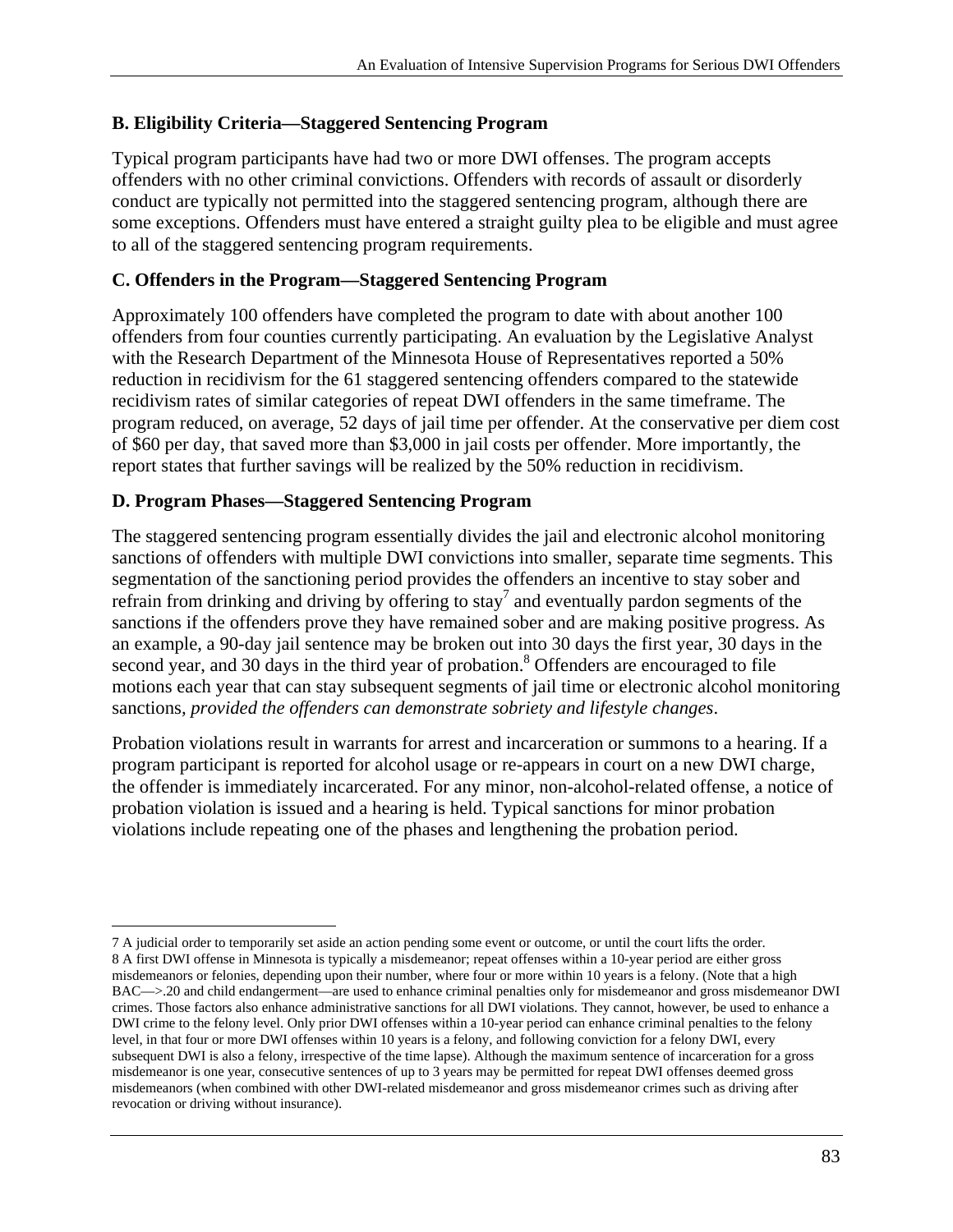## **B. Eligibility Criteria—Staggered Sentencing Program**

Typical program participants have had two or more DWI offenses. The program accepts offenders with no other criminal convictions. Offenders with records of assault or disorderly conduct are typically not permitted into the staggered sentencing program, although there are some exceptions. Offenders must have entered a straight guilty plea to be eligible and must agree to all of the staggered sentencing program requirements.

### **C. Offenders in the Program—Staggered Sentencing Program**

Approximately 100 offenders have completed the program to date with about another 100 offenders from four counties currently participating. An evaluation by the Legislative Analyst with the Research Department of the Minnesota House of Representatives reported a 50% reduction in recidivism for the 61 staggered sentencing offenders compared to the statewide recidivism rates of similar categories of repeat DWI offenders in the same timeframe. The program reduced, on average, 52 days of jail time per offender. At the conservative per diem cost of \$60 per day, that saved more than \$3,000 in jail costs per offender. More importantly, the report states that further savings will be realized by the 50% reduction in recidivism.

### **D. Program Phases—Staggered Sentencing Program**

The staggered sentencing program essentially divides the jail and electronic alcohol monitoring sanctions of offenders with multiple DWI convictions into smaller, separate time segments. This segmentation of the sanctioning period provides the offenders an incentive to stay sober and refrain from drinking and driving by offering to stay<sup>7</sup> and eventually pardon segments of the sanctions if the offenders prove they have remained sober and are making positive progress. As an example, a 90-day jail sentence may be broken out into 30 days the first year, 30 days in the second year, and 30 days in the third year of probation.<sup>8</sup> Offenders are encouraged to file motions each year that can stay subsequent segments of jail time or electronic alcohol monitoring sanctions*, provided the offenders can demonstrate sobriety and lifestyle changes*.

Probation violations result in warrants for arrest and incarceration or summons to a hearing. If a program participant is reported for alcohol usage or re-appears in court on a new DWI charge, the offender is immediately incarcerated. For any minor, non-alcohol-related offense, a notice of probation violation is issued and a hearing is held. Typical sanctions for minor probation violations include repeating one of the phases and lengthening the probation period.

<sup>1</sup>  DWI crime to the felony level. Only prior DWI offenses within a 10-year period can enhance criminal penalties to the felony 7 A judicial order to temporarily set aside an action pending some event or outcome, or until the court lifts the order. 8 A first DWI offense in Minnesota is typically a misdemeanor; repeat offenses within a 10-year period are either gross misdemeanors or felonies, depending upon their number, where four or more within 10 years is a felony. (Note that a high BAC—>.20 and child endangerment—are used to enhance criminal penalties only for misdemeanor and gross misdemeanor DWI crimes. Those factors also enhance administrative sanctions for all DWI violations. They cannot, however, be used to enhance a level, in that four or more DWI offenses within 10 years is a felony, and following conviction for a felony DWI, every subsequent DWI is also a felony, irrespective of the time lapse). Although the maximum sentence of incarceration for a gross misdemeanor is one year, consecutive sentences of up to 3 years may be permitted for repeat DWI offenses deemed gross misdemeanors (when combined with other DWI-related misdemeanor and gross misdemeanor crimes such as driving after revocation or driving without insurance).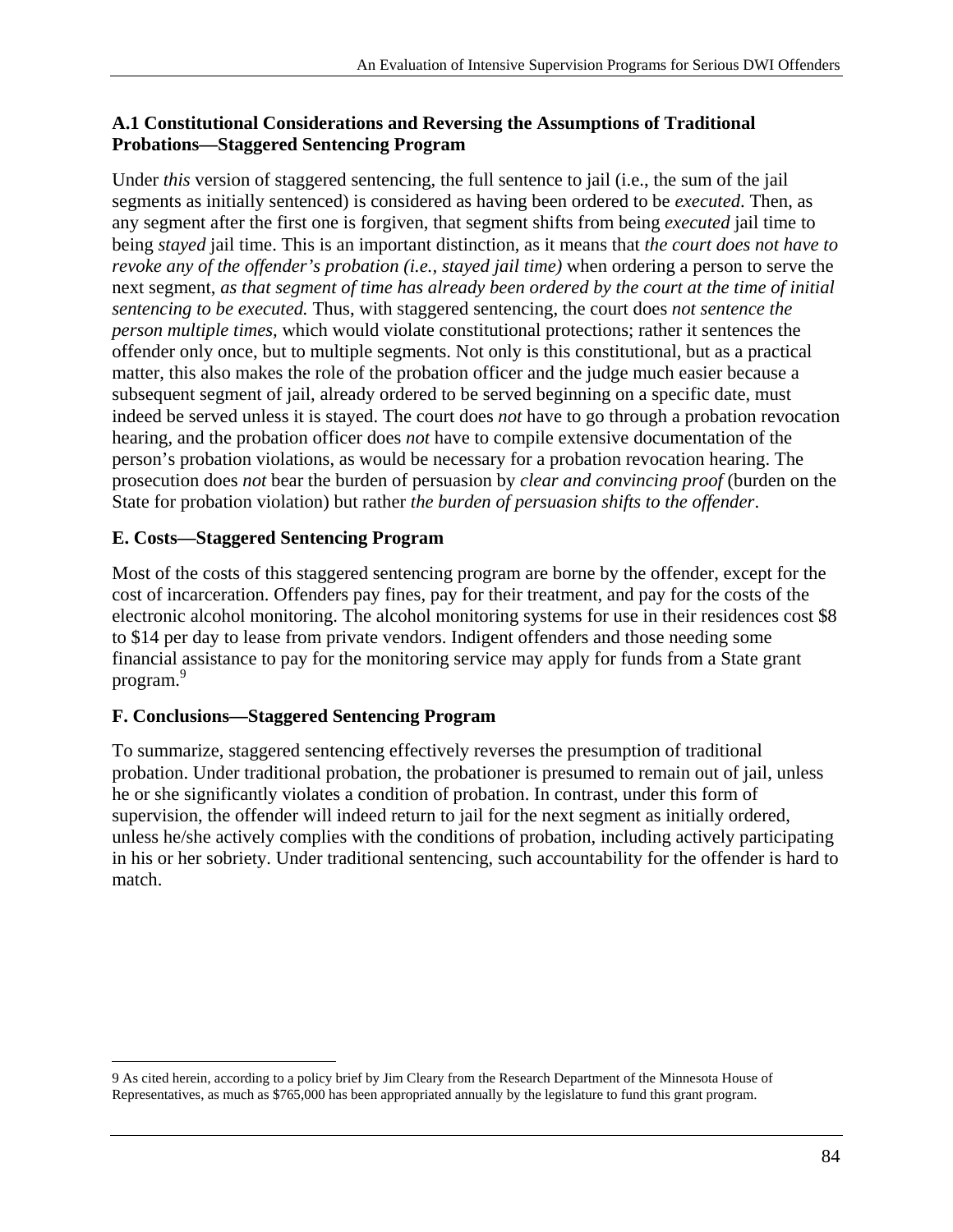## **A.1 Constitutional Considerations and Reversing the Assumptions of Traditional Probations—Staggered Sentencing Program**

Under *this* version of staggered sentencing, the full sentence to jail (i.e., the sum of the jail segments as initially sentenced) is considered as having been ordered to be *executed*. Then, as any segment after the first one is forgiven, that segment shifts from being *executed* jail time to being *stayed* jail time. This is an important distinction, as it means that *the court does not have to revoke any of the offender's probation (i.e., stayed jail time)* when ordering a person to serve the next segment, *as that segment of time has already been ordered by the court at the time of initial sentencing to be executed.* Thus, with staggered sentencing, the court does *not sentence the person multiple times,* which would violate constitutional protections; rather it sentences the offender only once, but to multiple segments. Not only is this constitutional, but as a practical matter, this also makes the role of the probation officer and the judge much easier because a subsequent segment of jail, already ordered to be served beginning on a specific date, must indeed be served unless it is stayed. The court does *not* have to go through a probation revocation hearing, and the probation officer does *not* have to compile extensive documentation of the person's probation violations, as would be necessary for a probation revocation hearing. The prosecution does *not* bear the burden of persuasion by *clear and convincing proof* (burden on the State for probation violation) but rather *the burden of persuasion shifts to the offender*.

# **E. Costs—Staggered Sentencing Program**

program.<sup>9</sup> Most of the costs of this staggered sentencing program are borne by the offender, except for the cost of incarceration. Offenders pay fines, pay for their treatment, and pay for the costs of the electronic alcohol monitoring. The alcohol monitoring systems for use in their residences cost \$8 to \$14 per day to lease from private vendors. Indigent offenders and those needing some financial assistance to pay for the monitoring service may apply for funds from a State grant

# **F. Conclusions—Staggered Sentencing Program**

To summarize, staggered sentencing effectively reverses the presumption of traditional probation. Under traditional probation, the probationer is presumed to remain out of jail, unless he or she significantly violates a condition of probation. In contrast, under this form of supervision, the offender will indeed return to jail for the next segment as initially ordered, unless he/she actively complies with the conditions of probation, including actively participating in his or her sobriety. Under traditional sentencing, such accountability for the offender is hard to match.

 $\overline{a}$ 9 As cited herein, according to a policy brief by Jim Cleary from the Research Department of the Minnesota House of Representatives, as much as \$765,000 has been appropriated annually by the legislature to fund this grant program.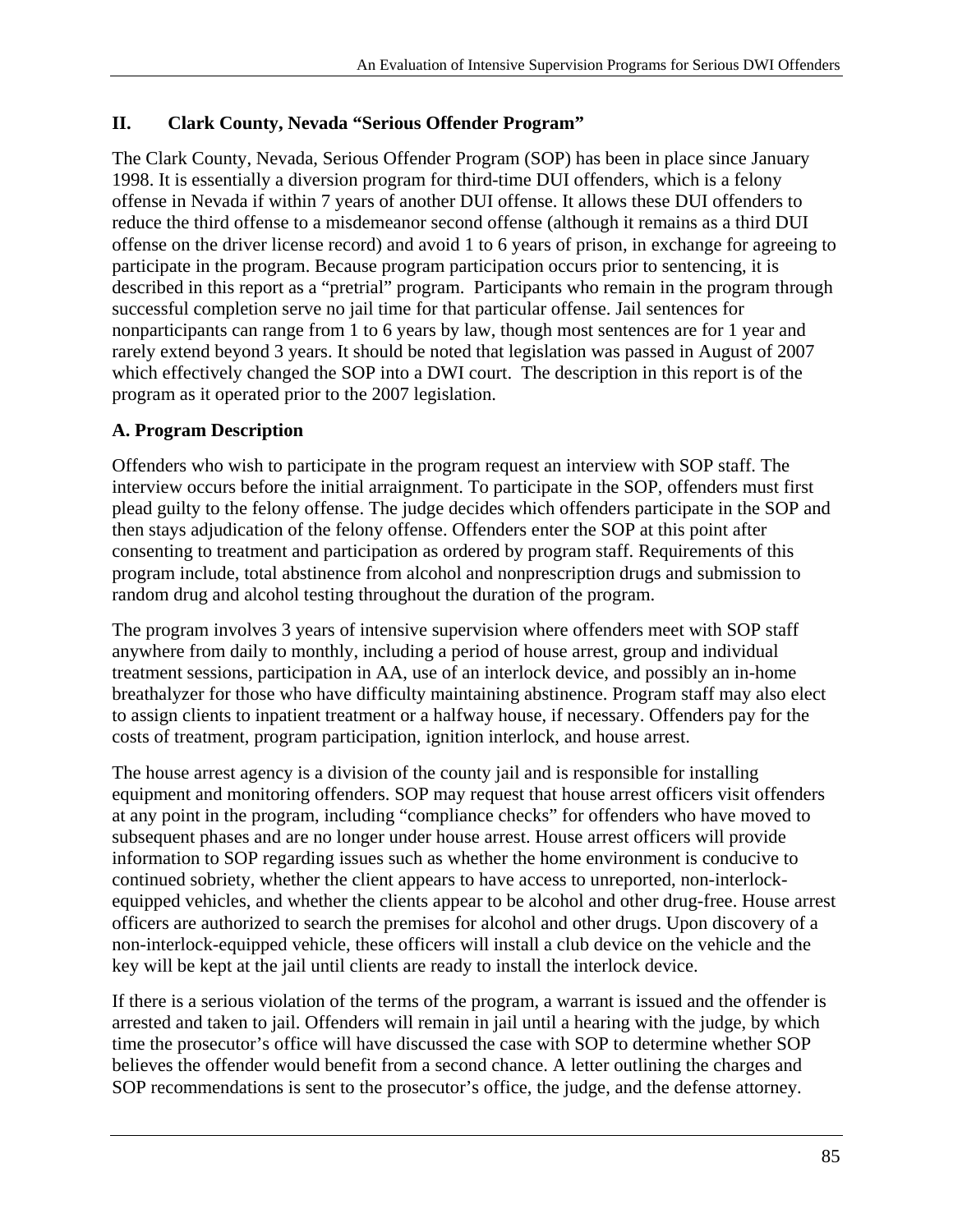## **II. Clark County, Nevada "Serious Offender Program"**

The Clark County, Nevada, Serious Offender Program (SOP) has been in place since January 1998. It is essentially a diversion program for third-time DUI offenders, which is a felony offense in Nevada if within 7 years of another DUI offense. It allows these DUI offenders to reduce the third offense to a misdemeanor second offense (although it remains as a third DUI offense on the driver license record) and avoid 1 to 6 years of prison, in exchange for agreeing to participate in the program. Because program participation occurs prior to sentencing, it is described in this report as a "pretrial" program. Participants who remain in the program through successful completion serve no jail time for that particular offense. Jail sentences for nonparticipants can range from 1 to 6 years by law, though most sentences are for 1 year and rarely extend beyond 3 years. It should be noted that legislation was passed in August of 2007 which effectively changed the SOP into a DWI court. The description in this report is of the program as it operated prior to the 2007 legislation.

## **A. Program Description**

Offenders who wish to participate in the program request an interview with SOP staff. The interview occurs before the initial arraignment. To participate in the SOP, offenders must first plead guilty to the felony offense. The judge decides which offenders participate in the SOP and then stays adjudication of the felony offense. Offenders enter the SOP at this point after consenting to treatment and participation as ordered by program staff. Requirements of this program include, total abstinence from alcohol and nonprescription drugs and submission to random drug and alcohol testing throughout the duration of the program.

The program involves 3 years of intensive supervision where offenders meet with SOP staff anywhere from daily to monthly, including a period of house arrest, group and individual treatment sessions, participation in AA, use of an interlock device, and possibly an in-home breathalyzer for those who have difficulty maintaining abstinence. Program staff may also elect to assign clients to inpatient treatment or a halfway house, if necessary. Offenders pay for the costs of treatment, program participation, ignition interlock, and house arrest.

The house arrest agency is a division of the county jail and is responsible for installing equipment and monitoring offenders. SOP may request that house arrest officers visit offenders at any point in the program, including "compliance checks" for offenders who have moved to subsequent phases and are no longer under house arrest. House arrest officers will provide information to SOP regarding issues such as whether the home environment is conducive to continued sobriety, whether the client appears to have access to unreported, non-interlockequipped vehicles, and whether the clients appear to be alcohol and other drug-free. House arrest officers are authorized to search the premises for alcohol and other drugs. Upon discovery of a non-interlock-equipped vehicle, these officers will install a club device on the vehicle and the key will be kept at the jail until clients are ready to install the interlock device.

If there is a serious violation of the terms of the program, a warrant is issued and the offender is arrested and taken to jail. Offenders will remain in jail until a hearing with the judge, by which time the prosecutor's office will have discussed the case with SOP to determine whether SOP believes the offender would benefit from a second chance. A letter outlining the charges and SOP recommendations is sent to the prosecutor's office, the judge, and the defense attorney.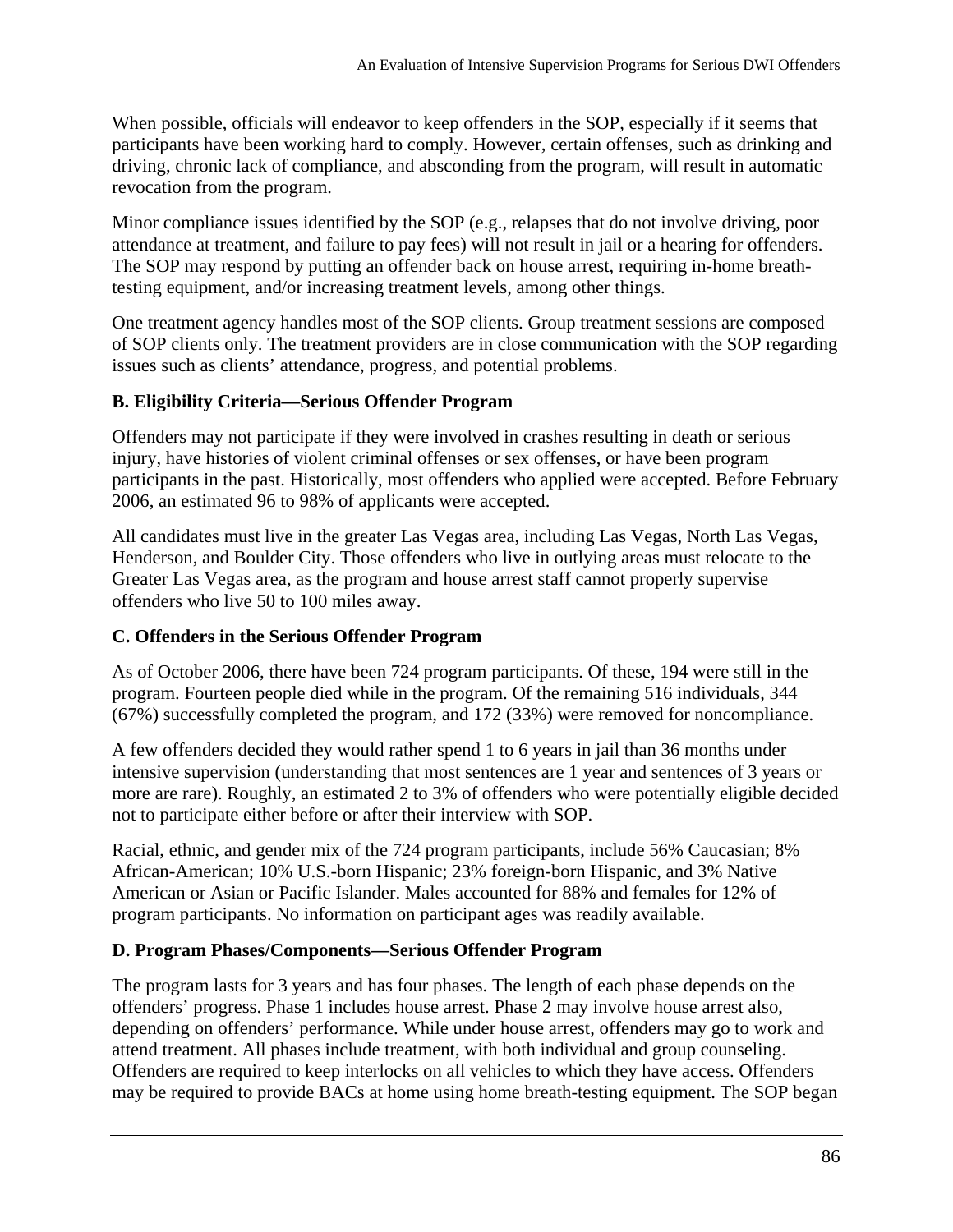When possible, officials will endeavor to keep offenders in the SOP, especially if it seems that participants have been working hard to comply. However, certain offenses, such as drinking and driving, chronic lack of compliance, and absconding from the program, will result in automatic revocation from the program.

Minor compliance issues identified by the SOP (e.g., relapses that do not involve driving, poor attendance at treatment, and failure to pay fees) will not result in jail or a hearing for offenders. The SOP may respond by putting an offender back on house arrest, requiring in-home breathtesting equipment, and/or increasing treatment levels, among other things.

One treatment agency handles most of the SOP clients. Group treatment sessions are composed of SOP clients only. The treatment providers are in close communication with the SOP regarding issues such as clients' attendance, progress, and potential problems.

# **B. Eligibility Criteria—Serious Offender Program**

Offenders may not participate if they were involved in crashes resulting in death or serious injury, have histories of violent criminal offenses or sex offenses, or have been program participants in the past. Historically, most offenders who applied were accepted. Before February 2006, an estimated 96 to 98% of applicants were accepted.

All candidates must live in the greater Las Vegas area, including Las Vegas, North Las Vegas, Henderson, and Boulder City. Those offenders who live in outlying areas must relocate to the Greater Las Vegas area, as the program and house arrest staff cannot properly supervise offenders who live 50 to 100 miles away.

# **C. Offenders in the Serious Offender Program**

As of October 2006, there have been 724 program participants. Of these, 194 were still in the program. Fourteen people died while in the program. Of the remaining 516 individuals, 344 (67%) successfully completed the program, and 172 (33%) were removed for noncompliance.

A few offenders decided they would rather spend 1 to 6 years in jail than 36 months under intensive supervision (understanding that most sentences are 1 year and sentences of 3 years or more are rare). Roughly, an estimated 2 to 3% of offenders who were potentially eligible decided not to participate either before or after their interview with SOP.

Racial, ethnic, and gender mix of the 724 program participants, include 56% Caucasian; 8% African-American; 10% U.S.-born Hispanic; 23% foreign-born Hispanic, and 3% Native American or Asian or Pacific Islander. Males accounted for 88% and females for 12% of program participants. No information on participant ages was readily available.

# **D. Program Phases/Components—Serious Offender Program**

The program lasts for 3 years and has four phases. The length of each phase depends on the offenders' progress. Phase 1 includes house arrest. Phase 2 may involve house arrest also, depending on offenders' performance. While under house arrest, offenders may go to work and attend treatment. All phases include treatment, with both individual and group counseling. Offenders are required to keep interlocks on all vehicles to which they have access. Offenders may be required to provide BACs at home using home breath-testing equipment. The SOP began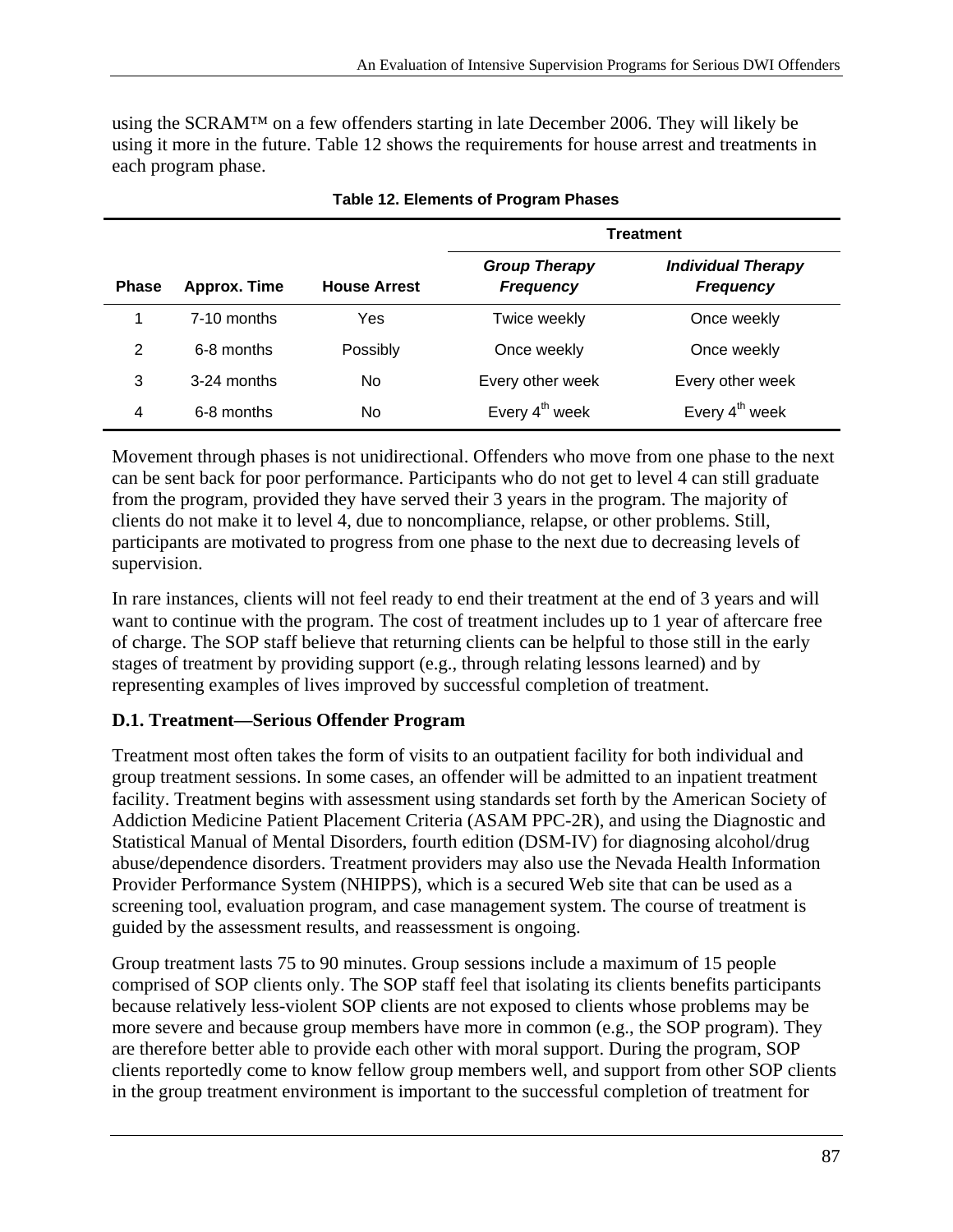using the SCRAM™ on a few offenders starting in late December 2006. They will likely be using it more in the future. Table 12 shows the requirements for house arrest and treatments in each program phase.

|              |                     |                     | <b>Treatment</b>                         |                                               |
|--------------|---------------------|---------------------|------------------------------------------|-----------------------------------------------|
| <b>Phase</b> | <b>Approx. Time</b> | <b>House Arrest</b> | <b>Group Therapy</b><br><b>Frequency</b> | <b>Individual Therapy</b><br><b>Frequency</b> |
|              | $7-10$ months       | Yes                 | Twice weekly                             | Once weekly                                   |
| 2            | 6-8 months          | Possibly            | Once weekly                              | Once weekly                                   |
| 3            | $3-24$ months       | No                  | Every other week                         | Every other week                              |
| 4            | 6-8 months          | No                  | Every 4 <sup>th</sup> week               | Every $4^{th}$ week                           |

#### **Table 12. Elements of Program Phases**

Movement through phases is not unidirectional. Offenders who move from one phase to the next can be sent back for poor performance. Participants who do not get to level 4 can still graduate from the program, provided they have served their 3 years in the program. The majority of clients do not make it to level 4, due to noncompliance, relapse, or other problems. Still, participants are motivated to progress from one phase to the next due to decreasing levels of supervision.

In rare instances, clients will not feel ready to end their treatment at the end of 3 years and will want to continue with the program. The cost of treatment includes up to 1 year of aftercare free of charge. The SOP staff believe that returning clients can be helpful to those still in the early stages of treatment by providing support (e.g., through relating lessons learned) and by representing examples of lives improved by successful completion of treatment.

### **D.1. Treatment—Serious Offender Program**

Treatment most often takes the form of visits to an outpatient facility for both individual and group treatment sessions. In some cases, an offender will be admitted to an inpatient treatment facility. Treatment begins with assessment using standards set forth by the American Society of Addiction Medicine Patient Placement Criteria (ASAM PPC-2R), and using the Diagnostic and Statistical Manual of Mental Disorders, fourth edition (DSM-IV) for diagnosing alcohol/drug abuse/dependence disorders. Treatment providers may also use the Nevada Health Information Provider Performance System (NHIPPS), which is a secured Web site that can be used as a screening tool, evaluation program, and case management system. The course of treatment is guided by the assessment results, and reassessment is ongoing.

Group treatment lasts 75 to 90 minutes. Group sessions include a maximum of 15 people comprised of SOP clients only. The SOP staff feel that isolating its clients benefits participants because relatively less-violent SOP clients are not exposed to clients whose problems may be more severe and because group members have more in common (e.g., the SOP program). They are therefore better able to provide each other with moral support. During the program, SOP clients reportedly come to know fellow group members well, and support from other SOP clients in the group treatment environment is important to the successful completion of treatment for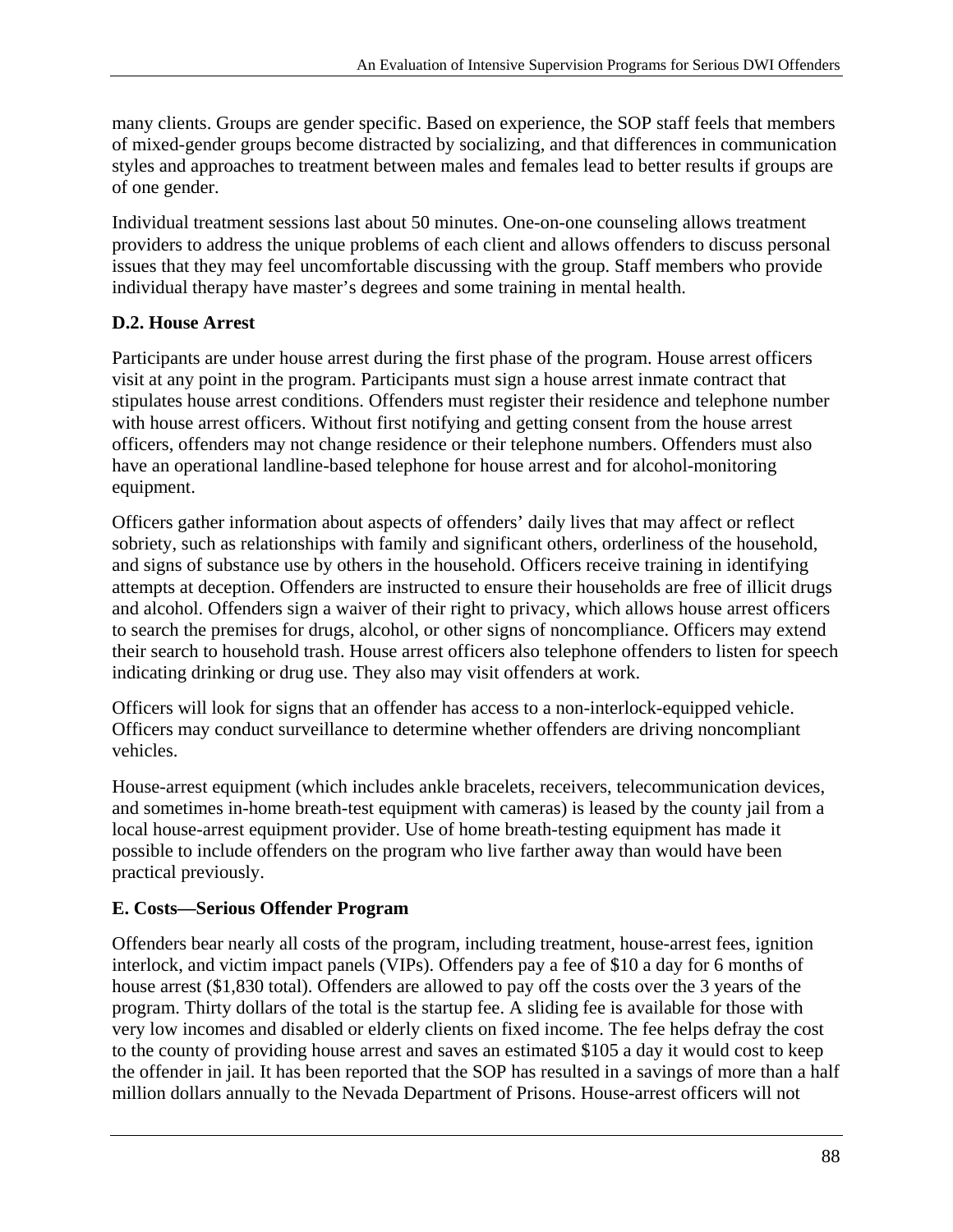many clients. Groups are gender specific. Based on experience, the SOP staff feels that members of mixed-gender groups become distracted by socializing, and that differences in communication styles and approaches to treatment between males and females lead to better results if groups are of one gender.

Individual treatment sessions last about 50 minutes. One-on-one counseling allows treatment providers to address the unique problems of each client and allows offenders to discuss personal issues that they may feel uncomfortable discussing with the group. Staff members who provide individual therapy have master's degrees and some training in mental health.

# **D.2. House Arrest**

Participants are under house arrest during the first phase of the program. House arrest officers visit at any point in the program. Participants must sign a house arrest inmate contract that stipulates house arrest conditions. Offenders must register their residence and telephone number with house arrest officers. Without first notifying and getting consent from the house arrest officers, offenders may not change residence or their telephone numbers. Offenders must also have an operational landline-based telephone for house arrest and for alcohol-monitoring equipment.

Officers gather information about aspects of offenders' daily lives that may affect or reflect sobriety, such as relationships with family and significant others, orderliness of the household, and signs of substance use by others in the household. Officers receive training in identifying attempts at deception. Offenders are instructed to ensure their households are free of illicit drugs and alcohol. Offenders sign a waiver of their right to privacy, which allows house arrest officers to search the premises for drugs, alcohol, or other signs of noncompliance. Officers may extend their search to household trash. House arrest officers also telephone offenders to listen for speech indicating drinking or drug use. They also may visit offenders at work.

Officers will look for signs that an offender has access to a non-interlock-equipped vehicle. Officers may conduct surveillance to determine whether offenders are driving noncompliant vehicles.

House-arrest equipment (which includes ankle bracelets, receivers, telecommunication devices, and sometimes in-home breath-test equipment with cameras) is leased by the county jail from a local house-arrest equipment provider. Use of home breath-testing equipment has made it possible to include offenders on the program who live farther away than would have been practical previously.

# **E. Costs—Serious Offender Program**

Offenders bear nearly all costs of the program, including treatment, house-arrest fees, ignition interlock, and victim impact panels (VIPs). Offenders pay a fee of \$10 a day for 6 months of house arrest (\$1,830 total). Offenders are allowed to pay off the costs over the 3 years of the program. Thirty dollars of the total is the startup fee. A sliding fee is available for those with very low incomes and disabled or elderly clients on fixed income. The fee helps defray the cost to the county of providing house arrest and saves an estimated \$105 a day it would cost to keep the offender in jail. It has been reported that the SOP has resulted in a savings of more than a half million dollars annually to the Nevada Department of Prisons. House-arrest officers will not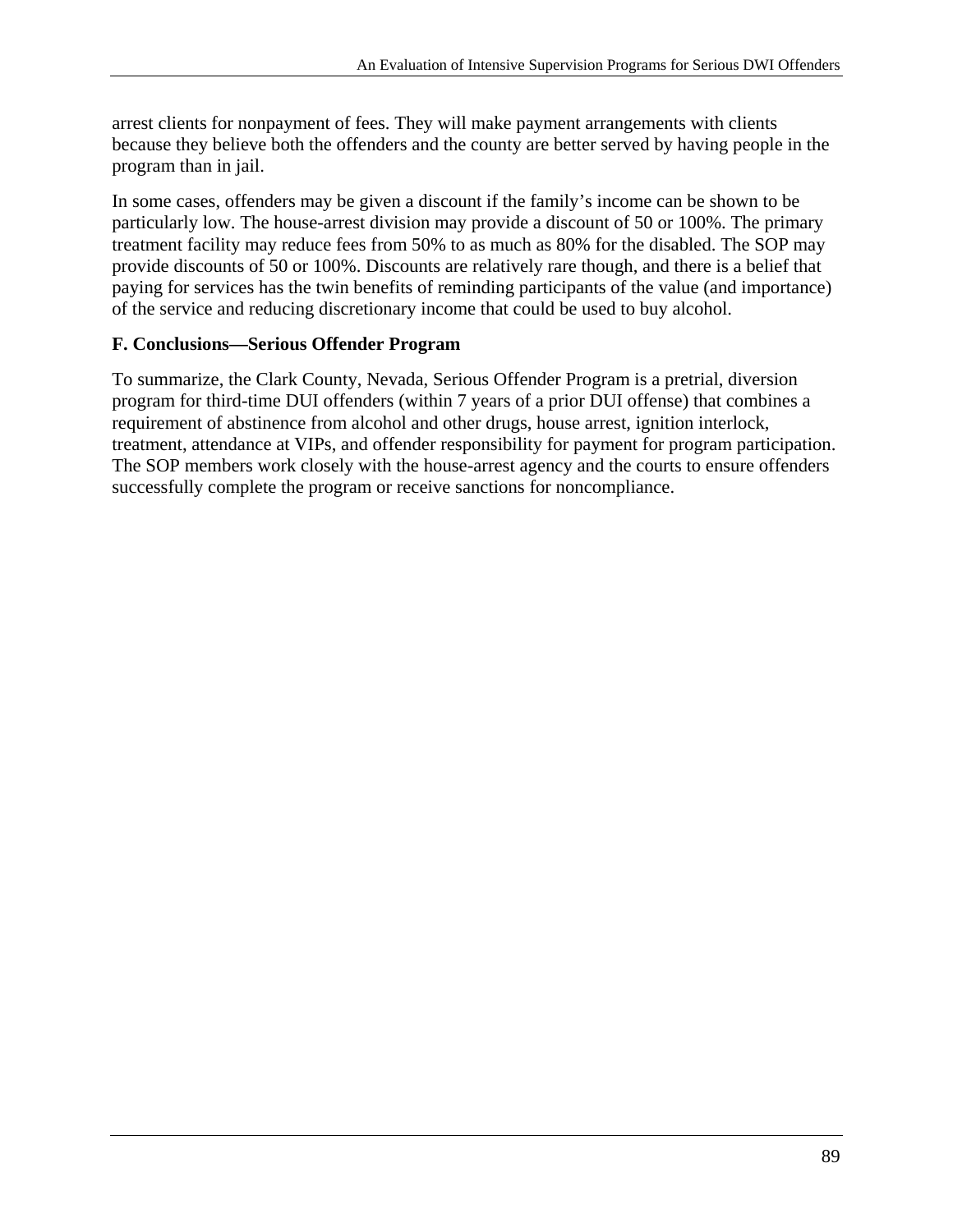arrest clients for nonpayment of fees. They will make payment arrangements with clients because they believe both the offenders and the county are better served by having people in the program than in jail.

In some cases, offenders may be given a discount if the family's income can be shown to be particularly low. The house-arrest division may provide a discount of 50 or 100%. The primary treatment facility may reduce fees from 50% to as much as 80% for the disabled. The SOP may provide discounts of 50 or 100%. Discounts are relatively rare though, and there is a belief that paying for services has the twin benefits of reminding participants of the value (and importance) of the service and reducing discretionary income that could be used to buy alcohol.

### **F. Conclusions—Serious Offender Program**

To summarize, the Clark County, Nevada, Serious Offender Program is a pretrial, diversion program for third-time DUI offenders (within 7 years of a prior DUI offense) that combines a requirement of abstinence from alcohol and other drugs, house arrest, ignition interlock, treatment, attendance at VIPs, and offender responsibility for payment for program participation. The SOP members work closely with the house-arrest agency and the courts to ensure offenders successfully complete the program or receive sanctions for noncompliance.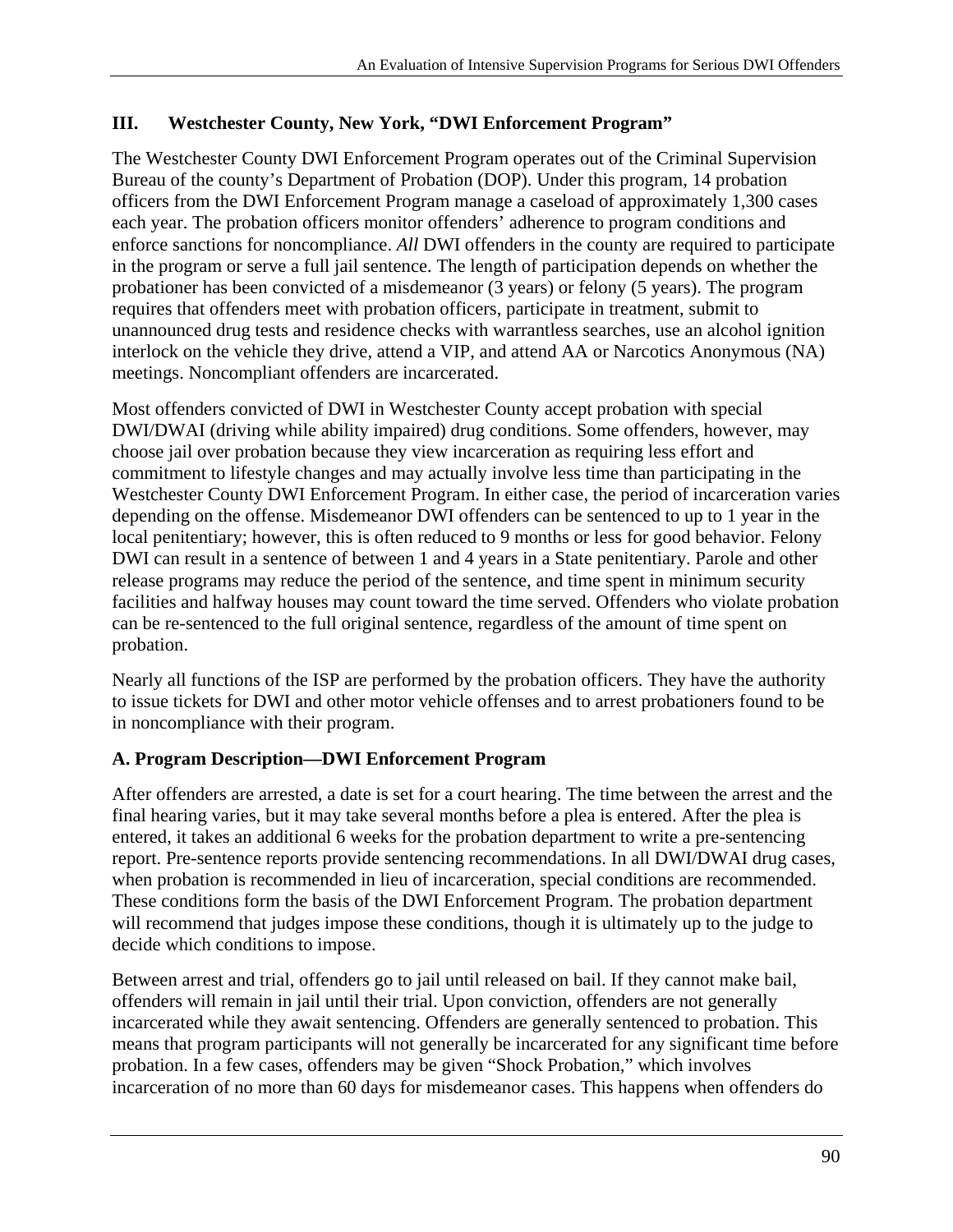## **III. Westchester County, New York, "DWI Enforcement Program"**

The Westchester County DWI Enforcement Program operates out of the Criminal Supervision Bureau of the county's Department of Probation (DOP). Under this program, 14 probation officers from the DWI Enforcement Program manage a caseload of approximately 1,300 cases each year. The probation officers monitor offenders' adherence to program conditions and enforce sanctions for noncompliance. *All* DWI offenders in the county are required to participate in the program or serve a full jail sentence. The length of participation depends on whether the probationer has been convicted of a misdemeanor (3 years) or felony (5 years). The program requires that offenders meet with probation officers, participate in treatment, submit to unannounced drug tests and residence checks with warrantless searches, use an alcohol ignition interlock on the vehicle they drive, attend a VIP, and attend AA or Narcotics Anonymous (NA) meetings. Noncompliant offenders are incarcerated.

Most offenders convicted of DWI in Westchester County accept probation with special DWI/DWAI (driving while ability impaired) drug conditions. Some offenders, however, may choose jail over probation because they view incarceration as requiring less effort and commitment to lifestyle changes and may actually involve less time than participating in the Westchester County DWI Enforcement Program. In either case, the period of incarceration varies depending on the offense. Misdemeanor DWI offenders can be sentenced to up to 1 year in the local penitentiary; however, this is often reduced to 9 months or less for good behavior. Felony DWI can result in a sentence of between 1 and 4 years in a State penitentiary. Parole and other release programs may reduce the period of the sentence, and time spent in minimum security facilities and halfway houses may count toward the time served. Offenders who violate probation can be re-sentenced to the full original sentence, regardless of the amount of time spent on probation.

Nearly all functions of the ISP are performed by the probation officers. They have the authority to issue tickets for DWI and other motor vehicle offenses and to arrest probationers found to be in noncompliance with their program.

# **A. Program Description—DWI Enforcement Program**

After offenders are arrested, a date is set for a court hearing. The time between the arrest and the final hearing varies, but it may take several months before a plea is entered. After the plea is entered, it takes an additional 6 weeks for the probation department to write a pre-sentencing report. Pre-sentence reports provide sentencing recommendations. In all DWI/DWAI drug cases, when probation is recommended in lieu of incarceration, special conditions are recommended. These conditions form the basis of the DWI Enforcement Program. The probation department will recommend that judges impose these conditions, though it is ultimately up to the judge to decide which conditions to impose.

Between arrest and trial, offenders go to jail until released on bail. If they cannot make bail, offenders will remain in jail until their trial. Upon conviction, offenders are not generally incarcerated while they await sentencing. Offenders are generally sentenced to probation. This means that program participants will not generally be incarcerated for any significant time before probation. In a few cases, offenders may be given "Shock Probation," which involves incarceration of no more than 60 days for misdemeanor cases. This happens when offenders do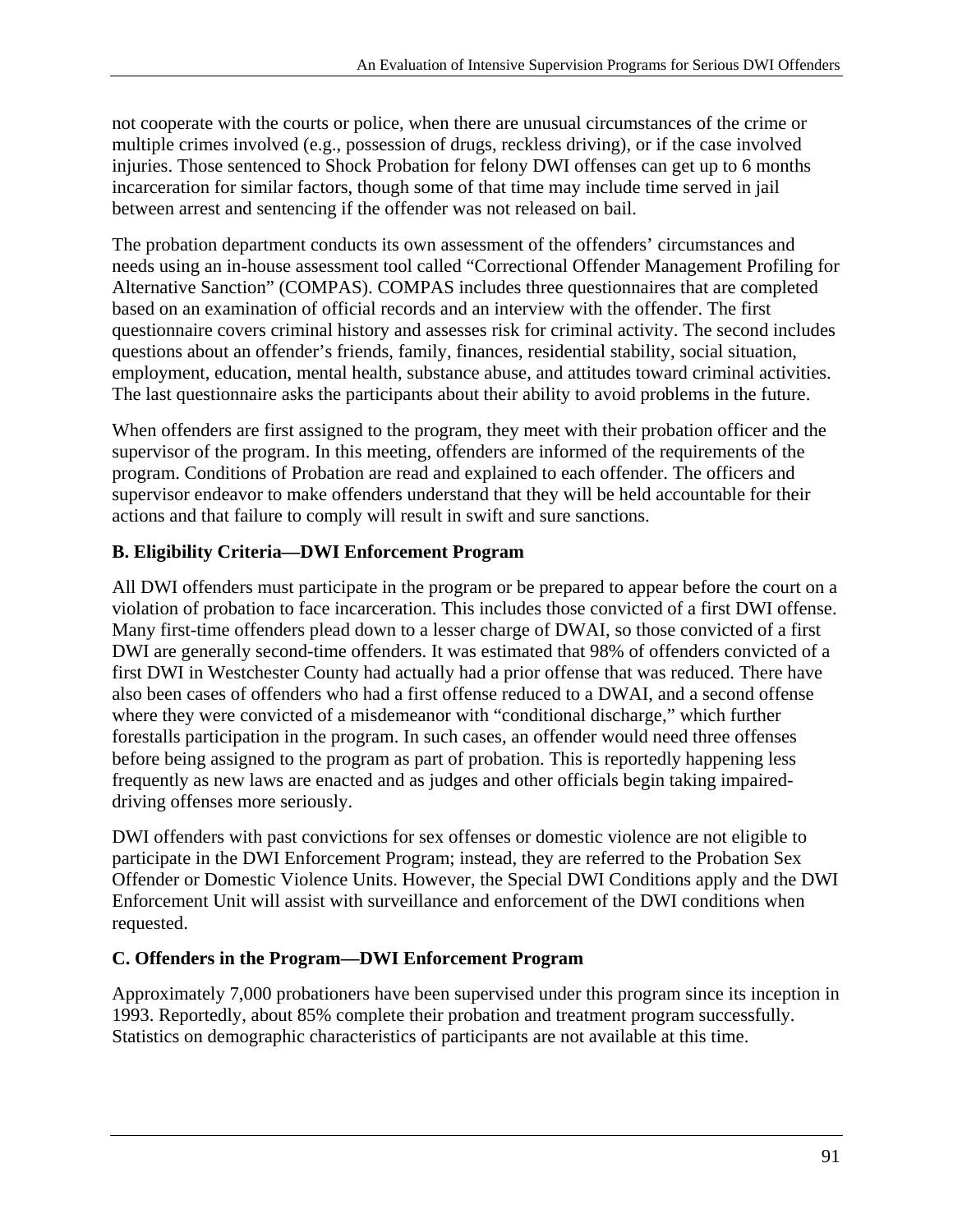not cooperate with the courts or police, when there are unusual circumstances of the crime or multiple crimes involved (e.g., possession of drugs, reckless driving), or if the case involved injuries. Those sentenced to Shock Probation for felony DWI offenses can get up to 6 months incarceration for similar factors, though some of that time may include time served in jail between arrest and sentencing if the offender was not released on bail.

The probation department conducts its own assessment of the offenders' circumstances and needs using an in-house assessment tool called "Correctional Offender Management Profiling for Alternative Sanction" (COMPAS). COMPAS includes three questionnaires that are completed based on an examination of official records and an interview with the offender. The first questionnaire covers criminal history and assesses risk for criminal activity. The second includes questions about an offender's friends, family, finances, residential stability, social situation, employment, education, mental health, substance abuse, and attitudes toward criminal activities. The last questionnaire asks the participants about their ability to avoid problems in the future.

When offenders are first assigned to the program, they meet with their probation officer and the supervisor of the program. In this meeting, offenders are informed of the requirements of the program. Conditions of Probation are read and explained to each offender. The officers and supervisor endeavor to make offenders understand that they will be held accountable for their actions and that failure to comply will result in swift and sure sanctions.

# **B. Eligibility Criteria—DWI Enforcement Program**

All DWI offenders must participate in the program or be prepared to appear before the court on a violation of probation to face incarceration. This includes those convicted of a first DWI offense. Many first-time offenders plead down to a lesser charge of DWAI, so those convicted of a first DWI are generally second-time offenders. It was estimated that 98% of offenders convicted of a first DWI in Westchester County had actually had a prior offense that was reduced. There have also been cases of offenders who had a first offense reduced to a DWAI, and a second offense where they were convicted of a misdemeanor with "conditional discharge," which further forestalls participation in the program. In such cases, an offender would need three offenses before being assigned to the program as part of probation. This is reportedly happening less frequently as new laws are enacted and as judges and other officials begin taking impaireddriving offenses more seriously.

DWI offenders with past convictions for sex offenses or domestic violence are not eligible to participate in the DWI Enforcement Program; instead, they are referred to the Probation Sex Offender or Domestic Violence Units. However, the Special DWI Conditions apply and the DWI Enforcement Unit will assist with surveillance and enforcement of the DWI conditions when requested.

# **C. Offenders in the Program—DWI Enforcement Program**

Approximately 7,000 probationers have been supervised under this program since its inception in 1993. Reportedly, about 85% complete their probation and treatment program successfully. Statistics on demographic characteristics of participants are not available at this time.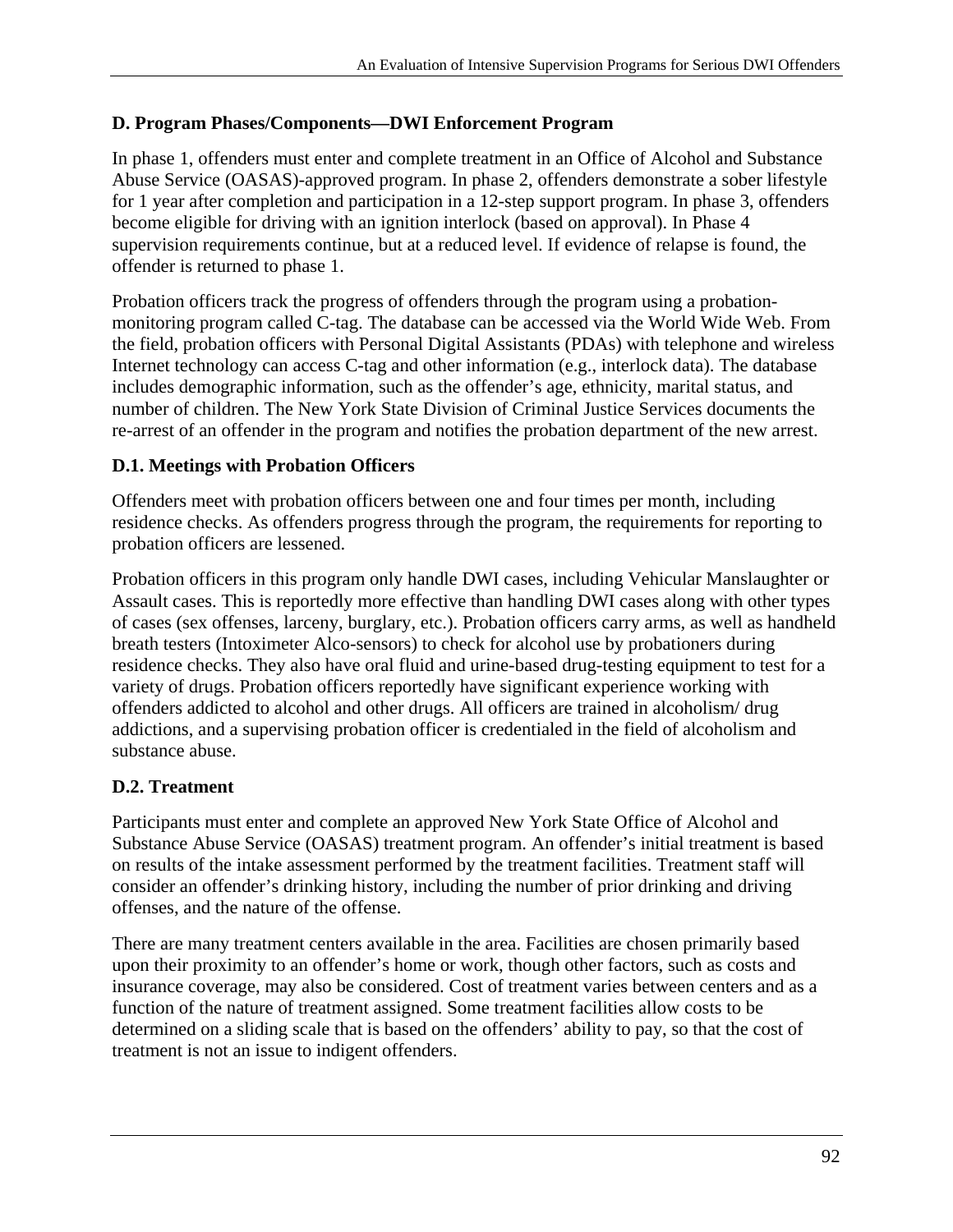## **D. Program Phases/Components—DWI Enforcement Program**

In phase 1, offenders must enter and complete treatment in an Office of Alcohol and Substance Abuse Service (OASAS)-approved program. In phase 2, offenders demonstrate a sober lifestyle for 1 year after completion and participation in a 12-step support program. In phase 3, offenders become eligible for driving with an ignition interlock (based on approval). In Phase 4 supervision requirements continue, but at a reduced level. If evidence of relapse is found, the offender is returned to phase 1.

Probation officers track the progress of offenders through the program using a probationmonitoring program called C-tag. The database can be accessed via the World Wide Web. From the field, probation officers with Personal Digital Assistants (PDAs) with telephone and wireless Internet technology can access C-tag and other information (e.g., interlock data). The database includes demographic information, such as the offender's age, ethnicity, marital status, and number of children. The New York State Division of Criminal Justice Services documents the re-arrest of an offender in the program and notifies the probation department of the new arrest.

## **D.1. Meetings with Probation Officers**

Offenders meet with probation officers between one and four times per month, including residence checks. As offenders progress through the program, the requirements for reporting to probation officers are lessened.

Probation officers in this program only handle DWI cases, including Vehicular Manslaughter or Assault cases. This is reportedly more effective than handling DWI cases along with other types of cases (sex offenses, larceny, burglary, etc.). Probation officers carry arms, as well as handheld breath testers (Intoximeter Alco-sensors) to check for alcohol use by probationers during residence checks. They also have oral fluid and urine-based drug-testing equipment to test for a variety of drugs. Probation officers reportedly have significant experience working with offenders addicted to alcohol and other drugs. All officers are trained in alcoholism/ drug addictions, and a supervising probation officer is credentialed in the field of alcoholism and substance abuse.

# **D.2. Treatment**

Participants must enter and complete an approved New York State Office of Alcohol and Substance Abuse Service (OASAS) treatment program. An offender's initial treatment is based on results of the intake assessment performed by the treatment facilities. Treatment staff will consider an offender's drinking history, including the number of prior drinking and driving offenses, and the nature of the offense.

There are many treatment centers available in the area. Facilities are chosen primarily based upon their proximity to an offender's home or work, though other factors, such as costs and insurance coverage, may also be considered. Cost of treatment varies between centers and as a function of the nature of treatment assigned. Some treatment facilities allow costs to be determined on a sliding scale that is based on the offenders' ability to pay, so that the cost of treatment is not an issue to indigent offenders.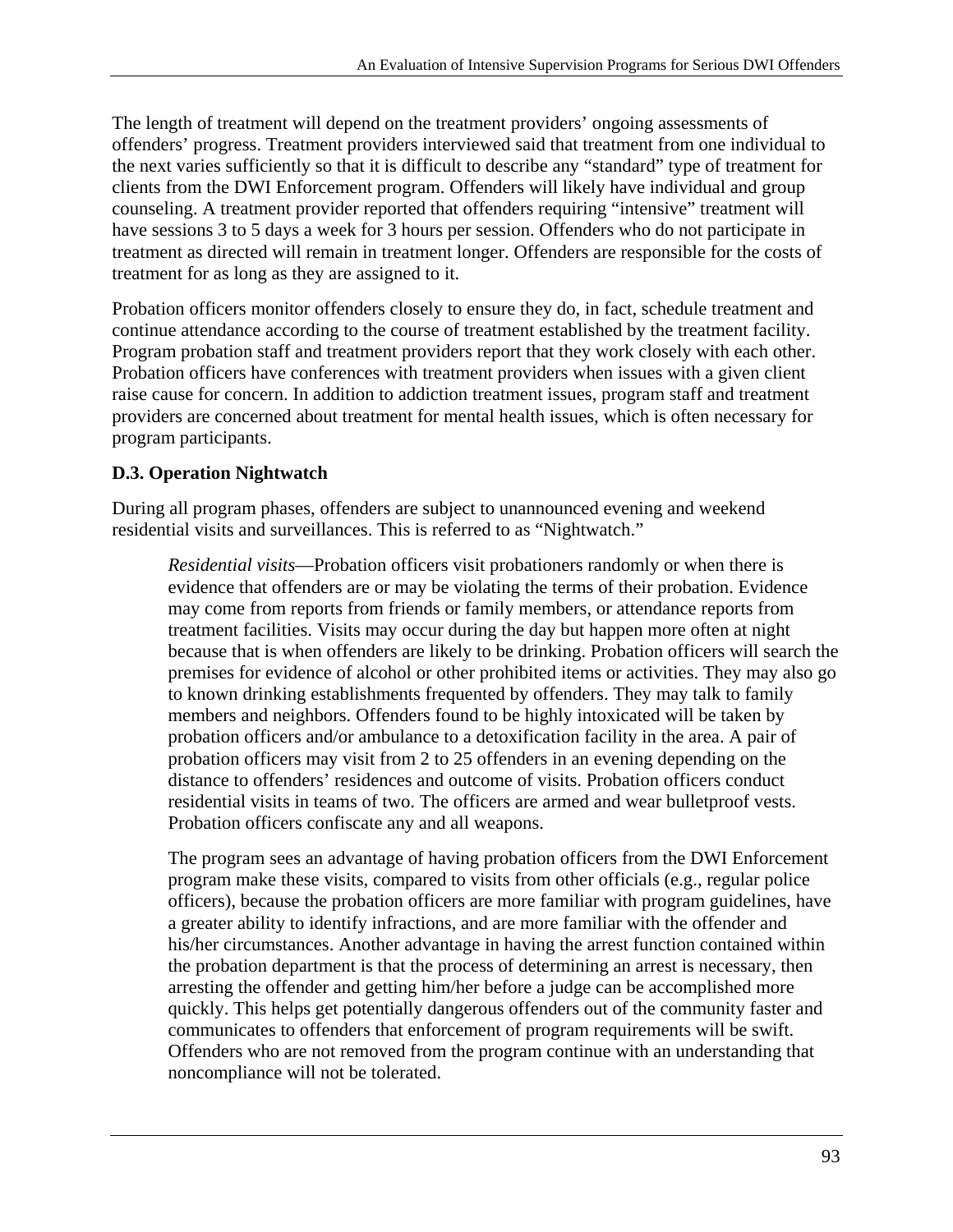The length of treatment will depend on the treatment providers' ongoing assessments of offenders' progress. Treatment providers interviewed said that treatment from one individual to the next varies sufficiently so that it is difficult to describe any "standard" type of treatment for clients from the DWI Enforcement program. Offenders will likely have individual and group counseling. A treatment provider reported that offenders requiring "intensive" treatment will have sessions 3 to 5 days a week for 3 hours per session. Offenders who do not participate in treatment as directed will remain in treatment longer. Offenders are responsible for the costs of treatment for as long as they are assigned to it.

Probation officers monitor offenders closely to ensure they do, in fact, schedule treatment and continue attendance according to the course of treatment established by the treatment facility. Program probation staff and treatment providers report that they work closely with each other. Probation officers have conferences with treatment providers when issues with a given client raise cause for concern. In addition to addiction treatment issues, program staff and treatment providers are concerned about treatment for mental health issues, which is often necessary for program participants.

# **D.3. Operation Nightwatch**

During all program phases, offenders are subject to unannounced evening and weekend residential visits and surveillances. This is referred to as "Nightwatch."

*Residential visits*—Probation officers visit probationers randomly or when there is evidence that offenders are or may be violating the terms of their probation. Evidence may come from reports from friends or family members, or attendance reports from treatment facilities. Visits may occur during the day but happen more often at night because that is when offenders are likely to be drinking. Probation officers will search the premises for evidence of alcohol or other prohibited items or activities. They may also go to known drinking establishments frequented by offenders. They may talk to family members and neighbors. Offenders found to be highly intoxicated will be taken by probation officers and/or ambulance to a detoxification facility in the area. A pair of probation officers may visit from 2 to 25 offenders in an evening depending on the distance to offenders' residences and outcome of visits. Probation officers conduct residential visits in teams of two. The officers are armed and wear bulletproof vests. Probation officers confiscate any and all weapons.

noncompliance will not be tolerated. The program sees an advantage of having probation officers from the DWI Enforcement program make these visits, compared to visits from other officials (e.g., regular police officers), because the probation officers are more familiar with program guidelines, have a greater ability to identify infractions, and are more familiar with the offender and his/her circumstances. Another advantage in having the arrest function contained within the probation department is that the process of determining an arrest is necessary, then arresting the offender and getting him/her before a judge can be accomplished more quickly. This helps get potentially dangerous offenders out of the community faster and communicates to offenders that enforcement of program requirements will be swift. Offenders who are not removed from the program continue with an understanding that noncompliance will not be tolerated.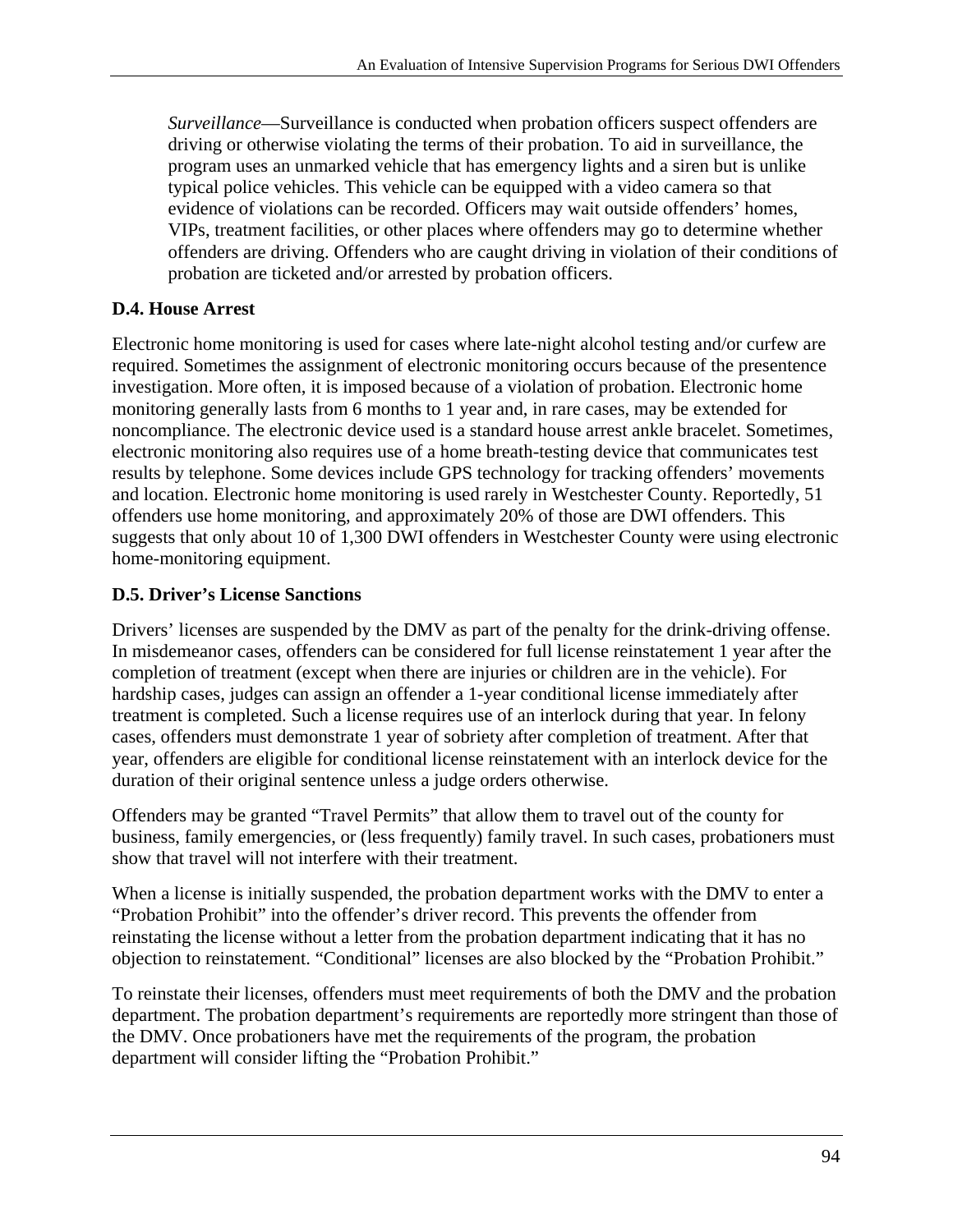*Surveillance*—Surveillance is conducted when probation officers suspect offenders are driving or otherwise violating the terms of their probation. To aid in surveillance, the program uses an unmarked vehicle that has emergency lights and a siren but is unlike typical police vehicles. This vehicle can be equipped with a video camera so that evidence of violations can be recorded. Officers may wait outside offenders' homes, VIPs, treatment facilities, or other places where offenders may go to determine whether offenders are driving. Offenders who are caught driving in violation of their conditions of probation are ticketed and/or arrested by probation officers.

# **D.4. House Arrest**

Electronic home monitoring is used for cases where late-night alcohol testing and/or curfew are required. Sometimes the assignment of electronic monitoring occurs because of the presentence investigation. More often, it is imposed because of a violation of probation. Electronic home monitoring generally lasts from 6 months to 1 year and, in rare cases, may be extended for noncompliance. The electronic device used is a standard house arrest ankle bracelet. Sometimes, electronic monitoring also requires use of a home breath-testing device that communicates test results by telephone. Some devices include GPS technology for tracking offenders' movements and location. Electronic home monitoring is used rarely in Westchester County. Reportedly, 51 offenders use home monitoring, and approximately 20% of those are DWI offenders. This suggests that only about 10 of 1,300 DWI offenders in Westchester County were using electronic home-monitoring equipment.

# **D.5. Driver's License Sanctions**

Drivers' licenses are suspended by the DMV as part of the penalty for the drink-driving offense. In misdemeanor cases, offenders can be considered for full license reinstatement 1 year after the completion of treatment (except when there are injuries or children are in the vehicle). For hardship cases, judges can assign an offender a 1-year conditional license immediately after treatment is completed. Such a license requires use of an interlock during that year. In felony cases, offenders must demonstrate 1 year of sobriety after completion of treatment. After that year, offenders are eligible for conditional license reinstatement with an interlock device for the duration of their original sentence unless a judge orders otherwise.

Offenders may be granted "Travel Permits" that allow them to travel out of the county for business, family emergencies, or (less frequently) family travel. In such cases, probationers must show that travel will not interfere with their treatment.

When a license is initially suspended, the probation department works with the DMV to enter a "Probation Prohibit" into the offender's driver record. This prevents the offender from reinstating the license without a letter from the probation department indicating that it has no objection to reinstatement. "Conditional" licenses are also blocked by the "Probation Prohibit."

To reinstate their licenses, offenders must meet requirements of both the DMV and the probation department. The probation department's requirements are reportedly more stringent than those of the DMV. Once probationers have met the requirements of the program, the probation department will consider lifting the "Probation Prohibit."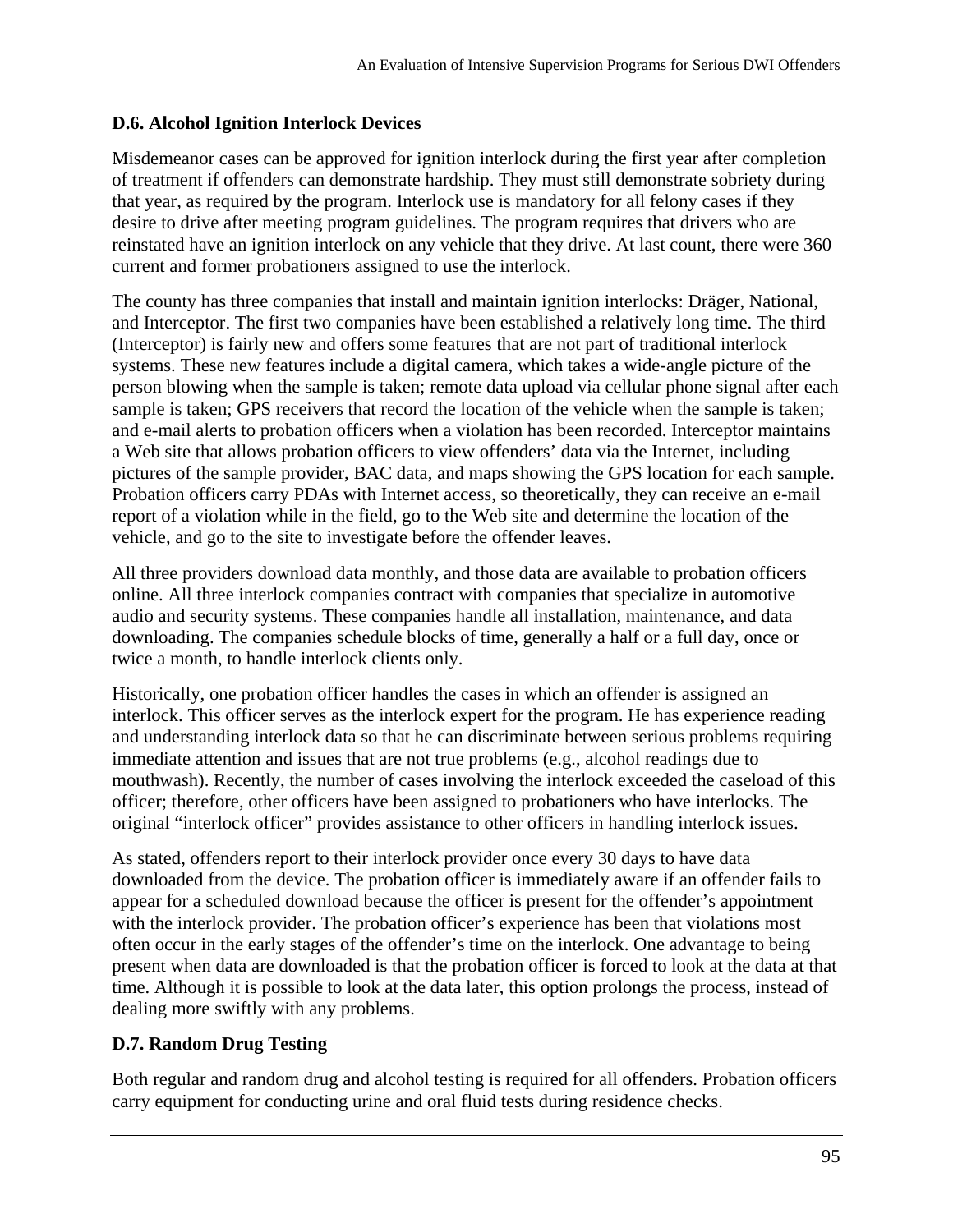## **D.6. Alcohol Ignition Interlock Devices**

Misdemeanor cases can be approved for ignition interlock during the first year after completion of treatment if offenders can demonstrate hardship. They must still demonstrate sobriety during that year, as required by the program. Interlock use is mandatory for all felony cases if they desire to drive after meeting program guidelines. The program requires that drivers who are reinstated have an ignition interlock on any vehicle that they drive. At last count, there were 360 current and former probationers assigned to use the interlock.

The county has three companies that install and maintain ignition interlocks: Dräger, National, and Interceptor. The first two companies have been established a relatively long time. The third (Interceptor) is fairly new and offers some features that are not part of traditional interlock systems. These new features include a digital camera, which takes a wide-angle picture of the person blowing when the sample is taken; remote data upload via cellular phone signal after each sample is taken; GPS receivers that record the location of the vehicle when the sample is taken; and e-mail alerts to probation officers when a violation has been recorded. Interceptor maintains a Web site that allows probation officers to view offenders' data via the Internet, including pictures of the sample provider, BAC data, and maps showing the GPS location for each sample. Probation officers carry PDAs with Internet access, so theoretically, they can receive an e-mail report of a violation while in the field, go to the Web site and determine the location of the vehicle, and go to the site to investigate before the offender leaves.

All three providers download data monthly, and those data are available to probation officers online. All three interlock companies contract with companies that specialize in automotive audio and security systems. These companies handle all installation, maintenance, and data downloading. The companies schedule blocks of time, generally a half or a full day, once or twice a month, to handle interlock clients only.

Historically, one probation officer handles the cases in which an offender is assigned an interlock. This officer serves as the interlock expert for the program. He has experience reading and understanding interlock data so that he can discriminate between serious problems requiring immediate attention and issues that are not true problems (e.g., alcohol readings due to mouthwash). Recently, the number of cases involving the interlock exceeded the caseload of this officer; therefore, other officers have been assigned to probationers who have interlocks. The original "interlock officer" provides assistance to other officers in handling interlock issues.

As stated, offenders report to their interlock provider once every 30 days to have data downloaded from the device. The probation officer is immediately aware if an offender fails to appear for a scheduled download because the officer is present for the offender's appointment with the interlock provider. The probation officer's experience has been that violations most often occur in the early stages of the offender's time on the interlock. One advantage to being present when data are downloaded is that the probation officer is forced to look at the data at that time. Although it is possible to look at the data later, this option prolongs the process, instead of dealing more swiftly with any problems.

# **D.7. Random Drug Testing**

Both regular and random drug and alcohol testing is required for all offenders. Probation officers carry equipment for conducting urine and oral fluid tests during residence checks.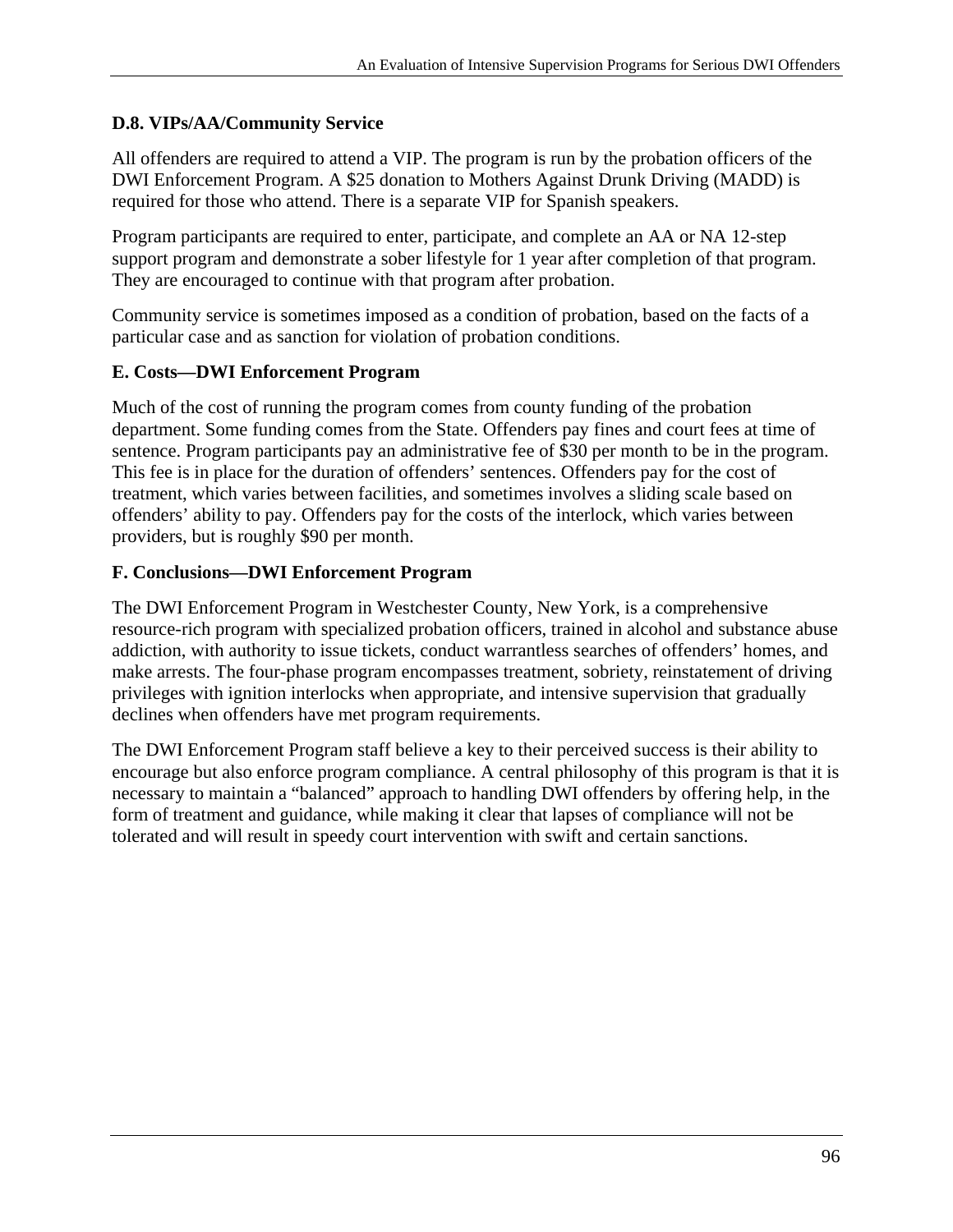### **D.8. VIPs/AA/Community Service**

All offenders are required to attend a VIP. The program is run by the probation officers of the DWI Enforcement Program. A \$25 donation to Mothers Against Drunk Driving (MADD) is required for those who attend. There is a separate VIP for Spanish speakers.

Program participants are required to enter, participate, and complete an AA or NA 12-step support program and demonstrate a sober lifestyle for 1 year after completion of that program. They are encouraged to continue with that program after probation.

Community service is sometimes imposed as a condition of probation, based on the facts of a particular case and as sanction for violation of probation conditions.

#### **E. Costs—DWI Enforcement Program**

Much of the cost of running the program comes from county funding of the probation department. Some funding comes from the State. Offenders pay fines and court fees at time of sentence. Program participants pay an administrative fee of \$30 per month to be in the program. This fee is in place for the duration of offenders' sentences. Offenders pay for the cost of treatment, which varies between facilities, and sometimes involves a sliding scale based on offenders' ability to pay. Offenders pay for the costs of the interlock, which varies between providers, but is roughly \$90 per month.

### **F. Conclusions—DWI Enforcement Program**

The DWI Enforcement Program in Westchester County, New York, is a comprehensive resource-rich program with specialized probation officers, trained in alcohol and substance abuse addiction, with authority to issue tickets, conduct warrantless searches of offenders' homes, and make arrests. The four-phase program encompasses treatment, sobriety, reinstatement of driving privileges with ignition interlocks when appropriate, and intensive supervision that gradually declines when offenders have met program requirements.

The DWI Enforcement Program staff believe a key to their perceived success is their ability to encourage but also enforce program compliance. A central philosophy of this program is that it is necessary to maintain a "balanced" approach to handling DWI offenders by offering help, in the form of treatment and guidance, while making it clear that lapses of compliance will not be tolerated and will result in speedy court intervention with swift and certain sanctions.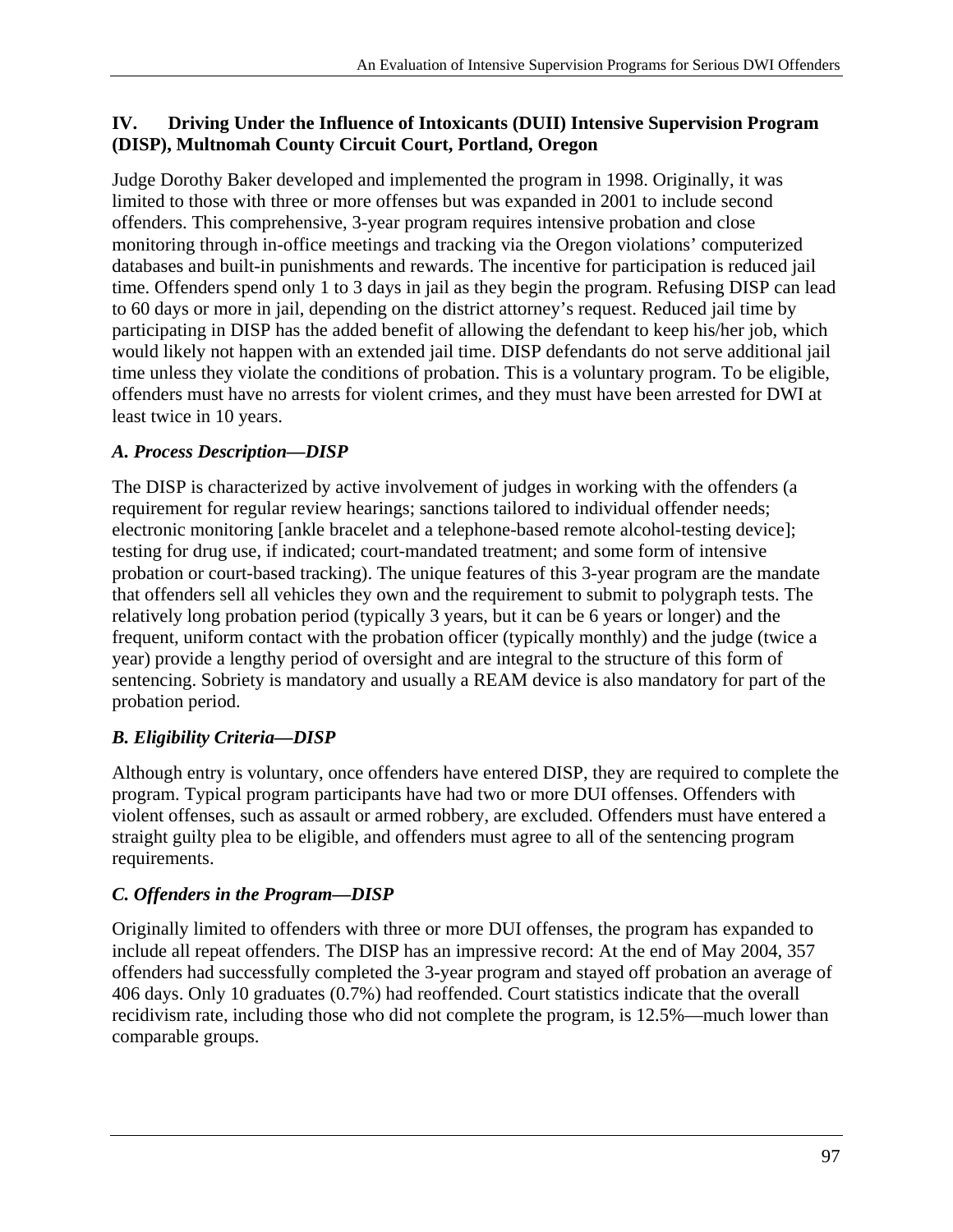### **IV. Driving Under the Influence of Intoxicants (DUII) Intensive Supervision Program (DISP), Multnomah County Circuit Court, Portland, Oregon**

Judge Dorothy Baker developed and implemented the program in 1998. Originally, it was limited to those with three or more offenses but was expanded in 2001 to include second offenders. This comprehensive, 3-year program requires intensive probation and close monitoring through in-office meetings and tracking via the Oregon violations' computerized databases and built-in punishments and rewards. The incentive for participation is reduced jail time. Offenders spend only 1 to 3 days in jail as they begin the program. Refusing DISP can lead to 60 days or more in jail, depending on the district attorney's request. Reduced jail time by participating in DISP has the added benefit of allowing the defendant to keep his/her job, which would likely not happen with an extended jail time. DISP defendants do not serve additional jail time unless they violate the conditions of probation. This is a voluntary program. To be eligible, offenders must have no arrests for violent crimes, and they must have been arrested for DWI at least twice in 10 years.

# *A. Process Description—DISP*

The DISP is characterized by active involvement of judges in working with the offenders (a requirement for regular review hearings; sanctions tailored to individual offender needs; electronic monitoring [ankle bracelet and a telephone-based remote alcohol-testing device]; testing for drug use, if indicated; court-mandated treatment; and some form of intensive probation or court-based tracking). The unique features of this 3-year program are the mandate that offenders sell all vehicles they own and the requirement to submit to polygraph tests. The relatively long probation period (typically 3 years, but it can be 6 years or longer) and the frequent, uniform contact with the probation officer (typically monthly) and the judge (twice a year) provide a lengthy period of oversight and are integral to the structure of this form of sentencing. Sobriety is mandatory and usually a REAM device is also mandatory for part of the probation period.

# *B. Eligibility Criteria—DISP*

Although entry is voluntary, once offenders have entered DISP, they are required to complete the program. Typical program participants have had two or more DUI offenses. Offenders with violent offenses, such as assault or armed robbery, are excluded. Offenders must have entered a straight guilty plea to be eligible, and offenders must agree to all of the sentencing program requirements.

# *C. Offenders in the Program—DISP*

Originally limited to offenders with three or more DUI offenses, the program has expanded to include all repeat offenders. The DISP has an impressive record: At the end of May 2004, 357 offenders had successfully completed the 3-year program and stayed off probation an average of 406 days. Only 10 graduates (0.7%) had reoffended. Court statistics indicate that the overall recidivism rate, including those who did not complete the program, is 12.5%—much lower than comparable groups.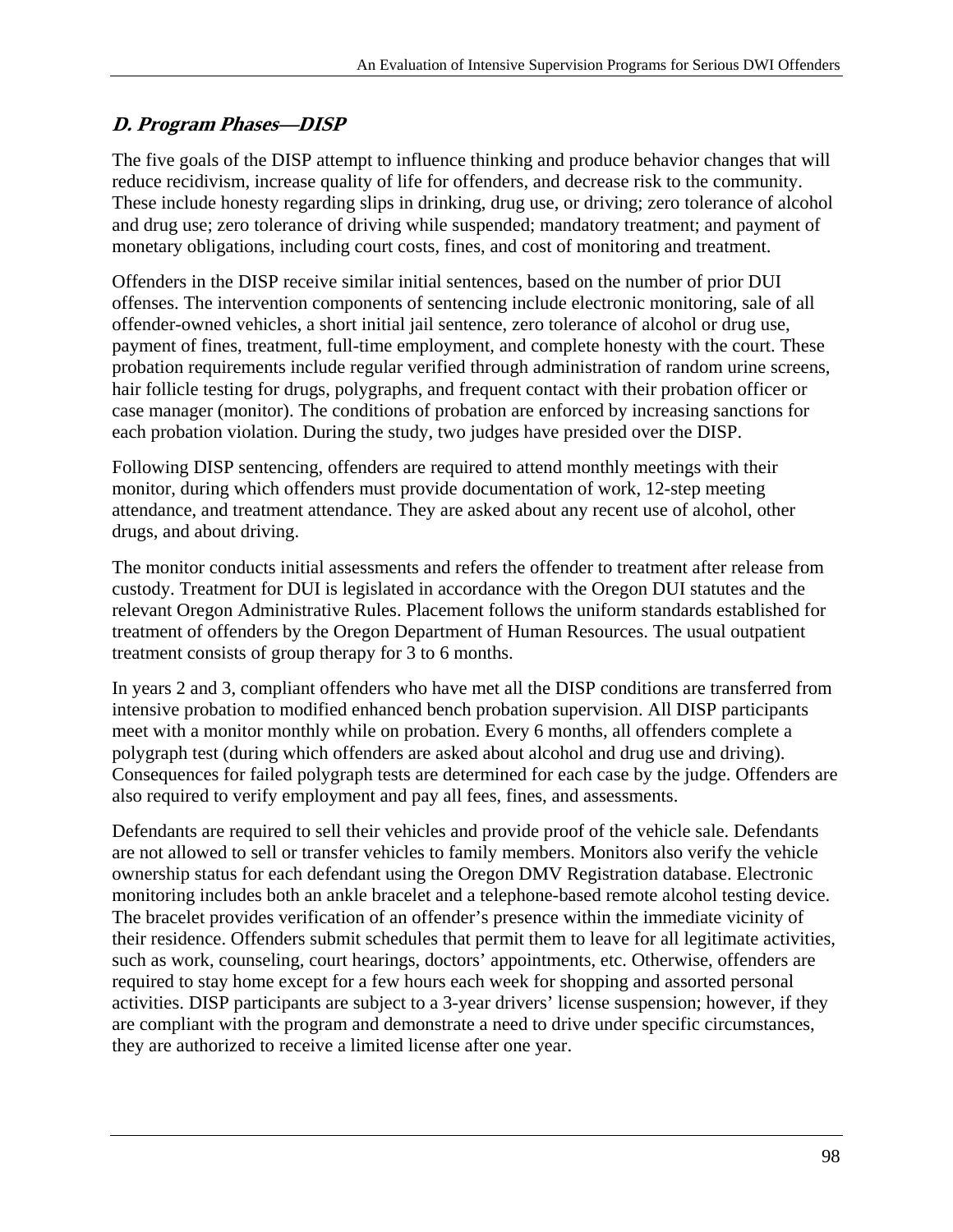# **D. Program Phases—DISP**

The five goals of the DISP attempt to influence thinking and produce behavior changes that will reduce recidivism, increase quality of life for offenders, and decrease risk to the community. These include honesty regarding slips in drinking, drug use, or driving; zero tolerance of alcohol and drug use; zero tolerance of driving while suspended; mandatory treatment; and payment of monetary obligations, including court costs, fines, and cost of monitoring and treatment.

Offenders in the DISP receive similar initial sentences, based on the number of prior DUI offenses. The intervention components of sentencing include electronic monitoring, sale of all offender-owned vehicles, a short initial jail sentence, zero tolerance of alcohol or drug use, payment of fines, treatment, full-time employment, and complete honesty with the court. These probation requirements include regular verified through administration of random urine screens, hair follicle testing for drugs, polygraphs, and frequent contact with their probation officer or case manager (monitor). The conditions of probation are enforced by increasing sanctions for each probation violation. During the study, two judges have presided over the DISP.

Following DISP sentencing, offenders are required to attend monthly meetings with their monitor, during which offenders must provide documentation of work, 12-step meeting attendance, and treatment attendance. They are asked about any recent use of alcohol, other drugs, and about driving.

The monitor conducts initial assessments and refers the offender to treatment after release from custody. Treatment for DUI is legislated in accordance with the Oregon DUI statutes and the relevant Oregon Administrative Rules. Placement follows the uniform standards established for treatment of offenders by the Oregon Department of Human Resources. The usual outpatient treatment consists of group therapy for 3 to 6 months.

In years 2 and 3, compliant offenders who have met all the DISP conditions are transferred from intensive probation to modified enhanced bench probation supervision. All DISP participants meet with a monitor monthly while on probation. Every 6 months, all offenders complete a polygraph test (during which offenders are asked about alcohol and drug use and driving). Consequences for failed polygraph tests are determined for each case by the judge. Offenders are also required to verify employment and pay all fees, fines, and assessments.

they are authorized to receive a limited license after one year. Defendants are required to sell their vehicles and provide proof of the vehicle sale. Defendants are not allowed to sell or transfer vehicles to family members. Monitors also verify the vehicle ownership status for each defendant using the Oregon DMV Registration database. Electronic monitoring includes both an ankle bracelet and a telephone-based remote alcohol testing device. The bracelet provides verification of an offender's presence within the immediate vicinity of their residence. Offenders submit schedules that permit them to leave for all legitimate activities, such as work, counseling, court hearings, doctors' appointments, etc. Otherwise, offenders are required to stay home except for a few hours each week for shopping and assorted personal activities. DISP participants are subject to a 3-year drivers' license suspension; however, if they are compliant with the program and demonstrate a need to drive under specific circumstances, they are authorized to receive a limited license after one year.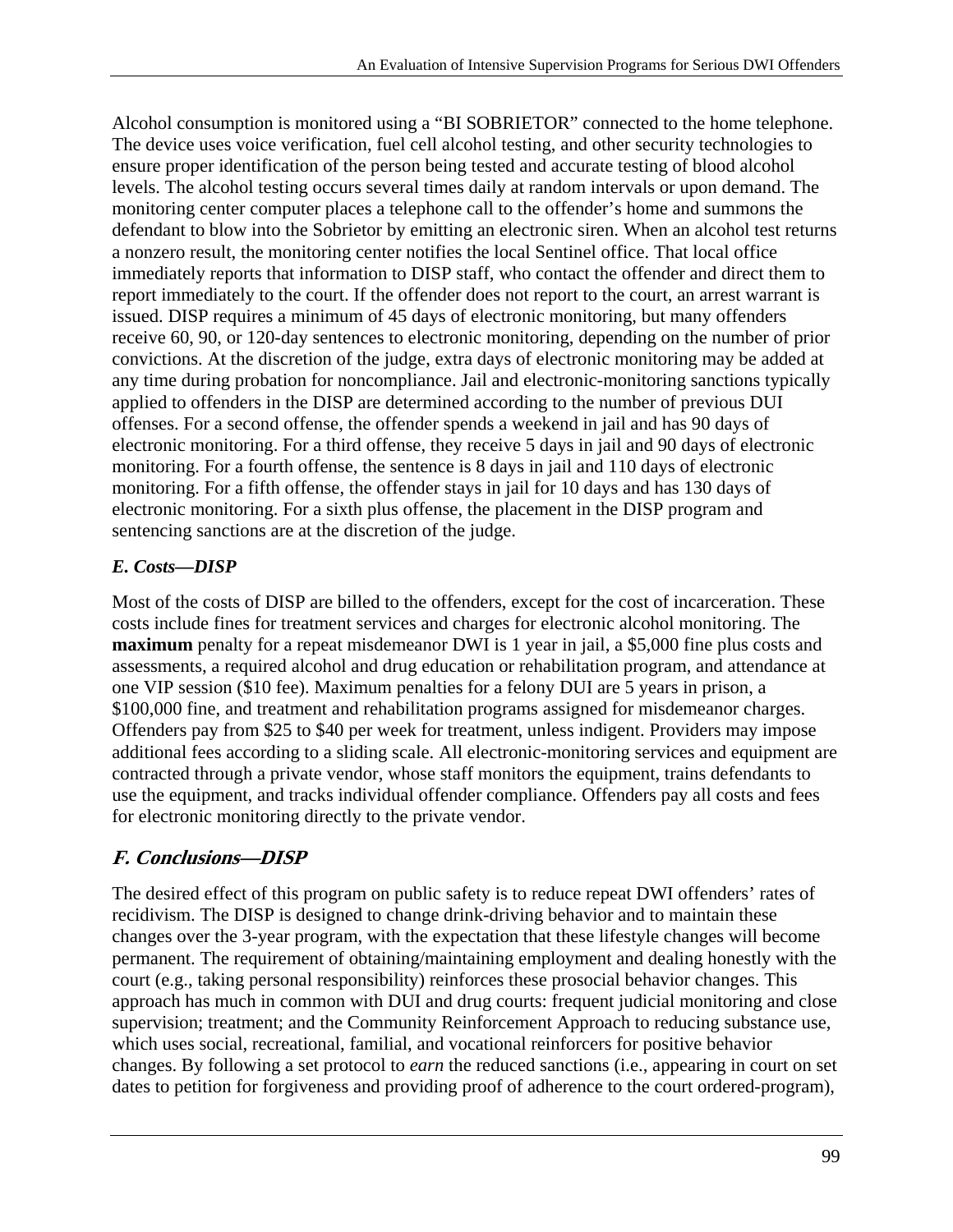Alcohol consumption is monitored using a "BI SOBRIETOR" connected to the home telephone. The device uses voice verification, fuel cell alcohol testing, and other security technologies to ensure proper identification of the person being tested and accurate testing of blood alcohol levels. The alcohol testing occurs several times daily at random intervals or upon demand. The monitoring center computer places a telephone call to the offender's home and summons the defendant to blow into the Sobrietor by emitting an electronic siren. When an alcohol test returns a nonzero result, the monitoring center notifies the local Sentinel office. That local office immediately reports that information to DISP staff, who contact the offender and direct them to report immediately to the court. If the offender does not report to the court, an arrest warrant is issued. DISP requires a minimum of 45 days of electronic monitoring, but many offenders receive 60, 90, or 120-day sentences to electronic monitoring, depending on the number of prior convictions. At the discretion of the judge, extra days of electronic monitoring may be added at any time during probation for noncompliance. Jail and electronic-monitoring sanctions typically applied to offenders in the DISP are determined according to the number of previous DUI offenses. For a second offense, the offender spends a weekend in jail and has 90 days of electronic monitoring. For a third offense, they receive 5 days in jail and 90 days of electronic monitoring. For a fourth offense, the sentence is 8 days in jail and 110 days of electronic monitoring. For a fifth offense, the offender stays in jail for 10 days and has 130 days of electronic monitoring. For a sixth plus offense, the placement in the DISP program and sentencing sanctions are at the discretion of the judge.

# *E. Costs—DISP*

Most of the costs of DISP are billed to the offenders, except for the cost of incarceration. These costs include fines for treatment services and charges for electronic alcohol monitoring. The **maximum** penalty for a repeat misdemeanor DWI is 1 year in jail, a \$5,000 fine plus costs and assessments, a required alcohol and drug education or rehabilitation program, and attendance at one VIP session (\$10 fee). Maximum penalties for a felony DUI are 5 years in prison, a \$100,000 fine, and treatment and rehabilitation programs assigned for misdemeanor charges. Offenders pay from \$25 to \$40 per week for treatment, unless indigent. Providers may impose additional fees according to a sliding scale. All electronic-monitoring services and equipment are contracted through a private vendor, whose staff monitors the equipment, trains defendants to use the equipment, and tracks individual offender compliance. Offenders pay all costs and fees for electronic monitoring directly to the private vendor.

# **F. Conclusions—DISP**

The desired effect of this program on public safety is to reduce repeat DWI offenders' rates of recidivism. The DISP is designed to change drink-driving behavior and to maintain these changes over the 3-year program, with the expectation that these lifestyle changes will become permanent. The requirement of obtaining/maintaining employment and dealing honestly with the court (e.g., taking personal responsibility) reinforces these prosocial behavior changes. This approach has much in common with DUI and drug courts: frequent judicial monitoring and close supervision; treatment; and the Community Reinforcement Approach to reducing substance use, which uses social, recreational, familial, and vocational reinforcers for positive behavior changes. By following a set protocol to *earn* the reduced sanctions (i.e., appearing in court on set dates to petition for forgiveness and providing proof of adherence to the court ordered-program),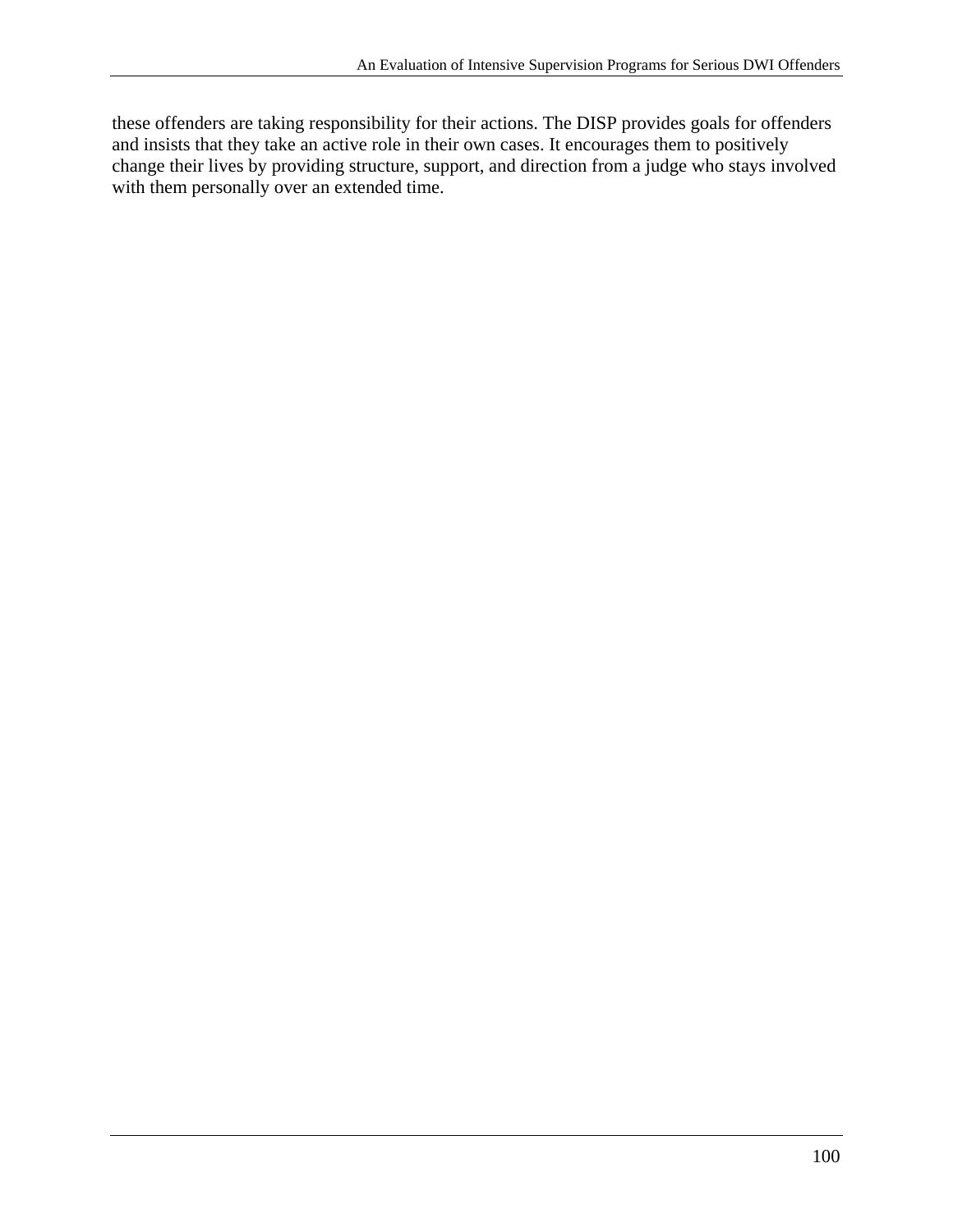these offenders are taking responsibility for their actions. The DISP provides goals for offenders and insists that they take an active role in their own cases. It encourages them to positively change their lives by providing structure, support, and direction from a judge who stays involved with them personally over an extended time.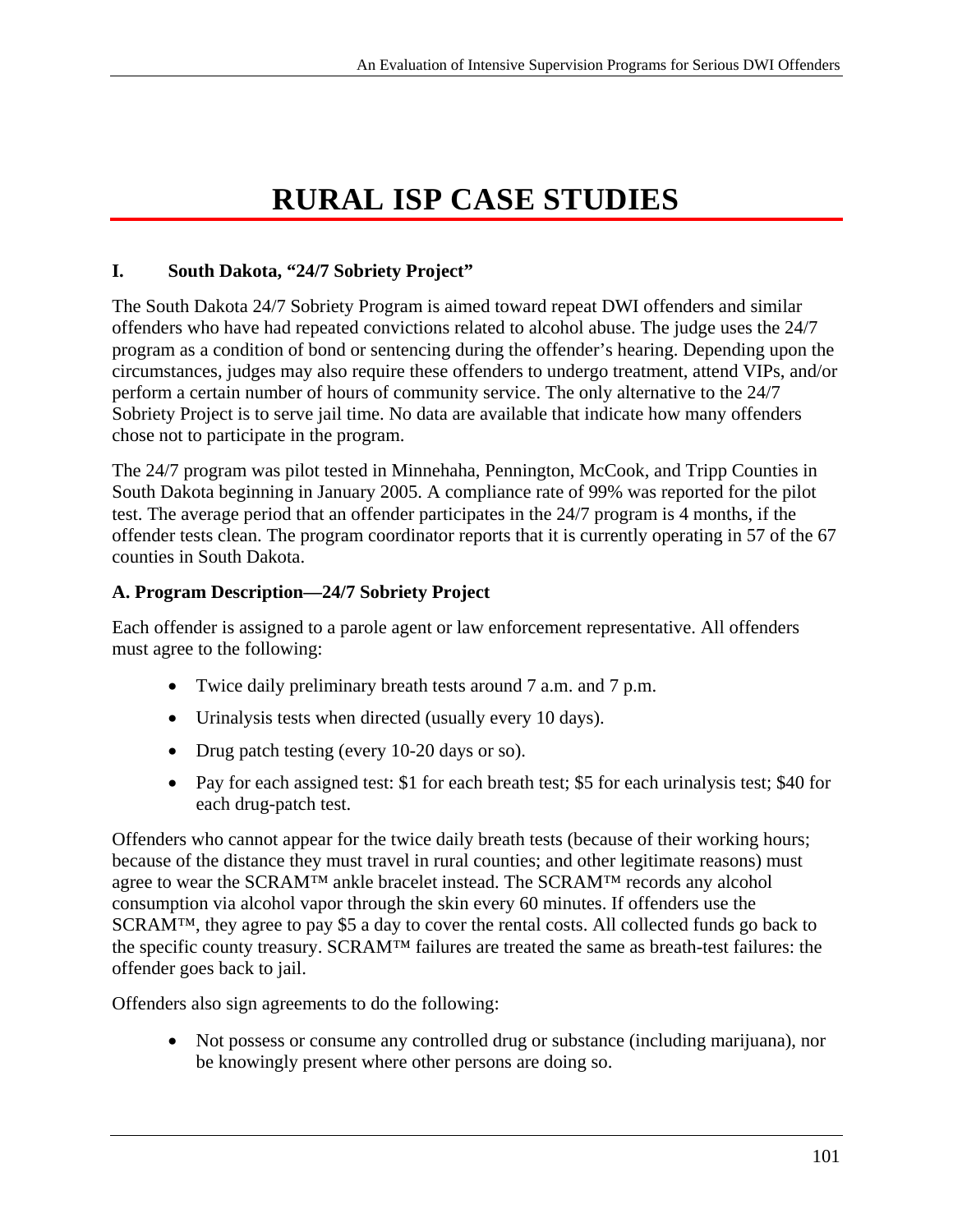# **RURAL ISP CASE STUDIES**

## **I. South Dakota, "24/7 Sobriety Project"**

The South Dakota 24/7 Sobriety Program is aimed toward repeat DWI offenders and similar offenders who have had repeated convictions related to alcohol abuse. The judge uses the 24/7 program as a condition of bond or sentencing during the offender's hearing. Depending upon the circumstances, judges may also require these offenders to undergo treatment, attend VIPs, and/or perform a certain number of hours of community service. The only alternative to the 24/7 Sobriety Project is to serve jail time. No data are available that indicate how many offenders chose not to participate in the program.

The 24/7 program was pilot tested in Minnehaha, Pennington, McCook, and Tripp Counties in South Dakota beginning in January 2005. A compliance rate of 99% was reported for the pilot test. The average period that an offender participates in the 24/7 program is 4 months, if the offender tests clean. The program coordinator reports that it is currently operating in 57 of the 67 counties in South Dakota.

## **A. Program Description—24/7 Sobriety Project**

Each offender is assigned to a parole agent or law enforcement representative. All offenders must agree to the following:

- Twice daily preliminary breath tests around 7 a.m. and 7 p.m.
- Urinalysis tests when directed (usually every 10 days).
- Drug patch testing (every 10-20 days or so).
- Pay for each assigned test: \$1 for each breath test; \$5 for each urinalysis test; \$40 for each drug-patch test.

Offenders who cannot appear for the twice daily breath tests (because of their working hours; because of the distance they must travel in rural counties; and other legitimate reasons) must agree to wear the SCRAM™ ankle bracelet instead. The SCRAM™ records any alcohol consumption via alcohol vapor through the skin every 60 minutes. If offenders use the SCRAM™, they agree to pay \$5 a day to cover the rental costs. All collected funds go back to the specific county treasury. SCRAM™ failures are treated the same as breath-test failures: the offender goes back to jail.

Offenders also sign agreements to do the following:

 Not possess or consume any controlled drug or substance (including marijuana), nor be knowingly present where other persons are doing so.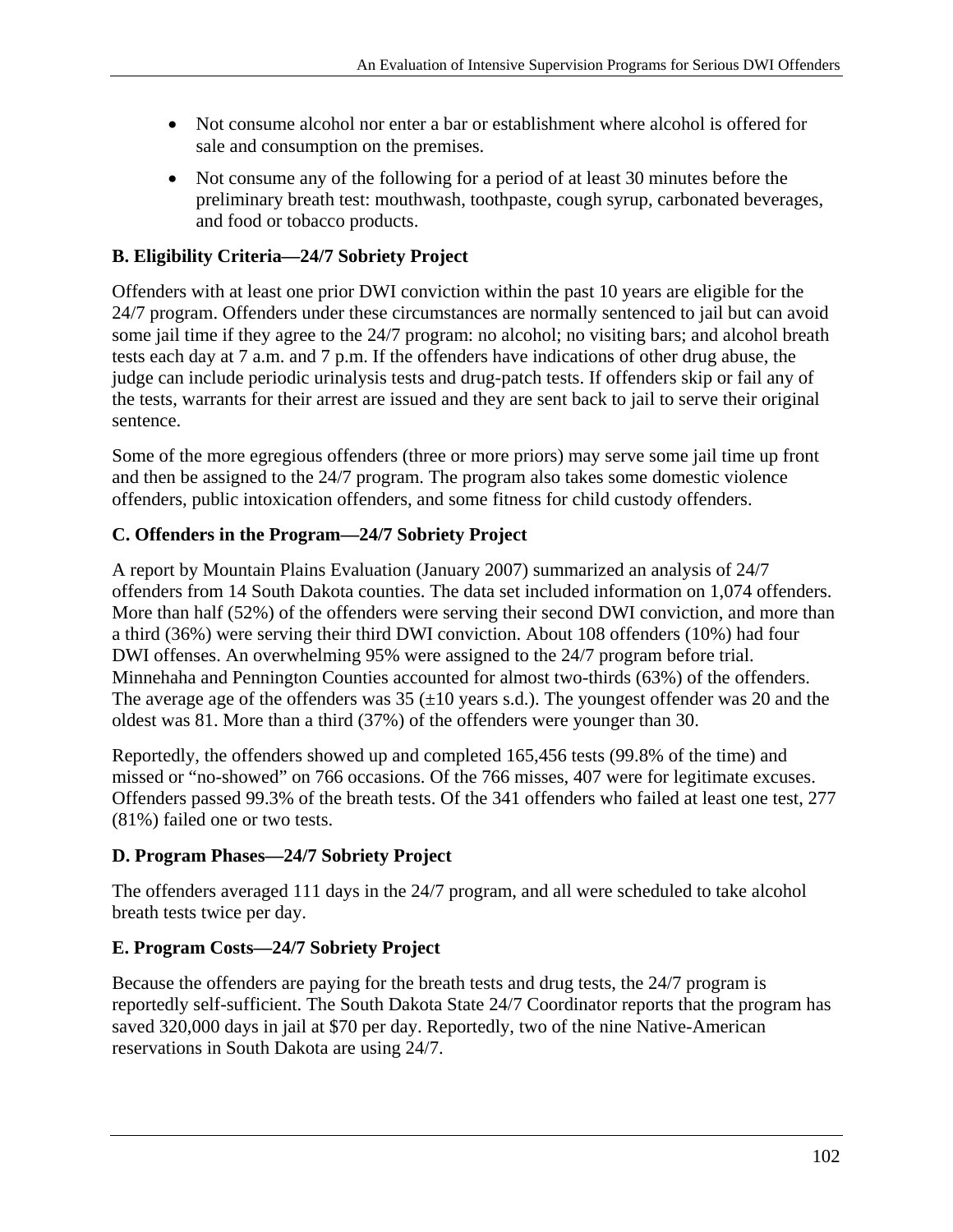- Not consume alcohol nor enter a bar or establishment where alcohol is offered for sale and consumption on the premises.
- Not consume any of the following for a period of at least 30 minutes before the preliminary breath test: mouthwash, toothpaste, cough syrup, carbonated beverages, and food or tobacco products.

# **B. Eligibility Criteria—24/7 Sobriety Project**

Offenders with at least one prior DWI conviction within the past 10 years are eligible for the 24/7 program. Offenders under these circumstances are normally sentenced to jail but can avoid some jail time if they agree to the 24/7 program: no alcohol; no visiting bars; and alcohol breath tests each day at 7 a.m. and 7 p.m. If the offenders have indications of other drug abuse, the judge can include periodic urinalysis tests and drug-patch tests. If offenders skip or fail any of the tests, warrants for their arrest are issued and they are sent back to jail to serve their original sentence.

Some of the more egregious offenders (three or more priors) may serve some jail time up front and then be assigned to the 24/7 program. The program also takes some domestic violence offenders, public intoxication offenders, and some fitness for child custody offenders.

# **C. Offenders in the Program—24/7 Sobriety Project**

A report by Mountain Plains Evaluation (January 2007) summarized an analysis of 24/7 offenders from 14 South Dakota counties. The data set included information on 1,074 offenders. More than half (52%) of the offenders were serving their second DWI conviction, and more than a third (36%) were serving their third DWI conviction. About 108 offenders (10%) had four DWI offenses. An overwhelming 95% were assigned to the 24/7 program before trial. Minnehaha and Pennington Counties accounted for almost two-thirds (63%) of the offenders. The average age of the offenders was  $35 \div 10$  years s.d.). The youngest offender was 20 and the oldest was 81. More than a third (37%) of the offenders were younger than 30.

Reportedly, the offenders showed up and completed 165,456 tests (99.8% of the time) and missed or "no-showed" on 766 occasions. Of the 766 misses, 407 were for legitimate excuses. Offenders passed 99.3% of the breath tests. Of the 341 offenders who failed at least one test, 277 (81%) failed one or two tests.

# **D. Program Phases—24/7 Sobriety Project**

The offenders averaged 111 days in the 24/7 program, and all were scheduled to take alcohol breath tests twice per day.

# **E. Program Costs—24/7 Sobriety Project**

Because the offenders are paying for the breath tests and drug tests, the 24/7 program is reportedly self-sufficient. The South Dakota State 24/7 Coordinator reports that the program has saved 320,000 days in jail at \$70 per day. Reportedly, two of the nine Native-American reservations in South Dakota are using 24/7.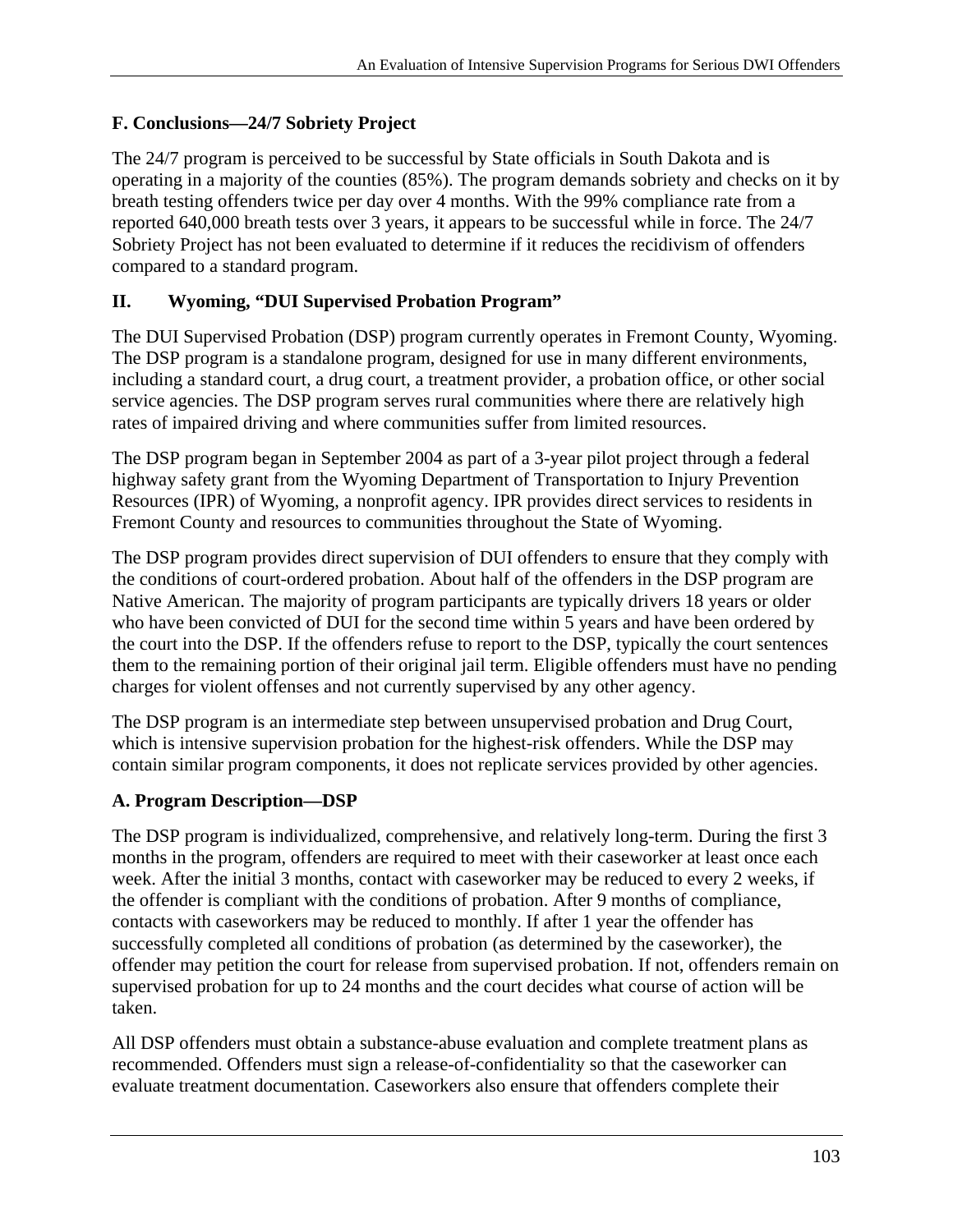# **F. Conclusions—24/7 Sobriety Project**

The 24/7 program is perceived to be successful by State officials in South Dakota and is operating in a majority of the counties (85%). The program demands sobriety and checks on it by breath testing offenders twice per day over 4 months. With the 99% compliance rate from a reported 640,000 breath tests over 3 years, it appears to be successful while in force. The 24/7 Sobriety Project has not been evaluated to determine if it reduces the recidivism of offenders compared to a standard program.

## **II. Wyoming, "DUI Supervised Probation Program"**

The DUI Supervised Probation (DSP) program currently operates in Fremont County, Wyoming. The DSP program is a standalone program, designed for use in many different environments, including a standard court, a drug court, a treatment provider, a probation office, or other social service agencies. The DSP program serves rural communities where there are relatively high rates of impaired driving and where communities suffer from limited resources.

The DSP program began in September 2004 as part of a 3-year pilot project through a federal highway safety grant from the Wyoming Department of Transportation to Injury Prevention Resources (IPR) of Wyoming, a nonprofit agency. IPR provides direct services to residents in Fremont County and resources to communities throughout the State of Wyoming.

The DSP program provides direct supervision of DUI offenders to ensure that they comply with the conditions of court-ordered probation. About half of the offenders in the DSP program are Native American. The majority of program participants are typically drivers 18 years or older who have been convicted of DUI for the second time within 5 years and have been ordered by the court into the DSP. If the offenders refuse to report to the DSP, typically the court sentences them to the remaining portion of their original jail term. Eligible offenders must have no pending charges for violent offenses and not currently supervised by any other agency.

The DSP program is an intermediate step between unsupervised probation and Drug Court, which is intensive supervision probation for the highest-risk offenders. While the DSP may contain similar program components, it does not replicate services provided by other agencies.

#### **A. Program Description—DSP**

The DSP program is individualized, comprehensive, and relatively long-term. During the first 3 months in the program, offenders are required to meet with their caseworker at least once each week. After the initial 3 months, contact with caseworker may be reduced to every 2 weeks, if the offender is compliant with the conditions of probation. After 9 months of compliance, contacts with caseworkers may be reduced to monthly. If after 1 year the offender has successfully completed all conditions of probation (as determined by the caseworker), the offender may petition the court for release from supervised probation. If not, offenders remain on supervised probation for up to 24 months and the court decides what course of action will be taken.

All DSP offenders must obtain a substance-abuse evaluation and complete treatment plans as recommended. Offenders must sign a release-of-confidentiality so that the caseworker can evaluate treatment documentation. Caseworkers also ensure that offenders complete their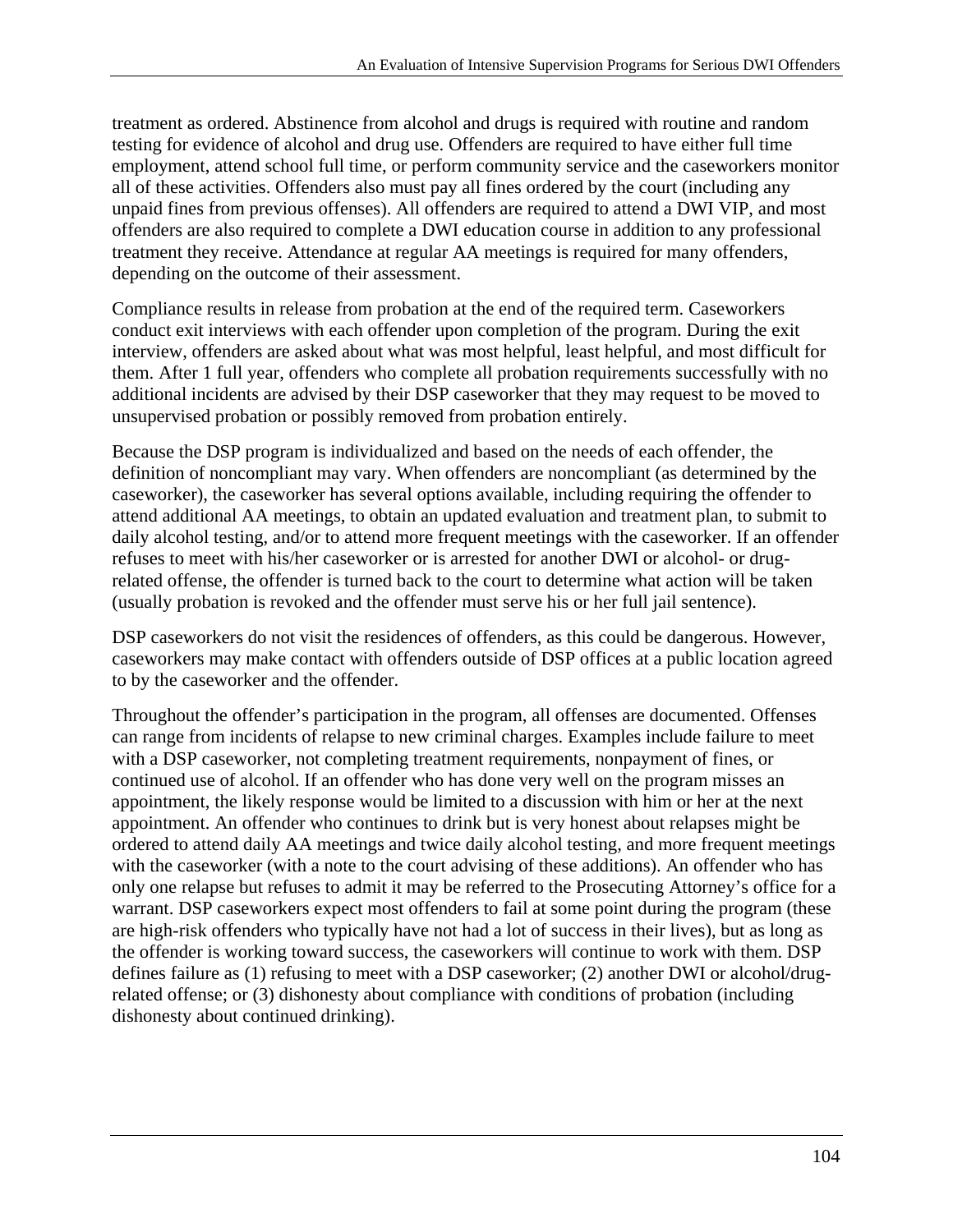treatment as ordered. Abstinence from alcohol and drugs is required with routine and random testing for evidence of alcohol and drug use. Offenders are required to have either full time employment, attend school full time, or perform community service and the caseworkers monitor all of these activities. Offenders also must pay all fines ordered by the court (including any unpaid fines from previous offenses). All offenders are required to attend a DWI VIP, and most offenders are also required to complete a DWI education course in addition to any professional treatment they receive. Attendance at regular AA meetings is required for many offenders, depending on the outcome of their assessment.

Compliance results in release from probation at the end of the required term. Caseworkers conduct exit interviews with each offender upon completion of the program. During the exit interview, offenders are asked about what was most helpful, least helpful, and most difficult for them. After 1 full year, offenders who complete all probation requirements successfully with no additional incidents are advised by their DSP caseworker that they may request to be moved to unsupervised probation or possibly removed from probation entirely.

Because the DSP program is individualized and based on the needs of each offender, the definition of noncompliant may vary. When offenders are noncompliant (as determined by the caseworker), the caseworker has several options available, including requiring the offender to attend additional AA meetings, to obtain an updated evaluation and treatment plan, to submit to daily alcohol testing, and/or to attend more frequent meetings with the caseworker. If an offender refuses to meet with his/her caseworker or is arrested for another DWI or alcohol- or drugrelated offense, the offender is turned back to the court to determine what action will be taken (usually probation is revoked and the offender must serve his or her full jail sentence).

DSP caseworkers do not visit the residences of offenders, as this could be dangerous. However, caseworkers may make contact with offenders outside of DSP offices at a public location agreed to by the caseworker and the offender.

Throughout the offender's participation in the program, all offenses are documented. Offenses can range from incidents of relapse to new criminal charges. Examples include failure to meet with a DSP caseworker, not completing treatment requirements, nonpayment of fines, or continued use of alcohol. If an offender who has done very well on the program misses an appointment, the likely response would be limited to a discussion with him or her at the next appointment. An offender who continues to drink but is very honest about relapses might be ordered to attend daily AA meetings and twice daily alcohol testing, and more frequent meetings with the caseworker (with a note to the court advising of these additions). An offender who has only one relapse but refuses to admit it may be referred to the Prosecuting Attorney's office for a warrant. DSP caseworkers expect most offenders to fail at some point during the program (these are high-risk offenders who typically have not had a lot of success in their lives), but as long as the offender is working toward success, the caseworkers will continue to work with them. DSP defines failure as (1) refusing to meet with a DSP caseworker; (2) another DWI or alcohol/drugrelated offense; or (3) dishonesty about compliance with conditions of probation (including dishonesty about continued drinking).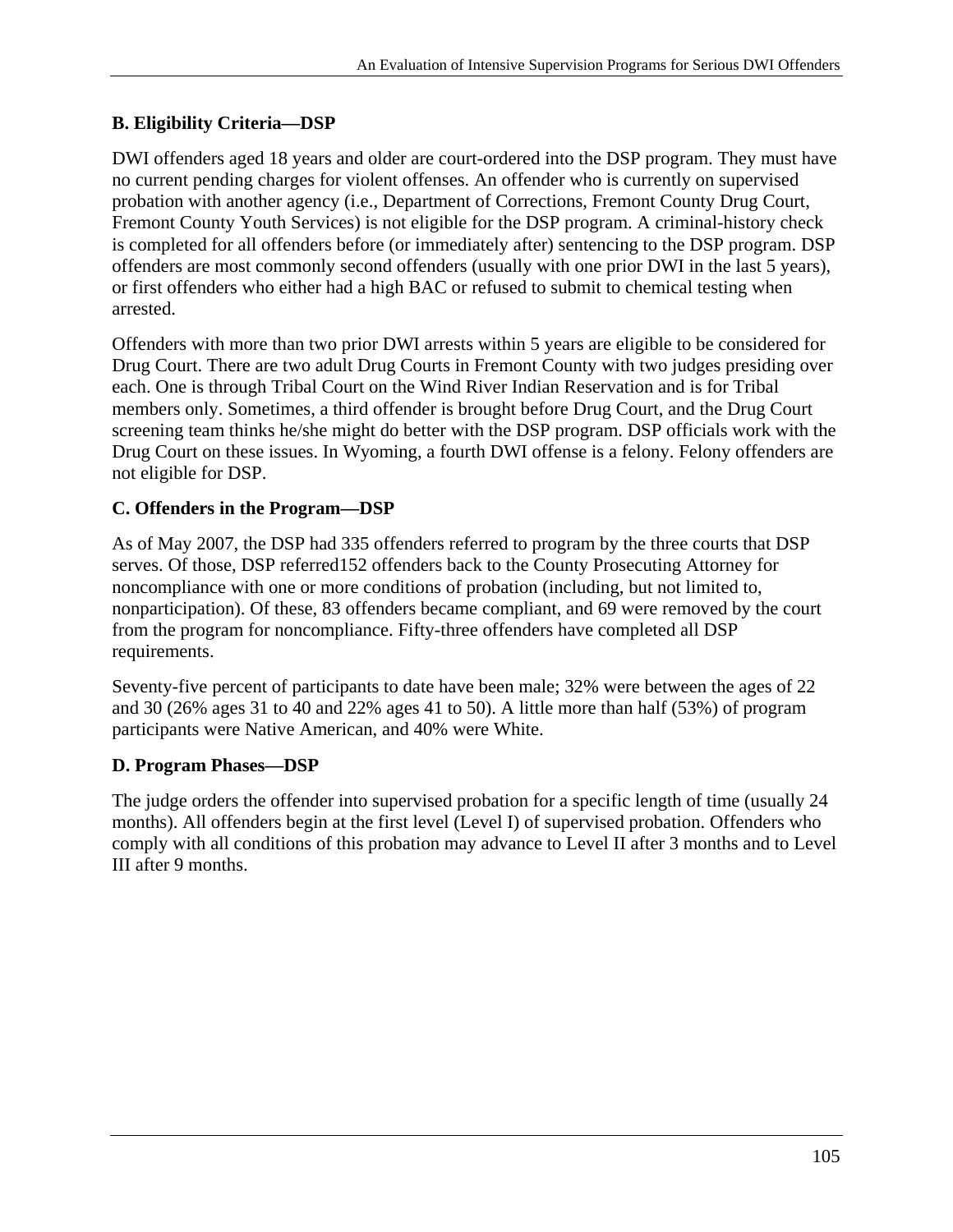## **B. Eligibility Criteria—DSP**

DWI offenders aged 18 years and older are court-ordered into the DSP program. They must have no current pending charges for violent offenses. An offender who is currently on supervised probation with another agency (i.e., Department of Corrections, Fremont County Drug Court, Fremont County Youth Services) is not eligible for the DSP program. A criminal-history check is completed for all offenders before (or immediately after) sentencing to the DSP program. DSP offenders are most commonly second offenders (usually with one prior DWI in the last 5 years), or first offenders who either had a high BAC or refused to submit to chemical testing when arrested.

Offenders with more than two prior DWI arrests within 5 years are eligible to be considered for Drug Court. There are two adult Drug Courts in Fremont County with two judges presiding over each. One is through Tribal Court on the Wind River Indian Reservation and is for Tribal members only. Sometimes, a third offender is brought before Drug Court, and the Drug Court screening team thinks he/she might do better with the DSP program. DSP officials work with the Drug Court on these issues. In Wyoming, a fourth DWI offense is a felony. Felony offenders are not eligible for DSP.

## **C. Offenders in the Program—DSP**

As of May 2007, the DSP had 335 offenders referred to program by the three courts that DSP serves. Of those, DSP referred152 offenders back to the County Prosecuting Attorney for noncompliance with one or more conditions of probation (including, but not limited to, nonparticipation). Of these, 83 offenders became compliant, and 69 were removed by the court from the program for noncompliance. Fifty-three offenders have completed all DSP requirements.

Seventy-five percent of participants to date have been male; 32% were between the ages of 22 and 30 (26% ages 31 to 40 and 22% ages 41 to 50). A little more than half (53%) of program participants were Native American, and 40% were White.

#### **D. Program Phases—DSP**

The judge orders the offender into supervised probation for a specific length of time (usually 24 months). All offenders begin at the first level (Level I) of supervised probation. Offenders who comply with all conditions of this probation may advance to Level II after 3 months and to Level III after 9 months.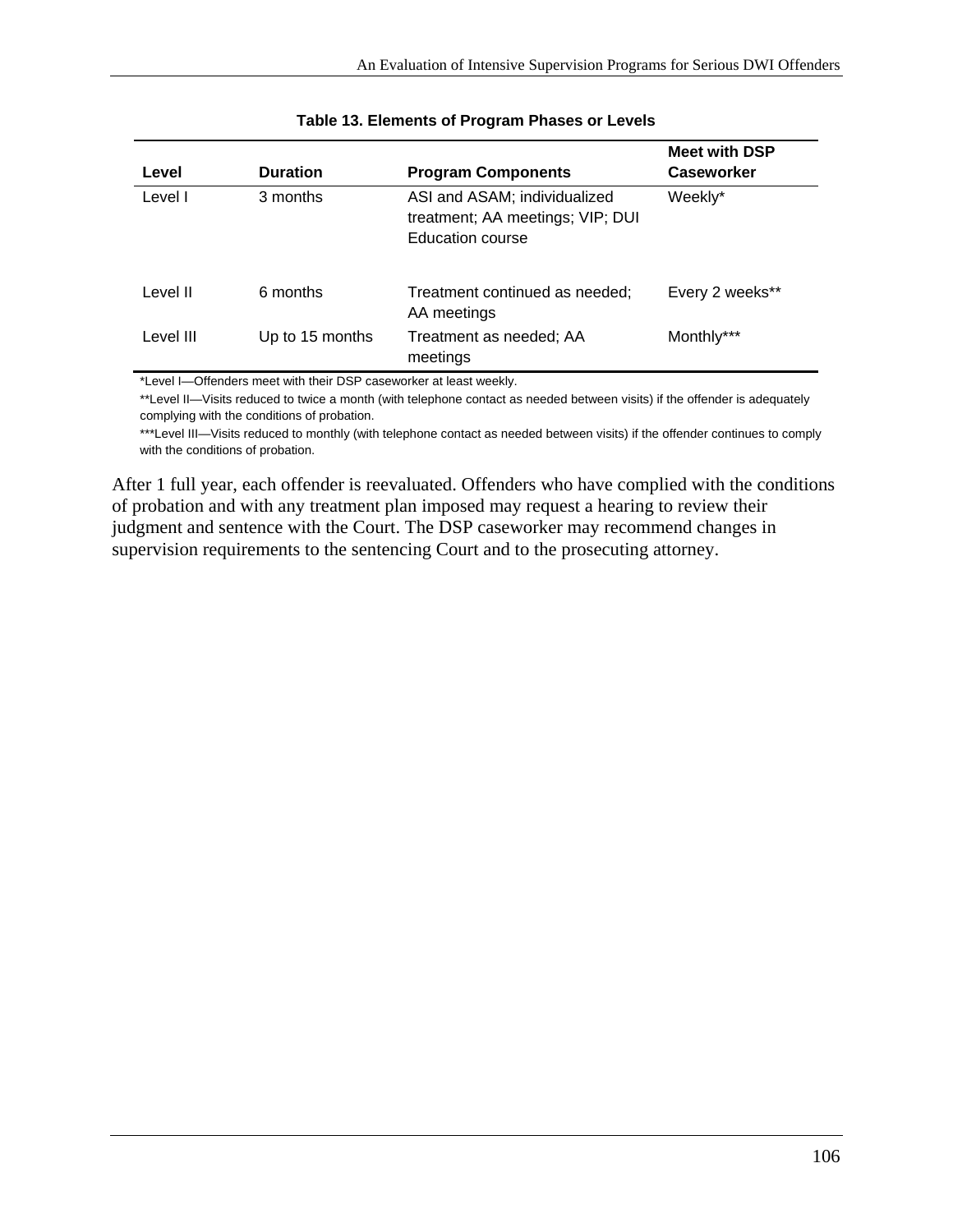| Level     | <b>Duration</b> | <b>Program Components</b>                                                            | <b>Meet with DSP</b><br><b>Caseworker</b> |
|-----------|-----------------|--------------------------------------------------------------------------------------|-------------------------------------------|
| Level I   | 3 months        | ASI and ASAM; individualized<br>treatment; AA meetings; VIP; DUI<br>Education course | Weekly*                                   |
| Level II  | 6 months        | Treatment continued as needed;<br>AA meetings                                        | Every 2 weeks**                           |
| Level III | Up to 15 months | Treatment as needed; AA<br>meetings                                                  | Monthly***                                |

#### **Table 13. Elements of Program Phases or Levels**

\*Level I—Offenders meet with their DSP caseworker at least weekly.

\*\*Level II—Visits reduced to twice a month (with telephone contact as needed between visits) if the offender is adequately complying with the conditions of probation.

\*\*\*Level III—Visits reduced to monthly (with telephone contact as needed between visits) if the offender continues to comply with the conditions of probation.

After 1 full year, each offender is reevaluated. Offenders who have complied with the conditions of probation and with any treatment plan imposed may request a hearing to review their judgment and sentence with the Court. The DSP caseworker may recommend changes in supervision requirements to the sentencing Court and to the prosecuting attorney.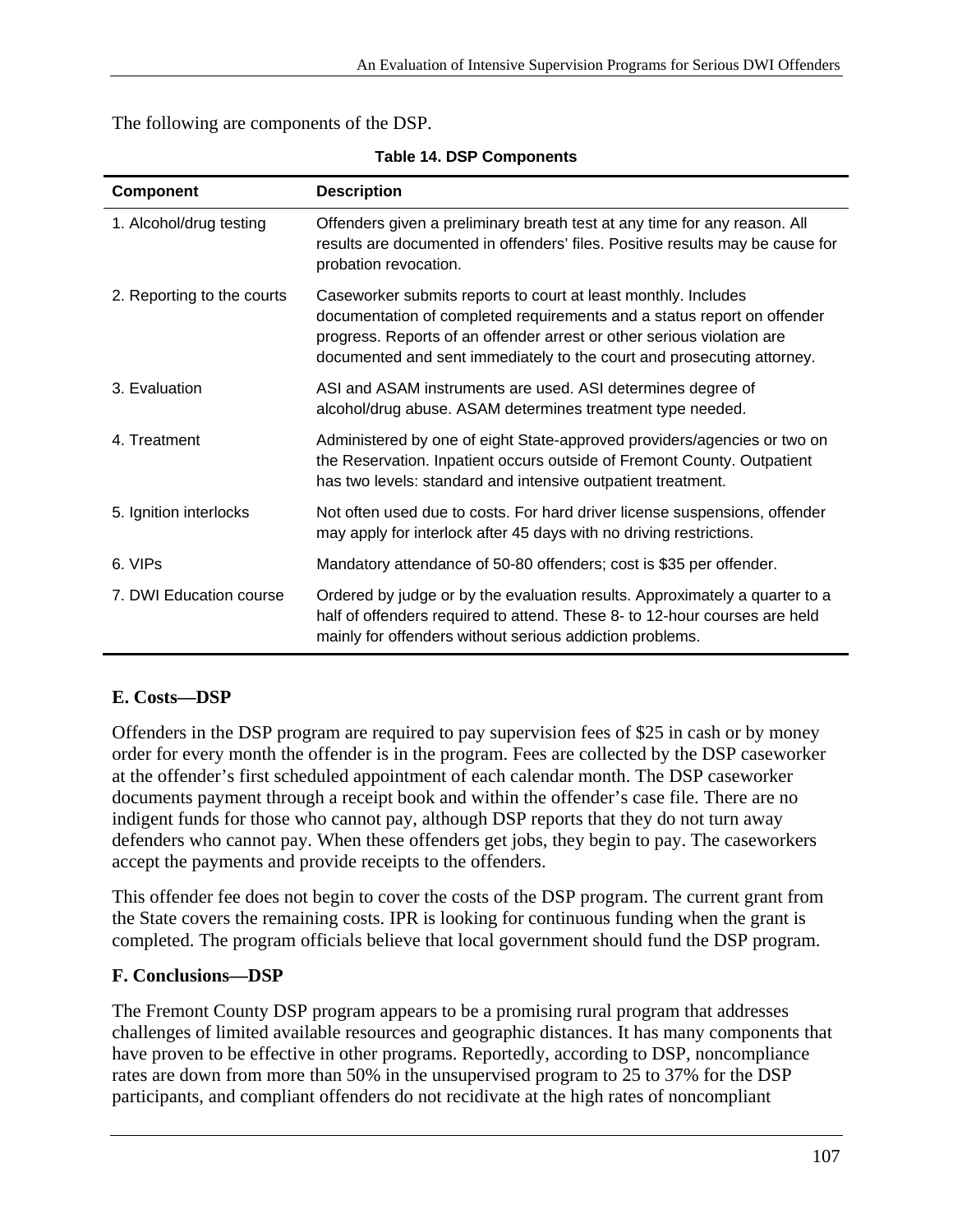The following are components of the DSP.

| Component                  | <b>Description</b>                                                                                                                                                                                                                                                                            |  |
|----------------------------|-----------------------------------------------------------------------------------------------------------------------------------------------------------------------------------------------------------------------------------------------------------------------------------------------|--|
| 1. Alcohol/drug testing    | Offenders given a preliminary breath test at any time for any reason. All<br>results are documented in offenders' files. Positive results may be cause for<br>probation revocation.                                                                                                           |  |
| 2. Reporting to the courts | Caseworker submits reports to court at least monthly. Includes<br>documentation of completed requirements and a status report on offender<br>progress. Reports of an offender arrest or other serious violation are<br>documented and sent immediately to the court and prosecuting attorney. |  |
| 3. Evaluation              | ASI and ASAM instruments are used. ASI determines degree of<br>alcohol/drug abuse. ASAM determines treatment type needed.                                                                                                                                                                     |  |
| 4. Treatment               | Administered by one of eight State-approved providers/agencies or two on<br>the Reservation. Inpatient occurs outside of Fremont County. Outpatient<br>has two levels: standard and intensive outpatient treatment.                                                                           |  |
| 5. Ignition interlocks     | Not often used due to costs. For hard driver license suspensions, offender<br>may apply for interlock after 45 days with no driving restrictions.                                                                                                                                             |  |
| 6. VIPs                    | Mandatory attendance of 50-80 offenders; cost is \$35 per offender.                                                                                                                                                                                                                           |  |
| 7. DWI Education course    | Ordered by judge or by the evaluation results. Approximately a quarter to a<br>half of offenders required to attend. These 8- to 12-hour courses are held<br>mainly for offenders without serious addiction problems.                                                                         |  |

**Table 14. DSP Components** 

#### **E. Costs—DSP**

Offenders in the DSP program are required to pay supervision fees of \$25 in cash or by money order for every month the offender is in the program. Fees are collected by the DSP caseworker at the offender's first scheduled appointment of each calendar month. The DSP caseworker documents payment through a receipt book and within the offender's case file. There are no indigent funds for those who cannot pay, although DSP reports that they do not turn away defenders who cannot pay. When these offenders get jobs, they begin to pay. The caseworkers accept the payments and provide receipts to the offenders.

This offender fee does not begin to cover the costs of the DSP program. The current grant from the State covers the remaining costs. IPR is looking for continuous funding when the grant is completed. The program officials believe that local government should fund the DSP program.

#### **F. Conclusions—DSP**

The Fremont County DSP program appears to be a promising rural program that addresses challenges of limited available resources and geographic distances. It has many components that have proven to be effective in other programs. Reportedly, according to DSP, noncompliance rates are down from more than 50% in the unsupervised program to 25 to 37% for the DSP participants, and compliant offenders do not recidivate at the high rates of noncompliant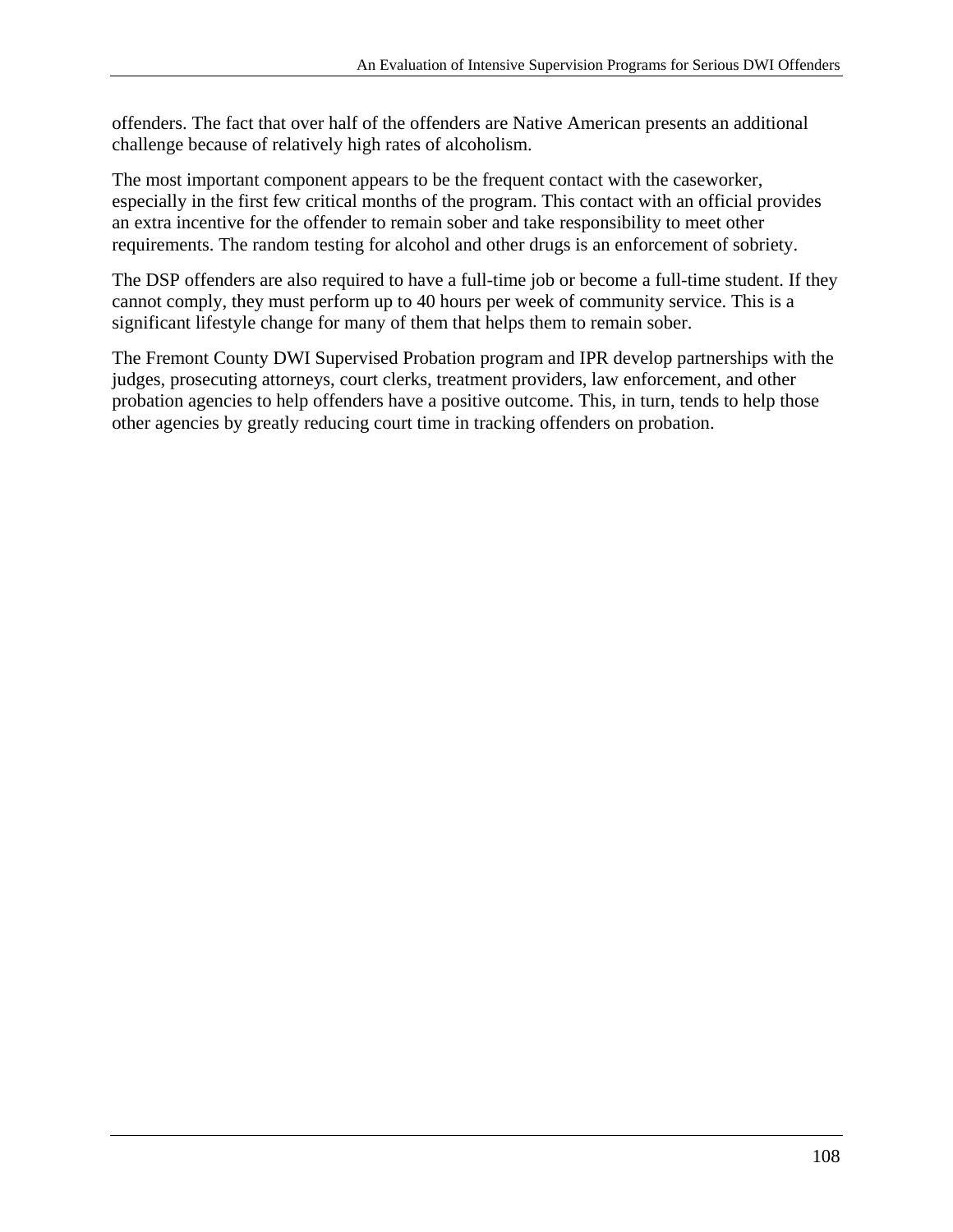challenge because of relatively high rates of alcoholism. offenders. The fact that over half of the offenders are Native American presents an additional

The most important component appears to be the frequent contact with the caseworker, especially in the first few critical months of the program. This contact with an official provides an extra incentive for the offender to remain sober and take responsibility to meet other requirements. The random testing for alcohol and other drugs is an enforcement of sobriety.

The DSP offenders are also required to have a full-time job or become a full-time student. If they cannot comply, they must perform up to 40 hours per week of community service. This is a significant lifestyle change for many of them that helps them to remain sober.

The Fremont County DWI Supervised Probation program and IPR develop partnerships with the judges, prosecuting attorneys, court clerks, treatment providers, law enforcement, and other probation agencies to help offenders have a positive outcome. This, in turn, tends to help those other agencies by greatly reducing court time in tracking offenders on probation.